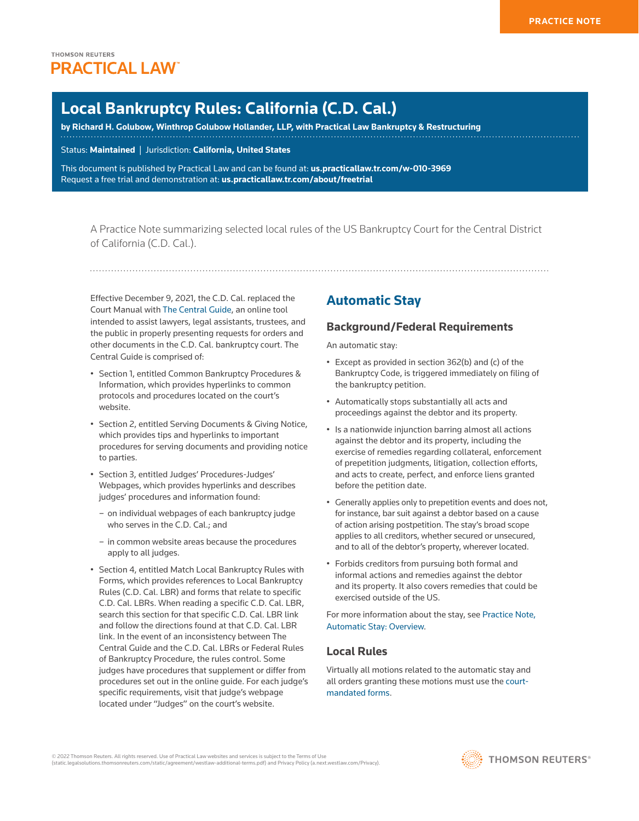# **Local Bankruptcy Rules: California (C.D. Cal.)**

**by [Richard H. Golubow](http://wghlawyers.com/home/golubow/), [Winthrop Golubow Hollander, LLP,](http://www.westlaw.com/Document/I874f0e13ba5911e79bef99c0ee06c731/View/FullText.html?originationContext=document&vr=3.0&rs=cblt1.0&transitionType=DocumentItem&contextData=(sc.Search)) with Practical Law Bankruptcy & Restructuring**

Status: **Maintained** | Jurisdiction: **California, United States**

This document is published by Practical Law and can be found at[:](http://us.practicallaw.tr.com/W-028-4180) **[us.practicallaw.tr.com/w-010-3969](http://us.practicallaw.tr.com/w-010-3969)** Request a free trial and demonstration at: **[us.practicallaw.tr.com/about/freetrial](http://us.practicallaw.tr.com/about/freetrial)**

A Practice Note summarizing selected local rules of the US Bankruptcy Court for the Central District of California (C.D. Cal.).

Effective December 9, 2021, the C.D. Cal. replaced the Court Manual with [The Central Guide,](https://www.cacb.uscourts.gov/the-central-guide) an online tool intended to assist lawyers, legal assistants, [trustees](http://www.westlaw.com/Document/Ibb0a37a1ef0511e28578f7ccc38dcbee/View/FullText.html?originationContext=document&vr=3.0&rs=cblt1.0&transitionType=DocumentItem&contextData=(sc.Search)), and the public in properly presenting requests for orders and other documents in the C.D. Cal. bankruptcy court. The Central Guide is comprised of:

- Section 1, entitled Common Bankruptcy Procedures & Information, which provides hyperlinks to common protocols and procedures located on the court's website.
- Section 2, entitled Serving Documents & Giving Notice, which provides tips and hyperlinks to important procedures for serving documents and providing notice to parties.
- Section 3, entitled Judges' Procedures-Judges' Webpages, which provides hyperlinks and describes judges' procedures and information found:
	- on individual webpages of each bankruptcy judge who serves in the C.D. Cal.; and
	- in common website areas because the procedures apply to all judges.
- Section 4, entitled Match Local Bankruptcy Rules with Forms, which provides references to Local Bankruptcy Rules (C.D. Cal. LBR) and forms that relate to specific C.D. Cal. LBRs. When reading a specific C.D. Cal. LBR, search this section for that specific C.D. Cal. LBR link and follow the directions found at that C.D. Cal. LBR link. In the event of an inconsistency between The Central Guide and the C.D. Cal. LBRs or Federal Rules of Bankruptcy Procedure, the rules control. Some judges have procedures that supplement or differ from procedures set out in the online guide. For each judge's specific requirements, visit that judge's webpage located under "Judges" on the court's website.

# **Automatic Stay**

## **Background/Federal Requirements**

An [automatic stay](http://www.westlaw.com/Document/I03f4da7beee311e28578f7ccc38dcbee/View/FullText.html?originationContext=document&vr=3.0&rs=cblt1.0&transitionType=DocumentItem&contextData=(sc.Search)):

- Except as provided in section 362(b) and (c) of the Bankruptcy Code, is triggered immediately on filing of the bankruptcy petition.
- Automatically stops substantially all acts and proceedings against the debtor and its property.
- Is a nationwide injunction barring almost all actions against the debtor and its property, including the exercise of remedies regarding collateral, enforcement of prepetition judgments, litigation, collection efforts, and acts to create, [perfect](http://www.westlaw.com/Document/I03f4d71ceee311e28578f7ccc38dcbee/View/FullText.html?originationContext=document&vr=3.0&rs=cblt1.0&transitionType=DocumentItem&contextData=(sc.Search)), and enforce liens granted before the petition date.
- Generally applies only to prepetition events and does not, for instance, bar suit against a debtor based on a cause of action arising postpetition. The stay's broad scope applies to all creditors, whether secured or unsecured, and to all of the debtor's property, wherever located.
- Forbids creditors from pursuing both formal and informal actions and remedies against the debtor and its property. It also covers remedies that could be exercised outside of the US.

For more information about the stay, see [Practice Note,](http://us.practicallaw.tr.com/9-380-7953)  [Automatic Stay: Overview](http://us.practicallaw.tr.com/9-380-7953).

## **Local Rules**

Virtually all motions related to the automatic stay and all orders granting these motions must use the [court](http://www.cacb.uscourts.gov/forms/local_bankruptcy_rules_forms)[mandated forms.](http://www.cacb.uscourts.gov/forms/local_bankruptcy_rules_forms)

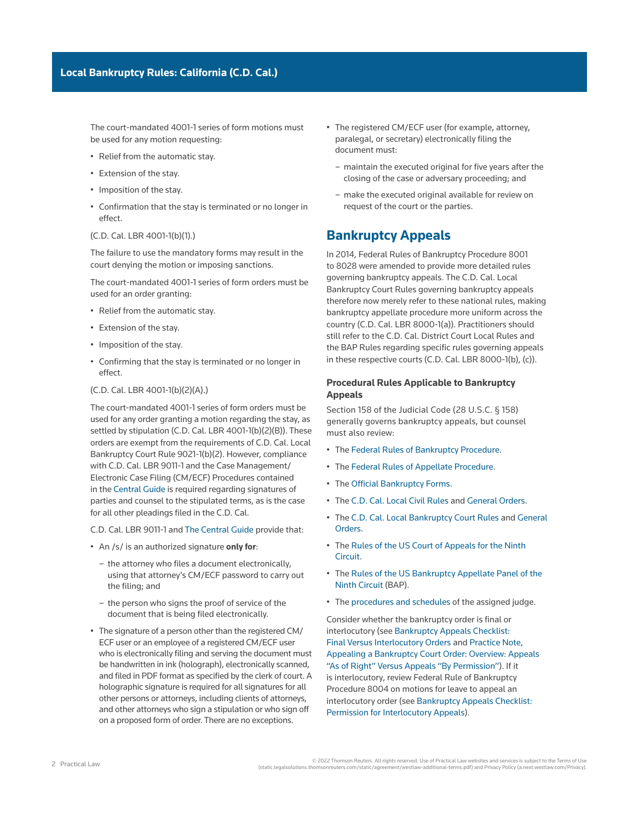The court-mandated 4001-1 series of form motions must be used for any motion requesting:

- Relief from the automatic stay.
- Extension of the stay.
- Imposition of the stay.
- Confirmation that the stay is terminated or no longer in effect.
- ([C.D. Cal. LBR 4001-1\(b\)\(1\).](http://www.westlaw.com/Link/Document/FullText?findType=L&pubNum=1004206&cite=CARUSBCLBR.4001-1&originatingDoc=Ia2a72f779c9311e79bef99c0ee06c731&refType=GA&originationContext=document&vr=3.0&rs=cblt1.0&transitionType=PLDocumentLink&billingHash=B0CE1EDD465B365817719A7DD214F61284E973B0D1A07B7C64967679C91CF9F5&contextData=(sc.Search)))

The failure to use the mandatory forms may result in the court denying the motion or imposing sanctions.

The court-mandated 4001-1 series of form orders must be used for an order granting:

- Relief from the automatic stay.
- Extension of the stay.
- Imposition of the stay.
- Confirming that the stay is terminated or no longer in effect.

#### ([C.D. Cal. LBR 4001-1\(b\)\(2\)\(A\)](http://www.westlaw.com/Link/Document/FullText?findType=L&pubNum=1004206&cite=CARUSBCLBR.4001-1&originatingDoc=Ia2a72f779c9311e79bef99c0ee06c731&refType=GA&originationContext=document&vr=3.0&rs=cblt1.0&transitionType=PLDocumentLink&billingHash=B0CE1EDD465B365817719A7DD214F61284E973B0D1A07B7C64967679C91CF9F5&contextData=(sc.Search)).)

The court-mandated 4001-1 series of form orders must be used for any order granting a motion regarding the stay, as settled by stipulation [\(C.D. Cal. LBR 4001-1\(b\)\(2\)\(B\)](http://www.westlaw.com/Link/Document/FullText?findType=L&pubNum=1004206&cite=CARUSBCLBR.4001-1&originatingDoc=Ia2a72f779c9311e79bef99c0ee06c731&refType=GA&originationContext=document&vr=3.0&rs=cblt1.0&transitionType=PLDocumentLink&billingHash=B0CE1EDD465B365817719A7DD214F61284E973B0D1A07B7C64967679C91CF9F5&contextData=(sc.Search))). These orders are exempt from the requirements of [C.D. Cal. Local](http://www.westlaw.com/Link/Document/FullText?findType=L&pubNum=1004206&cite=CARUSBCLBR.9021-1&originatingDoc=Ia2a72f779c9311e79bef99c0ee06c731&refType=GA&originationContext=document&vr=3.0&rs=cblt1.0&transitionType=PLDocumentLink&billingHash=A9E4860714CF0EEDB037DE093F5944B0113FE04B54A88F3B4D5EC3542590D8FC&contextData=(sc.Search))  [Bankruptcy Court Rule 9021-1\(b\)\(2\)](http://www.westlaw.com/Link/Document/FullText?findType=L&pubNum=1004206&cite=CARUSBCLBR.9021-1&originatingDoc=Ia2a72f779c9311e79bef99c0ee06c731&refType=GA&originationContext=document&vr=3.0&rs=cblt1.0&transitionType=PLDocumentLink&billingHash=A9E4860714CF0EEDB037DE093F5944B0113FE04B54A88F3B4D5EC3542590D8FC&contextData=(sc.Search)). However, compliance with [C.D. Cal. LBR 9011-1](http://www.westlaw.com/Link/Document/FullText?findType=L&pubNum=1004206&cite=CARUSBCLBR.9011-1&originatingDoc=Ia2a72f779c9311e79bef99c0ee06c731&refType=GA&originationContext=document&vr=3.0&rs=cblt1.0&transitionType=PLDocumentLink&billingHash=2229F054363D37CF2FD5C269DB070F82C170CAAD11308DB7C0E315D169E93843&contextData=(sc.Search)) and the [Case Management/](http://www.westlaw.com/Document/I0f9fc0a7ef0811e28578f7ccc38dcbee/View/FullText.html?originationContext=document&vr=3.0&rs=cblt1.0&transitionType=DocumentItem&contextData=(sc.Search)) [Electronic Case Filing](http://www.westlaw.com/Document/I0f9fc0a7ef0811e28578f7ccc38dcbee/View/FullText.html?originationContext=document&vr=3.0&rs=cblt1.0&transitionType=DocumentItem&contextData=(sc.Search)) (CM/ECF) Procedures contained in the [Central Guide](https://www.cacb.uscourts.gov/the-central-guide%20) is required regarding signatures of parties and counsel to the stipulated terms, as is the case for all other pleadings filed in the C.D. Cal.

[C.D. Cal. LBR 9011-1](http://www.westlaw.com/Link/Document/FullText?findType=L&pubNum=1004206&cite=CARUSBCLBR.9011-1&originatingDoc=Ia2a72f779c9311e79bef99c0ee06c731&refType=GA&originationContext=document&vr=3.0&rs=cblt1.0&transitionType=PLDocumentLink&billingHash=2229F054363D37CF2FD5C269DB070F82C170CAAD11308DB7C0E315D169E93843&contextData=(sc.Search)) and [The Central Guide](https://www.cacb.uscourts.gov/the-central-guide) provide that:

- An /s/ is an authorized signature **only for**:
	- the attorney who files a document electronically, using that attorney's CM/ECF password to carry out the filing; and
	- the person who signs the proof of service of the document that is being filed electronically.
- The signature of a person other than the registered CM/ ECF user or an employee of a registered CM/ECF user who is electronically filing and serving the document must be handwritten in ink (holograph), electronically scanned, and filed in PDF format as specified by the clerk of court. A holographic signature is required for all signatures for all other persons or attorneys, including clients of attorneys, and other attorneys who sign a stipulation or who sign off on a proposed form of order. There are no exceptions.
- The registered CM/ECF user (for example, attorney, paralegal, or secretary) electronically filing the document must:
	- maintain the executed original for five years after the closing of the case or [adversary proceeding;](http://www.westlaw.com/Document/Ibb0a110def0511e28578f7ccc38dcbee/View/FullText.html?originationContext=document&vr=3.0&rs=cblt1.0&transitionType=DocumentItem&contextData=(sc.Search)) and
	- make the executed original available for review on request of the court or the parties.

# **Bankruptcy Appeals**

In 2014, [Federal Rules of Bankruptcy Procedure 8001](http://www.westlaw.com/Link/Document/FullText?findType=L&pubNum=1000611&cite=USFRBPR8001&originatingDoc=Ia2a72f779c9311e79bef99c0ee06c731&refType=LQ&originationContext=document&vr=3.0&rs=cblt1.0&transitionType=PLDocumentLink&billingHash=754EC89F961455FFA44D611DF29F8BF31DFD881E36F44BE4108431292248027D&contextData=(sc.Search))  to [8028](http://www.westlaw.com/Link/Document/FullText?findType=L&pubNum=1000611&cite=USFRBPR8028&originatingDoc=Ia2a72f779c9311e79bef99c0ee06c731&refType=LQ&originationContext=document&vr=3.0&rs=cblt1.0&transitionType=PLDocumentLink&billingHash=6D3FB848A7C96A208CC0141D70C39ACC7528861B3192C27FAFAA3E2D77EAC250&contextData=(sc.Search)) were amended to provide more detailed rules governing bankruptcy appeals. The C.D. Cal. Local Bankruptcy Court Rules governing bankruptcy appeals therefore now merely refer to these national rules, making bankruptcy appellate procedure more uniform across the country [\(C.D. Cal. LBR 8000-1\(a\)](http://www.westlaw.com/Link/Document/FullText?findType=L&pubNum=1004206&cite=CARUSBCLBR.8000-1&originatingDoc=Ia2a72f779c9311e79bef99c0ee06c731&refType=GA&originationContext=document&vr=3.0&rs=cblt1.0&transitionType=PLDocumentLink&billingHash=5E6AEE59B97EC24B9E06677C796B7653CFB1732A641B8FB8EB93258BF9F42C94&contextData=(sc.Search))). Practitioners should still refer to the C.D. Cal. District Court Local Rules and the BAP Rules regarding specific rules governing appeals in these respective courts ([C.D. Cal. LBR 8000-1\(b\), \(c\)\)](http://www.westlaw.com/Link/Document/FullText?findType=L&pubNum=1004206&cite=CARUSBCLBR.8000-1&originatingDoc=Ia2a72f779c9311e79bef99c0ee06c731&refType=GA&originationContext=document&vr=3.0&rs=cblt1.0&transitionType=PLDocumentLink&billingHash=5E6AEE59B97EC24B9E06677C796B7653CFB1732A641B8FB8EB93258BF9F42C94&contextData=(sc.Search)).

## **Procedural Rules Applicable to Bankruptcy Appeals**

Section 158 of the Judicial Code ([28 U.S.C. § 158\)](http://www.westlaw.com/Link/Document/FullText?findType=L&pubNum=1000546&cite=28USCAS158&originatingDoc=Ia2a72f779c9311e79bef99c0ee06c731&refType=LQ&originationContext=document&vr=3.0&rs=cblt1.0&transitionType=PLDocumentLink&billingHash=076D3DB1875E2AA600F2F162356E8EF9B7E6C9D59DBAE7227A1731F2C65F9660&contextData=(sc.Search)) generally governs bankruptcy appeals, but counsel must also review:

- The [Federal Rules of Bankruptcy Procedure.](https://www.uscourts.gov/sites/default/files/federal_rules_of_bankruptcy_procedure_-_december_2020_0.pdf)
- The [Federal Rules of Appellate Procedure.](https://www.uscourts.gov/sites/default/files/federal_rules_of_appellate_procedure_-_december_2020_0.pdf)
- The [Official Bankruptcy Forms](http://www.uscourts.gov/forms/bankruptcy-forms).
- The [C.D. Cal. Local Civil Rules](https://www.cacd.uscourts.gov/court-procedures/local-rules) and [General Orders](https://www.cacd.uscourts.gov/court-procedures/general-orders).
- The [C.D. Cal. Local Bankruptcy Court Rules](https://www.cacb.uscourts.gov/sites/cacb/files/documents/local_rules/COMPLETE%20LBRS%2002-01-21%20double-sided.pdf) and [General](https://www.cacb.uscourts.gov/general-orders)  [Orders](https://www.cacb.uscourts.gov/general-orders).
- The [Rules of the US Court of Appeals for the Ninth](http://cdn.ca9.uscourts.gov/datastore/uploads/rules/frap.pdf)  [Circuit](http://cdn.ca9.uscourts.gov/datastore/uploads/rules/frap.pdf).
- The [Rules of the US Bankruptcy Appellate Panel of the](http://cdn.ca9.uscourts.gov/datastore/bap/2015/06/18/baprules.pdf)  [Ninth Circuit](http://cdn.ca9.uscourts.gov/datastore/bap/2015/06/18/baprules.pdf) (BAP).
- The [procedures and schedules](https://www.cacd.uscourts.gov/judges-schedules-procedures) of the assigned judge.

Consider whether the bankruptcy order is final or [interlocutory](http://www.westlaw.com/Document/I6629dc09ef2a11e28578f7ccc38dcbee/View/FullText.html?originationContext=document&vr=3.0&rs=cblt1.0&transitionType=DocumentItem&contextData=(sc.Search)) (see [Bankruptcy Appeals Checklist:](http://us.practicallaw.tr.com/W-017-3286)  [Final Versus Interlocutory Orders](http://us.practicallaw.tr.com/W-017-3286) and [Practice Note,](http://us.practicallaw.tr.com/W-001-3320)  [Appealing a Bankruptcy Court Order: Overview: Appeals](http://us.practicallaw.tr.com/W-001-3320)  ["As of Right" Versus Appeals "By Permission"\)](http://us.practicallaw.tr.com/W-001-3320). If it is interlocutory, review [Federal Rule of Bankruptcy](http://www.westlaw.com/Link/Document/FullText?findType=L&pubNum=1000611&cite=USFRBPR8004&originatingDoc=Ia2a72f779c9311e79bef99c0ee06c731&refType=LQ&originationContext=document&vr=3.0&rs=cblt1.0&transitionType=PLDocumentLink&billingHash=D76C1E1BFD601C3F57E3BBFBF790611BC91840E299748611A9087EA2DDBB1C9D&contextData=(sc.Search))  [Procedure 8004](http://www.westlaw.com/Link/Document/FullText?findType=L&pubNum=1000611&cite=USFRBPR8004&originatingDoc=Ia2a72f779c9311e79bef99c0ee06c731&refType=LQ&originationContext=document&vr=3.0&rs=cblt1.0&transitionType=PLDocumentLink&billingHash=D76C1E1BFD601C3F57E3BBFBF790611BC91840E299748611A9087EA2DDBB1C9D&contextData=(sc.Search)) on motions for leave to appeal an interlocutory order (see [Bankruptcy Appeals Checklist:](http://us.practicallaw.tr.com/W-017-3286)  [Permission for Interlocutory Appeals\)](http://us.practicallaw.tr.com/W-017-3286).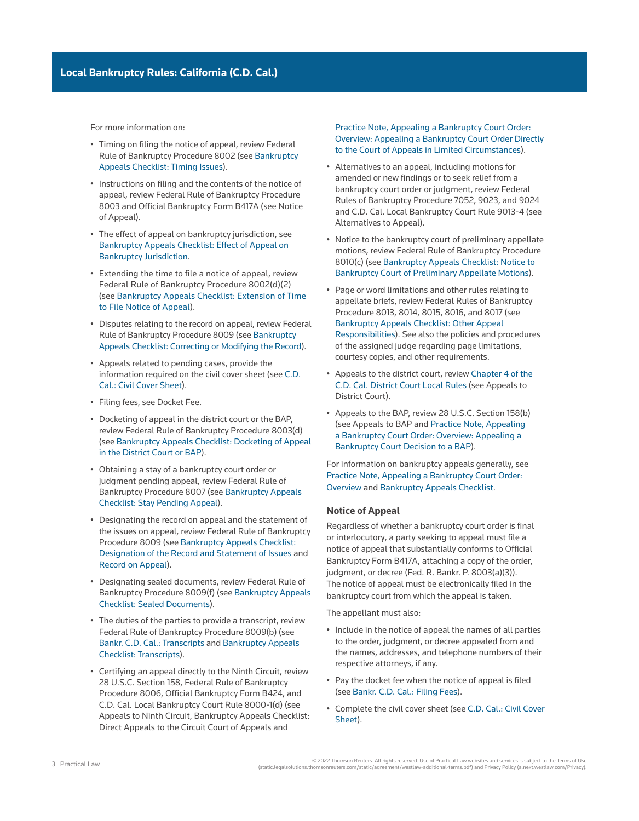For more information on:

- Timing on filing the notice of appeal, review [Federal](http://www.westlaw.com/Link/Document/FullText?findType=L&pubNum=1000611&cite=USFRBPR8002&originatingDoc=Ia2a72f779c9311e79bef99c0ee06c731&refType=LQ&originationContext=document&vr=3.0&rs=cblt1.0&transitionType=PLDocumentLink&billingHash=1C7830719359E41E148C478F6770FF492A4DA0D8A1B1DBCAAF58AF166A1ADA6F&contextData=(sc.Search))  [Rule of Bankruptcy Procedure 8002](http://www.westlaw.com/Link/Document/FullText?findType=L&pubNum=1000611&cite=USFRBPR8002&originatingDoc=Ia2a72f779c9311e79bef99c0ee06c731&refType=LQ&originationContext=document&vr=3.0&rs=cblt1.0&transitionType=PLDocumentLink&billingHash=1C7830719359E41E148C478F6770FF492A4DA0D8A1B1DBCAAF58AF166A1ADA6F&contextData=(sc.Search)) (see [Bankruptcy](http://us.practicallaw.tr.com/W-017-3286)  [Appeals Checklist: Timing Issues\)](http://us.practicallaw.tr.com/W-017-3286).
- Instructions on filing and the contents of the notice of appeal, review [Federal Rule of Bankruptcy Procedure](http://www.westlaw.com/Link/Document/FullText?findType=L&pubNum=1000611&cite=USFRBPR8003&originatingDoc=Ia2a72f779c9311e79bef99c0ee06c731&refType=LQ&originationContext=document&vr=3.0&rs=cblt1.0&transitionType=PLDocumentLink&billingHash=2442261EA4A9A8BCC8543D8C7C3A452F3B71612F4BEBBE1C5A4AD17F98E346B4&contextData=(sc.Search))  [8003](http://www.westlaw.com/Link/Document/FullText?findType=L&pubNum=1000611&cite=USFRBPR8003&originatingDoc=Ia2a72f779c9311e79bef99c0ee06c731&refType=LQ&originationContext=document&vr=3.0&rs=cblt1.0&transitionType=PLDocumentLink&billingHash=2442261EA4A9A8BCC8543D8C7C3A452F3B71612F4BEBBE1C5A4AD17F98E346B4&contextData=(sc.Search)) and [Official Bankruptcy Form B417A](http://www.westlaw.com/Link/Document/FullText?findType=L&pubNum=1000612&cite=USFRBPOFFICIALFMB417A&originatingDoc=Ia2a72f779c9311e79bef99c0ee06c731&refType=GA&originationContext=document&vr=3.0&rs=cblt1.0&transitionType=PLDocumentLink&billingHash=1A4F2ABED1EB7FB389BC7C1A58119F73AFA82901EFE8C0F85765337CAEB7F520&contextData=(sc.Search)) (see Notice of Appeal).
- The effect of appeal on bankruptcy jurisdiction, see [Bankruptcy Appeals Checklist: Effect of Appeal on](http://us.practicallaw.tr.com/W-017-3286)  [Bankruptcy Jurisdiction.](http://us.practicallaw.tr.com/W-017-3286)
- Extending the time to file a notice of appeal, review Federal Rule of Bankruptcy Procedure 8002(d)(2) (see [Bankruptcy Appeals Checklist: Extension of Time](http://us.practicallaw.tr.com/W-017-3286)  [to File Notice of Appeal](http://us.practicallaw.tr.com/W-017-3286)).
- Disputes relating to the record on appeal, review [Federal](http://www.westlaw.com/Link/Document/FullText?findType=L&pubNum=1000611&cite=USFRBPR8009&originatingDoc=Ia2a72f779c9311e79bef99c0ee06c731&refType=LQ&originationContext=document&vr=3.0&rs=cblt1.0&transitionType=PLDocumentLink&billingHash=BF8FA84131320E1397154D90DE761DA20EAD103C743FDBCE0B35ED7268449E5E&contextData=(sc.Search))  [Rule of Bankruptcy Procedure 8009](http://www.westlaw.com/Link/Document/FullText?findType=L&pubNum=1000611&cite=USFRBPR8009&originatingDoc=Ia2a72f779c9311e79bef99c0ee06c731&refType=LQ&originationContext=document&vr=3.0&rs=cblt1.0&transitionType=PLDocumentLink&billingHash=BF8FA84131320E1397154D90DE761DA20EAD103C743FDBCE0B35ED7268449E5E&contextData=(sc.Search)) (see [Bankruptcy](http://us.practicallaw.tr.com/W-017-3286)  [Appeals Checklist: Correcting or Modifying the Record\)](http://us.practicallaw.tr.com/W-017-3286).
- Appeals related to pending cases, provide the information required on the civil cover sheet (see [C.D.](https://www.cacd.uscourts.gov/sites/default/files/forms/CV-071/CV-71.pdf)  [Cal.: Civil Cover Sheet](https://www.cacd.uscourts.gov/sites/default/files/forms/CV-071/CV-71.pdf)).
- Filing fees, see Docket Fee.
- Docketing of appeal in the district court or the BAP, review Federal Rule of Bankruptcy Procedure 8003(d) (see [Bankruptcy Appeals Checklist: Docketing of Appeal](http://us.practicallaw.tr.com/W-017-3286)  [in the District Court or BAP](http://us.practicallaw.tr.com/W-017-3286)).
- Obtaining a stay of a bankruptcy court order or judgment pending appeal, review [Federal Rule of](http://www.westlaw.com/Link/Document/FullText?findType=L&pubNum=1000611&cite=USFRBPR8007&originatingDoc=Ia2a72f779c9311e79bef99c0ee06c731&refType=LQ&originationContext=document&vr=3.0&rs=cblt1.0&transitionType=PLDocumentLink&billingHash=B571CEC2182C3059F9F9DD1ED5078733964A2994DC6F07B7B1B2D8C7331B2CBE&contextData=(sc.Search))  [Bankruptcy Procedure 8007](http://www.westlaw.com/Link/Document/FullText?findType=L&pubNum=1000611&cite=USFRBPR8007&originatingDoc=Ia2a72f779c9311e79bef99c0ee06c731&refType=LQ&originationContext=document&vr=3.0&rs=cblt1.0&transitionType=PLDocumentLink&billingHash=B571CEC2182C3059F9F9DD1ED5078733964A2994DC6F07B7B1B2D8C7331B2CBE&contextData=(sc.Search)) (see [Bankruptcy Appeals](http://us.practicallaw.tr.com/W-017-3286)  [Checklist: Stay Pending Appeal](http://us.practicallaw.tr.com/W-017-3286)).
- Designating the record on appeal and the statement of the issues on appeal, review [Federal Rule of Bankruptcy](http://www.westlaw.com/Link/Document/FullText?findType=L&pubNum=1000611&cite=USFRBPR8009&originatingDoc=Ia2a72f779c9311e79bef99c0ee06c731&refType=LQ&originationContext=document&vr=3.0&rs=cblt1.0&transitionType=PLDocumentLink&billingHash=BF8FA84131320E1397154D90DE761DA20EAD103C743FDBCE0B35ED7268449E5E&contextData=(sc.Search))  [Procedure 8009](http://www.westlaw.com/Link/Document/FullText?findType=L&pubNum=1000611&cite=USFRBPR8009&originatingDoc=Ia2a72f779c9311e79bef99c0ee06c731&refType=LQ&originationContext=document&vr=3.0&rs=cblt1.0&transitionType=PLDocumentLink&billingHash=BF8FA84131320E1397154D90DE761DA20EAD103C743FDBCE0B35ED7268449E5E&contextData=(sc.Search)) (see [Bankruptcy Appeals Checklist:](http://us.practicallaw.tr.com/W-017-3286)  [Designation of the Record and Statement of Issues](http://us.practicallaw.tr.com/W-017-3286) and [Record on Appeal](http://us.practicallaw.tr.com/W-017-3286)).
- Designating sealed documents, review Federal Rule of Bankruptcy Procedure 8009(f) (see [Bankruptcy Appeals](http://us.practicallaw.tr.com/W-017-3286)  [Checklist: Sealed Documents\)](http://us.practicallaw.tr.com/W-017-3286).
- The duties of the parties to provide a transcript, review Federal Rule of Bankruptcy Procedure 8009(b) (see [Bankr. C.D. Cal.: Transcripts](http://www.cacb.uscourts.gov/transcripts) and [Bankruptcy Appeals](http://us.practicallaw.tr.com/W-017-3286)  [Checklist: Transcripts\)](http://us.practicallaw.tr.com/W-017-3286).
- Certifying an appeal directly to the Ninth Circuit, review [28 U.S.C. Section 158,](http://www.westlaw.com/Link/Document/FullText?findType=L&pubNum=1000546&cite=28USCAS158&originatingDoc=Ia2a72f779c9311e79bef99c0ee06c731&refType=LQ&originationContext=document&vr=3.0&rs=cblt1.0&transitionType=PLDocumentLink&billingHash=076D3DB1875E2AA600F2F162356E8EF9B7E6C9D59DBAE7227A1731F2C65F9660&contextData=(sc.Search)) [Federal Rule of Bankruptcy](http://www.westlaw.com/Link/Document/FullText?findType=L&pubNum=1000611&cite=USFRBPR8006&originatingDoc=Ia2a72f779c9311e79bef99c0ee06c731&refType=LQ&originationContext=document&vr=3.0&rs=cblt1.0&transitionType=PLDocumentLink&billingHash=B3AD75F08206642CCD32BF9CE3B254D6AB9749E9E1E30C8DF8080DAD4A0E37BA&contextData=(sc.Search))  [Procedure 8006,](http://www.westlaw.com/Link/Document/FullText?findType=L&pubNum=1000611&cite=USFRBPR8006&originatingDoc=Ia2a72f779c9311e79bef99c0ee06c731&refType=LQ&originationContext=document&vr=3.0&rs=cblt1.0&transitionType=PLDocumentLink&billingHash=B3AD75F08206642CCD32BF9CE3B254D6AB9749E9E1E30C8DF8080DAD4A0E37BA&contextData=(sc.Search)) [Official Bankruptcy Form B424](http://www.westlaw.com/Link/Document/FullText?findType=L&pubNum=1000612&cite=USFRBPOFFICIALFMB424&originatingDoc=Ia2a72f779c9311e79bef99c0ee06c731&refType=GA&originationContext=document&vr=3.0&rs=cblt1.0&transitionType=PLDocumentLink&billingHash=9D6E200FB9A1D1CC31A264512EABF2074F7C289A75F3905B23959C11591F8262&contextData=(sc.Search)), and [C.D. Cal. Local Bankruptcy Court Rule 8000-1\(d\)](http://www.westlaw.com/Link/Document/FullText?findType=L&pubNum=1004206&cite=CARUSBCLBR.8000-1&originatingDoc=Ia2a72f779c9311e79bef99c0ee06c731&refType=GA&originationContext=document&vr=3.0&rs=cblt1.0&transitionType=PLDocumentLink&billingHash=5E6AEE59B97EC24B9E06677C796B7653CFB1732A641B8FB8EB93258BF9F42C94&contextData=(sc.Search)) (see Appeals to Ninth Circuit, Bankruptcy Appeals Checklist: Direct Appeals to the Circuit Court of Appeals and

[Practice Note, Appealing a Bankruptcy Court Order:](http://us.practicallaw.tr.com/W-001-3320)  [Overview: Appealing a Bankruptcy Court Order Directly](http://us.practicallaw.tr.com/W-001-3320)  [to the Court of Appeals in Limited Circumstances\)](http://us.practicallaw.tr.com/W-001-3320).

- Alternatives to an appeal, including motions for amended or new findings or to seek relief from a bankruptcy court order or judgment, review [Federal](http://www.westlaw.com/Link/Document/FullText?findType=L&pubNum=1000611&cite=USFRBPR7052&originatingDoc=Ia2a72f779c9311e79bef99c0ee06c731&refType=LQ&originationContext=document&vr=3.0&rs=cblt1.0&transitionType=PLDocumentLink&billingHash=1656F2E785D44B81EF67B4B390330DBC2911DA6B91245F8819473378E3357BD3&contextData=(sc.Search))  [Rules of Bankruptcy Procedure 7052,](http://www.westlaw.com/Link/Document/FullText?findType=L&pubNum=1000611&cite=USFRBPR7052&originatingDoc=Ia2a72f779c9311e79bef99c0ee06c731&refType=LQ&originationContext=document&vr=3.0&rs=cblt1.0&transitionType=PLDocumentLink&billingHash=1656F2E785D44B81EF67B4B390330DBC2911DA6B91245F8819473378E3357BD3&contextData=(sc.Search)) [9023,](http://www.westlaw.com/Link/Document/FullText?findType=L&pubNum=1000611&cite=USFRBPR9023&originatingDoc=Ia2a72f779c9311e79bef99c0ee06c731&refType=LQ&originationContext=document&vr=3.0&rs=cblt1.0&transitionType=PLDocumentLink&billingHash=01039CFC3C3F87A08C2E4EFBDA08765B74CB365F8DB5AD965DBBBAC27693EBF9&contextData=(sc.Search)) and [9024](http://www.westlaw.com/Link/Document/FullText?findType=L&pubNum=1000611&cite=USFRBPR9024&originatingDoc=Ia2a72f779c9311e79bef99c0ee06c731&refType=LQ&originationContext=document&vr=3.0&rs=cblt1.0&transitionType=PLDocumentLink&billingHash=9AD94DEC7FDE97B7C51D20F1710467FCA72DD09F41BB4E7B82AEDD664F74C664&contextData=(sc.Search)) and [C.D. Cal. Local Bankruptcy Court Rule 9013-4](http://www.westlaw.com/Link/Document/FullText?findType=L&pubNum=1004206&cite=CARUSBCLBR.9013-4&originatingDoc=Ia2a72f779c9311e79bef99c0ee06c731&refType=GA&originationContext=document&vr=3.0&rs=cblt1.0&transitionType=PLDocumentLink&billingHash=D5C1AD519DB2B3E19D71A98A85E61035F04AB61F44F4551063DB75F56E9AE13F&contextData=(sc.Search)) (see Alternatives to Appeal).
- Notice to the bankruptcy court of preliminary appellate motions, review Federal Rule of Bankruptcy Procedure 8010(c) (see [Bankruptcy Appeals Checklist: Notice to](http://us.practicallaw.tr.com/W-017-3286)  [Bankruptcy Court of Preliminary Appellate Motions\)](http://us.practicallaw.tr.com/W-017-3286).
- Page or word limitations and other rules relating to appellate briefs, review [Federal Rules of Bankruptcy](http://www.westlaw.com/Link/Document/FullText?findType=L&pubNum=1000611&cite=USFRBPR8013&originatingDoc=Ia2a72f779c9311e79bef99c0ee06c731&refType=LQ&originationContext=document&vr=3.0&rs=cblt1.0&transitionType=PLDocumentLink&billingHash=CF432156D18AC92F77D20C6B8872BE8F3F88CD4DEE367C15840C1275F142F95D&contextData=(sc.Search))  [Procedure 8013](http://www.westlaw.com/Link/Document/FullText?findType=L&pubNum=1000611&cite=USFRBPR8013&originatingDoc=Ia2a72f779c9311e79bef99c0ee06c731&refType=LQ&originationContext=document&vr=3.0&rs=cblt1.0&transitionType=PLDocumentLink&billingHash=CF432156D18AC92F77D20C6B8872BE8F3F88CD4DEE367C15840C1275F142F95D&contextData=(sc.Search)), [8014](http://www.westlaw.com/Link/Document/FullText?findType=L&pubNum=1000611&cite=USFRBPR8014&originatingDoc=Ia2a72f779c9311e79bef99c0ee06c731&refType=LQ&originationContext=document&vr=3.0&rs=cblt1.0&transitionType=PLDocumentLink&billingHash=7EA1F8AE26F37539FD5C262A7B983E8B4FECCFBBFD03498DEE6FF1696A1C8001&contextData=(sc.Search)), [8015,](http://www.westlaw.com/Link/Document/FullText?findType=L&pubNum=1000611&cite=USFRBPR8015&originatingDoc=Ia2a72f779c9311e79bef99c0ee06c731&refType=LQ&originationContext=document&vr=3.0&rs=cblt1.0&transitionType=PLDocumentLink&billingHash=6BAD372C5755F66570D51A8247E09225F50506B2F7330D4160CF8B16C6D38E70&contextData=(sc.Search)) [8016,](http://www.westlaw.com/Link/Document/FullText?findType=L&pubNum=1000611&cite=USFRBPR8016&originatingDoc=Ia2a72f779c9311e79bef99c0ee06c731&refType=LQ&originationContext=document&vr=3.0&rs=cblt1.0&transitionType=PLDocumentLink&billingHash=C0DE2D28336F12D41A39848386E7CBA8444366F08EDD9485F3BF7248C4D8F689&contextData=(sc.Search)) and [8017](http://www.westlaw.com/Link/Document/FullText?findType=L&pubNum=1000611&cite=USFRBPR8017&originatingDoc=Ia2a72f779c9311e79bef99c0ee06c731&refType=LQ&originationContext=document&vr=3.0&rs=cblt1.0&transitionType=PLDocumentLink&billingHash=910191A57F9CA92AA4C629B6EBC4BAB1A9E33C74C1DC6AA61D4C8B660480EBF1&contextData=(sc.Search)) (see [Bankruptcy Appeals Checklist: Other Appeal](http://us.practicallaw.tr.com/W-017-3286)  [Responsibilities](http://us.practicallaw.tr.com/W-017-3286)). See also the policies and procedures of the assigned judge regarding page limitations, courtesy copies, and other requirements.
- Appeals to the district court, review [Chapter 4 of the](http://www.cacd.uscourts.gov/sites/default/files/documents/LRs%20Effective%202015%20December%201%20-%20Chapter%204_0.pdf)  [C.D. Cal. District Court Local Rules](http://www.cacd.uscourts.gov/sites/default/files/documents/LRs%20Effective%202015%20December%201%20-%20Chapter%204_0.pdf) (see Appeals to District Court).
- Appeals to the BAP, review 28 U.S.C. Section 158(b) (see Appeals to BAP and [Practice Note, Appealing](http://us.practicallaw.tr.com/W-001-3320)  [a Bankruptcy Court Order: Overview: Appealing a](http://us.practicallaw.tr.com/W-001-3320)  [Bankruptcy Court Decision to a BAP\)](http://us.practicallaw.tr.com/W-001-3320).

For information on bankruptcy appeals generally, see [Practice Note, Appealing a Bankruptcy Court Order:](http://us.practicallaw.tr.com/W-001-3320)  [Overview](http://us.practicallaw.tr.com/W-001-3320) and [Bankruptcy Appeals Checklist.](http://us.practicallaw.tr.com/W-017-3286)

#### **Notice of Appeal**

Regardless of whether a bankruptcy court order is final or interlocutory, a party seeking to appeal must file a notice of appeal that substantially conforms to [Official](http://www.westlaw.com/Link/Document/FullText?findType=L&pubNum=1000612&cite=USFRBPOFFICIALFMB417A&originatingDoc=Ia2a72f779c9311e79bef99c0ee06c731&refType=GA&originationContext=document&vr=3.0&rs=cblt1.0&transitionType=PLDocumentLink&billingHash=1A4F2ABED1EB7FB389BC7C1A58119F73AFA82901EFE8C0F85765337CAEB7F520&contextData=(sc.Search))  [Bankruptcy Form B417A,](http://www.westlaw.com/Link/Document/FullText?findType=L&pubNum=1000612&cite=USFRBPOFFICIALFMB417A&originatingDoc=Ia2a72f779c9311e79bef99c0ee06c731&refType=GA&originationContext=document&vr=3.0&rs=cblt1.0&transitionType=PLDocumentLink&billingHash=1A4F2ABED1EB7FB389BC7C1A58119F73AFA82901EFE8C0F85765337CAEB7F520&contextData=(sc.Search)) attaching a copy of the order, judgment, or decree (Fed. R. Bankr. P. 8003(a)(3)). The notice of appeal must be electronically filed in the bankruptcy court from which the appeal is taken.

The appellant must also:

- Include in the notice of appeal the names of all parties to the order, judgment, or decree appealed from and the names, addresses, and telephone numbers of their respective attorneys, if any.
- Pay the docket fee when the notice of appeal is filed (see [Bankr. C.D. Cal.: Filing Fees](http://www.cacb.uscourts.gov/filing-fees)).
- Complete the civil cover sheet (see [C.D. Cal.: Civil Cover](https://www.cacd.uscourts.gov/sites/default/files/forms/CV-071/CV-71.pdf)  [Sheet\)](https://www.cacd.uscourts.gov/sites/default/files/forms/CV-071/CV-71.pdf).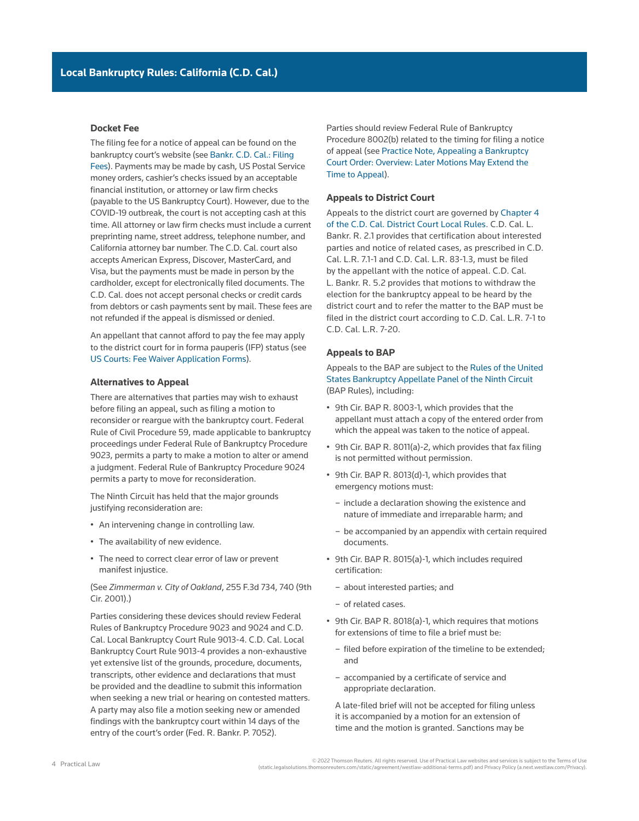#### **Docket Fee**

The filing fee for a notice of appeal can be found on the bankruptcy court's website (see [Bankr. C.D. Cal.: Filing](http://www.cacb.uscourts.gov/filing-fees)  [Fees](http://www.cacb.uscourts.gov/filing-fees)). Payments may be made by cash, US Postal Service money orders, cashier's checks issued by an acceptable financial institution, or attorney or law firm checks (payable to the US Bankruptcy Court). However, due to the [COVID-19](http://www.westlaw.com/Document/Iace5bef75d9111eaadfea82903531a62/View/FullText.html?originationContext=document&vr=3.0&rs=cblt1.0&transitionType=DocumentItem&contextData=(sc.Search)) outbreak, the court is not accepting cash at this time. All attorney or law firm checks must include a current preprinting name, street address, telephone number, and California attorney bar number. The C.D. Cal. court also accepts American Express, Discover, MasterCard, and Visa, but the payments must be made in person by the cardholder, except for electronically filed documents. The C.D. Cal. does not accept personal checks or credit cards from debtors or cash payments sent by mail. These fees are not refunded if the appeal is dismissed or denied.

An appellant that cannot afford to pay the fee may apply to the district court for [in forma pauperis](http://www.westlaw.com/Document/I1c6337f4ef2811e28578f7ccc38dcbee/View/FullText.html?originationContext=document&vr=3.0&rs=cblt1.0&transitionType=DocumentItem&contextData=(sc.Search)) (IFP) status (see [US Courts: Fee Waiver Application Forms\)](http://www.uscourts.gov/forms/fee-waiver-application-forms).

#### **Alternatives to Appeal**

There are alternatives that parties may wish to exhaust before filing an appeal, such as filing a motion to reconsider or reargue with the bankruptcy court. [Federal](http://www.westlaw.com/Link/Document/FullText?findType=L&pubNum=1000600&cite=USFRCPR59&originatingDoc=Ia2a72f779c9311e79bef99c0ee06c731&refType=LQ&originationContext=document&vr=3.0&rs=cblt1.0&transitionType=PLDocumentLink&billingHash=A4452A4857C8AB2713136D1601670341555E40C31B5C02F98152D1EFD07050D2&contextData=(sc.Search))  [Rule of Civil Procedure 59,](http://www.westlaw.com/Link/Document/FullText?findType=L&pubNum=1000600&cite=USFRCPR59&originatingDoc=Ia2a72f779c9311e79bef99c0ee06c731&refType=LQ&originationContext=document&vr=3.0&rs=cblt1.0&transitionType=PLDocumentLink&billingHash=A4452A4857C8AB2713136D1601670341555E40C31B5C02F98152D1EFD07050D2&contextData=(sc.Search)) made applicable to bankruptcy proceedings under [Federal Rule of Bankruptcy Procedure](http://www.westlaw.com/Link/Document/FullText?findType=L&pubNum=1000611&cite=USFRBPR9023&originatingDoc=Ia2a72f779c9311e79bef99c0ee06c731&refType=LQ&originationContext=document&vr=3.0&rs=cblt1.0&transitionType=PLDocumentLink&billingHash=01039CFC3C3F87A08C2E4EFBDA08765B74CB365F8DB5AD965DBBBAC27693EBF9&contextData=(sc.Search))  [9023,](http://www.westlaw.com/Link/Document/FullText?findType=L&pubNum=1000611&cite=USFRBPR9023&originatingDoc=Ia2a72f779c9311e79bef99c0ee06c731&refType=LQ&originationContext=document&vr=3.0&rs=cblt1.0&transitionType=PLDocumentLink&billingHash=01039CFC3C3F87A08C2E4EFBDA08765B74CB365F8DB5AD965DBBBAC27693EBF9&contextData=(sc.Search)) permits a party to make a motion to alter or amend a judgment. [Federal Rule of Bankruptcy Procedure 9024](http://www.westlaw.com/Link/Document/FullText?findType=L&pubNum=1000611&cite=USFRBPR9024&originatingDoc=Ia2a72f779c9311e79bef99c0ee06c731&refType=LQ&originationContext=document&vr=3.0&rs=cblt1.0&transitionType=PLDocumentLink&billingHash=9AD94DEC7FDE97B7C51D20F1710467FCA72DD09F41BB4E7B82AEDD664F74C664&contextData=(sc.Search)) permits a party to move for reconsideration.

The Ninth Circuit has held that the major grounds justifying reconsideration are:

- An intervening change in controlling law.
- The availability of new evidence.
- The need to correct clear error of law or prevent manifest injustice.

(See *Zimmerman v. City of Oakland*, 255 F.3d 734, 740 (9th Cir. 2001).)

Parties considering these devices should review [Federal](http://www.westlaw.com/Link/Document/FullText?findType=L&pubNum=1000611&cite=USFRBPR9023&originatingDoc=Ia2a72f779c9311e79bef99c0ee06c731&refType=LQ&originationContext=document&vr=3.0&rs=cblt1.0&transitionType=PLDocumentLink&billingHash=01039CFC3C3F87A08C2E4EFBDA08765B74CB365F8DB5AD965DBBBAC27693EBF9&contextData=(sc.Search))  [Rules of Bankruptcy Procedure 9023](http://www.westlaw.com/Link/Document/FullText?findType=L&pubNum=1000611&cite=USFRBPR9023&originatingDoc=Ia2a72f779c9311e79bef99c0ee06c731&refType=LQ&originationContext=document&vr=3.0&rs=cblt1.0&transitionType=PLDocumentLink&billingHash=01039CFC3C3F87A08C2E4EFBDA08765B74CB365F8DB5AD965DBBBAC27693EBF9&contextData=(sc.Search)) and [9024](http://www.westlaw.com/Link/Document/FullText?findType=L&pubNum=1000611&cite=USFRBPR9024&originatingDoc=Ia2a72f779c9311e79bef99c0ee06c731&refType=LQ&originationContext=document&vr=3.0&rs=cblt1.0&transitionType=PLDocumentLink&billingHash=9AD94DEC7FDE97B7C51D20F1710467FCA72DD09F41BB4E7B82AEDD664F74C664&contextData=(sc.Search)) and [C.D.](http://www.westlaw.com/Link/Document/FullText?findType=L&pubNum=1004206&cite=CARUSBCLBR.9013-4&originatingDoc=Ia2a72f779c9311e79bef99c0ee06c731&refType=GA&originationContext=document&vr=3.0&rs=cblt1.0&transitionType=PLDocumentLink&billingHash=D5C1AD519DB2B3E19D71A98A85E61035F04AB61F44F4551063DB75F56E9AE13F&contextData=(sc.Search))  [Cal. Local Bankruptcy Court Rule 9013-4. C.D. Cal. Local](http://www.westlaw.com/Link/Document/FullText?findType=L&pubNum=1004206&cite=CARUSBCLBR.9013-4&originatingDoc=Ia2a72f779c9311e79bef99c0ee06c731&refType=GA&originationContext=document&vr=3.0&rs=cblt1.0&transitionType=PLDocumentLink&billingHash=D5C1AD519DB2B3E19D71A98A85E61035F04AB61F44F4551063DB75F56E9AE13F&contextData=(sc.Search))  [Bankruptcy Court Rule 9013-4](http://www.westlaw.com/Link/Document/FullText?findType=L&pubNum=1004206&cite=CARUSBCLBR.9013-4&originatingDoc=Ia2a72f779c9311e79bef99c0ee06c731&refType=GA&originationContext=document&vr=3.0&rs=cblt1.0&transitionType=PLDocumentLink&billingHash=D5C1AD519DB2B3E19D71A98A85E61035F04AB61F44F4551063DB75F56E9AE13F&contextData=(sc.Search)) provides a non-exhaustive yet extensive list of the grounds, procedure, documents, transcripts, other evidence and declarations that must be provided and the deadline to submit this information when seeking a new trial or hearing on contested matters. A party may also file a motion seeking new or amended findings with the bankruptcy court within 14 days of the entry of the court's order [\(Fed. R. Bankr. P. 7052\)](http://www.westlaw.com/Link/Document/FullText?findType=L&pubNum=1000611&cite=USFRBPR7052&originatingDoc=Ia2a72f779c9311e79bef99c0ee06c731&refType=LQ&originationContext=document&vr=3.0&rs=cblt1.0&transitionType=PLDocumentLink&billingHash=1656F2E785D44B81EF67B4B390330DBC2911DA6B91245F8819473378E3357BD3&contextData=(sc.Search)).

Parties should review Federal Rule of Bankruptcy Procedure 8002(b) related to the timing for filing a notice of appeal (see [Practice Note, Appealing a Bankruptcy](http://us.practicallaw.tr.com/W-001-3320)  [Court Order: Overview: Later Motions May Extend the](http://us.practicallaw.tr.com/W-001-3320)  [Time to Appeal\)](http://us.practicallaw.tr.com/W-001-3320).

#### **Appeals to District Court**

Appeals to the district court are governed by [Chapter 4](http://www.cacd.uscourts.gov/sites/default/files/documents/LRs%20Effective%202015%20December%201%20-%20Chapter%204_0.pdf)  [of the C.D. Cal. District Court Local Rules.](http://www.cacd.uscourts.gov/sites/default/files/documents/LRs%20Effective%202015%20December%201%20-%20Chapter%204_0.pdf) [C.D. Cal. L.](http://www.westlaw.com/Link/Document/FullText?findType=L&pubNum=1004258&cite=CARUSCBANKRR2&originatingDoc=Ia2a72f779c9311e79bef99c0ee06c731&refType=GA&originationContext=document&vr=3.0&rs=cblt1.0&transitionType=PLDocumentLink&billingHash=4E9AA01B9950B257506D13CF31F5A168B742432BDCAF554D0D74B018B780F826&contextData=(sc.Search))  [Bankr. R. 2.1](http://www.westlaw.com/Link/Document/FullText?findType=L&pubNum=1004258&cite=CARUSCBANKRR2&originatingDoc=Ia2a72f779c9311e79bef99c0ee06c731&refType=GA&originationContext=document&vr=3.0&rs=cblt1.0&transitionType=PLDocumentLink&billingHash=4E9AA01B9950B257506D13CF31F5A168B742432BDCAF554D0D74B018B780F826&contextData=(sc.Search)) provides that certification about interested parties and notice of related cases, as prescribed in [C.D.](http://www.westlaw.com/Link/Document/FullText?findType=L&pubNum=1004258&cite=CARUSCCIVR7.1-1&originatingDoc=Ia2a72f779c9311e79bef99c0ee06c731&refType=GA&originationContext=document&vr=3.0&rs=cblt1.0&transitionType=PLDocumentLink&billingHash=04A13BA48B10D27157E0A1C1085EC22343A92924F99E6D19F2771658F696748D&contextData=(sc.Search))  [Cal. L.R. 7.1-1](http://www.westlaw.com/Link/Document/FullText?findType=L&pubNum=1004258&cite=CARUSCCIVR7.1-1&originatingDoc=Ia2a72f779c9311e79bef99c0ee06c731&refType=GA&originationContext=document&vr=3.0&rs=cblt1.0&transitionType=PLDocumentLink&billingHash=04A13BA48B10D27157E0A1C1085EC22343A92924F99E6D19F2771658F696748D&contextData=(sc.Search)) and [C.D. Cal. L.R. 83-1.3](http://www.westlaw.com/Link/Document/FullText?findType=L&pubNum=1004258&cite=CARUSCCIVR83-1&originatingDoc=Ia2a72f779c9311e79bef99c0ee06c731&refType=GA&originationContext=document&vr=3.0&rs=cblt1.0&transitionType=PLDocumentLink&billingHash=92DAD7CE9CB4A00B33FC369CA7BD34E572FC3452DBA703842D55661B57760E29&contextData=(sc.Search)), must be filed by the appellant with the notice of appeal. [C.D. Cal.](http://www.westlaw.com/Link/Document/FullText?findType=L&pubNum=1004258&cite=CARUSCBANKRR5&originatingDoc=Ia2a72f779c9311e79bef99c0ee06c731&refType=GA&originationContext=document&vr=3.0&rs=cblt1.0&transitionType=PLDocumentLink&billingHash=B16FCC0A003C611B2443888B1F0D9054405A23D828C0847444AF836932A7CF4E&contextData=(sc.Search))  [L. Bankr. R. 5.2](http://www.westlaw.com/Link/Document/FullText?findType=L&pubNum=1004258&cite=CARUSCBANKRR5&originatingDoc=Ia2a72f779c9311e79bef99c0ee06c731&refType=GA&originationContext=document&vr=3.0&rs=cblt1.0&transitionType=PLDocumentLink&billingHash=B16FCC0A003C611B2443888B1F0D9054405A23D828C0847444AF836932A7CF4E&contextData=(sc.Search)) provides that motions to withdraw the election for the bankruptcy appeal to be heard by the district court and to refer the matter to the BAP must be filed in the district court according to [C.D. Cal. L.R. 7-1](http://www.westlaw.com/Link/Document/FullText?findType=L&pubNum=1004258&cite=CARUSCCIVR7-1&originatingDoc=Ia2a72f779c9311e79bef99c0ee06c731&refType=GA&originationContext=document&vr=3.0&rs=cblt1.0&transitionType=PLDocumentLink&billingHash=0752DDCEB76261FDB25942015ADCD732183B867376CE88C2567FC8D33858D335&contextData=(sc.Search)) to [C.D. Cal. L.R. 7-20](http://www.westlaw.com/Link/Document/FullText?findType=L&pubNum=1004258&cite=CARUSCCIVR7-20&originatingDoc=Ia2a72f779c9311e79bef99c0ee06c731&refType=GA&originationContext=document&vr=3.0&rs=cblt1.0&transitionType=PLDocumentLink&billingHash=9218061301141676B1EFD2D375E247C6A2B254D3D9A95AEAA2FF1EF51783142A&contextData=(sc.Search)).

#### **Appeals to BAP**

Appeals to the BAP are subject to the [Rules of the United](http://cdn.ca9.uscourts.gov/datastore/bap/2015/06/18/baprules.pdf)  [States Bankruptcy Appellate Panel of the Ninth Circuit](http://cdn.ca9.uscourts.gov/datastore/bap/2015/06/18/baprules.pdf) (BAP Rules), including:

- [9th Cir. BAP R. 8003-1,](http://www.westlaw.com/Link/Document/FullText?findType=L&pubNum=1010276&cite=CTA9BAPR8003-1&originatingDoc=Ia2a72f779c9311e79bef99c0ee06c731&refType=GA&originationContext=document&vr=3.0&rs=cblt1.0&transitionType=PLDocumentLink&billingHash=AEAE10C7E179D2EEE869D240B9AE50D59D87F55422C2ABB25D0413DE8A443339&contextData=(sc.Search)) which provides that the appellant must attach a copy of the entered order from which the appeal was taken to the notice of appeal.
- [9th Cir. BAP R. 8011\(a\)-2,](http://www.westlaw.com/Link/Document/FullText?findType=L&pubNum=1010276&cite=CTA9BAPR8011(A)-2&originatingDoc=Ia2a72f779c9311e79bef99c0ee06c731&refType=GA&originationContext=document&vr=3.0&rs=cblt1.0&transitionType=PLDocumentLink&billingHash=B528B0A9546814F3B709C06F8E44CED26D1529BC2704A54426A50D5BD20A0E69&contextData=(sc.Search)) which provides that fax filing is not permitted without permission.
- [9th Cir. BAP R. 8013\(d\)-1,](http://www.westlaw.com/Link/Document/FullText?findType=L&pubNum=1010276&cite=CTA9BAPR8013(D)-1&originatingDoc=Ia2a72f779c9311e79bef99c0ee06c731&refType=GA&originationContext=document&vr=3.0&rs=cblt1.0&transitionType=PLDocumentLink&billingHash=E2D627F11C68B5D80A54C63FA3F40A7184CB8C051A9C95E1CB77073A8315E499&contextData=(sc.Search)) which provides that emergency motions must:
	- include a declaration showing the existence and nature of immediate and irreparable harm; and
	- be accompanied by an appendix with certain required documents.
- [9th Cir. BAP R. 8015\(a\)-1,](http://www.westlaw.com/Link/Document/FullText?findType=L&pubNum=1010276&cite=CTA9BAPR8015(A)-1&originatingDoc=Ia2a72f779c9311e79bef99c0ee06c731&refType=GA&originationContext=document&vr=3.0&rs=cblt1.0&transitionType=PLDocumentLink&billingHash=E22DDC7DAF78BE595EAF764C0E6E6E277335FEA5A1F5369A88C7DB46662EDB0E&contextData=(sc.Search)) which includes required certification:
	- about interested parties; and
	- of related cases.
- [9th Cir. BAP R. 8018\(a\)-1](http://www.westlaw.com/Link/Document/FullText?findType=L&pubNum=1010276&cite=CTA9BAPR8018(A)-1&originatingDoc=Ia2a72f779c9311e79bef99c0ee06c731&refType=GA&originationContext=document&vr=3.0&rs=cblt1.0&transitionType=PLDocumentLink&billingHash=E0B9B0E59474C2D8BDA51A984D865C72A8CB6E6DD2D7DA975DB4E4D9002D8322&contextData=(sc.Search)), which requires that motions for extensions of time to file a brief must be:
	- filed before expiration of the timeline to be extended; and
	- accompanied by a certificate of service and appropriate declaration.

A late-filed brief will not be accepted for filing unless it is accompanied by a motion for an extension of time and the motion is granted. Sanctions may be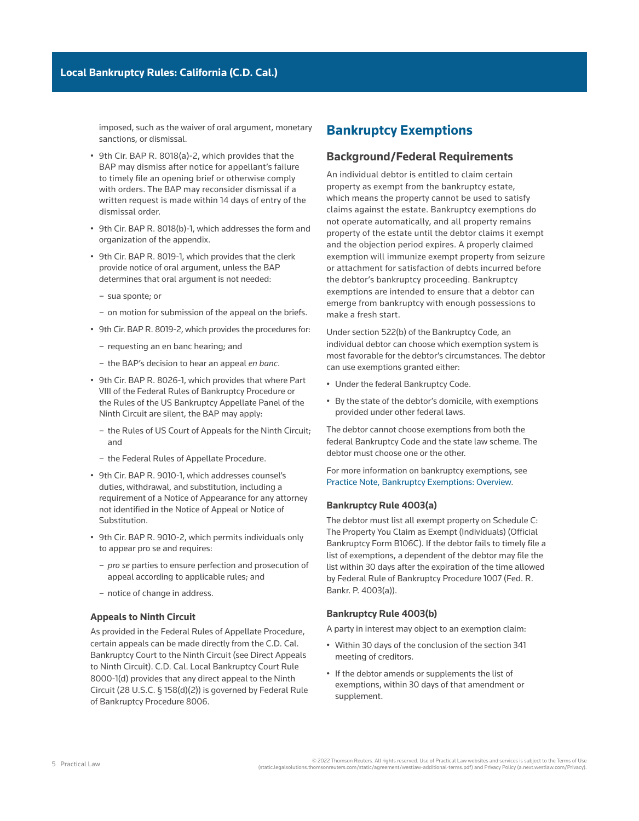imposed, such as the waiver of oral argument, monetary sanctions, or dismissal.

- [9th Cir. BAP R. 8018\(a\)-2,](http://www.westlaw.com/Link/Document/FullText?findType=L&pubNum=1010276&cite=CTA9BAPR8018(A)-2&originatingDoc=Ia2a72f779c9311e79bef99c0ee06c731&refType=GA&originationContext=document&vr=3.0&rs=cblt1.0&transitionType=PLDocumentLink&billingHash=0D9151C9DF1AC90FEA6B10428443E4A73FD4FAAB069B18934EC67C1BDBFF095E&contextData=(sc.Search)) which provides that the BAP may dismiss after notice for appellant's failure to timely file an opening brief or otherwise comply with orders. The BAP may reconsider dismissal if a written request is made within 14 days of entry of the dismissal order.
- [9th Cir. BAP R. 8018\(b\)-1,](http://www.westlaw.com/Link/Document/FullText?findType=L&pubNum=1010276&cite=CTA9BAPR8018(B)-1&originatingDoc=Ia2a72f779c9311e79bef99c0ee06c731&refType=GA&originationContext=document&vr=3.0&rs=cblt1.0&transitionType=PLDocumentLink&billingHash=6CF75A9658A3D38A5CCFA29F33DCA219AD8BB1923D869968AE0FB79B930D14BA&contextData=(sc.Search)) which addresses the form and organization of the appendix.
- [9th Cir. BAP R. 8019-1](http://www.westlaw.com/Link/Document/FullText?findType=L&pubNum=1010276&cite=CTA9BAPR8019-1&originatingDoc=Ia2a72f779c9311e79bef99c0ee06c731&refType=GA&originationContext=document&vr=3.0&rs=cblt1.0&transitionType=PLDocumentLink&billingHash=982B540D115EF9439CF59FE598C8D0BDF72DA60D2B4B510C43327FB389732829&contextData=(sc.Search)), which provides that the clerk provide notice of oral argument, unless the BAP determines that oral argument is not needed:
	- [sua sponte;](http://www.westlaw.com/Document/Icf4a7301ef0a11e28578f7ccc38dcbee/View/FullText.html?originationContext=document&vr=3.0&rs=cblt1.0&transitionType=DocumentItem&contextData=(sc.Search)) or
	- on motion for submission of the appeal on the briefs.
- [9th Cir. BAP R. 8019-2](http://www.westlaw.com/Link/Document/FullText?findType=L&pubNum=1010276&cite=CTA9BAPR8019-2&originatingDoc=Ia2a72f779c9311e79bef99c0ee06c731&refType=GA&originationContext=document&vr=3.0&rs=cblt1.0&transitionType=PLDocumentLink&billingHash=32E5F43702172A18AF5BEF5062980138B09E0FEA1F06363D1D9340D678066787&contextData=(sc.Search)), which provides the procedures for:
	- requesting an [en banc](http://www.westlaw.com/Document/I2104de56ef0811e28578f7ccc38dcbee/View/FullText.html?originationContext=document&vr=3.0&rs=cblt1.0&transitionType=DocumentItem&contextData=(sc.Search)) hearing; and
	- the BAP's decision to hear an appeal *en banc*.
- [9th Cir. BAP R. 8026-1](http://www.westlaw.com/Link/Document/FullText?findType=L&pubNum=1010276&cite=CTA9BAPR8026-1&originatingDoc=Ia2a72f779c9311e79bef99c0ee06c731&refType=GA&originationContext=document&vr=3.0&rs=cblt1.0&transitionType=PLDocumentLink&billingHash=7F886F2EF9481CC63924F3DA137EA26969E71E02808692275A2AD6E7A0EFC486&contextData=(sc.Search)), which provides that where Part VIII of the Federal Rules of Bankruptcy Procedure or the Rules of the US Bankruptcy Appellate Panel of the Ninth Circuit are silent, the BAP may apply:
	- the Rules of US Court of Appeals for the Ninth Circuit; and
	- the Federal Rules of Appellate Procedure.
- [9th Cir. BAP R. 9010-1,](http://www.westlaw.com/Link/Document/FullText?findType=L&pubNum=1010276&cite=CTA9BAPR9010-1&originatingDoc=Ia2a72f779c9311e79bef99c0ee06c731&refType=GA&originationContext=document&vr=3.0&rs=cblt1.0&transitionType=PLDocumentLink&billingHash=22A6426DA5C4ACD497D8BD7C5DCF49E3E1213349A5513175308C981B4C2674BA&contextData=(sc.Search)) which addresses counsel's duties, withdrawal, and substitution, including a requirement of a Notice of Appearance for any attorney not identified in the Notice of Appeal or Notice of Substitution.
- [9th Cir. BAP R. 9010-2,](http://www.westlaw.com/Link/Document/FullText?findType=L&pubNum=1010276&cite=CTA9BAPR9010-2&originatingDoc=Ia2a72f779c9311e79bef99c0ee06c731&refType=GA&originationContext=document&vr=3.0&rs=cblt1.0&transitionType=PLDocumentLink&billingHash=743DEF5F37DFD72C0ED8A8FAB652117FF369D33B35833769119F25434A6C3BAC&contextData=(sc.Search)) which permits individuals only to appear [pro se](http://www.westlaw.com/Document/I0f9fc050ef0811e28578f7ccc38dcbee/View/FullText.html?originationContext=document&vr=3.0&rs=cblt1.0&transitionType=DocumentItem&contextData=(sc.Search)) and requires:
	- *pro se* parties to ensure perfection and prosecution of appeal according to applicable rules; and
	- notice of change in address.

#### **Appeals to Ninth Circuit**

As provided in the Federal Rules of Appellate Procedure, certain appeals can be made directly from the C.D. Cal. Bankruptcy Court to the Ninth Circuit (see Direct Appeals to Ninth Circuit). [C.D. Cal. Local Bankruptcy Court Rule](http://www.westlaw.com/Link/Document/FullText?findType=L&pubNum=1004206&cite=CARUSBCLBR.8000-1&originatingDoc=Ia2a72f779c9311e79bef99c0ee06c731&refType=GA&originationContext=document&vr=3.0&rs=cblt1.0&transitionType=PLDocumentLink&billingHash=5E6AEE59B97EC24B9E06677C796B7653CFB1732A641B8FB8EB93258BF9F42C94&contextData=(sc.Search))  [8000-1\(d\)](http://www.westlaw.com/Link/Document/FullText?findType=L&pubNum=1004206&cite=CARUSBCLBR.8000-1&originatingDoc=Ia2a72f779c9311e79bef99c0ee06c731&refType=GA&originationContext=document&vr=3.0&rs=cblt1.0&transitionType=PLDocumentLink&billingHash=5E6AEE59B97EC24B9E06677C796B7653CFB1732A641B8FB8EB93258BF9F42C94&contextData=(sc.Search)) provides that any direct appeal to the Ninth Circuit (28 U.S.C. § 158(d)(2)) is governed by [Federal Rule](http://www.westlaw.com/Link/Document/FullText?findType=L&pubNum=1000611&cite=USFRBPR8006&originatingDoc=Ia2a72f779c9311e79bef99c0ee06c731&refType=LQ&originationContext=document&vr=3.0&rs=cblt1.0&transitionType=PLDocumentLink&billingHash=B3AD75F08206642CCD32BF9CE3B254D6AB9749E9E1E30C8DF8080DAD4A0E37BA&contextData=(sc.Search))  [of Bankruptcy Procedure 8006](http://www.westlaw.com/Link/Document/FullText?findType=L&pubNum=1000611&cite=USFRBPR8006&originatingDoc=Ia2a72f779c9311e79bef99c0ee06c731&refType=LQ&originationContext=document&vr=3.0&rs=cblt1.0&transitionType=PLDocumentLink&billingHash=B3AD75F08206642CCD32BF9CE3B254D6AB9749E9E1E30C8DF8080DAD4A0E37BA&contextData=(sc.Search)).

## **Bankruptcy Exemptions**

## **Background/Federal Requirements**

An individual debtor is entitled to claim certain property as exempt from the [bankruptcy estate](http://www.westlaw.com/Document/Ibb09e99fef0511e28578f7ccc38dcbee/View/FullText.html?originationContext=document&vr=3.0&rs=cblt1.0&transitionType=DocumentItem&contextData=(sc.Search)), which means the property cannot be used to satisfy [claims](http://www.westlaw.com/Document/Ibb09e944ef0511e28578f7ccc38dcbee/View/FullText.html?originationContext=document&vr=3.0&rs=cblt1.0&transitionType=DocumentItem&contextData=(sc.Search)) against the estate. Bankruptcy exemptions do not operate automatically, and all property remains [property of the estate](http://www.westlaw.com/Document/Icf49604cef0a11e28578f7ccc38dcbee/View/FullText.html?originationContext=document&vr=3.0&rs=cblt1.0&transitionType=DocumentItem&contextData=(sc.Search)) until the debtor claims it exempt and the objection period expires. A properly claimed exemption will immunize exempt property from seizure or [attachment](http://www.westlaw.com/Document/I0f9fe76cef0811e28578f7ccc38dcbee/View/FullText.html?originationContext=document&vr=3.0&rs=cblt1.0&transitionType=DocumentItem&contextData=(sc.Search)) for satisfaction of debts incurred before the debtor's bankruptcy proceeding. Bankruptcy exemptions are intended to ensure that a debtor can emerge from bankruptcy with enough possessions to make a fresh start.

Under section 522(b) of the Bankruptcy Code, an individual debtor can choose which exemption system is most favorable for the debtor's circumstances. The debtor can use exemptions granted either:

- Under the federal Bankruptcy Code.
- By the state of the debtor's [domicile](http://www.westlaw.com/Document/I6117211f4da011e598dc8b09b4f043e0/View/FullText.html?originationContext=document&vr=3.0&rs=cblt1.0&transitionType=DocumentItem&contextData=(sc.Search)), with exemptions provided under other federal laws.

The debtor cannot choose exemptions from both the federal Bankruptcy Code and the state law scheme. The debtor must choose one or the other.

For more information on bankruptcy exemptions, see [Practice Note, Bankruptcy Exemptions: Overview](http://us.practicallaw.tr.com/W-018-3302).

#### **Bankruptcy Rule 4003(a)**

The debtor must list all exempt property on Schedule C: The Property You Claim as Exempt (Individuals) ([Official](http://www.westlaw.com/Link/Document/FullText?findType=L&pubNum=1000612&cite=USFRBPOFFICIALFMB106C&originatingDoc=Ia2a72f779c9311e79bef99c0ee06c731&refType=GA&originationContext=document&vr=3.0&rs=cblt1.0&transitionType=PLDocumentLink&billingHash=75A299A0948287798EEAC92E8ACF230F1A6D780ACA67C080F87D0899D15B7C6C&contextData=(sc.Search))  [Bankruptcy Form B106C\)](http://www.westlaw.com/Link/Document/FullText?findType=L&pubNum=1000612&cite=USFRBPOFFICIALFMB106C&originatingDoc=Ia2a72f779c9311e79bef99c0ee06c731&refType=GA&originationContext=document&vr=3.0&rs=cblt1.0&transitionType=PLDocumentLink&billingHash=75A299A0948287798EEAC92E8ACF230F1A6D780ACA67C080F87D0899D15B7C6C&contextData=(sc.Search)). If the debtor fails to timely file a list of exemptions, a dependent of the debtor may file the list within 30 days after the expiration of the time allowed by [Federal Rule of Bankruptcy Procedure 1007](http://www.westlaw.com/Link/Document/FullText?findType=L&pubNum=1000611&cite=USFRBPR1007&originatingDoc=Ia2a72f779c9311e79bef99c0ee06c731&refType=LQ&originationContext=document&vr=3.0&rs=cblt1.0&transitionType=PLDocumentLink&billingHash=F255A18E3F61F65DB1454FC97E83BD14B18E749FB06B67BC9024DDAB45473A14&contextData=(sc.Search)) (Fed. R. Bankr. P. 4003(a)).

#### **Bankruptcy Rule 4003(b)**

A [party in interest](http://www.westlaw.com/Document/Ibb0a3b03ef0511e28578f7ccc38dcbee/View/FullText.html?originationContext=document&vr=3.0&rs=cblt1.0&transitionType=DocumentItem&contextData=(sc.Search)) may object to an exemption claim:

- Within 30 days of the conclusion of the [section 341](http://www.westlaw.com/Document/Id4cf1894f3ad11e28578f7ccc38dcbee/View/FullText.html?originationContext=document&vr=3.0&rs=cblt1.0&transitionType=DocumentItem&contextData=(sc.Search))  [meeting](http://www.westlaw.com/Document/Id4cf1894f3ad11e28578f7ccc38dcbee/View/FullText.html?originationContext=document&vr=3.0&rs=cblt1.0&transitionType=DocumentItem&contextData=(sc.Search)) of creditors.
- If the debtor amends or supplements the list of exemptions, within 30 days of that amendment or supplement.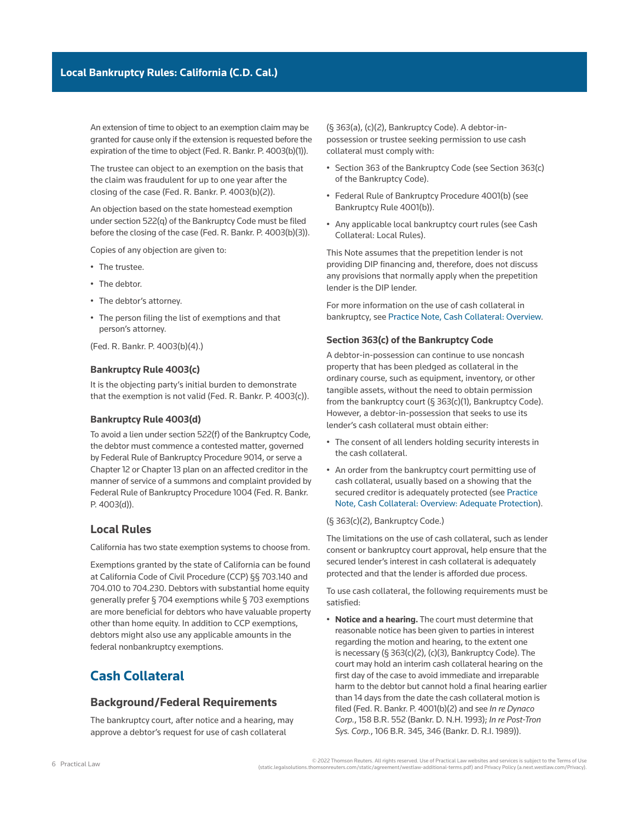An extension of time to object to an exemption claim may be granted for cause only if the extension is requested before the expiration of the time to object (Fed. R. Bankr. P. 4003(b)(1)).

The [trustee](http://www.westlaw.com/Document/Ibb0a37a1ef0511e28578f7ccc38dcbee/View/FullText.html?originationContext=document&vr=3.0&rs=cblt1.0&transitionType=DocumentItem&contextData=(sc.Search)) can object to an exemption on the basis that the claim was fraudulent for up to one year after the closing of the case (Fed. R. Bankr. P. 4003(b)(2)).

An objection based on the state homestead exemption under section 522(q) of the Bankruptcy Code must be filed before the closing of the case (Fed. R. Bankr. P. 4003(b)(3)).

Copies of any objection are given to:

- The trustee.
- The debtor.
- The debtor's attorney.
- The person filing the list of exemptions and that person's attorney.

(Fed. R. Bankr. P. 4003(b)(4).)

#### **Bankruptcy Rule 4003(c)**

It is the objecting party's initial burden to demonstrate that the exemption is not valid (Fed. R. Bankr. P. 4003(c)).

#### **Bankruptcy Rule 4003(d)**

To avoid a lien under section 522(f) of the Bankruptcy Code, the debtor must commence a [contested matter,](http://www.westlaw.com/Document/I272f76c5622d11e598dc8b09b4f043e0/View/FullText.html?originationContext=document&vr=3.0&rs=cblt1.0&transitionType=DocumentItem&contextData=(sc.Search)) governed by [Federal Rule of Bankruptcy Procedure 9014](http://www.westlaw.com/Link/Document/FullText?findType=L&pubNum=1000611&cite=USFRBPR9014&originatingDoc=Ia2a72f779c9311e79bef99c0ee06c731&refType=LQ&originationContext=document&vr=3.0&rs=cblt1.0&transitionType=PLDocumentLink&billingHash=6896155770C96FB9E96E13E4298AF35ABB652DAFDB3A2DE147E88EA13AAFB3D7&contextData=(sc.Search)), or serve a [Chapter 12](http://www.westlaw.com/Document/Iff97b0b58dec11e9adfea82903531a62/View/FullText.html?originationContext=document&vr=3.0&rs=cblt1.0&transitionType=DocumentItem&contextData=(sc.Search)) or [Chapter 13](http://www.westlaw.com/Document/I3a9a0b8aef1211e28578f7ccc38dcbee/View/FullText.html?originationContext=document&vr=3.0&rs=cblt1.0&transitionType=DocumentItem&contextData=(sc.Search)) [plan](http://www.westlaw.com/Document/I03f4db03eee311e28578f7ccc38dcbee/View/FullText.html?originationContext=document&vr=3.0&rs=cblt1.0&transitionType=DocumentItem&contextData=(sc.Search)) on an affected creditor in the manner of service of a summons and complaint provided by [Federal Rule of Bankruptcy Procedure 1004](http://www.westlaw.com/Link/Document/FullText?findType=L&pubNum=1000611&cite=USFRBPR1004&originatingDoc=Ia2a72f779c9311e79bef99c0ee06c731&refType=LQ&originationContext=document&vr=3.0&rs=cblt1.0&transitionType=PLDocumentLink&billingHash=4E9BC38949F23595107D39E1ACDDE6FB0F8524131B59CB8528BE12AE7D027EAD&contextData=(sc.Search)) (Fed. R. Bankr. P. 4003(d)).

## **Local Rules**

California has two state exemption systems to choose from.

Exemptions granted by the state of California can be found at [California Code of Civil Procedure \(CCP\) §§ 703.140](http://www.westlaw.com/Link/Document/FullText?findType=L&pubNum=1000201&cite=CACPS703.140&originatingDoc=Ia2a72f779c9311e79bef99c0ee06c731&refType=LQ&originationContext=document&vr=3.0&rs=cblt1.0&transitionType=PLDocumentLink&billingHash=352271CDFC641B1D1A5418F4BB167E93729687A91DC2EF365FD6BAA46F8ACC71&contextData=(sc.Search)) and [704.010](http://www.westlaw.com/Link/Document/FullText?findType=L&pubNum=1000201&cite=CACPS704.010&originatingDoc=Ia2a72f779c9311e79bef99c0ee06c731&refType=LQ&originationContext=document&vr=3.0&rs=cblt1.0&transitionType=PLDocumentLink&billingHash=C7DD0607482618D250FBFFE69EBA28714A5A04F347C211EAB1033E0F542A3CF8&contextData=(sc.Search)) to [704.230.](http://www.westlaw.com/Link/Document/FullText?findType=L&pubNum=1000201&cite=CACPS704.230&originatingDoc=Ia2a72f779c9311e79bef99c0ee06c731&refType=LQ&originationContext=document&vr=3.0&rs=cblt1.0&transitionType=PLDocumentLink&billingHash=61187D7BEDA966D545A6FB9D3A03CDF95451B7EF86CA800B49314B01938E9832&contextData=(sc.Search)) Debtors with substantial home equity generally prefer § 704 exemptions while § 703 exemptions are more beneficial for debtors who have valuable property other than home equity. In addition to CCP exemptions, debtors might also use any applicable amounts in the federal nonbankruptcy exemptions.

# **Cash Collateral**

### **Background/Federal Requirements**

The bankruptcy court, after notice and a hearing, may approve a debtor's request for use of [cash collateral](http://www.westlaw.com/Document/Ibb09e949ef0511e28578f7ccc38dcbee/View/FullText.html?originationContext=document&vr=3.0&rs=cblt1.0&transitionType=DocumentItem&contextData=(sc.Search))

(§ 363(a), (c)(2), Bankruptcy Code). A debtor-inpossession or trustee seeking permission to use cash collateral must comply with:

- [Section 363 of the Bankruptcy Code](http://www.westlaw.com/Link/Document/FullText?findType=L&pubNum=1000611&cite=11USCAS363&originatingDoc=Ia2a72f779c9311e79bef99c0ee06c731&refType=LQ&originationContext=document&vr=3.0&rs=cblt1.0&transitionType=PLDocumentLink&billingHash=EAEDC5807D19FA2645A9B04CEE55C93CDFA7A64E8CDF576B96087A3873C777B8&contextData=(sc.Search)) (see Section 363(c) of the Bankruptcy Code).
- Federal Rule of Bankruptcy Procedure 4001(b) (see Bankruptcy Rule 4001(b)).
- Any applicable local bankruptcy court rules (see Cash Collateral: Local Rules).

This Note assumes that the prepetition lender is not providing [DIP financing](http://www.westlaw.com/Document/I03f4dafceee311e28578f7ccc38dcbee/View/FullText.html?originationContext=document&vr=3.0&rs=cblt1.0&transitionType=DocumentItem&contextData=(sc.Search)) and, therefore, does not discuss any provisions that normally apply when the prepetition lender is the DIP lender.

For more information on the use of cash collateral in bankruptcy, see [Practice Note, Cash Collateral: Overview.](http://us.practicallaw.tr.com/3-618-3450)

#### **Section 363(c) of the Bankruptcy Code**

A debtor-in-possession can continue to use noncash property that has been pledged as collateral in the ordinary course, such as equipment, inventory, or other tangible assets, without the need to obtain permission from the bankruptcy court (§ 363(c)(1), Bankruptcy Code). However, a debtor-in-possession that seeks to use its lender's cash collateral must obtain either:

- The consent of all lenders holding security interests in the cash collateral.
- An order from the bankruptcy court permitting use of cash collateral, usually based on a showing that the secured creditor is [adequately protected](http://www.westlaw.com/Document/Ibb09e960ef0511e28578f7ccc38dcbee/View/FullText.html?originationContext=document&vr=3.0&rs=cblt1.0&transitionType=DocumentItem&contextData=(sc.Search)) (see [Practice](http://us.practicallaw.tr.com/3-618-3450)  [Note, Cash Collateral: Overview: Adequate Protection\)](http://us.practicallaw.tr.com/3-618-3450).

#### (§ 363(c)(2), Bankruptcy Code.)

The limitations on the use of cash collateral, such as lender consent or bankruptcy court approval, help ensure that the secured lender's interest in cash collateral is adequately protected and that the lender is afforded due process.

To use cash collateral, the following requirements must be satisfied:

• **Notice and a hearing.** The court must determine that reasonable notice has been given to parties in interest regarding the motion and hearing, to the extent one is necessary (§ 363(c)(2), (c)(3), Bankruptcy Code). The court may hold an interim cash collateral hearing on the first day of the case to avoid immediate and irreparable harm to the debtor but cannot hold a final hearing earlier than 14 days from the date the cash collateral motion is filed (Fed. R. Bankr. P. 4001(b)(2) and see *[In re Dynaco](http://www.westlaw.com/Link/Document/FullText?findType=Y&serNum=1993190900&pubNum=0000164&originatingDoc=Ia2a72f779c9311e79bef99c0ee06c731&refType=RP&originationContext=document&vr=3.0&rs=cblt1.0&transitionType=PLDocumentLink&billingHash=4CDB9198673228CD792BF606C2BDE365E26CF3CF01B5B04EC4A84299D66DBE4D&contextData=(sc.Search))  Corp.*[, 158 B.R. 552 \(Bankr. D. N.H. 1993\);](http://www.westlaw.com/Link/Document/FullText?findType=Y&serNum=1993190900&pubNum=0000164&originatingDoc=Ia2a72f779c9311e79bef99c0ee06c731&refType=RP&originationContext=document&vr=3.0&rs=cblt1.0&transitionType=PLDocumentLink&billingHash=4CDB9198673228CD792BF606C2BDE365E26CF3CF01B5B04EC4A84299D66DBE4D&contextData=(sc.Search)) *In re Post-Tron Sys. Corp.*, 106 B.R. 345, 346 (Bankr. D. R.I. 1989)).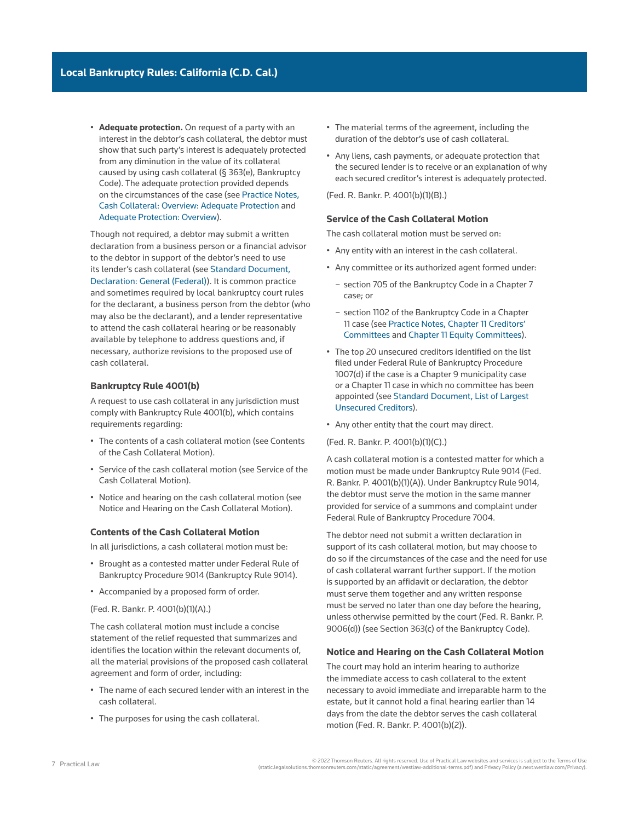• **Adequate protection.** On request of a party with an interest in the debtor's cash collateral, the debtor must show that such party's interest is adequately protected from any diminution in the value of its collateral caused by using cash collateral (§ 363(e), Bankruptcy Code). The adequate protection provided depends on the circumstances of the case (see [Practice Notes,](http://us.practicallaw.tr.com/3-618-3450)  [Cash Collateral: Overview: Adequate Protection](http://us.practicallaw.tr.com/3-618-3450) and [Adequate Protection: Overview](http://us.practicallaw.tr.com/8-382-8989)).

Though not required, a debtor may submit a written [declaration](http://www.westlaw.com/Document/I03f4d949eee311e28578f7ccc38dcbee/View/FullText.html?originationContext=document&vr=3.0&rs=cblt1.0&transitionType=DocumentItem&contextData=(sc.Search)) from a business person or a financial advisor to the debtor in support of the debtor's need to use its lender's cash collateral (see [Standard Document,](http://us.practicallaw.tr.com/5-507-4700)  [Declaration: General \(Federal\)\)](http://us.practicallaw.tr.com/5-507-4700). It is common practice and sometimes required by local bankruptcy court rules for the [declarant,](http://www.westlaw.com/Document/I0f9fc03aef0811e28578f7ccc38dcbee/View/FullText.html?originationContext=document&vr=3.0&rs=cblt1.0&transitionType=DocumentItem&contextData=(sc.Search)) a business person from the debtor (who may also be the declarant), and a lender representative to attend the cash collateral hearing or be reasonably available by telephone to address questions and, if necessary, authorize revisions to the proposed use of cash collateral.

#### **Bankruptcy Rule 4001(b)**

A request to use cash collateral in any jurisdiction must comply with Bankruptcy Rule 4001(b), which contains requirements regarding:

- The contents of a cash collateral motion (see Contents of the Cash Collateral Motion).
- Service of the cash collateral motion (see Service of the Cash Collateral Motion).
- Notice and hearing on the cash collateral motion (see Notice and Hearing on the Cash Collateral Motion).

#### **Contents of the Cash Collateral Motion**

In all jurisdictions, a cash collateral motion must be:

- Brought as a [contested matter](http://www.westlaw.com/Document/I272f76c5622d11e598dc8b09b4f043e0/View/FullText.html?originationContext=document&vr=3.0&rs=cblt1.0&transitionType=DocumentItem&contextData=(sc.Search)) under [Federal Rule of](http://www.westlaw.com/Link/Document/FullText?findType=L&pubNum=1000611&cite=USFRBPR9014&originatingDoc=Ia2a72f779c9311e79bef99c0ee06c731&refType=LQ&originationContext=document&vr=3.0&rs=cblt1.0&transitionType=PLDocumentLink&billingHash=6896155770C96FB9E96E13E4298AF35ABB652DAFDB3A2DE147E88EA13AAFB3D7&contextData=(sc.Search))  [Bankruptcy Procedure 9014](http://www.westlaw.com/Link/Document/FullText?findType=L&pubNum=1000611&cite=USFRBPR9014&originatingDoc=Ia2a72f779c9311e79bef99c0ee06c731&refType=LQ&originationContext=document&vr=3.0&rs=cblt1.0&transitionType=PLDocumentLink&billingHash=6896155770C96FB9E96E13E4298AF35ABB652DAFDB3A2DE147E88EA13AAFB3D7&contextData=(sc.Search)) (Bankruptcy Rule 9014).
- Accompanied by a proposed form of order.

(Fed. R. Bankr. P. 4001(b)(1)(A).)

The cash collateral motion must include a concise statement of the relief requested that summarizes and identifies the location within the relevant documents of, all the material provisions of the proposed cash collateral agreement and form of order, including:

- The name of each secured lender with an interest in the cash collateral.
- The purposes for using the cash collateral.
- The material terms of the agreement, including the duration of the debtor's use of cash collateral.
- Any liens, cash payments, or adequate protection that the secured lender is to receive or an explanation of why each secured creditor's interest is adequately protected.

(Fed. R. Bankr. P. 4001(b)(1)(B).)

#### **Service of the Cash Collateral Motion**

The cash collateral motion must be served on:

- Any entity with an interest in the cash collateral.
- Any committee or its authorized agent formed under:
	- [section 705 of the Bankruptcy Code](http://www.westlaw.com/Link/Document/FullText?findType=L&pubNum=1000611&cite=11USCAS705&originatingDoc=Ia2a72f779c9311e79bef99c0ee06c731&refType=LQ&originationContext=document&vr=3.0&rs=cblt1.0&transitionType=PLDocumentLink&billingHash=7F4BCC852B2260C8417E0FA0B76668DF9A95D8848765355983E8FA1EB4A07FAD&contextData=(sc.Search)) in a [Chapter 7](http://www.westlaw.com/Document/I210505b1ef0811e28578f7ccc38dcbee/View/FullText.html?originationContext=document&vr=3.0&rs=cblt1.0&transitionType=DocumentItem&contextData=(sc.Search))  case; or
	- [section 1102 of the Bankruptcy Code](http://www.westlaw.com/Link/Document/FullText?findType=L&pubNum=1000611&cite=11USCAS1102&originatingDoc=Ia2a72f779c9311e79bef99c0ee06c731&refType=LQ&originationContext=document&vr=3.0&rs=cblt1.0&transitionType=PLDocumentLink&billingHash=8631423793FA2C58C590960D4B3091FD5772F45F4FAD5C8C1209A2D82636D7F7&contextData=(sc.Search)) in a Chapter 11 case (see [Practice Notes, Chapter 11 Creditors'](http://us.practicallaw.tr.com/1-508-8252)  [Committees](http://us.practicallaw.tr.com/1-508-8252) and [Chapter 11 Equity Committees\)](http://us.practicallaw.tr.com/6-608-2869).
- The top 20 unsecured creditors identified on the list filed under Federal Rule of Bankruptcy Procedure 1007(d) if the case is a [Chapter 9](http://www.westlaw.com/Document/I417f1ec36cfe11e598dc8b09b4f043e0/View/FullText.html?originationContext=document&vr=3.0&rs=cblt1.0&transitionType=DocumentItem&contextData=(sc.Search)) municipality case or a Chapter 11 case in which no committee has been appointed (see [Standard Document, List of Largest](http://us.practicallaw.tr.com/3-610-4108)  [Unsecured Creditors](http://us.practicallaw.tr.com/3-610-4108)).
- Any other entity that the court may direct.
- (Fed. R. Bankr. P. 4001(b)(1)(C).)

A cash collateral motion is a contested matter for which a motion must be made under Bankruptcy Rule 9014 (Fed. R. Bankr. P. 4001(b)(1)(A)). Under Bankruptcy Rule 9014, the debtor must serve the motion in the same manner provided for service of a summons and complaint under [Federal Rule of Bankruptcy Procedure 7004](http://www.westlaw.com/Link/Document/FullText?findType=L&pubNum=1000611&cite=USFRBPR7004&originatingDoc=Ia2a72f779c9311e79bef99c0ee06c731&refType=LQ&originationContext=document&vr=3.0&rs=cblt1.0&transitionType=PLDocumentLink&billingHash=8A88494AC3D7BF559C2B2A462F451B7FA817C55173E9F72D5E419B680E36408A&contextData=(sc.Search)).

The debtor need not submit a written declaration in support of its cash collateral motion, but may choose to do so if the circumstances of the case and the need for use of cash collateral warrant further support. If the motion is supported by an affidavit or declaration, the debtor must serve them together and any written response must be served no later than one day before the hearing, unless otherwise permitted by the court (Fed. R. Bankr. P. 9006(d)) (see Section 363(c) of the Bankruptcy Code).

#### **Notice and Hearing on the Cash Collateral Motion**

The court may hold an interim hearing to authorize the immediate access to cash collateral to the extent necessary to avoid immediate and irreparable harm to the [estate,](http://www.westlaw.com/Document/Ibb09e99fef0511e28578f7ccc38dcbee/View/FullText.html?originationContext=document&vr=3.0&rs=cblt1.0&transitionType=DocumentItem&contextData=(sc.Search)) but it cannot hold a final hearing earlier than 14 days from the date the debtor serves the cash collateral motion (Fed. R. Bankr. P. 4001(b)(2)).

2022 Thomson Reuters. All rights reserved. Use of Practical Law websites and services is subject to the Terms of Use<br>(static.legalsolutions.thomsonreuters.com/static/agreement/westlaw-additional-terms.pdf) and Privacy Poli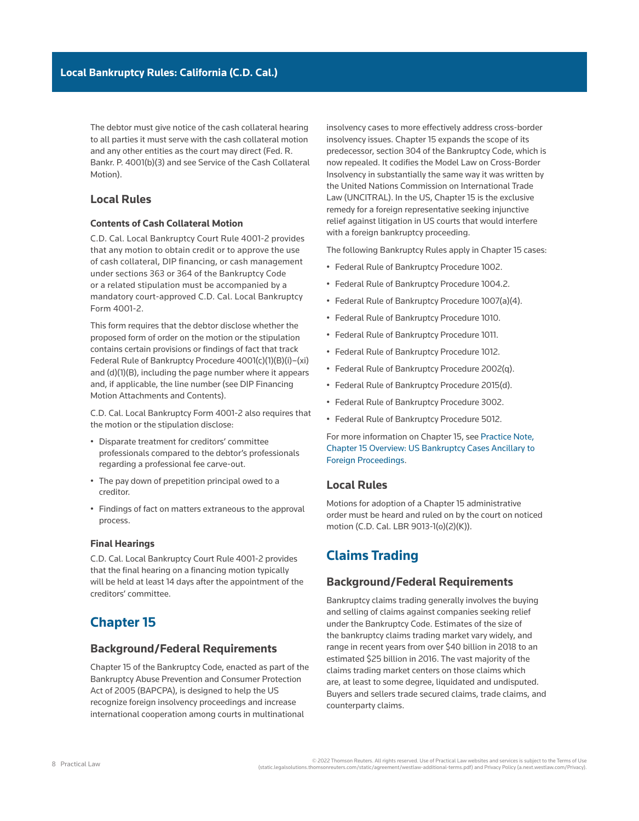The debtor must give notice of the cash collateral hearing to all parties it must serve with the cash collateral motion and any other entities as the court may direct (Fed. R. Bankr. P. 4001(b)(3) and see Service of the Cash Collateral Motion).

## **Local Rules**

### **Contents of Cash Collateral Motion**

[C.D. Cal. Local Bankruptcy Court Rule 4001-2](http://www.westlaw.com/Link/Document/FullText?findType=L&pubNum=1004206&cite=CARUSBCLBR.4001-2&originatingDoc=Ia2a72f779c9311e79bef99c0ee06c731&refType=GA&originationContext=document&vr=3.0&rs=cblt1.0&transitionType=PLDocumentLink&billingHash=F4628544B4CAEBC21E95EA85A567A260ED9AE484E71E59D152275471C9647944&contextData=(sc.Search)) provides that any motion to obtain credit or to approve the use of cash collateral, DIP financing, or cash management under [sections 363](http://www.westlaw.com/Link/Document/FullText?findType=L&pubNum=1000611&cite=11USCAS363&originatingDoc=Ia2a72f779c9311e79bef99c0ee06c731&refType=LQ&originationContext=document&vr=3.0&rs=cblt1.0&transitionType=PLDocumentLink&billingHash=EAEDC5807D19FA2645A9B04CEE55C93CDFA7A64E8CDF576B96087A3873C777B8&contextData=(sc.Search)) or [364 of the Bankruptcy Code](http://www.westlaw.com/Link/Document/FullText?findType=L&pubNum=1000611&cite=11USCAS364&originatingDoc=Ia2a72f779c9311e79bef99c0ee06c731&refType=LQ&originationContext=document&vr=3.0&rs=cblt1.0&transitionType=PLDocumentLink&billingHash=840E556139276F543E507F65E18CC2F742D286F580E63B5CBFFEC2B601E50500&contextData=(sc.Search))  or a related stipulation must be accompanied by a mandatory court-approved [C.D. Cal. Local Bankruptcy](http://www.westlaw.com/Link/Document/FullText?findType=L&pubNum=1004206&cite=CARUSBCF4001-2.STMT.FINANCE&originatingDoc=Ia2a72f779c9311e79bef99c0ee06c731&refType=GA&originationContext=document&vr=3.0&rs=cblt1.0&transitionType=PLDocumentLink&billingHash=BDA5CB675A3A7861D189F3DAA1FBE9967FE64856EECF6AF9BCBB4D5394D6878D&contextData=(sc.Search))  [Form 4001-2](http://www.westlaw.com/Link/Document/FullText?findType=L&pubNum=1004206&cite=CARUSBCF4001-2.STMT.FINANCE&originatingDoc=Ia2a72f779c9311e79bef99c0ee06c731&refType=GA&originationContext=document&vr=3.0&rs=cblt1.0&transitionType=PLDocumentLink&billingHash=BDA5CB675A3A7861D189F3DAA1FBE9967FE64856EECF6AF9BCBB4D5394D6878D&contextData=(sc.Search)).

This form requires that the debtor disclose whether the proposed form of order on the motion or the stipulation contains certain provisions or findings of fact that track Federal Rule of Bankruptcy Procedure 4001(c)(1)(B)(i)–(xi) and (d)(1)(B), including the page number where it appears and, if applicable, the line number (see DIP Financing Motion Attachments and Contents).

[C.D. Cal. Local Bankruptcy Form 4001-2](http://www.westlaw.com/Link/Document/FullText?findType=L&pubNum=1004206&cite=CARUSBCF4001-2.STMT.FINANCE&originatingDoc=Ia2a72f779c9311e79bef99c0ee06c731&refType=GA&originationContext=document&vr=3.0&rs=cblt1.0&transitionType=PLDocumentLink&billingHash=BDA5CB675A3A7861D189F3DAA1FBE9967FE64856EECF6AF9BCBB4D5394D6878D&contextData=(sc.Search)) also requires that the motion or the stipulation disclose:

- Disparate treatment for [creditors' committee](http://www.westlaw.com/Document/Ibb09e96def0511e28578f7ccc38dcbee/View/FullText.html?originationContext=document&vr=3.0&rs=cblt1.0&transitionType=DocumentItem&contextData=(sc.Search))  professionals compared to the debtor's professionals regarding a professional fee carve-out.
- The pay down of prepetition principal owed to a creditor.
- Findings of fact on matters extraneous to the approval process.

### **Final Hearings**

[C.D. Cal. Local Bankruptcy Court Rule 4001-2](http://www.westlaw.com/Link/Document/FullText?findType=L&pubNum=1004206&cite=CARUSBCLBR.4001-2&originatingDoc=Ia2a72f779c9311e79bef99c0ee06c731&refType=GA&originationContext=document&vr=3.0&rs=cblt1.0&transitionType=PLDocumentLink&billingHash=F4628544B4CAEBC21E95EA85A567A260ED9AE484E71E59D152275471C9647944&contextData=(sc.Search)) provides that the final hearing on a financing motion typically will be held at least 14 days after the appointment of the creditors' committee.

# **Chapter 15**

## **Background/Federal Requirements**

[Chapter 15](http://www.westlaw.com/Document/I3a9a0da9ef1211e28578f7ccc38dcbee/View/FullText.html?originationContext=document&vr=3.0&rs=cblt1.0&transitionType=DocumentItem&contextData=(sc.Search)) of the Bankruptcy Code, enacted as part of the [Bankruptcy Abuse Prevention and Consumer Protection](http://www.westlaw.com/Document/I3a99e7edef1211e28578f7ccc38dcbee/View/FullText.html?originationContext=document&vr=3.0&rs=cblt1.0&transitionType=DocumentItem&contextData=(sc.Search))  [Act of 2005](http://www.westlaw.com/Document/I3a99e7edef1211e28578f7ccc38dcbee/View/FullText.html?originationContext=document&vr=3.0&rs=cblt1.0&transitionType=DocumentItem&contextData=(sc.Search)) (BAPCPA), is designed to help the US recognize foreign insolvency proceedings and increase international cooperation among courts in multinational

insolvency cases to more effectively address cross-border insolvency issues. Chapter 15 expands the scope of its predecessor, [section 304 of the Bankruptcy Code,](http://www.westlaw.com/Link/Document/FullText?findType=L&pubNum=1000611&cite=11USCAS304&originatingDoc=Ia2a72f779c9311e79bef99c0ee06c731&refType=LQ&originationContext=document&vr=3.0&rs=cblt1.0&transitionType=PLDocumentLink&billingHash=2BCA9C633F9659F6CEDBD2591789732DD8D72B3006BCD4C9B58A19B476197DE8&contextData=(sc.Search)) which is now repealed. It codifies the [Model Law on Cross-Border](http://www.westlaw.com/Document/Id4cf92f0f3ad11e28578f7ccc38dcbee/View/FullText.html?originationContext=document&vr=3.0&rs=cblt1.0&transitionType=DocumentItem&contextData=(sc.Search))  [Insolvency](http://www.westlaw.com/Document/Id4cf92f0f3ad11e28578f7ccc38dcbee/View/FullText.html?originationContext=document&vr=3.0&rs=cblt1.0&transitionType=DocumentItem&contextData=(sc.Search)) in substantially the same way it was written by the [United Nations Commission on International Trade](http://www.westlaw.com/Document/I4cf8714bef2a11e28578f7ccc38dcbee/View/FullText.html?originationContext=document&vr=3.0&rs=cblt1.0&transitionType=DocumentItem&contextData=(sc.Search))  [Law](http://www.westlaw.com/Document/I4cf8714bef2a11e28578f7ccc38dcbee/View/FullText.html?originationContext=document&vr=3.0&rs=cblt1.0&transitionType=DocumentItem&contextData=(sc.Search)) (UNCITRAL). In the US, Chapter 15 is the exclusive remedy for a foreign representative seeking injunctive relief against litigation in US courts that would interfere with a foreign bankruptcy proceeding.

The following Bankruptcy Rules apply in Chapter 15 cases:

- [Federal Rule of Bankruptcy Procedure 1002.](http://www.westlaw.com/Link/Document/FullText?findType=L&pubNum=1000611&cite=USFRBPR1002&originatingDoc=Ia2a72f779c9311e79bef99c0ee06c731&refType=LQ&originationContext=document&vr=3.0&rs=cblt1.0&transitionType=PLDocumentLink&billingHash=0AAE03E9BA3D8A812748DA832EB9A2D29BCE85E20F44C714F87839414EC82D60&contextData=(sc.Search))
- [Federal Rule of Bankruptcy Procedure 1004.2](http://www.westlaw.com/Link/Document/FullText?findType=L&pubNum=1000611&cite=USFRBPR1004.2&originatingDoc=Ia2a72f779c9311e79bef99c0ee06c731&refType=LQ&originationContext=document&vr=3.0&rs=cblt1.0&transitionType=PLDocumentLink&billingHash=FFEDA3B6F126263BF6D0674A26A5EAF85CC9E37270AADD1E2696A3EE47859630&contextData=(sc.Search)).
- Federal Rule of Bankruptcy Procedure 1007(a)(4).
- [Federal Rule of Bankruptcy Procedure 1010.](http://www.westlaw.com/Link/Document/FullText?findType=L&pubNum=1000611&cite=USFRBPR1010&originatingDoc=Ia2a72f779c9311e79bef99c0ee06c731&refType=LQ&originationContext=document&vr=3.0&rs=cblt1.0&transitionType=PLDocumentLink&billingHash=32E42126BCDDEA2700A63DBA9892ED932670101A1A11CC6DB697C420BC6AFFBF&contextData=(sc.Search))
- [Federal Rule of Bankruptcy Procedure 1011.](http://www.westlaw.com/Link/Document/FullText?findType=L&pubNum=1000611&cite=USFRBPR1011&originatingDoc=Ia2a72f779c9311e79bef99c0ee06c731&refType=LQ&originationContext=document&vr=3.0&rs=cblt1.0&transitionType=PLDocumentLink&billingHash=879841306CDF6814BD712FB4FC660C50E64176085330627970C78A2B7729D276&contextData=(sc.Search))
- [Federal Rule of Bankruptcy Procedure 1012](http://www.westlaw.com/Link/Document/FullText?findType=L&pubNum=1000611&cite=USFRBPR1012&originatingDoc=Ia2a72f779c9311e79bef99c0ee06c731&refType=LQ&originationContext=document&vr=3.0&rs=cblt1.0&transitionType=PLDocumentLink&billingHash=FA52111613205CEE88FACA3B5EF5EAD07A2D84D26F55D614E1B1D05A4352EC5B&contextData=(sc.Search)).
- Federal Rule of Bankruptcy Procedure 2002(q).
- Federal Rule of Bankruptcy Procedure 2015(d).
- [Federal Rule of Bankruptcy Procedure 3002](http://www.westlaw.com/Link/Document/FullText?findType=L&pubNum=1000611&cite=USFRBPR3002&originatingDoc=Ia2a72f779c9311e79bef99c0ee06c731&refType=LQ&originationContext=document&vr=3.0&rs=cblt1.0&transitionType=PLDocumentLink&billingHash=02B2CD4620E13A7A9AFFF6EBA09E5660A63E67C9E5DFB049579C3BA2F0C72623&contextData=(sc.Search)).
- [Federal Rule of Bankruptcy Procedure 5012](http://www.westlaw.com/Link/Document/FullText?findType=L&pubNum=1000611&cite=USFRBPR5012&originatingDoc=Ia2a72f779c9311e79bef99c0ee06c731&refType=LQ&originationContext=document&vr=3.0&rs=cblt1.0&transitionType=PLDocumentLink&billingHash=E1F9C2EEDFF6037A77886D75D2E10FF32D5A1C8767EFBB3838AB26B46240E7A5&contextData=(sc.Search)).

For more information on Chapter 15, see [Practice Note,](http://us.practicallaw.tr.com/7-520-4512)  [Chapter 15 Overview: US Bankruptcy Cases Ancillary to](http://us.practicallaw.tr.com/7-520-4512)  [Foreign Proceedings](http://us.practicallaw.tr.com/7-520-4512).

## **Local Rules**

Motions for adoption of a Chapter 15 administrative order must be heard and ruled on by the court on noticed motion ([C.D. Cal. LBR 9013-1\(o\)\(2\)\(K\)](http://www.westlaw.com/Link/Document/FullText?findType=L&pubNum=1004206&cite=CARUSBCLBR.9013-1&originatingDoc=Ia2a72f779c9311e79bef99c0ee06c731&refType=GA&originationContext=document&vr=3.0&rs=cblt1.0&transitionType=PLDocumentLink&billingHash=D27C10DE618AE981AFE33FF81CF165382816D5D118F4405B70D53508DBED4A6D&contextData=(sc.Search))).

# **Claims Trading**

## **Background/Federal Requirements**

Bankruptcy claims trading generally involves the buying and selling of [claims](http://www.westlaw.com/Document/Ibb09e944ef0511e28578f7ccc38dcbee/View/FullText.html?originationContext=document&vr=3.0&rs=cblt1.0&transitionType=DocumentItem&contextData=(sc.Search)) against companies seeking relief under the Bankruptcy Code. Estimates of the size of the bankruptcy claims trading market vary widely, and range in recent years from over \$40 billion in 2018 to an estimated \$25 billion in 2016. The vast majority of the claims trading market centers on those claims which are, at least to some degree, [liquidated](http://www.westlaw.com/Document/I3a99e82eef1211e28578f7ccc38dcbee/View/FullText.html?originationContext=document&vr=3.0&rs=cblt1.0&transitionType=DocumentItem&contextData=(sc.Search)) and undisputed. Buyers and sellers trade [secured claims](http://www.westlaw.com/Document/Ibb09e955ef0511e28578f7ccc38dcbee/View/FullText.html?originationContext=document&vr=3.0&rs=cblt1.0&transitionType=DocumentItem&contextData=(sc.Search)), trade claims, and counterparty claims.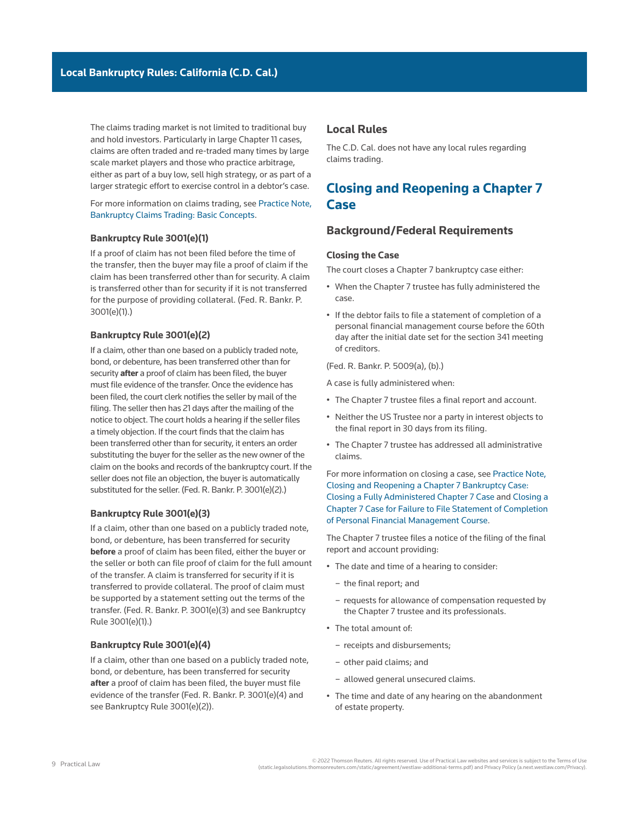The claims trading market is not limited to traditional buy and hold investors. Particularly in large Chapter 11 cases, claims are often traded and re-traded many times by large scale market players and those who practice arbitrage, either as part of a buy low, sell high strategy, or as part of a larger strategic effort to exercise control in a debtor's case.

### For more information on claims trading, see [Practice Note,](http://us.practicallaw.tr.com/5-526-6247) [Bankruptcy Claims Trading: Basic Concepts.](http://us.practicallaw.tr.com/5-526-6247)

#### **Bankruptcy Rule 3001(e)(1)**

If a [proof of claim](http://www.westlaw.com/Document/I210504f8ef0811e28578f7ccc38dcbee/View/FullText.html?originationContext=document&vr=3.0&rs=cblt1.0&transitionType=DocumentItem&contextData=(sc.Search)) has not been filed before the time of the transfer, then the buyer may file a proof of claim if the claim has been transferred other than for security. A claim is transferred other than for security if it is not transferred for the purpose of providing collateral. (Fed. R. Bankr. P. 3001(e)(1).)

#### **Bankruptcy Rule 3001(e)(2)**

If a claim, other than one based on a publicly traded note, bond, or debenture, has been transferred other than for security **after** a proof of claim has been filed, the buyer must file evidence of the transfer. Once the evidence has been filed, the court clerk notifies the seller by mail of the filing. The seller then has 21 days after the mailing of the notice to object. The court holds a hearing if the seller files a timely objection. If the court finds that the claim has been transferred other than for security, it enters an order substituting the buyer for the seller as the new owner of the claim on the books and records of the bankruptcy court. If the seller does not file an objection, the buyer is automatically substituted for the seller. (Fed. R. Bankr. P. 3001(e)(2).)

#### **Bankruptcy Rule 3001(e)(3)**

If a claim, other than one based on a publicly traded note, bond, or debenture, has been transferred for security **before** a proof of claim has been filed, either the buyer or the seller or both can file proof of claim for the full amount of the transfer. A claim is transferred for security if it is transferred to provide collateral. The proof of claim must be supported by a statement setting out the terms of the transfer. (Fed. R. Bankr. P. 3001(e)(3) and see Bankruptcy Rule 3001(e)(1).)

#### **Bankruptcy Rule 3001(e)(4)**

If a claim, other than one based on a publicly traded note, bond, or debenture, has been transferred for security **after** a proof of claim has been filed, the buyer must file evidence of the transfer (Fed. R. Bankr. P. 3001(e)(4) and see Bankruptcy Rule 3001(e)(2)).

## **Local Rules**

The C.D. Cal. does not have any local rules regarding claims trading.

# **Closing and Reopening a Chapter 7 Case**

## **Background/Federal Requirements**

### **Closing the Case**

The court closes a [Chapter 7](http://www.westlaw.com/Document/I210505b1ef0811e28578f7ccc38dcbee/View/FullText.html?originationContext=document&vr=3.0&rs=cblt1.0&transitionType=DocumentItem&contextData=(sc.Search)) bankruptcy case either:

- When the [Chapter 7 trustee](http://www.westlaw.com/Document/Icf4a4a70ef0a11e28578f7ccc38dcbee/View/FullText.html?originationContext=document&vr=3.0&rs=cblt1.0&transitionType=DocumentItem&contextData=(sc.Search)) has fully administered the case.
- If the debtor fails to file a statement of completion of a personal financial management course before the 60th day after the initial date set for the [section 341 meeting](http://www.westlaw.com/Document/Id4cf1894f3ad11e28578f7ccc38dcbee/View/FullText.html?originationContext=document&vr=3.0&rs=cblt1.0&transitionType=DocumentItem&contextData=(sc.Search)) of creditors.

(Fed. R. Bankr. P. 5009(a), (b).)

A case is fully administered when:

- The Chapter 7 trustee files a final report and account.
- Neither the [US Trustee](http://www.westlaw.com/Document/Ibb09e9afef0511e28578f7ccc38dcbee/View/FullText.html?originationContext=document&vr=3.0&rs=cblt1.0&transitionType=DocumentItem&contextData=(sc.Search)) nor a [party in interest](http://www.westlaw.com/Document/Ibb0a3b03ef0511e28578f7ccc38dcbee/View/FullText.html?originationContext=document&vr=3.0&rs=cblt1.0&transitionType=DocumentItem&contextData=(sc.Search)) objects to the final report in 30 days from its filing.
- The Chapter 7 trustee has addressed all [administrative](http://www.westlaw.com/Document/I2104df19ef0811e28578f7ccc38dcbee/View/FullText.html?originationContext=document&vr=3.0&rs=cblt1.0&transitionType=DocumentItem&contextData=(sc.Search))  [claims](http://www.westlaw.com/Document/I2104df19ef0811e28578f7ccc38dcbee/View/FullText.html?originationContext=document&vr=3.0&rs=cblt1.0&transitionType=DocumentItem&contextData=(sc.Search)).

For more information on closing a case, see [Practice Note,](http://us.practicallaw.tr.com/W-018-4792)  [Closing and Reopening a Chapter 7 Bankruptcy Case:](http://us.practicallaw.tr.com/W-018-4792)  [Closing a Fully Administered Chapter 7 Case](http://us.practicallaw.tr.com/W-018-4792) and [Closing a](http://us.practicallaw.tr.com/W-018-4792)  [Chapter 7 Case for Failure to File Statement of Completion](http://us.practicallaw.tr.com/W-018-4792)  [of Personal Financial Management Course](http://us.practicallaw.tr.com/W-018-4792).

The Chapter 7 trustee files a notice of the filing of the final report and account providing:

- The date and time of a hearing to consider:
	- the final report; and
	- requests for allowance of compensation requested by the Chapter 7 trustee and its professionals.
- The total amount of:
	- receipts and disbursements;
	- other paid claims; and
	- allowed [general unsecured claims](http://www.westlaw.com/Document/Ibb09e96bef0511e28578f7ccc38dcbee/View/FullText.html?originationContext=document&vr=3.0&rs=cblt1.0&transitionType=DocumentItem&contextData=(sc.Search)).
- The time and date of any hearing on the abandonment of [estate property.](http://www.westlaw.com/Document/Icf49604cef0a11e28578f7ccc38dcbee/View/FullText.html?originationContext=document&vr=3.0&rs=cblt1.0&transitionType=DocumentItem&contextData=(sc.Search))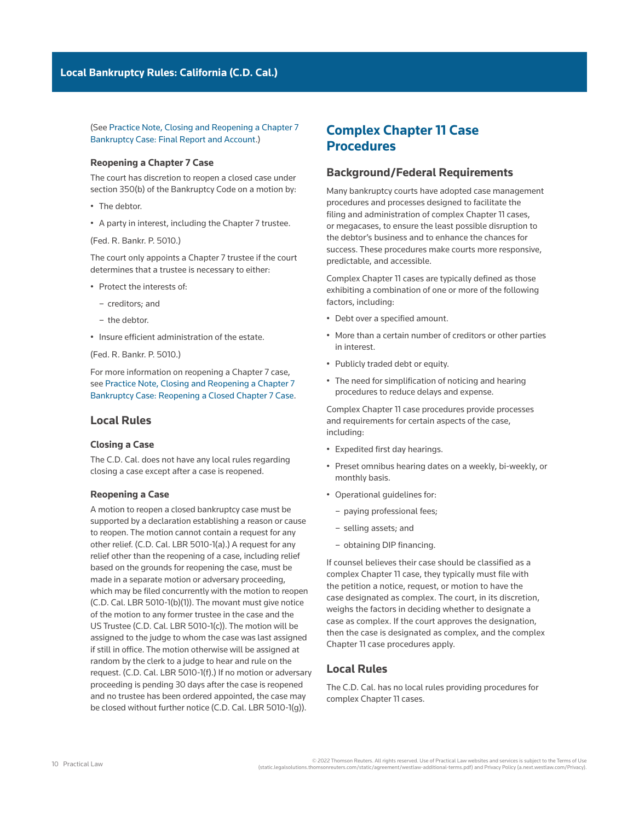(See [Practice Note, Closing and Reopening a Chapter 7](http://us.practicallaw.tr.com/W-018-4792)  [Bankruptcy Case: Final Report and Account.](http://us.practicallaw.tr.com/W-018-4792))

### **Reopening a Chapter 7 Case**

The court has discretion to reopen a closed case under section 350(b) of the Bankruptcy Code on a motion by:

- The debtor.
- A party in interest, including the Chapter 7 trustee.

([Fed. R. Bankr. P. 5010](http://www.westlaw.com/Link/Document/FullText?findType=L&pubNum=1000611&cite=USFRBPR5010&originatingDoc=Ia2a72f779c9311e79bef99c0ee06c731&refType=LQ&originationContext=document&vr=3.0&rs=cblt1.0&transitionType=PLDocumentLink&billingHash=3FF0453EE195C839C5CDC5D764EFB38B8BCC841AF7D62F3C826FD0FA75F723D3&contextData=(sc.Search)).)

The court only appoints a Chapter 7 trustee if the court determines that a trustee is necessary to either:

- Protect the interests of:
	- creditors; and
	- the debtor.
- Insure efficient administration of the estate.

([Fed. R. Bankr. P. 5010](http://www.westlaw.com/Link/Document/FullText?findType=L&pubNum=1000611&cite=USFRBPR5010&originatingDoc=Ia2a72f779c9311e79bef99c0ee06c731&refType=LQ&originationContext=document&vr=3.0&rs=cblt1.0&transitionType=PLDocumentLink&billingHash=3FF0453EE195C839C5CDC5D764EFB38B8BCC841AF7D62F3C826FD0FA75F723D3&contextData=(sc.Search)).)

For more information on reopening a Chapter 7 case, see [Practice Note, Closing and Reopening a Chapter 7](http://us.practicallaw.tr.com/W-018-4792)  [Bankruptcy Case: Reopening a Closed Chapter 7 Case](http://us.practicallaw.tr.com/W-018-4792).

## **Local Rules**

#### **Closing a Case**

The C.D. Cal. does not have any local rules regarding closing a case except after a case is reopened.

#### **Reopening a Case**

A motion to reopen a closed bankruptcy case must be supported by a declaration establishing a reason or cause to reopen. The motion cannot contain a request for any other relief. ([C.D. Cal. LBR 5010-1\(a\).](http://www.westlaw.com/Link/Document/FullText?findType=L&pubNum=1004206&cite=CARUSBCLBR.5010-1&originatingDoc=Ia2a72f779c9311e79bef99c0ee06c731&refType=GA&originationContext=document&vr=3.0&rs=cblt1.0&transitionType=PLDocumentLink&billingHash=1822492F6795C397C77E481580DD098112592AFA6D37A1827BA9A097203914DC&contextData=(sc.Search))) A request for any relief other than the reopening of a case, including relief based on the grounds for reopening the case, must be made in a separate motion or [adversary proceeding](http://www.westlaw.com/Document/Ibb0a110def0511e28578f7ccc38dcbee/View/FullText.html?originationContext=document&vr=3.0&rs=cblt1.0&transitionType=DocumentItem&contextData=(sc.Search)), which may be filed concurrently with the motion to reopen ([C.D. Cal. LBR 5010-1\(b\)\(1\)](http://www.westlaw.com/Link/Document/FullText?findType=L&pubNum=1004206&cite=CARUSBCLBR.5010-1&originatingDoc=Ia2a72f779c9311e79bef99c0ee06c731&refType=GA&originationContext=document&vr=3.0&rs=cblt1.0&transitionType=PLDocumentLink&billingHash=1822492F6795C397C77E481580DD098112592AFA6D37A1827BA9A097203914DC&contextData=(sc.Search))). The movant must give notice of the motion to any former [trustee](http://www.westlaw.com/Document/Ibb0a37a1ef0511e28578f7ccc38dcbee/View/FullText.html?originationContext=document&vr=3.0&rs=cblt1.0&transitionType=DocumentItem&contextData=(sc.Search)) in the case and the US Trustee ([C.D. Cal. LBR 5010-1\(c\)\)](http://www.westlaw.com/Link/Document/FullText?findType=L&pubNum=1004206&cite=CARUSBCLBR.5010-1&originatingDoc=Ia2a72f779c9311e79bef99c0ee06c731&refType=GA&originationContext=document&vr=3.0&rs=cblt1.0&transitionType=PLDocumentLink&billingHash=1822492F6795C397C77E481580DD098112592AFA6D37A1827BA9A097203914DC&contextData=(sc.Search)). The motion will be assigned to the judge to whom the case was last assigned if still in office. The motion otherwise will be assigned at random by the clerk to a judge to hear and rule on the request. ([C.D. Cal. LBR 5010-1\(f\)](http://www.westlaw.com/Link/Document/FullText?findType=L&pubNum=1004206&cite=CARUSBCLBR.5010-1&originatingDoc=Ia2a72f779c9311e79bef99c0ee06c731&refType=GA&originationContext=document&vr=3.0&rs=cblt1.0&transitionType=PLDocumentLink&billingHash=1822492F6795C397C77E481580DD098112592AFA6D37A1827BA9A097203914DC&contextData=(sc.Search)).) If no motion or adversary proceeding is pending 30 days after the case is reopened and no trustee has been ordered appointed, the case may be closed without further notice ([C.D. Cal. LBR 5010-1\(g\)](http://www.westlaw.com/Link/Document/FullText?findType=L&pubNum=1004206&cite=CARUSBCLBR.5010-1&originatingDoc=Ia2a72f779c9311e79bef99c0ee06c731&refType=GA&originationContext=document&vr=3.0&rs=cblt1.0&transitionType=PLDocumentLink&billingHash=1822492F6795C397C77E481580DD098112592AFA6D37A1827BA9A097203914DC&contextData=(sc.Search))).

# **Complex Chapter 11 Case Procedures**

### **Background/Federal Requirements**

Many bankruptcy courts have adopted case management procedures and processes designed to facilitate the filing and administration of complex [Chapter 11](http://www.westlaw.com/Document/Ibb09e934ef0511e28578f7ccc38dcbee/View/FullText.html?originationContext=document&vr=3.0&rs=cblt1.0&transitionType=DocumentItem&contextData=(sc.Search)) cases, or megacases, to ensure the least possible disruption to the debtor's business and to enhance the chances for success. These procedures make courts more responsive, predictable, and accessible.

Complex Chapter 11 cases are typically defined as those exhibiting a combination of one or more of the following factors, including:

- Debt over a specified amount.
- More than a certain number of creditors or other [parties](http://www.westlaw.com/Document/Ibb0a3b03ef0511e28578f7ccc38dcbee/View/FullText.html?originationContext=document&vr=3.0&rs=cblt1.0&transitionType=DocumentItem&contextData=(sc.Search))  [in interest](http://www.westlaw.com/Document/Ibb0a3b03ef0511e28578f7ccc38dcbee/View/FullText.html?originationContext=document&vr=3.0&rs=cblt1.0&transitionType=DocumentItem&contextData=(sc.Search)).
- Publicly traded debt or [equity](http://www.westlaw.com/Document/Ibb09e983ef0511e28578f7ccc38dcbee/View/FullText.html?originationContext=document&vr=3.0&rs=cblt1.0&transitionType=DocumentItem&contextData=(sc.Search)).
- The need for simplification of noticing and hearing procedures to reduce delays and expense.

Complex Chapter 11 case procedures provide processes and requirements for certain aspects of the case, including:

- Expedited first day hearings.
- Preset omnibus hearing dates on a weekly, bi-weekly, or monthly basis.
- Operational guidelines for:
	- paying professional fees;
	- selling assets; and
	- obtaining [DIP financing.](http://www.westlaw.com/Document/I03f4dafceee311e28578f7ccc38dcbee/View/FullText.html?originationContext=document&vr=3.0&rs=cblt1.0&transitionType=DocumentItem&contextData=(sc.Search))

If counsel believes their case should be classified as a complex Chapter 11 case, they typically must file with the petition a notice, request, or motion to have the case designated as complex. The court, in its discretion, weighs the factors in deciding whether to designate a case as complex. If the court approves the designation, then the case is designated as complex, and the complex Chapter 11 case procedures apply.

## **Local Rules**

The C.D. Cal. has no local rules providing procedures for complex Chapter 11 cases.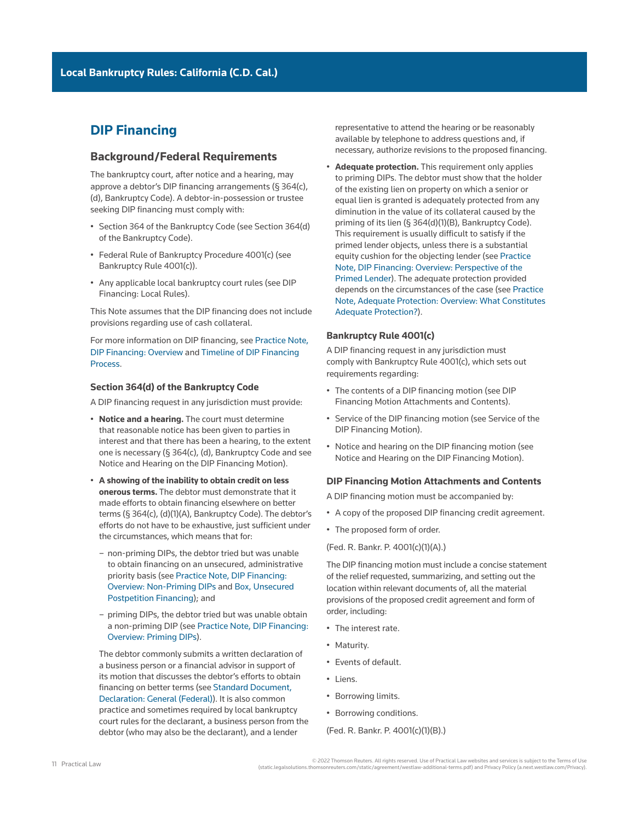# **DIP Financing**

## **Background/Federal Requirements**

The bankruptcy court, after notice and a hearing, may approve a debtor's [DIP financing](http://www.westlaw.com/Document/I03f4dafceee311e28578f7ccc38dcbee/View/FullText.html?originationContext=document&vr=3.0&rs=cblt1.0&transitionType=DocumentItem&contextData=(sc.Search)) arrangements (§ 364(c), (d), Bankruptcy Code). A debtor-in-possession or trustee seeking DIP financing must comply with:

- [Section 364 of the Bankruptcy Code](http://www.westlaw.com/Link/Document/FullText?findType=L&pubNum=1000611&cite=11USCAS364&originatingDoc=Ia2a72f779c9311e79bef99c0ee06c731&refType=LQ&originationContext=document&vr=3.0&rs=cblt1.0&transitionType=PLDocumentLink&billingHash=840E556139276F543E507F65E18CC2F742D286F580E63B5CBFFEC2B601E50500&contextData=(sc.Search)) (see Section 364(d) of the Bankruptcy Code).
- Federal Rule of Bankruptcy Procedure 4001(c) (see Bankruptcy Rule 4001(c)).
- Any applicable local bankruptcy court rules (see DIP Financing: Local Rules).

This Note assumes that the DIP financing does not include provisions regarding use of [cash collateral](http://www.westlaw.com/Document/Ibb09e949ef0511e28578f7ccc38dcbee/View/FullText.html?originationContext=document&vr=3.0&rs=cblt1.0&transitionType=DocumentItem&contextData=(sc.Search)).

For more information on DIP financing, see [Practice Note,](http://us.practicallaw.tr.com/1-383-4700)  [DIP Financing: Overview](http://us.practicallaw.tr.com/1-383-4700) and [Timeline of DIP Financing](http://us.practicallaw.tr.com/9-383-6738)  **Process** 

#### **Section 364(d) of the Bankruptcy Code**

A DIP financing request in any jurisdiction must provide:

- **Notice and a hearing.** The court must determine that reasonable notice has been given to parties in interest and that there has been a hearing, to the extent one is necessary (§ 364(c), (d), Bankruptcy Code and see Notice and Hearing on the DIP Financing Motion).
- **A showing of the inability to obtain credit on less onerous terms.** The debtor must demonstrate that it made efforts to obtain financing elsewhere on better terms (§ 364(c), (d)(1)(A), Bankruptcy Code). The debtor's efforts do not have to be exhaustive, just sufficient under the circumstances, which means that for:
	- non-[priming](http://www.westlaw.com/Document/Ibb09e9a3ef0511e28578f7ccc38dcbee/View/FullText.html?originationContext=document&vr=3.0&rs=cblt1.0&transitionType=DocumentItem&contextData=(sc.Search)) DIPs, the debtor tried but was unable to obtain financing on an unsecured, administrative [priority](http://www.westlaw.com/Document/Ibb09e929ef0511e28578f7ccc38dcbee/View/FullText.html?originationContext=document&vr=3.0&rs=cblt1.0&transitionType=DocumentItem&contextData=(sc.Search)) basis (see [Practice Note, DIP Financing:](http://us.practicallaw.tr.com/1-383-4700)  [Overview: Non-Priming DIPs](http://us.practicallaw.tr.com/1-383-4700) and [Box, Unsecured](http://us.practicallaw.tr.com/1-383-4700)  [Postpetition Financing\)](http://us.practicallaw.tr.com/1-383-4700); and
	- priming DIPs, the debtor tried but was unable obtain a non-priming DIP (see [Practice Note, DIP Financing:](http://us.practicallaw.tr.com/1-383-4700)  [Overview: Priming DIPs\)](http://us.practicallaw.tr.com/1-383-4700).

The debtor commonly submits a written declaration of a business person or a financial advisor in support of its motion that discusses the debtor's efforts to obtain financing on better terms (see [Standard Document,](http://us.practicallaw.tr.com/5-507-4700)  [Declaration: General \(Federal\)](http://us.practicallaw.tr.com/5-507-4700)). It is also common practice and sometimes required by local bankruptcy court rules for the declarant, a business person from the debtor (who may also be the declarant), and a lender

representative to attend the hearing or be reasonably available by telephone to address questions and, if necessary, authorize revisions to the proposed financing.

• **Adequate protection.** This requirement only applies to priming DIPs. The debtor must show that the holder of the existing lien on property on which a senior or equal lien is granted is [adequately protected](http://www.westlaw.com/Document/Ibb09e960ef0511e28578f7ccc38dcbee/View/FullText.html?originationContext=document&vr=3.0&rs=cblt1.0&transitionType=DocumentItem&contextData=(sc.Search)) from any diminution in the value of its collateral caused by the priming of its lien (§ 364(d)(1)(B), Bankruptcy Code). This requirement is usually difficult to satisfy if the primed lender objects, unless there is a substantial [equity cushion](http://www.westlaw.com/Document/Ibb09e9a9ef0511e28578f7ccc38dcbee/View/FullText.html?originationContext=document&vr=3.0&rs=cblt1.0&transitionType=DocumentItem&contextData=(sc.Search)) for the objecting lender (see [Practice](http://us.practicallaw.tr.com/1-383-4700)  [Note, DIP Financing: Overview: Perspective of the](http://us.practicallaw.tr.com/1-383-4700)  [Primed Lender](http://us.practicallaw.tr.com/1-383-4700)). The adequate protection provided depends on the circumstances of the case (see [Practice](http://us.practicallaw.tr.com/8-382-8989)  [Note, Adequate Protection: Overview: What Constitutes](http://us.practicallaw.tr.com/8-382-8989)  [Adequate Protection?](http://us.practicallaw.tr.com/8-382-8989)).

#### **Bankruptcy Rule 4001(c)**

A DIP financing request in any jurisdiction must comply with Bankruptcy Rule 4001(c), which sets out requirements regarding:

- The contents of a DIP financing motion (see DIP Financing Motion Attachments and Contents).
- Service of the DIP financing motion (see Service of the DIP Financing Motion).
- Notice and hearing on the DIP financing motion (see Notice and Hearing on the DIP Financing Motion).

#### **DIP Financing Motion Attachments and Contents**

A DIP financing motion must be accompanied by:

- A copy of the proposed DIP financing credit agreement.
- The proposed form of order.

#### (Fed. R. Bankr. P. 4001(c)(1)(A).)

The DIP financing motion must include a concise statement of the relief requested, summarizing, and setting out the location within relevant documents of, all the material provisions of the proposed credit agreement and form of order, including:

- The interest rate.
- [Maturity](http://www.westlaw.com/Document/Ibb0a13a7ef0511e28578f7ccc38dcbee/View/FullText.html?originationContext=document&vr=3.0&rs=cblt1.0&transitionType=DocumentItem&contextData=(sc.Search)).
- [Events of default](http://www.westlaw.com/Document/I03f4d6e6eee311e28578f7ccc38dcbee/View/FullText.html?originationContext=document&vr=3.0&rs=cblt1.0&transitionType=DocumentItem&contextData=(sc.Search)).
- Liens.
- Borrowing limits.
- Borrowing conditions.

#### (Fed. R. Bankr. P. 4001(c)(1)(B).)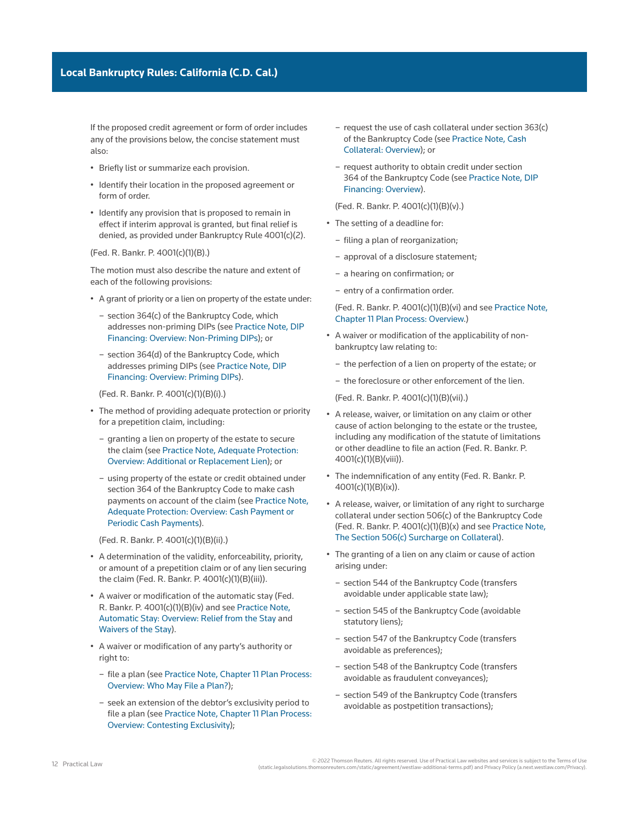If the proposed credit agreement or form of order includes any of the provisions below, the concise statement must also:

- Briefly list or summarize each provision.
- Identify their location in the proposed agreement or form of order.
- Identify any provision that is proposed to remain in effect if interim approval is granted, but final relief is denied, as provided under Bankruptcy Rule 4001(c)(2).

#### (Fed. R. Bankr. P. 4001(c)(1)(B).)

The motion must also describe the nature and extent of each of the following provisions:

- A grant of priority or a lien on [property of the estate](http://www.westlaw.com/Document/Icf49604cef0a11e28578f7ccc38dcbee/View/FullText.html?originationContext=document&vr=3.0&rs=cblt1.0&transitionType=DocumentItem&contextData=(sc.Search)) under:
	- section 364(c) of the Bankruptcy Code, which addresses non-priming DIPs (see [Practice Note, DIP](http://us.practicallaw.tr.com/1-383-4700)  [Financing: Overview: Non-Priming DIPs](http://us.practicallaw.tr.com/1-383-4700)); or
	- section 364(d) of the Bankruptcy Code, which addresses priming DIPs (see [Practice Note, DIP](http://us.practicallaw.tr.com/1-383-4700)  [Financing: Overview: Priming DIPs\)](http://us.practicallaw.tr.com/1-383-4700).

(Fed. R. Bankr. P. 4001(c)(1)(B)(i).)

- The method of providing adequate protection or priority for a prepetition claim, including:
	- granting a lien on property of the estate to secure the claim (see [Practice Note, Adequate Protection:](http://us.practicallaw.tr.com/8-382-8989)  [Overview: Additional or Replacement Lien](http://us.practicallaw.tr.com/8-382-8989)); or
	- using property of the estate or credit obtained under [section 364 of the Bankruptcy Code](http://www.westlaw.com/Link/Document/FullText?findType=L&pubNum=1000611&cite=11USCAS364&originatingDoc=Ia2a72f779c9311e79bef99c0ee06c731&refType=LQ&originationContext=document&vr=3.0&rs=cblt1.0&transitionType=PLDocumentLink&billingHash=840E556139276F543E507F65E18CC2F742D286F580E63B5CBFFEC2B601E50500&contextData=(sc.Search)) to make cash payments on account of the claim (see [Practice Note,](http://us.practicallaw.tr.com/8-382-8989)  [Adequate Protection: Overview: Cash Payment or](http://us.practicallaw.tr.com/8-382-8989)  [Periodic Cash Payments](http://us.practicallaw.tr.com/8-382-8989)).

(Fed. R. Bankr. P. 4001(c)(1)(B)(ii).)

- A determination of the validity, enforceability, priority, or amount of a prepetition claim or of any lien securing the claim (Fed. R. Bankr. P. 4001(c)(1)(B)(iii)).
- A waiver or modification of the [automatic stay](http://www.westlaw.com/Document/I03f4da7beee311e28578f7ccc38dcbee/View/FullText.html?originationContext=document&vr=3.0&rs=cblt1.0&transitionType=DocumentItem&contextData=(sc.Search)) (Fed. R. Bankr. P. 4001(c)(1)(B)(iv) and see [Practice Note,](http://us.practicallaw.tr.com/9-380-7953)  [Automatic Stay: Overview: Relief from the Stay](http://us.practicallaw.tr.com/9-380-7953) and [Waivers of the Stay\)](http://us.practicallaw.tr.com/9-380-7953).
- A waiver or modification of any party's authority or right to:
	- file a [plan](http://www.westlaw.com/Document/I03f4db03eee311e28578f7ccc38dcbee/View/FullText.html?originationContext=document&vr=3.0&rs=cblt1.0&transitionType=DocumentItem&contextData=(sc.Search)) (see [Practice Note, Chapter 11 Plan Process:](http://us.practicallaw.tr.com/0-502-7396) [Overview: Who May File a Plan?\)](http://us.practicallaw.tr.com/0-502-7396);
	- seek an extension of the debtor's [exclusivity period](http://www.westlaw.com/Document/I3a99e7ebef1211e28578f7ccc38dcbee/View/FullText.html?originationContext=document&vr=3.0&rs=cblt1.0&transitionType=DocumentItem&contextData=(sc.Search)) to file a plan (see [Practice Note, Chapter 11 Plan Process:](http://us.practicallaw.tr.com/0-502-7396) [Overview: Contesting Exclusivity\)](http://us.practicallaw.tr.com/0-502-7396);
- request the use of cash collateral under section 363(c) of the Bankruptcy Code (see [Practice Note, Cash](http://us.practicallaw.tr.com/3-618-3450)  [Collateral: Overview](http://us.practicallaw.tr.com/3-618-3450)); or
- request authority to obtain credit under [section](http://www.westlaw.com/Link/Document/FullText?findType=L&pubNum=1000611&cite=11USCAS364&originatingDoc=Ia2a72f779c9311e79bef99c0ee06c731&refType=LQ&originationContext=document&vr=3.0&rs=cblt1.0&transitionType=PLDocumentLink&billingHash=840E556139276F543E507F65E18CC2F742D286F580E63B5CBFFEC2B601E50500&contextData=(sc.Search))  [364 of the Bankruptcy Code](http://www.westlaw.com/Link/Document/FullText?findType=L&pubNum=1000611&cite=11USCAS364&originatingDoc=Ia2a72f779c9311e79bef99c0ee06c731&refType=LQ&originationContext=document&vr=3.0&rs=cblt1.0&transitionType=PLDocumentLink&billingHash=840E556139276F543E507F65E18CC2F742D286F580E63B5CBFFEC2B601E50500&contextData=(sc.Search)) (see [Practice Note, DIP](http://us.practicallaw.tr.com/1-383-4700)  [Financing: Overview](http://us.practicallaw.tr.com/1-383-4700)).

(Fed. R. Bankr. P. 4001(c)(1)(B)(v).)

- The setting of a deadline for:
	- filing a plan of reorganization;
	- approval of a [disclosure statement;](http://www.westlaw.com/Document/Ibb09e9b4ef0511e28578f7ccc38dcbee/View/FullText.html?originationContext=document&vr=3.0&rs=cblt1.0&transitionType=DocumentItem&contextData=(sc.Search))
	- a hearing on [confirmation](http://www.westlaw.com/Document/Ibb09e97def0511e28578f7ccc38dcbee/View/FullText.html?originationContext=document&vr=3.0&rs=cblt1.0&transitionType=DocumentItem&contextData=(sc.Search)); or
	- entry of a confirmation order.

### (Fed. R. Bankr. P. 4001(c)(1)(B)(vi) and see [Practice Note,](http://us.practicallaw.tr.com/0-502-7396)  [Chapter 11 Plan Process: Overview.](http://us.practicallaw.tr.com/0-502-7396))

- A waiver or modification of the applicability of nonbankruptcy law relating to:
	- the [perfection](http://www.westlaw.com/Document/I4cf86e84ef2a11e28578f7ccc38dcbee/View/FullText.html?originationContext=document&vr=3.0&rs=cblt1.0&transitionType=DocumentItem&contextData=(sc.Search)) of a lien on property of the estate; or
	- the [foreclosure](http://www.westlaw.com/Document/Ibb09e947ef0511e28578f7ccc38dcbee/View/FullText.html?originationContext=document&vr=3.0&rs=cblt1.0&transitionType=DocumentItem&contextData=(sc.Search)) or other enforcement of the lien.

(Fed. R. Bankr. P. 4001(c)(1)(B)(vii).)

- A release, waiver, or limitation on any claim or other cause of action belonging to the [estate](http://www.westlaw.com/Document/Ibb09e99fef0511e28578f7ccc38dcbee/View/FullText.html?originationContext=document&vr=3.0&rs=cblt1.0&transitionType=DocumentItem&contextData=(sc.Search)) or the trustee, including any modification of the statute of limitations or other deadline to file an action (Fed. R. Bankr. P. 4001(c)(1)(B)(viii)).
- The [indemnification](http://www.westlaw.com/Document/I1559f75aeef211e28578f7ccc38dcbee/View/FullText.html?originationContext=document&vr=3.0&rs=cblt1.0&transitionType=DocumentItem&contextData=(sc.Search)) of any entity (Fed. R. Bankr. P. 4001(c)(1)(B)(ix)).
- A release, waiver, or limitation of any right to surcharge collateral under section 506(c) of the Bankruptcy Code (Fed. R. Bankr. P. 4001(c)(1)(B)(x) and see [Practice Note,](http://us.practicallaw.tr.com/9-565-5645)  [The Section 506\(c\) Surcharge on Collateral](http://us.practicallaw.tr.com/9-565-5645)).
- The granting of a lien on any claim or cause of action arising under:
	- [section 544 of the Bankruptcy Code](http://www.westlaw.com/Link/Document/FullText?findType=L&pubNum=1000611&cite=11USCAS544&originatingDoc=Ia2a72f779c9311e79bef99c0ee06c731&refType=LQ&originationContext=document&vr=3.0&rs=cblt1.0&transitionType=PLDocumentLink&billingHash=35FA7054F5F54C7992D706309A3B064D38DCB0DF3243E349ED04A92F6836B3D6&contextData=(sc.Search)) (transfers avoidable under applicable state law);
	- [section 545 of the Bankruptcy Code](http://www.westlaw.com/Link/Document/FullText?findType=L&pubNum=1000611&cite=11USCAS545&originatingDoc=Ia2a72f779c9311e79bef99c0ee06c731&refType=LQ&originationContext=document&vr=3.0&rs=cblt1.0&transitionType=PLDocumentLink&billingHash=2E59EBF22676EB890182187DE01B2224BB6096C3960324ECBB20A8C5396BE35C&contextData=(sc.Search)) (avoidable statutory liens);
	- [section 547 of the Bankruptcy Code](http://www.westlaw.com/Link/Document/FullText?findType=L&pubNum=1000611&cite=11USCAS547&originatingDoc=Ia2a72f779c9311e79bef99c0ee06c731&refType=LQ&originationContext=document&vr=3.0&rs=cblt1.0&transitionType=PLDocumentLink&billingHash=671A0EFC0A0E4E2C4301A5D98F952DEEA7C52B09F483B04F3DB714D99D44B561&contextData=(sc.Search)) (transfers avoidable as [preferences](http://www.westlaw.com/Document/Ibb09e993ef0511e28578f7ccc38dcbee/View/FullText.html?originationContext=document&vr=3.0&rs=cblt1.0&transitionType=DocumentItem&contextData=(sc.Search)));
	- [section 548 of the Bankruptcy Code](http://www.westlaw.com/Link/Document/FullText?findType=L&pubNum=1000611&cite=11USCAS548&originatingDoc=Ia2a72f779c9311e79bef99c0ee06c731&refType=LQ&originationContext=document&vr=3.0&rs=cblt1.0&transitionType=PLDocumentLink&billingHash=64EDC954059D02747EAAB8520103A9D3B43BE6DBD8A288939F1C650B4CE2FD3C&contextData=(sc.Search)) (transfers avoidable as [fraudulent conveyances\)](http://www.westlaw.com/Document/Ibb09e990ef0511e28578f7ccc38dcbee/View/FullText.html?originationContext=document&vr=3.0&rs=cblt1.0&transitionType=DocumentItem&contextData=(sc.Search));
	- [section 549 of the Bankruptcy Code](http://www.westlaw.com/Link/Document/FullText?findType=L&pubNum=1000611&cite=11USCAS549&originatingDoc=Ia2a72f779c9311e79bef99c0ee06c731&refType=LQ&originationContext=document&vr=3.0&rs=cblt1.0&transitionType=PLDocumentLink&billingHash=46019286485212FB591DF05A8E82073177502BC5FC8560EE2FC637EF094B04C4&contextData=(sc.Search)) (transfers avoidable as postpetition transactions);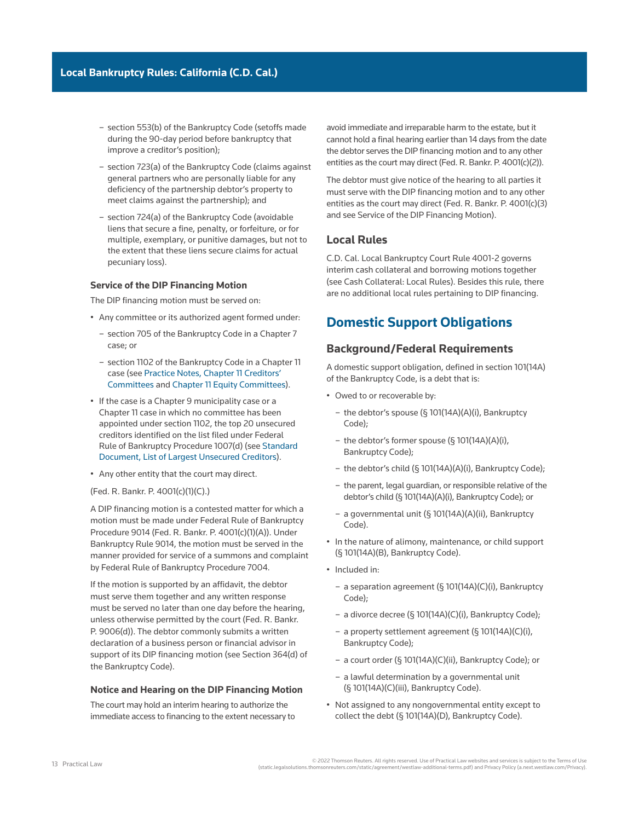- section 553(b) of the Bankruptcy Code ([setoffs](http://www.westlaw.com/Document/I03f4db11eee311e28578f7ccc38dcbee/View/FullText.html?originationContext=document&vr=3.0&rs=cblt1.0&transitionType=DocumentItem&contextData=(sc.Search)) made during the 90-day period before bankruptcy that improve a creditor's position);
- section 723(a) of the Bankruptcy Code (claims against [general partners](http://www.westlaw.com/Document/I0f9fe707ef0811e28578f7ccc38dcbee/View/FullText.html?originationContext=document&vr=3.0&rs=cblt1.0&transitionType=DocumentItem&contextData=(sc.Search)) who are personally liable for any deficiency of the partnership debtor's property to meet claims against the partnership); and
- section 724(a) of the Bankruptcy Code (avoidable liens that secure a fine, penalty, or forfeiture, or for multiple, exemplary, or punitive damages, but not to the extent that these liens secure claims for actual pecuniary loss).

#### **Service of the DIP Financing Motion**

The DIP financing motion must be served on:

- Any committee or its authorized agent formed under:
	- [section 705 of the Bankruptcy Code](http://www.westlaw.com/Link/Document/FullText?findType=L&pubNum=1000611&cite=11USCAS705&originatingDoc=Ia2a72f779c9311e79bef99c0ee06c731&refType=LQ&originationContext=document&vr=3.0&rs=cblt1.0&transitionType=PLDocumentLink&billingHash=7F4BCC852B2260C8417E0FA0B76668DF9A95D8848765355983E8FA1EB4A07FAD&contextData=(sc.Search)) in a [Chapter 7](http://www.westlaw.com/Document/I210505b1ef0811e28578f7ccc38dcbee/View/FullText.html?originationContext=document&vr=3.0&rs=cblt1.0&transitionType=DocumentItem&contextData=(sc.Search)) case; or
	- [section 1102 of the Bankruptcy Code](http://www.westlaw.com/Link/Document/FullText?findType=L&pubNum=1000611&cite=11USCAS1102&originatingDoc=Ia2a72f779c9311e79bef99c0ee06c731&refType=LQ&originationContext=document&vr=3.0&rs=cblt1.0&transitionType=PLDocumentLink&billingHash=8631423793FA2C58C590960D4B3091FD5772F45F4FAD5C8C1209A2D82636D7F7&contextData=(sc.Search)) in a Chapter 11 case (see [Practice Notes, Chapter 11 Creditors'](http://us.practicallaw.tr.com/1-508-8252)  [Committees](http://us.practicallaw.tr.com/1-508-8252) and [Chapter 11 Equity Committees](http://us.practicallaw.tr.com/6-608-2869)).
- If the case is a [Chapter 9](http://www.westlaw.com/Document/I417f1ec36cfe11e598dc8b09b4f043e0/View/FullText.html?originationContext=document&vr=3.0&rs=cblt1.0&transitionType=DocumentItem&contextData=(sc.Search)) municipality case or a Chapter 11 case in which no committee has been appointed under section 1102, the top 20 unsecured creditors identified on the list filed under Federal Rule of Bankruptcy Procedure 1007(d) (see [Standard](http://us.practicallaw.tr.com/3-610-4108)  [Document, List of Largest Unsecured Creditors](http://us.practicallaw.tr.com/3-610-4108)).
- Any other entity that the court may direct.
- (Fed. R. Bankr. P. 4001(c)(1)(C).)

A DIP financing motion is a [contested matter](http://www.westlaw.com/Document/I272f76c5622d11e598dc8b09b4f043e0/View/FullText.html?originationContext=document&vr=3.0&rs=cblt1.0&transitionType=DocumentItem&contextData=(sc.Search)) for which a motion must be made under [Federal Rule of Bankruptcy](http://www.westlaw.com/Link/Document/FullText?findType=L&pubNum=1000611&cite=USFRBPR9014&originatingDoc=Ia2a72f779c9311e79bef99c0ee06c731&refType=LQ&originationContext=document&vr=3.0&rs=cblt1.0&transitionType=PLDocumentLink&billingHash=6896155770C96FB9E96E13E4298AF35ABB652DAFDB3A2DE147E88EA13AAFB3D7&contextData=(sc.Search))  [Procedure 9014](http://www.westlaw.com/Link/Document/FullText?findType=L&pubNum=1000611&cite=USFRBPR9014&originatingDoc=Ia2a72f779c9311e79bef99c0ee06c731&refType=LQ&originationContext=document&vr=3.0&rs=cblt1.0&transitionType=PLDocumentLink&billingHash=6896155770C96FB9E96E13E4298AF35ABB652DAFDB3A2DE147E88EA13AAFB3D7&contextData=(sc.Search)) (Fed. R. Bankr. P. 4001(c)(1)(A)). Under Bankruptcy Rule 9014, the motion must be served in the manner provided for service of a summons and complaint by [Federal Rule of Bankruptcy Procedure 7004.](http://www.westlaw.com/Link/Document/FullText?findType=L&pubNum=1000611&cite=USFRBPR7004&originatingDoc=Ia2a72f779c9311e79bef99c0ee06c731&refType=LQ&originationContext=document&vr=3.0&rs=cblt1.0&transitionType=PLDocumentLink&billingHash=8A88494AC3D7BF559C2B2A462F451B7FA817C55173E9F72D5E419B680E36408A&contextData=(sc.Search))

If the motion is supported by an affidavit, the debtor must serve them together and any written response must be served no later than one day before the hearing, unless otherwise permitted by the court (Fed. R. Bankr. P. 9006(d)). The debtor commonly submits a written declaration of a business person or financial advisor in support of its DIP financing motion (see Section 364(d) of the Bankruptcy Code).

#### **Notice and Hearing on the DIP Financing Motion**

The court may hold an interim hearing to authorize the immediate access to financing to the extent necessary to avoid immediate and irreparable harm to the estate, but it cannot hold a final hearing earlier than 14 days from the date the debtor serves the DIP financing motion and to any other entities as the court may direct (Fed. R. Bankr. P. 4001(c)(2)).

The debtor must give notice of the hearing to all parties it must serve with the DIP financing motion and to any other entities as the court may direct (Fed. R. Bankr. P. 4001(c)(3) and see Service of the DIP Financing Motion).

#### **Local Rules**

[C.D. Cal. Local Bankruptcy Court Rule 4001-2](http://www.westlaw.com/Link/Document/FullText?findType=L&pubNum=1004206&cite=CARUSBCLBR.4001-2&originatingDoc=Ia2a72f779c9311e79bef99c0ee06c731&refType=GA&originationContext=document&vr=3.0&rs=cblt1.0&transitionType=PLDocumentLink&billingHash=F4628544B4CAEBC21E95EA85A567A260ED9AE484E71E59D152275471C9647944&contextData=(sc.Search)) governs interim cash collateral and borrowing motions together (see Cash Collateral: Local Rules). Besides this rule, there are no additional local rules pertaining to DIP financing.

# **Domestic Support Obligations**

## **Background/Federal Requirements**

A domestic support obligation, defined in section 101(14A) of the Bankruptcy Code, is a debt that is:

- Owed to or recoverable by:
	- the debtor's spouse (§ 101(14A)(A)(i), Bankruptcy Code);
	- the debtor's former spouse (§ 101(14A)(A)(i), Bankruptcy Code);
	- the debtor's child (§ 101(14A)(A)(i), Bankruptcy Code);
	- the parent, legal guardian, or responsible relative of the debtor's child (§ 101(14A)(A)(i), Bankruptcy Code); or
	- a governmental unit (§ 101(14A)(A)(ii), Bankruptcy Code).
- In the nature of alimony, maintenance, or child support (§ 101(14A)(B), Bankruptcy Code).
- Included in:
	- a separation agreement (§ 101(14A)(C)(i), Bankruptcy Code);
	- a divorce decree (§ 101(14A)(C)(i), Bankruptcy Code);
	- a property settlement agreement (§ 101(14A)(C)(i), Bankruptcy Code);
	- a court order (§ 101(14A)(C)(ii), Bankruptcy Code); or
	- a lawful determination by a governmental unit (§ 101(14A)(C)(iii), Bankruptcy Code).
- Not assigned to any nongovernmental entity except to collect the debt (§ 101(14A)(D), Bankruptcy Code).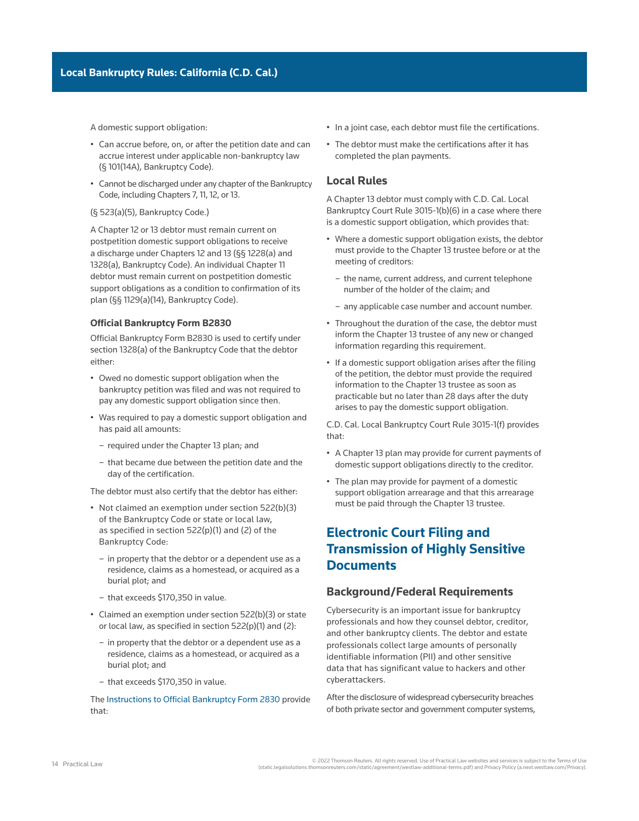A domestic support obligation:

- Can accrue before, on, or after the [petition date](http://www.westlaw.com/Document/I2b7a9c4741b111e598dc8b09b4f043e0/View/FullText.html?originationContext=document&vr=3.0&rs=cblt1.0&transitionType=DocumentItem&contextData=(sc.Search)) and can accrue interest under applicable non-bankruptcy law (§ 101(14A), Bankruptcy Code).
- Cannot be [discharged](http://www.westlaw.com/Document/I3a99e7daef1211e28578f7ccc38dcbee/View/FullText.html?originationContext=document&vr=3.0&rs=cblt1.0&transitionType=DocumentItem&contextData=(sc.Search)) under any chapter of the Bankruptcy Code, including [Chapters 7,](http://www.westlaw.com/Document/I210505b1ef0811e28578f7ccc38dcbee/View/FullText.html?originationContext=document&vr=3.0&rs=cblt1.0&transitionType=DocumentItem&contextData=(sc.Search)) [11,](http://www.westlaw.com/Document/Ibb09e934ef0511e28578f7ccc38dcbee/View/FullText.html?originationContext=document&vr=3.0&rs=cblt1.0&transitionType=DocumentItem&contextData=(sc.Search)) [12,](http://www.westlaw.com/Document/Iff97b0b58dec11e9adfea82903531a62/View/FullText.html?originationContext=document&vr=3.0&rs=cblt1.0&transitionType=DocumentItem&contextData=(sc.Search)) or [13](http://www.westlaw.com/Document/I3a9a0b8aef1211e28578f7ccc38dcbee/View/FullText.html?originationContext=document&vr=3.0&rs=cblt1.0&transitionType=DocumentItem&contextData=(sc.Search)).

#### (§ 523(a)(5), Bankruptcy Code.)

A Chapter 12 or 13 debtor must remain current on [postpetition](http://www.westlaw.com/Document/Ibb09e95bef0511e28578f7ccc38dcbee/View/FullText.html?originationContext=document&vr=3.0&rs=cblt1.0&transitionType=DocumentItem&contextData=(sc.Search)) domestic support obligations to receive a discharge under Chapters 12 and 13 (§§ 1228(a) and 1328(a), Bankruptcy Code). An individual Chapter 11 debtor must remain current on postpetition domestic support obligations as a condition to [confirmation](http://www.westlaw.com/Document/Ibb09e97def0511e28578f7ccc38dcbee/View/FullText.html?originationContext=document&vr=3.0&rs=cblt1.0&transitionType=DocumentItem&contextData=(sc.Search)) of its plan (§§ 1129(a)(14), Bankruptcy Code).

#### **Official Bankruptcy Form B2830**

[Official Bankruptcy Form B2830](http://www.westlaw.com/Link/Document/FullText?findType=L&pubNum=1101192&cite=USFRPBDFMB2830&originatingDoc=Ia2a72f779c9311e79bef99c0ee06c731&refType=GA&originationContext=document&vr=3.0&rs=cblt1.0&transitionType=PLDocumentLink&billingHash=69E0D7A69D25C5D33FEBC6F2DCF3BF9F3394DF7A9FCE9278C108669D12C989B8&contextData=(sc.Search)) is used to certify under section 1328(a) of the Bankruptcy Code that the debtor either:

- Owed no domestic support obligation when the bankruptcy petition was filed and was not required to pay any domestic support obligation since then.
- Was required to pay a domestic support obligation and has paid all amounts:
	- required under the Chapter 13 [plan](http://www.westlaw.com/Document/I03f4db03eee311e28578f7ccc38dcbee/View/FullText.html?originationContext=document&vr=3.0&rs=cblt1.0&transitionType=DocumentItem&contextData=(sc.Search)); and
	- that became due between the petition date and the day of the certification.

The debtor must also certify that the debtor has either:

- Not claimed an exemption under section 522(b)(3) of the Bankruptcy Code or state or local law, as specified in section 522(p)(1) and (2) of the Bankruptcy Code:
	- in property that the debtor or a dependent use as a residence, claims as a homestead, or acquired as a burial plot; and
	- that exceeds \$170,350 in value.
- Claimed an exemption under section 522(b)(3) or state or local law, as specified in section 522(p)(1) and (2):
	- in property that the debtor or a dependent use as a residence, claims as a homestead, or acquired as a burial plot; and
	- that exceeds \$170,350 in value.

The [Instructions to Official Bankruptcy Form 2830](https://www.uscourts.gov/sites/default/files/form_b2830_instructions.pdf) provide that:

- In a joint case, each debtor must file the certifications.
- The debtor must make the certifications after it has completed the plan payments.

## **Local Rules**

A Chapter 13 debtor must comply with [C.D. Cal. Local](http://www.westlaw.com/Link/Document/FullText?findType=L&pubNum=1004206&cite=CARUSBCLBR.3015-1&originatingDoc=Ia2a72f779c9311e79bef99c0ee06c731&refType=GA&originationContext=document&vr=3.0&rs=cblt1.0&transitionType=PLDocumentLink&billingHash=19F4FE60E7E9CB25247B6515D043EAE5365273B88CD7E7F97970A7BA09EC03C1&contextData=(sc.Search))  [Bankruptcy Court Rule 3015-1\(b\)\(6\)](http://www.westlaw.com/Link/Document/FullText?findType=L&pubNum=1004206&cite=CARUSBCLBR.3015-1&originatingDoc=Ia2a72f779c9311e79bef99c0ee06c731&refType=GA&originationContext=document&vr=3.0&rs=cblt1.0&transitionType=PLDocumentLink&billingHash=19F4FE60E7E9CB25247B6515D043EAE5365273B88CD7E7F97970A7BA09EC03C1&contextData=(sc.Search)) in a case where there is a domestic support obligation, which provides that:

- Where a domestic support obligation exists, the debtor must provide to the [Chapter 13 trustee](http://www.westlaw.com/Document/Ic8213a45a7cf11e9adfea82903531a62/View/FullText.html?originationContext=document&vr=3.0&rs=cblt1.0&transitionType=DocumentItem&contextData=(sc.Search)) before or at the [meeting of creditors](http://www.westlaw.com/Document/Id4cf1894f3ad11e28578f7ccc38dcbee/View/FullText.html?originationContext=document&vr=3.0&rs=cblt1.0&transitionType=DocumentItem&contextData=(sc.Search)):
	- the name, current address, and current telephone number of the holder of the claim; and
	- any applicable case number and account number.
- Throughout the duration of the case, the debtor must inform the Chapter 13 trustee of any new or changed information regarding this requirement.
- If a domestic support obligation arises after the filing of the petition, the debtor must provide the required information to the Chapter 13 trustee as soon as practicable but no later than 28 days after the duty arises to pay the domestic support obligation.

[C.D. Cal. Local Bankruptcy Court Rule 3015-1\(f\)](http://www.westlaw.com/Link/Document/FullText?findType=L&pubNum=1004206&cite=CARUSBCLBR.3015-1&originatingDoc=Ia2a72f779c9311e79bef99c0ee06c731&refType=GA&originationContext=document&vr=3.0&rs=cblt1.0&transitionType=PLDocumentLink&billingHash=19F4FE60E7E9CB25247B6515D043EAE5365273B88CD7E7F97970A7BA09EC03C1&contextData=(sc.Search)) provides that:

- A Chapter 13 plan may provide for current payments of domestic support obligations directly to the creditor.
- The plan may provide for payment of a domestic support obligation arrearage and that this arrearage must be paid through the Chapter 13 trustee.

# **Electronic Court Filing and Transmission of Highly Sensitive Documents**

### **Background/Federal Requirements**

Cybersecurity is an important issue for bankruptcy professionals and how they counsel debtor, creditor, and other bankruptcy clients. The debtor and estate professionals collect large amounts of personally identifiable information (PII) and other sensitive data that has significant value to hackers and other cyberattackers.

After the disclosure of widespread cybersecurity breaches of both private sector and government computer systems,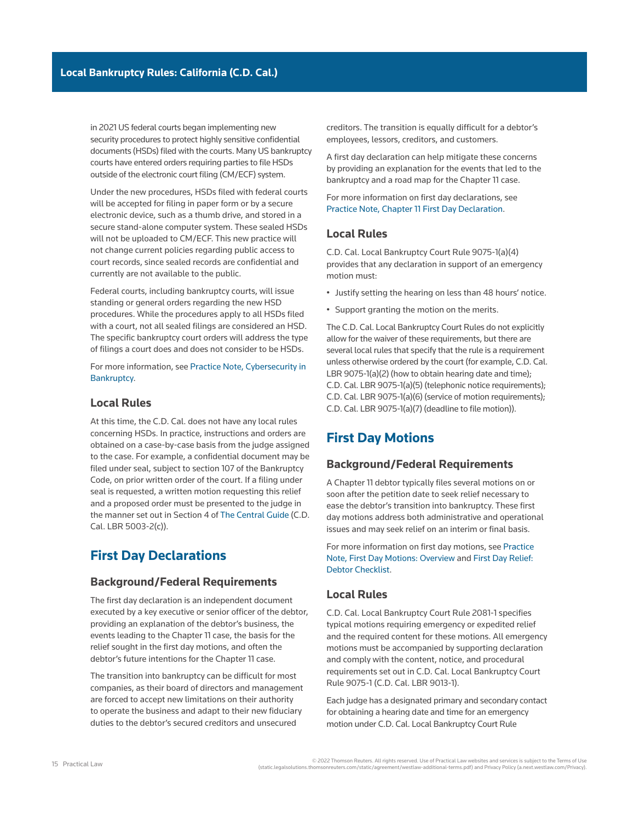in 2021 US federal courts began implementing new security procedures to protect highly sensitive confidential documents (HSDs) filed with the courts. Many US bankruptcy courts have entered orders requiring parties to file HSDs outside of the electronic court filing (CM/ECF) system.

Under the new procedures, HSDs filed with federal courts will be accepted for filing in paper form or by a secure electronic device, such as a thumb drive, and stored in a secure stand-alone computer system. These sealed HSDs will not be uploaded to CM/ECF. This new practice will not change current policies regarding public access to court records, since sealed records are confidential and currently are not available to the public.

Federal courts, including bankruptcy courts, will issue standing or general orders regarding the new HSD procedures. While the procedures apply to all HSDs filed with a court, not all sealed filings are considered an HSD. The specific bankruptcy court orders will address the type of filings a court does and does not consider to be HSDs.

For more information, see [Practice Note, Cybersecurity in](http://us.practicallaw.tr.com/W-034-1108)  [Bankruptcy](http://us.practicallaw.tr.com/W-034-1108).

## **Local Rules**

At this time, the C.D. Cal. does not have any local rules concerning HSDs. In practice, instructions and orders are obtained on a case-by-case basis from the judge assigned to the case. For example, a confidential document may be filed under seal, subject to section 107 of the Bankruptcy Code, on prior written order of the court. If a filing under seal is requested, a written motion requesting this relief and a proposed order must be presented to the judge in the manner set out in Section 4 of [The Central Guide](https://www.cacb.uscourts.gov/the-central-guide) (C.D. Cal. LBR 5003-2(c)).

# **First Day Declarations**

## **Background/Federal Requirements**

The first day [declaration](http://www.westlaw.com/Document/I03f4d949eee311e28578f7ccc38dcbee/View/FullText.html?originationContext=document&vr=3.0&rs=cblt1.0&transitionType=DocumentItem&contextData=(sc.Search)) is an independent document executed by a key executive or senior officer of the debtor, providing an explanation of the debtor's business, the events leading to the [Chapter 11](http://www.westlaw.com/Document/Ibb09e934ef0511e28578f7ccc38dcbee/View/FullText.html?originationContext=document&vr=3.0&rs=cblt1.0&transitionType=DocumentItem&contextData=(sc.Search)) case, the basis for the relief sought in the first day motions, and often the debtor's future intentions for the Chapter 11 case.

The transition into bankruptcy can be difficult for most companies, as their [board of directors](http://www.westlaw.com/Document/I0f9fc12def0811e28578f7ccc38dcbee/View/FullText.html?originationContext=document&vr=3.0&rs=cblt1.0&transitionType=DocumentItem&contextData=(sc.Search)) and management are forced to accept new limitations on their authority to operate the business and adapt to their new [fiduciary](http://www.westlaw.com/Document/Ibb0a107fef0511e28578f7ccc38dcbee/View/FullText.html?originationContext=document&vr=3.0&rs=cblt1.0&transitionType=DocumentItem&contextData=(sc.Search))  [duties](http://www.westlaw.com/Document/Ibb0a107fef0511e28578f7ccc38dcbee/View/FullText.html?originationContext=document&vr=3.0&rs=cblt1.0&transitionType=DocumentItem&contextData=(sc.Search)) to the debtor's [secured creditors](http://www.westlaw.com/Document/Ibb09e941ef0511e28578f7ccc38dcbee/View/FullText.html?originationContext=document&vr=3.0&rs=cblt1.0&transitionType=DocumentItem&contextData=(sc.Search)) and [unsecured](http://www.westlaw.com/Document/Ibb09e92def0511e28578f7ccc38dcbee/View/FullText.html?originationContext=document&vr=3.0&rs=cblt1.0&transitionType=DocumentItem&contextData=(sc.Search)) 

[creditors](http://www.westlaw.com/Document/Ibb09e92def0511e28578f7ccc38dcbee/View/FullText.html?originationContext=document&vr=3.0&rs=cblt1.0&transitionType=DocumentItem&contextData=(sc.Search)). The transition is equally difficult for a debtor's employees, lessors, creditors, and customers.

A first day declaration can help mitigate these concerns by providing an explanation for the events that led to the bankruptcy and a road map for the Chapter 11 case.

For more information on first day declarations, see [Practice Note, Chapter 11 First Day Declaration](http://us.practicallaw.tr.com/7-617-7678).

## **Local Rules**

[C.D. Cal. Local Bankruptcy Court Rule 9075-1\(a\)\(4\)](http://www.westlaw.com/Link/Document/FullText?findType=L&pubNum=1004206&cite=CARUSBCLBR.9075-1&originatingDoc=Ia2a72f779c9311e79bef99c0ee06c731&refType=GA&originationContext=document&vr=3.0&rs=cblt1.0&transitionType=PLDocumentLink&billingHash=0C9BDB2BC9943594A5B1E3721F8A4F22A5A5FF830E95C209C9A8896A948CB6A7&contextData=(sc.Search))  provides that any declaration in support of an emergency motion must:

- Justify setting the hearing on less than 48 hours' notice.
- Support granting the motion on the merits.

The C.D. Cal. Local Bankruptcy Court Rules do not explicitly allow for the waiver of these requirements, but there are several local rules that specify that the rule is a requirement unless otherwise ordered by the court (for example, [C.D. Cal.](http://www.westlaw.com/Link/Document/FullText?findType=L&pubNum=1004206&cite=CARUSBCLBR.9075-1&originatingDoc=Ia2a72f779c9311e79bef99c0ee06c731&refType=GA&originationContext=document&vr=3.0&rs=cblt1.0&transitionType=PLDocumentLink&billingHash=0C9BDB2BC9943594A5B1E3721F8A4F22A5A5FF830E95C209C9A8896A948CB6A7&contextData=(sc.Search))  [LBR 9075-1\(a\)\(2\)](http://www.westlaw.com/Link/Document/FullText?findType=L&pubNum=1004206&cite=CARUSBCLBR.9075-1&originatingDoc=Ia2a72f779c9311e79bef99c0ee06c731&refType=GA&originationContext=document&vr=3.0&rs=cblt1.0&transitionType=PLDocumentLink&billingHash=0C9BDB2BC9943594A5B1E3721F8A4F22A5A5FF830E95C209C9A8896A948CB6A7&contextData=(sc.Search)) (how to obtain hearing date and time); [C.D. Cal. LBR 9075-1\(a\)\(5\)](http://www.westlaw.com/Link/Document/FullText?findType=L&pubNum=1004206&cite=CARUSBCLBR.9075-1&originatingDoc=Ia2a72f779c9311e79bef99c0ee06c731&refType=GA&originationContext=document&vr=3.0&rs=cblt1.0&transitionType=PLDocumentLink&billingHash=0C9BDB2BC9943594A5B1E3721F8A4F22A5A5FF830E95C209C9A8896A948CB6A7&contextData=(sc.Search)) (telephonic notice requirements); [C.D. Cal. LBR 9075-1\(a\)\(6\)](http://www.westlaw.com/Link/Document/FullText?findType=L&pubNum=1004206&cite=CARUSBCLBR.9075-1&originatingDoc=Ia2a72f779c9311e79bef99c0ee06c731&refType=GA&originationContext=document&vr=3.0&rs=cblt1.0&transitionType=PLDocumentLink&billingHash=0C9BDB2BC9943594A5B1E3721F8A4F22A5A5FF830E95C209C9A8896A948CB6A7&contextData=(sc.Search)) (service of motion requirements); [C.D. Cal. LBR 9075-1\(a\)\(7\)](http://www.westlaw.com/Link/Document/FullText?findType=L&pubNum=1004206&cite=CARUSBCLBR.9075-1&originatingDoc=Ia2a72f779c9311e79bef99c0ee06c731&refType=GA&originationContext=document&vr=3.0&rs=cblt1.0&transitionType=PLDocumentLink&billingHash=0C9BDB2BC9943594A5B1E3721F8A4F22A5A5FF830E95C209C9A8896A948CB6A7&contextData=(sc.Search)) (deadline to file motion)).

# **First Day Motions**

## **Background/Federal Requirements**

A Chapter 11 debtor typically files several motions on or soon after the petition date to seek relief necessary to ease the debtor's transition into bankruptcy. These first day motions address both administrative and operational issues and may seek relief on an interim or final basis.

For more information on first day motions, see [Practice](http://us.practicallaw.tr.com/W-000-5994)  [Note, First Day Motions: Overview](http://us.practicallaw.tr.com/W-000-5994) and [First Day Relief:](http://us.practicallaw.tr.com/W-000-6011)  [Debtor Checklist.](http://us.practicallaw.tr.com/W-000-6011)

## **Local Rules**

[C.D. Cal. Local Bankruptcy Court Rule 2081-1](http://www.westlaw.com/Link/Document/FullText?findType=L&pubNum=1004206&cite=CARUSBCLBR.2081-1&originatingDoc=Ia2a72f779c9311e79bef99c0ee06c731&refType=GA&originationContext=document&vr=3.0&rs=cblt1.0&transitionType=PLDocumentLink&billingHash=0ED4D76E2FCD727E17F04918249E5E861A1CA0DBCA96FB87F076D158DE541CE7&contextData=(sc.Search)) specifies typical motions requiring emergency or expedited relief and the required content for these motions. All emergency motions must be accompanied by supporting declaration and comply with the content, notice, and procedural requirements set out in [C.D. Cal. Local Bankruptcy Court](http://www.westlaw.com/Link/Document/FullText?findType=L&pubNum=1004206&cite=CARUSBCLBR.9075-1&originatingDoc=Ia2a72f779c9311e79bef99c0ee06c731&refType=GA&originationContext=document&vr=3.0&rs=cblt1.0&transitionType=PLDocumentLink&billingHash=0C9BDB2BC9943594A5B1E3721F8A4F22A5A5FF830E95C209C9A8896A948CB6A7&contextData=(sc.Search))  [Rule 9075-1](http://www.westlaw.com/Link/Document/FullText?findType=L&pubNum=1004206&cite=CARUSBCLBR.9075-1&originatingDoc=Ia2a72f779c9311e79bef99c0ee06c731&refType=GA&originationContext=document&vr=3.0&rs=cblt1.0&transitionType=PLDocumentLink&billingHash=0C9BDB2BC9943594A5B1E3721F8A4F22A5A5FF830E95C209C9A8896A948CB6A7&contextData=(sc.Search)) [\(C.D. Cal. LBR 9013-1\)](http://www.westlaw.com/Link/Document/FullText?findType=L&pubNum=1004206&cite=CARUSBCLBR.9013-1&originatingDoc=Ia2a72f779c9311e79bef99c0ee06c731&refType=GA&originationContext=document&vr=3.0&rs=cblt1.0&transitionType=PLDocumentLink&billingHash=D27C10DE618AE981AFE33FF81CF165382816D5D118F4405B70D53508DBED4A6D&contextData=(sc.Search)).

Each judge has a designated primary and secondary contact for obtaining a hearing date and time for an emergency motion under [C.D. Cal. Local Bankruptcy Court Rule](http://www.westlaw.com/Link/Document/FullText?findType=L&pubNum=1004206&cite=CARUSBCLBR.9075-1&originatingDoc=Ia2a72f779c9311e79bef99c0ee06c731&refType=GA&originationContext=document&vr=3.0&rs=cblt1.0&transitionType=PLDocumentLink&billingHash=0C9BDB2BC9943594A5B1E3721F8A4F22A5A5FF830E95C209C9A8896A948CB6A7&contextData=(sc.Search))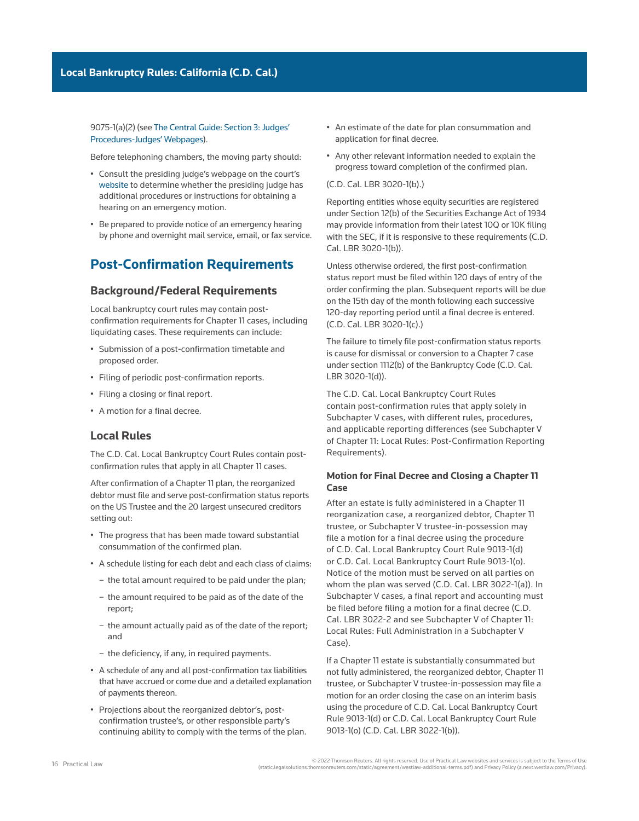[9075-1\(a\)\(2\)](http://www.westlaw.com/Link/Document/FullText?findType=L&pubNum=1004206&cite=CARUSBCLBR.9075-1&originatingDoc=Ia2a72f779c9311e79bef99c0ee06c731&refType=GA&originationContext=document&vr=3.0&rs=cblt1.0&transitionType=PLDocumentLink&billingHash=0C9BDB2BC9943594A5B1E3721F8A4F22A5A5FF830E95C209C9A8896A948CB6A7&contextData=(sc.Search)) (see [The Central Guide: Section 3: Judges'](https://www.cacb.uscourts.gov/the-central-guide/Section%203)  [Procedures-Judges' Webpages](https://www.cacb.uscourts.gov/the-central-guide/Section%203)).

Before telephoning chambers, the moving party should:

- Consult the presiding judge's webpage on the court's [website](https://www.cacb.uscourts.gov/judges/judge-directory) to determine whether the presiding judge has additional procedures or instructions for obtaining a hearing on an emergency motion.
- Be prepared to provide notice of an emergency hearing by phone and overnight mail service, email, or fax service.

# **Post-Confirmation Requirements**

## **Background/Federal Requirements**

Local bankruptcy court rules may contain post[confirmation](http://www.westlaw.com/Document/Ibb09e97def0511e28578f7ccc38dcbee/View/FullText.html?originationContext=document&vr=3.0&rs=cblt1.0&transitionType=DocumentItem&contextData=(sc.Search)) requirements for Chapter 11 cases, including liquidating cases. These requirements can include:

- Submission of a post-confirmation timetable and proposed order.
- Filing of periodic post-confirmation reports.
- Filing a closing or final report.
- A motion for a final decree.

## **Local Rules**

The C.D. Cal. Local Bankruptcy Court Rules contain postconfirmation rules that apply in all Chapter 11 cases.

After confirmation of a Chapter 11 plan, the reorganized debtor must file and serve post-confirmation status reports on the [US Trustee](http://www.westlaw.com/Document/Ibb09e9afef0511e28578f7ccc38dcbee/View/FullText.html?originationContext=document&vr=3.0&rs=cblt1.0&transitionType=DocumentItem&contextData=(sc.Search)) and the 20 largest [unsecured creditors](http://www.westlaw.com/Document/Ibb09e92def0511e28578f7ccc38dcbee/View/FullText.html?originationContext=document&vr=3.0&rs=cblt1.0&transitionType=DocumentItem&contextData=(sc.Search))  setting out:

- The progress that has been made toward substantial consummation of the confirmed [plan.](http://www.westlaw.com/Document/I03f4db03eee311e28578f7ccc38dcbee/View/FullText.html?originationContext=document&vr=3.0&rs=cblt1.0&transitionType=DocumentItem&contextData=(sc.Search))
- A schedule listing for each debt and each [class of claims:](http://www.westlaw.com/Document/Ibb09e97fef0511e28578f7ccc38dcbee/View/FullText.html?originationContext=document&vr=3.0&rs=cblt1.0&transitionType=DocumentItem&contextData=(sc.Search))
	- the total amount required to be paid under the plan;
	- the amount required to be paid as of the date of the report;
	- the amount actually paid as of the date of the report; and
	- the deficiency, if any, in required payments.
- A schedule of any and all post-confirmation tax liabilities that have accrued or come due and a detailed explanation of payments thereon.
- Projections about the reorganized debtor's, postconfirmation trustee's, or other responsible party's continuing ability to comply with the terms of the plan.
- An estimate of the date for plan consummation and application for final decree.
- Any other relevant information needed to explain the progress toward completion of the confirmed plan.

#### [\(C.D. Cal. LBR 3020-1\(b\).](http://www.westlaw.com/Link/Document/FullText?findType=L&pubNum=1004206&cite=CARUSBCLBR.3020-1&originatingDoc=Ia2a72f779c9311e79bef99c0ee06c731&refType=GA&originationContext=document&vr=3.0&rs=cblt1.0&transitionType=PLDocumentLink&billingHash=7CE58480B467F01520C67883054C451684CE31201ACF971DE53E65996B722D19&contextData=(sc.Search)))

Reporting entities whose equity securities are registered under Section 12(b) of the Securities Exchange Act of 1934 may provide information from their latest [10Q](http://www.westlaw.com/Document/I03f4d7eceee311e28578f7ccc38dcbee/View/FullText.html?originationContext=document&vr=3.0&rs=cblt1.0&transitionType=DocumentItem&contextData=(sc.Search)) or [10K](http://www.westlaw.com/Document/I03f4d7e8eee311e28578f7ccc38dcbee/View/FullText.html?originationContext=document&vr=3.0&rs=cblt1.0&transitionType=DocumentItem&contextData=(sc.Search)) filing with the [SEC](http://www.westlaw.com/Document/I03f4da84eee311e28578f7ccc38dcbee/View/FullText.html?originationContext=document&vr=3.0&rs=cblt1.0&transitionType=DocumentItem&contextData=(sc.Search)), if it is responsive to these requirements ([C.D.](http://www.westlaw.com/Link/Document/FullText?findType=L&pubNum=1004206&cite=CARUSBCLBR.3020-1&originatingDoc=Ia2a72f779c9311e79bef99c0ee06c731&refType=GA&originationContext=document&vr=3.0&rs=cblt1.0&transitionType=PLDocumentLink&billingHash=7CE58480B467F01520C67883054C451684CE31201ACF971DE53E65996B722D19&contextData=(sc.Search))  [Cal. LBR 3020-1\(b\)](http://www.westlaw.com/Link/Document/FullText?findType=L&pubNum=1004206&cite=CARUSBCLBR.3020-1&originatingDoc=Ia2a72f779c9311e79bef99c0ee06c731&refType=GA&originationContext=document&vr=3.0&rs=cblt1.0&transitionType=PLDocumentLink&billingHash=7CE58480B467F01520C67883054C451684CE31201ACF971DE53E65996B722D19&contextData=(sc.Search))).

Unless otherwise ordered, the first post-confirmation status report must be filed within 120 days of entry of the order confirming the plan. Subsequent reports will be due on the 15th day of the month following each successive 120-day reporting period until a final decree is entered. [\(C.D. Cal. LBR 3020-1\(c\).](http://www.westlaw.com/Link/Document/FullText?findType=L&pubNum=1004206&cite=CARUSBCLBR.3020-1&originatingDoc=Ia2a72f779c9311e79bef99c0ee06c731&refType=GA&originationContext=document&vr=3.0&rs=cblt1.0&transitionType=PLDocumentLink&billingHash=7CE58480B467F01520C67883054C451684CE31201ACF971DE53E65996B722D19&contextData=(sc.Search)))

The failure to timely file post-confirmation status reports is cause for dismissal or [conversion](http://www.westlaw.com/Document/I54eaa0c31c9a11e38578f7ccc38dcbee/View/FullText.html?originationContext=document&vr=3.0&rs=cblt1.0&transitionType=DocumentItem&contextData=(sc.Search)) to a [Chapter 7](http://www.westlaw.com/Document/I210505b1ef0811e28578f7ccc38dcbee/View/FullText.html?originationContext=document&vr=3.0&rs=cblt1.0&transitionType=DocumentItem&contextData=(sc.Search)) case under section 1112(b) of the Bankruptcy Code [\(C.D. Cal.](http://www.westlaw.com/Link/Document/FullText?findType=L&pubNum=1004206&cite=CARUSBCLBR.3020-1&originatingDoc=Ia2a72f779c9311e79bef99c0ee06c731&refType=GA&originationContext=document&vr=3.0&rs=cblt1.0&transitionType=PLDocumentLink&billingHash=7CE58480B467F01520C67883054C451684CE31201ACF971DE53E65996B722D19&contextData=(sc.Search))  [LBR 3020-1\(d\)\)](http://www.westlaw.com/Link/Document/FullText?findType=L&pubNum=1004206&cite=CARUSBCLBR.3020-1&originatingDoc=Ia2a72f779c9311e79bef99c0ee06c731&refType=GA&originationContext=document&vr=3.0&rs=cblt1.0&transitionType=PLDocumentLink&billingHash=7CE58480B467F01520C67883054C451684CE31201ACF971DE53E65996B722D19&contextData=(sc.Search)).

The C.D. Cal. Local Bankruptcy Court Rules contain post-confirmation rules that apply solely in Subchapter V cases, with different rules, procedures, and applicable reporting differences (see Subchapter V of Chapter 11: Local Rules: Post-Confirmation Reporting Requirements).

### **Motion for Final Decree and Closing a Chapter 11 Case**

After an estate is fully administered in a Chapter 11 [reorganization](http://www.westlaw.com/Document/I210616fbef0811e28578f7ccc38dcbee/View/FullText.html?originationContext=document&vr=3.0&rs=cblt1.0&transitionType=DocumentItem&contextData=(sc.Search)) case, a reorganized debtor, [Chapter 11](http://www.westlaw.com/Document/I1c633953ef2811e28578f7ccc38dcbee/View/FullText.html?originationContext=document&vr=3.0&rs=cblt1.0&transitionType=DocumentItem&contextData=(sc.Search))  [trustee,](http://www.westlaw.com/Document/I1c633953ef2811e28578f7ccc38dcbee/View/FullText.html?originationContext=document&vr=3.0&rs=cblt1.0&transitionType=DocumentItem&contextData=(sc.Search)) or Subchapter V trustee-in-possession may file a motion for a final decree using the procedure of [C.D. Cal. Local Bankruptcy Court Rule 9013-1\(d\)](http://www.westlaw.com/Link/Document/FullText?findType=L&pubNum=1004206&cite=CARUSBCLBR.9013-1&originatingDoc=Ia2a72f779c9311e79bef99c0ee06c731&refType=GA&originationContext=document&vr=3.0&rs=cblt1.0&transitionType=PLDocumentLink&billingHash=D27C10DE618AE981AFE33FF81CF165382816D5D118F4405B70D53508DBED4A6D&contextData=(sc.Search)) or [C.D. Cal. Local Bankruptcy Court Rule 9013-1\(o\)](http://www.westlaw.com/Link/Document/FullText?findType=L&pubNum=1004206&cite=CARUSBCLBR.9013-1&originatingDoc=Ia2a72f779c9311e79bef99c0ee06c731&refType=GA&originationContext=document&vr=3.0&rs=cblt1.0&transitionType=PLDocumentLink&billingHash=D27C10DE618AE981AFE33FF81CF165382816D5D118F4405B70D53508DBED4A6D&contextData=(sc.Search)). Notice of the motion must be served on all parties on whom the plan was served [\(C.D. Cal. LBR 3022-1\(a\)](http://www.westlaw.com/Link/Document/FullText?findType=L&pubNum=1004206&cite=CARUSBCLBR.3022-1&originatingDoc=Ia2a72f779c9311e79bef99c0ee06c731&refType=GA&originationContext=document&vr=3.0&rs=cblt1.0&transitionType=PLDocumentLink&billingHash=8C1504D9D21F62859740B45744AEA7944C111731999265E2311DA3EC41C13FCA&contextData=(sc.Search))). In Subchapter V cases, a final report and accounting must be filed before filing a motion for a final decree ([C.D.](http://www.westlaw.com/Link/Document/FullText?findType=L&pubNum=1004206&cite=CARUSBCLBR.3022-2&originatingDoc=Ia2a72f779c9311e79bef99c0ee06c731&refType=GA&originationContext=document&vr=3.0&rs=cblt1.0&transitionType=PLDocumentLink&billingHash=FB191A5C5DB4510590694064AA8743F6E10896A553663030F4491B89DA627D2F&contextData=(sc.Search))  [Cal. LBR 3022-2](http://www.westlaw.com/Link/Document/FullText?findType=L&pubNum=1004206&cite=CARUSBCLBR.3022-2&originatingDoc=Ia2a72f779c9311e79bef99c0ee06c731&refType=GA&originationContext=document&vr=3.0&rs=cblt1.0&transitionType=PLDocumentLink&billingHash=FB191A5C5DB4510590694064AA8743F6E10896A553663030F4491B89DA627D2F&contextData=(sc.Search)) and see Subchapter V of Chapter 11: Local Rules: Full Administration in a Subchapter V Case).

If a Chapter 11 estate is substantially consummated but not fully administered, the reorganized debtor, Chapter 11 trustee, or Subchapter V trustee-in-possession may file a motion for an order closing the case on an interim basis using the procedure of [C.D. Cal. Local Bankruptcy Court](http://www.westlaw.com/Link/Document/FullText?findType=L&pubNum=1004206&cite=CARUSBCLBR.9013-1&originatingDoc=Ia2a72f779c9311e79bef99c0ee06c731&refType=GA&originationContext=document&vr=3.0&rs=cblt1.0&transitionType=PLDocumentLink&billingHash=D27C10DE618AE981AFE33FF81CF165382816D5D118F4405B70D53508DBED4A6D&contextData=(sc.Search))  [Rule 9013-1\(d\)](http://www.westlaw.com/Link/Document/FullText?findType=L&pubNum=1004206&cite=CARUSBCLBR.9013-1&originatingDoc=Ia2a72f779c9311e79bef99c0ee06c731&refType=GA&originationContext=document&vr=3.0&rs=cblt1.0&transitionType=PLDocumentLink&billingHash=D27C10DE618AE981AFE33FF81CF165382816D5D118F4405B70D53508DBED4A6D&contextData=(sc.Search)) or [C.D. Cal. Local Bankruptcy Court Rule](http://www.westlaw.com/Link/Document/FullText?findType=L&pubNum=1004206&cite=CARUSBCLBR.9013-1&originatingDoc=Ia2a72f779c9311e79bef99c0ee06c731&refType=GA&originationContext=document&vr=3.0&rs=cblt1.0&transitionType=PLDocumentLink&billingHash=D27C10DE618AE981AFE33FF81CF165382816D5D118F4405B70D53508DBED4A6D&contextData=(sc.Search))  [9013-1\(o\)](http://www.westlaw.com/Link/Document/FullText?findType=L&pubNum=1004206&cite=CARUSBCLBR.9013-1&originatingDoc=Ia2a72f779c9311e79bef99c0ee06c731&refType=GA&originationContext=document&vr=3.0&rs=cblt1.0&transitionType=PLDocumentLink&billingHash=D27C10DE618AE981AFE33FF81CF165382816D5D118F4405B70D53508DBED4A6D&contextData=(sc.Search)) [\(C.D. Cal. LBR 3022-1\(b\)](http://www.westlaw.com/Link/Document/FullText?findType=L&pubNum=1004206&cite=CARUSBCLBR.3022-1&originatingDoc=Ia2a72f779c9311e79bef99c0ee06c731&refType=GA&originationContext=document&vr=3.0&rs=cblt1.0&transitionType=PLDocumentLink&billingHash=8C1504D9D21F62859740B45744AEA7944C111731999265E2311DA3EC41C13FCA&contextData=(sc.Search))).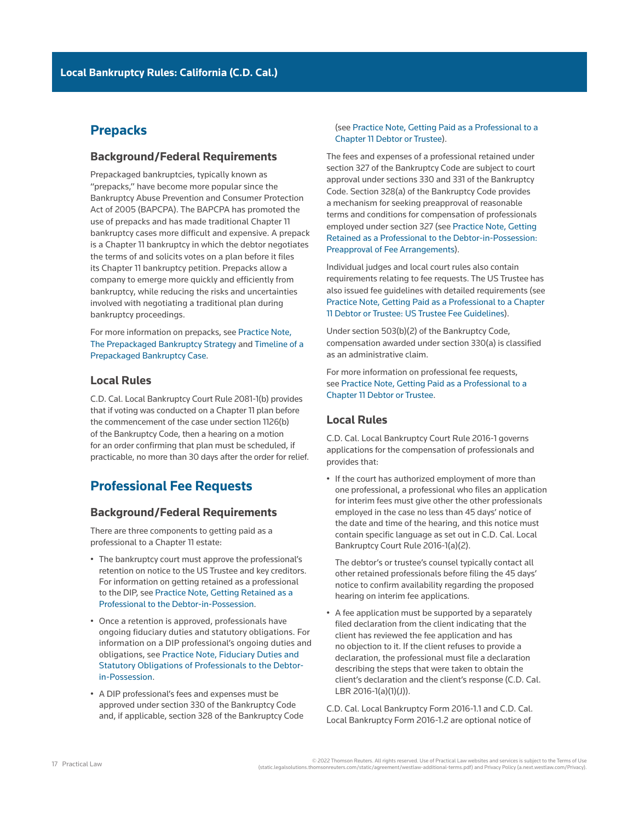# **Prepacks**

## **Background/Federal Requirements**

[Prepackaged bankruptcies,](http://www.westlaw.com/Document/I0f9fc16def0811e28578f7ccc38dcbee/View/FullText.html?originationContext=document&vr=3.0&rs=cblt1.0&transitionType=DocumentItem&contextData=(sc.Search)) typically known as "prepacks," have become more popular since the [Bankruptcy Abuse Prevention and Consumer Protection](http://www.westlaw.com/Document/I3a99e7edef1211e28578f7ccc38dcbee/View/FullText.html?originationContext=document&vr=3.0&rs=cblt1.0&transitionType=DocumentItem&contextData=(sc.Search))  [Act of 2005](http://www.westlaw.com/Document/I3a99e7edef1211e28578f7ccc38dcbee/View/FullText.html?originationContext=document&vr=3.0&rs=cblt1.0&transitionType=DocumentItem&contextData=(sc.Search)) (BAPCPA). The BAPCPA has promoted the use of prepacks and has made traditional Chapter 11 bankruptcy cases more difficult and expensive. A prepack is a Chapter 11 bankruptcy in which the debtor negotiates the terms of and solicits votes on a [plan](http://www.westlaw.com/Document/I03f4db03eee311e28578f7ccc38dcbee/View/FullText.html?originationContext=document&vr=3.0&rs=cblt1.0&transitionType=DocumentItem&contextData=(sc.Search)) before it files its Chapter 11 bankruptcy petition. Prepacks allow a company to emerge more quickly and efficiently from bankruptcy, while reducing the risks and uncertainties involved with negotiating a traditional plan during bankruptcy proceedings.

For more information on prepacks, see [Practice Note,](http://us.practicallaw.tr.com/9-503-4934)  [The Prepackaged Bankruptcy Strategy](http://us.practicallaw.tr.com/9-503-4934) and [Timeline of a](http://us.practicallaw.tr.com/9-504-0794)  [Prepackaged Bankruptcy Case.](http://us.practicallaw.tr.com/9-504-0794)

## **Local Rules**

[C.D. Cal. Local Bankruptcy Court Rule 2081-1\(b\)](http://www.westlaw.com/Link/Document/FullText?findType=L&pubNum=1004206&cite=CARUSBCLBR.2081-1&originatingDoc=Ia2a72f779c9311e79bef99c0ee06c731&refType=GA&originationContext=document&vr=3.0&rs=cblt1.0&transitionType=PLDocumentLink&billingHash=0ED4D76E2FCD727E17F04918249E5E861A1CA0DBCA96FB87F076D158DE541CE7&contextData=(sc.Search)) provides that if voting was conducted on a [Chapter 11](http://www.westlaw.com/Document/Ibb09e934ef0511e28578f7ccc38dcbee/View/FullText.html?originationContext=document&vr=3.0&rs=cblt1.0&transitionType=DocumentItem&contextData=(sc.Search)) plan before the commencement of the case under section 1126(b) of the Bankruptcy Code, then a hearing on a motion for an order [confirming](http://www.westlaw.com/Document/Ibb09e97def0511e28578f7ccc38dcbee/View/FullText.html?originationContext=document&vr=3.0&rs=cblt1.0&transitionType=DocumentItem&contextData=(sc.Search)) that plan must be scheduled, if practicable, no more than 30 days after the [order for relief](http://www.westlaw.com/Document/I3a99e80def1211e28578f7ccc38dcbee/View/FullText.html?originationContext=document&vr=3.0&rs=cblt1.0&transitionType=DocumentItem&contextData=(sc.Search)).

# **Professional Fee Requests**

## **Background/Federal Requirements**

There are three components to getting paid as a professional to a Chapter 11 [estate](http://www.westlaw.com/Document/Ibb09e99fef0511e28578f7ccc38dcbee/View/FullText.html?originationContext=document&vr=3.0&rs=cblt1.0&transitionType=DocumentItem&contextData=(sc.Search)):

- The bankruptcy court must approve the professional's retention on notice to the [US Trustee](http://www.westlaw.com/Document/Ibb09e9afef0511e28578f7ccc38dcbee/View/FullText.html?originationContext=document&vr=3.0&rs=cblt1.0&transitionType=DocumentItem&contextData=(sc.Search)) and key creditors. For information on getting retained as a professional to the DIP, see [Practice Note, Getting Retained as a](http://us.practicallaw.tr.com/0-616-6522)  [Professional to the Debtor-in-Possession](http://us.practicallaw.tr.com/0-616-6522).
- Once a retention is approved, professionals have ongoing [fiduciary duties](http://www.westlaw.com/Document/Ibb0a107fef0511e28578f7ccc38dcbee/View/FullText.html?originationContext=document&vr=3.0&rs=cblt1.0&transitionType=DocumentItem&contextData=(sc.Search)) and statutory obligations. For information on a DIP professional's ongoing duties and obligations, see [Practice Note, Fiduciary Duties and](http://us.practicallaw.tr.com/6-616-6524)  [Statutory Obligations of Professionals to the Debtor](http://us.practicallaw.tr.com/6-616-6524)[in-Possession](http://us.practicallaw.tr.com/6-616-6524).
- A DIP professional's fees and expenses must be approved under [section 330 of the Bankruptcy Code](http://www.westlaw.com/Link/Document/FullText?findType=L&pubNum=1000611&cite=11USCAS330&originatingDoc=Ia2a72f779c9311e79bef99c0ee06c731&refType=LQ&originationContext=document&vr=3.0&rs=cblt1.0&transitionType=PLDocumentLink&billingHash=A99517902BDF265CF568B2C330864AF7589C740D38D9F357A0723F46A4CDA491&contextData=(sc.Search)) and, if applicable, [section 328 of the Bankruptcy Code](http://www.westlaw.com/Link/Document/FullText?findType=L&pubNum=1000611&cite=11USCAS328&originatingDoc=Ia2a72f779c9311e79bef99c0ee06c731&refType=LQ&originationContext=document&vr=3.0&rs=cblt1.0&transitionType=PLDocumentLink&billingHash=7EEF38C9665EBF6A13015BA73E334A58C66D26D1998E4F2D95D55B696253596D&contextData=(sc.Search))

#### (see [Practice Note, Getting Paid as a Professional to a](http://us.practicallaw.tr.com/8-616-5137)  [Chapter 11 Debtor or Trustee](http://us.practicallaw.tr.com/8-616-5137)).

The fees and expenses of a professional retained under [section 327 of the Bankruptcy Code](http://www.westlaw.com/Link/Document/FullText?findType=L&pubNum=1000611&cite=11USCAS327&originatingDoc=Ia2a72f779c9311e79bef99c0ee06c731&refType=LQ&originationContext=document&vr=3.0&rs=cblt1.0&transitionType=PLDocumentLink&billingHash=E6C44D3372331C6ED8B07022094B49469B6B6A145F0CBD15F92E12F2DA7DF922&contextData=(sc.Search)) are subject to court approval under [sections 330](http://www.westlaw.com/Link/Document/FullText?findType=L&pubNum=1000611&cite=11USCAS330&originatingDoc=Ia2a72f779c9311e79bef99c0ee06c731&refType=LQ&originationContext=document&vr=3.0&rs=cblt1.0&transitionType=PLDocumentLink&billingHash=A99517902BDF265CF568B2C330864AF7589C740D38D9F357A0723F46A4CDA491&contextData=(sc.Search)) and [331 of the Bankruptcy](http://www.westlaw.com/Link/Document/FullText?findType=L&pubNum=1000611&cite=11USCAS331&originatingDoc=Ia2a72f779c9311e79bef99c0ee06c731&refType=LQ&originationContext=document&vr=3.0&rs=cblt1.0&transitionType=PLDocumentLink&billingHash=D052A39A7A43137310F43FEABF528FC83AF7080CE857D364C61E56DDE4F3ECDB&contextData=(sc.Search))  [Code.](http://www.westlaw.com/Link/Document/FullText?findType=L&pubNum=1000611&cite=11USCAS331&originatingDoc=Ia2a72f779c9311e79bef99c0ee06c731&refType=LQ&originationContext=document&vr=3.0&rs=cblt1.0&transitionType=PLDocumentLink&billingHash=D052A39A7A43137310F43FEABF528FC83AF7080CE857D364C61E56DDE4F3ECDB&contextData=(sc.Search)) Section 328(a) of the Bankruptcy Code provides a mechanism for seeking preapproval of reasonable terms and conditions for compensation of professionals employed under section 327 (see [Practice Note, Getting](http://us.practicallaw.tr.com/0-616-6522)  [Retained as a Professional to the Debtor-in-Possession:](http://us.practicallaw.tr.com/0-616-6522)  [Preapproval of Fee Arrangements\)](http://us.practicallaw.tr.com/0-616-6522).

Individual judges and local court rules also contain requirements relating to fee requests. The US Trustee has also issued fee guidelines with detailed requirements (see [Practice Note, Getting Paid as a Professional to a Chapter](http://us.practicallaw.tr.com/8-616-5137)  [11 Debtor or Trustee: US Trustee Fee Guidelines\)](http://us.practicallaw.tr.com/8-616-5137).

Under section 503(b)(2) of the Bankruptcy Code, compensation awarded under section 330(a) is classified as an [administrative claim.](http://www.westlaw.com/Document/I2104df19ef0811e28578f7ccc38dcbee/View/FullText.html?originationContext=document&vr=3.0&rs=cblt1.0&transitionType=DocumentItem&contextData=(sc.Search))

For more information on professional fee requests, see [Practice Note, Getting Paid as a Professional to a](http://us.practicallaw.tr.com/8-616-5137)  [Chapter 11 Debtor or Trustee.](http://us.practicallaw.tr.com/8-616-5137)

## **Local Rules**

[C.D. Cal. Local Bankruptcy Court Rule 2016-1](http://www.westlaw.com/Link/Document/FullText?findType=L&pubNum=1004206&cite=CARUSBCLBR.2016-1&originatingDoc=Ia2a72f779c9311e79bef99c0ee06c731&refType=GA&originationContext=document&vr=3.0&rs=cblt1.0&transitionType=PLDocumentLink&billingHash=E0F98EBB8A107ED7281304842840EF9062BFCD20CC3F7E97E286EDFDCF74B625&contextData=(sc.Search)) governs applications for the compensation of professionals and provides that:

• If the court has authorized employment of more than one professional, a professional who files an application for interim fees must give other the other professionals employed in the case no less than 45 days' notice of the date and time of the hearing, and this notice must contain specific language as set out in [C.D. Cal. Local](http://www.westlaw.com/Link/Document/FullText?findType=L&pubNum=1004206&cite=CARUSBCLBR.2016-1&originatingDoc=Ia2a72f779c9311e79bef99c0ee06c731&refType=GA&originationContext=document&vr=3.0&rs=cblt1.0&transitionType=PLDocumentLink&billingHash=E0F98EBB8A107ED7281304842840EF9062BFCD20CC3F7E97E286EDFDCF74B625&contextData=(sc.Search))  [Bankruptcy Court Rule 2016-1\(a\)\(2\)](http://www.westlaw.com/Link/Document/FullText?findType=L&pubNum=1004206&cite=CARUSBCLBR.2016-1&originatingDoc=Ia2a72f779c9311e79bef99c0ee06c731&refType=GA&originationContext=document&vr=3.0&rs=cblt1.0&transitionType=PLDocumentLink&billingHash=E0F98EBB8A107ED7281304842840EF9062BFCD20CC3F7E97E286EDFDCF74B625&contextData=(sc.Search)).

The debtor's or trustee's counsel typically contact all other retained professionals before filing the 45 days' notice to confirm availability regarding the proposed hearing on interim fee applications.

• A fee application must be supported by a separately filed declaration from the client indicating that the client has reviewed the fee application and has no objection to it. If the client refuses to provide a declaration, the professional must file a declaration describing the steps that were taken to obtain the client's declaration and the client's response [\(C.D. Cal.](http://www.westlaw.com/Link/Document/FullText?findType=L&pubNum=1004206&cite=CARUSBCLBR.2016-1&originatingDoc=Ia2a72f779c9311e79bef99c0ee06c731&refType=GA&originationContext=document&vr=3.0&rs=cblt1.0&transitionType=PLDocumentLink&billingHash=E0F98EBB8A107ED7281304842840EF9062BFCD20CC3F7E97E286EDFDCF74B625&contextData=(sc.Search))  [LBR 2016-1\(a\)\(1\)\(J\)](http://www.westlaw.com/Link/Document/FullText?findType=L&pubNum=1004206&cite=CARUSBCLBR.2016-1&originatingDoc=Ia2a72f779c9311e79bef99c0ee06c731&refType=GA&originationContext=document&vr=3.0&rs=cblt1.0&transitionType=PLDocumentLink&billingHash=E0F98EBB8A107ED7281304842840EF9062BFCD20CC3F7E97E286EDFDCF74B625&contextData=(sc.Search))).

[C.D. Cal. Local Bankruptcy Form 2016-1.1](http://www.westlaw.com/Link/Document/FullText?findType=L&pubNum=1004206&cite=CARUSBCF2016-1.1&originatingDoc=Ia2a72f779c9311e79bef99c0ee06c731&refType=GA&originationContext=document&vr=3.0&rs=cblt1.0&transitionType=PLDocumentLink&billingHash=807509572C495EACA84C2C0516C1E57A34D3AD915EDC1420743FFEC0C00A5455&contextData=(sc.Search)) and [C.D. Cal.](http://www.westlaw.com/Link/Document/FullText?findType=L&pubNum=1004206&cite=CARUSBCF2016-1.2&originatingDoc=Ia2a72f779c9311e79bef99c0ee06c731&refType=GA&originationContext=document&vr=3.0&rs=cblt1.0&transitionType=PLDocumentLink&billingHash=29E17D81134330558111A1D3B745D3ACBFD6FE608F5A507DD7EDD69A920B00E1&contextData=(sc.Search))  [Local Bankruptcy Form 2016-1.2](http://www.westlaw.com/Link/Document/FullText?findType=L&pubNum=1004206&cite=CARUSBCF2016-1.2&originatingDoc=Ia2a72f779c9311e79bef99c0ee06c731&refType=GA&originationContext=document&vr=3.0&rs=cblt1.0&transitionType=PLDocumentLink&billingHash=29E17D81134330558111A1D3B745D3ACBFD6FE608F5A507DD7EDD69A920B00E1&contextData=(sc.Search)) are optional notice of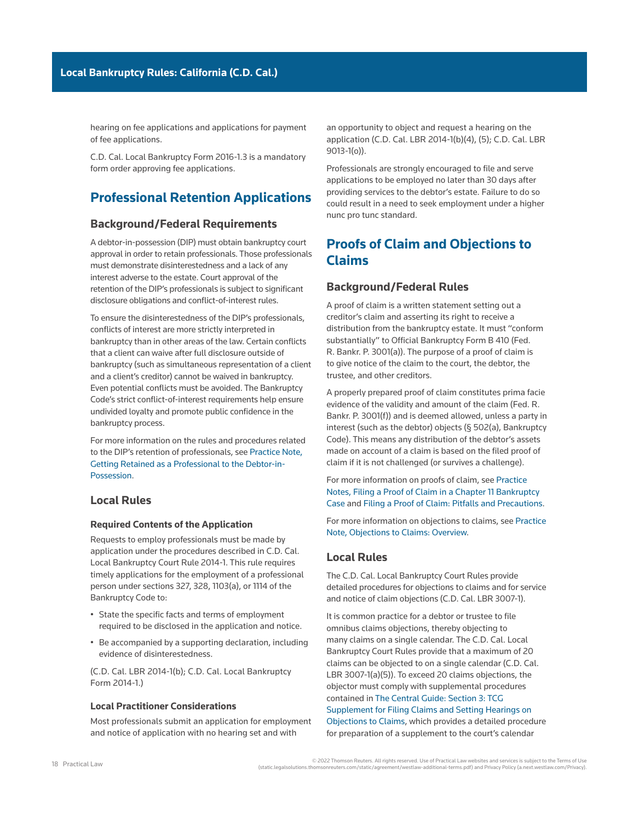hearing on fee applications and applications for payment of fee applications.

[C.D. Cal. Local Bankruptcy Form 2016-1.3](http://www.westlaw.com/Link/Document/FullText?findType=L&pubNum=1004206&cite=CARUSBCF2016-1.3&originatingDoc=Ia2a72f779c9311e79bef99c0ee06c731&refType=GA&originationContext=document&vr=3.0&rs=cblt1.0&transitionType=PLDocumentLink&billingHash=243AF9B271EC9B9D23BDE91FE2639B70F9C65B554C9DAC22B84AE45128251270&contextData=(sc.Search)) is a mandatory form order approving fee applications.

# **Professional Retention Applications**

## **Background/Federal Requirements**

A debtor-in-possession (DIP) must obtain bankruptcy court approval in order to retain professionals. Those professionals must demonstrate disinterestedness and a lack of any interest adverse to the [estate](http://www.westlaw.com/Document/Ibb09e99fef0511e28578f7ccc38dcbee/View/FullText.html?originationContext=document&vr=3.0&rs=cblt1.0&transitionType=DocumentItem&contextData=(sc.Search)). Court approval of the retention of the DIP's professionals is subject to significant disclosure obligations and conflict-of-interest rules.

To ensure the disinterestedness of the DIP's professionals, conflicts of interest are more strictly interpreted in bankruptcy than in other areas of the law. Certain conflicts that a client can waive after full disclosure outside of bankruptcy (such as simultaneous representation of a client and a client's creditor) cannot be waived in bankruptcy. Even potential conflicts must be avoided. The Bankruptcy Code's strict conflict-of-interest requirements help ensure undivided loyalty and promote public confidence in the bankruptcy process.

For more information on the rules and procedures related to the DIP's retention of professionals, see [Practice Note,](http://us.practicallaw.tr.com/0-616-6522)  [Getting Retained as a Professional to the Debtor-in-](http://us.practicallaw.tr.com/0-616-6522)[Possession.](http://us.practicallaw.tr.com/0-616-6522)

## **Local Rules**

#### **Required Contents of the Application**

Requests to employ professionals must be made by application under the procedures described in [C.D. Cal.](http://www.westlaw.com/Link/Document/FullText?findType=L&pubNum=1004206&cite=CARUSBCLBR.2014-1&originatingDoc=Ia2a72f779c9311e79bef99c0ee06c731&refType=GA&originationContext=document&vr=3.0&rs=cblt1.0&transitionType=PLDocumentLink&billingHash=54DEF5454B65F46CE93CF06A5CA9DA7141DA193E2194D99C1A19D3C8E612CC9E&contextData=(sc.Search))  [Local Bankruptcy Court Rule 2014-1](http://www.westlaw.com/Link/Document/FullText?findType=L&pubNum=1004206&cite=CARUSBCLBR.2014-1&originatingDoc=Ia2a72f779c9311e79bef99c0ee06c731&refType=GA&originationContext=document&vr=3.0&rs=cblt1.0&transitionType=PLDocumentLink&billingHash=54DEF5454B65F46CE93CF06A5CA9DA7141DA193E2194D99C1A19D3C8E612CC9E&contextData=(sc.Search)). This rule requires timely applications for the employment of a professional person under [sections 327](http://www.westlaw.com/Link/Document/FullText?findType=L&pubNum=1000611&cite=11USCAS327&originatingDoc=Ia2a72f779c9311e79bef99c0ee06c731&refType=LQ&originationContext=document&vr=3.0&rs=cblt1.0&transitionType=PLDocumentLink&billingHash=E6C44D3372331C6ED8B07022094B49469B6B6A145F0CBD15F92E12F2DA7DF922&contextData=(sc.Search)), [328](http://www.westlaw.com/Link/Document/FullText?findType=L&pubNum=1000611&cite=11USCAS328&originatingDoc=Ia2a72f779c9311e79bef99c0ee06c731&refType=LQ&originationContext=document&vr=3.0&rs=cblt1.0&transitionType=PLDocumentLink&billingHash=7EEF38C9665EBF6A13015BA73E334A58C66D26D1998E4F2D95D55B696253596D&contextData=(sc.Search)), 1103(a), or [1114 of the](http://www.westlaw.com/Link/Document/FullText?findType=L&pubNum=1000611&cite=11USCAS1114&originatingDoc=Ia2a72f779c9311e79bef99c0ee06c731&refType=LQ&originationContext=document&vr=3.0&rs=cblt1.0&transitionType=PLDocumentLink&billingHash=DBE76F5C774FCE12303585A5F641E77AB734576381470875FC664659885FD121&contextData=(sc.Search))  [Bankruptcy Code](http://www.westlaw.com/Link/Document/FullText?findType=L&pubNum=1000611&cite=11USCAS1114&originatingDoc=Ia2a72f779c9311e79bef99c0ee06c731&refType=LQ&originationContext=document&vr=3.0&rs=cblt1.0&transitionType=PLDocumentLink&billingHash=DBE76F5C774FCE12303585A5F641E77AB734576381470875FC664659885FD121&contextData=(sc.Search)) to:

- State the specific facts and terms of employment required to be disclosed in the application and notice.
- Be accompanied by a supporting declaration, including evidence of disinterestedness.

([C.D. Cal. LBR 2014-1\(b\);](http://www.westlaw.com/Link/Document/FullText?findType=L&pubNum=1004206&cite=CARUSBCLBR.2014-1&originatingDoc=Ia2a72f779c9311e79bef99c0ee06c731&refType=GA&originationContext=document&vr=3.0&rs=cblt1.0&transitionType=PLDocumentLink&billingHash=54DEF5454B65F46CE93CF06A5CA9DA7141DA193E2194D99C1A19D3C8E612CC9E&contextData=(sc.Search)) [C.D. Cal. Local Bankruptcy](http://www.westlaw.com/Link/Document/FullText?findType=L&pubNum=1004206&cite=CARUSBCF2014-1&originatingDoc=Ia2a72f779c9311e79bef99c0ee06c731&refType=GA&originationContext=document&vr=3.0&rs=cblt1.0&transitionType=PLDocumentLink&billingHash=1898C3CA67CC45564690A41F25E411DBA8A39CAB495E64334D10248C8E40E97E&contextData=(sc.Search))  [Form 2014-1](http://www.westlaw.com/Link/Document/FullText?findType=L&pubNum=1004206&cite=CARUSBCF2014-1&originatingDoc=Ia2a72f779c9311e79bef99c0ee06c731&refType=GA&originationContext=document&vr=3.0&rs=cblt1.0&transitionType=PLDocumentLink&billingHash=1898C3CA67CC45564690A41F25E411DBA8A39CAB495E64334D10248C8E40E97E&contextData=(sc.Search)).)

### **Local Practitioner Considerations**

Most professionals submit an application for employment and notice of application with no hearing set and with

an opportunity to object and request a hearing on the application ([C.D. Cal. LBR 2014-1\(b\)\(4\), \(5\);](http://www.westlaw.com/Link/Document/FullText?findType=L&pubNum=1004206&cite=CARUSBCLBR.2014-1&originatingDoc=Ia2a72f779c9311e79bef99c0ee06c731&refType=GA&originationContext=document&vr=3.0&rs=cblt1.0&transitionType=PLDocumentLink&billingHash=54DEF5454B65F46CE93CF06A5CA9DA7141DA193E2194D99C1A19D3C8E612CC9E&contextData=(sc.Search)) [C.D. Cal. LBR](http://www.westlaw.com/Link/Document/FullText?findType=L&pubNum=1004206&cite=CARUSBCLBR.9013-1&originatingDoc=Ia2a72f779c9311e79bef99c0ee06c731&refType=GA&originationContext=document&vr=3.0&rs=cblt1.0&transitionType=PLDocumentLink&billingHash=D27C10DE618AE981AFE33FF81CF165382816D5D118F4405B70D53508DBED4A6D&contextData=(sc.Search))  [9013-1\(o\)\)](http://www.westlaw.com/Link/Document/FullText?findType=L&pubNum=1004206&cite=CARUSBCLBR.9013-1&originatingDoc=Ia2a72f779c9311e79bef99c0ee06c731&refType=GA&originationContext=document&vr=3.0&rs=cblt1.0&transitionType=PLDocumentLink&billingHash=D27C10DE618AE981AFE33FF81CF165382816D5D118F4405B70D53508DBED4A6D&contextData=(sc.Search)).

Professionals are strongly encouraged to file and serve applications to be employed no later than 30 days after providing services to the debtor's estate. Failure to do so could result in a need to seek employment under a higher [nunc pro tunc](http://www.westlaw.com/Document/Id4cf190bf3ad11e28578f7ccc38dcbee/View/FullText.html?originationContext=document&vr=3.0&rs=cblt1.0&transitionType=DocumentItem&contextData=(sc.Search)) standard.

# **Proofs of Claim and Objections to Claims**

## **Background/Federal Rules**

A [proof of claim](http://www.westlaw.com/Document/I210504f8ef0811e28578f7ccc38dcbee/View/FullText.html?originationContext=document&vr=3.0&rs=cblt1.0&transitionType=DocumentItem&contextData=(sc.Search)) is a written statement setting out a creditor's claim and asserting its right to receive a distribution from the [bankruptcy estate.](http://www.westlaw.com/Document/Ibb09e99fef0511e28578f7ccc38dcbee/View/FullText.html?originationContext=document&vr=3.0&rs=cblt1.0&transitionType=DocumentItem&contextData=(sc.Search)) It must "conform substantially" to [Official Bankruptcy Form B 410](http://www.westlaw.com/Link/Document/FullText?findType=L&pubNum=1000612&cite=USFRBPOFFICIALFMB410&originatingDoc=Ia2a72f779c9311e79bef99c0ee06c731&refType=LQ&originationContext=document&vr=3.0&rs=cblt1.0&transitionType=PLDocumentLink&billingHash=BCBB7D8C37773CF5706DD6F0AB7E8AE9AF79406DEFB8E907B6AF12E2A868F65C&contextData=(sc.Search)) (Fed. R. Bankr. P. 3001(a)). The purpose of a proof of claim is to give notice of the claim to the court, the debtor, the [trustee,](http://www.westlaw.com/Document/Ibb0a37a1ef0511e28578f7ccc38dcbee/View/FullText.html?originationContext=document&vr=3.0&rs=cblt1.0&transitionType=DocumentItem&contextData=(sc.Search)) and other creditors.

A properly prepared proof of claim constitutes prima facie evidence of the validity and amount of the claim (Fed. R. Bankr. P. 3001(f)) and is deemed [allowed,](http://www.westlaw.com/Document/I210505a9ef0811e28578f7ccc38dcbee/View/FullText.html?originationContext=document&vr=3.0&rs=cblt1.0&transitionType=DocumentItem&contextData=(sc.Search)) unless a [party in](http://www.westlaw.com/Document/Ibb0a3b03ef0511e28578f7ccc38dcbee/View/FullText.html?originationContext=document&vr=3.0&rs=cblt1.0&transitionType=DocumentItem&contextData=(sc.Search))  [interest](http://www.westlaw.com/Document/Ibb0a3b03ef0511e28578f7ccc38dcbee/View/FullText.html?originationContext=document&vr=3.0&rs=cblt1.0&transitionType=DocumentItem&contextData=(sc.Search)) (such as the debtor) objects (§ 502(a), Bankruptcy Code). This means any distribution of the debtor's assets made on account of a claim is based on the filed proof of claim if it is not challenged (or survives a challenge).

For more information on proofs of claim, see [Practice](http://us.practicallaw.tr.com/8-385-1512)  [Notes, Filing a Proof of Claim in a Chapter 11 Bankruptcy](http://us.practicallaw.tr.com/8-385-1512)  [Case](http://us.practicallaw.tr.com/8-385-1512) and [Filing a Proof of Claim: Pitfalls and Precautions](http://us.practicallaw.tr.com/W-004-2098).

For more information on objections to claims, see [Practice](http://us.practicallaw.tr.com/W-008-8970)  [Note, Objections to Claims: Overview.](http://us.practicallaw.tr.com/W-008-8970)

## **Local Rules**

The C.D. Cal. Local Bankruptcy Court Rules provide detailed procedures for objections to claims and for service and notice of claim objections [\(C.D. Cal. LBR 3007-1\)](http://www.westlaw.com/Link/Document/FullText?findType=L&pubNum=1004206&cite=CARUSBCLBR.3007-1&originatingDoc=Ia2a72f779c9311e79bef99c0ee06c731&refType=GA&originationContext=document&vr=3.0&rs=cblt1.0&transitionType=PLDocumentLink&billingHash=0130F74E305A94898D466F37A227962AF71822349E51E53B91F0D16655625422&contextData=(sc.Search)).

It is common practice for a debtor or trustee to file omnibus claims objections, thereby objecting to many claims on a single calendar. The C.D. Cal. Local Bankruptcy Court Rules provide that a maximum of 20 claims can be objected to on a single calendar [\(C.D. Cal.](http://www.westlaw.com/Link/Document/FullText?findType=L&pubNum=1004206&cite=CARUSBCLBR.3007-1&originatingDoc=Ia2a72f779c9311e79bef99c0ee06c731&refType=GA&originationContext=document&vr=3.0&rs=cblt1.0&transitionType=PLDocumentLink&billingHash=0130F74E305A94898D466F37A227962AF71822349E51E53B91F0D16655625422&contextData=(sc.Search))  [LBR 3007-1\(a\)\(5\)\)](http://www.westlaw.com/Link/Document/FullText?findType=L&pubNum=1004206&cite=CARUSBCLBR.3007-1&originatingDoc=Ia2a72f779c9311e79bef99c0ee06c731&refType=GA&originationContext=document&vr=3.0&rs=cblt1.0&transitionType=PLDocumentLink&billingHash=0130F74E305A94898D466F37A227962AF71822349E51E53B91F0D16655625422&contextData=(sc.Search)). To exceed 20 claims objections, the objector must comply with supplemental procedures contained in [The Central Guide: Section 3: TCG](https://www.cacb.uscourts.gov/sites/cacb/files/documents/the-central-guide/TCGSupp3007-1_Objections-to-Claims.pdf)  [Supplement for Filing Claims and Setting Hearings on](https://www.cacb.uscourts.gov/sites/cacb/files/documents/the-central-guide/TCGSupp3007-1_Objections-to-Claims.pdf)  [Objections to Claims,](https://www.cacb.uscourts.gov/sites/cacb/files/documents/the-central-guide/TCGSupp3007-1_Objections-to-Claims.pdf) which provides a detailed procedure for preparation of a supplement to the court's calendar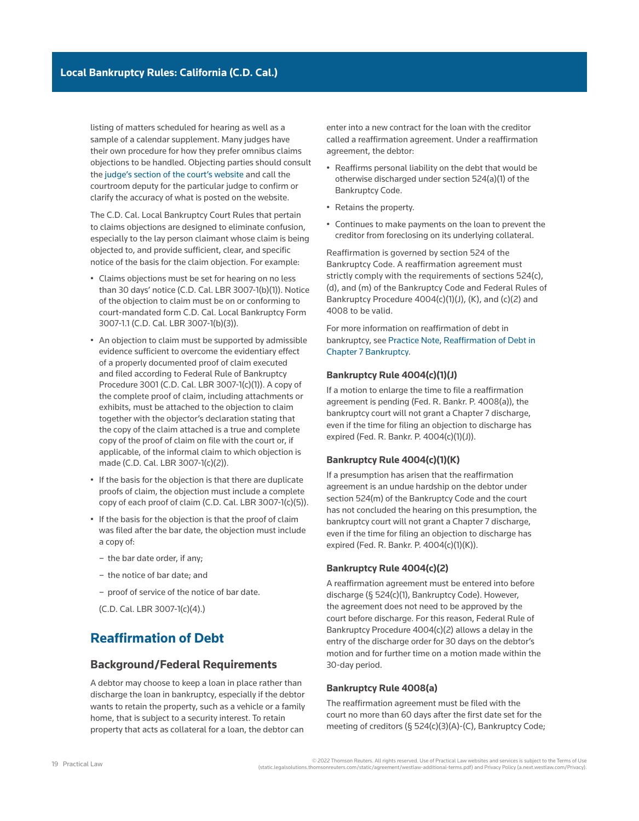listing of matters scheduled for hearing as well as a sample of a calendar supplement. Many judges have their own procedure for how they prefer omnibus claims objections to be handled. Objecting parties should consult the [judge's section of the court's website](https://www.cacb.uscourts.gov/judges/judge-directory) and call the courtroom deputy for the particular judge to confirm or clarify the accuracy of what is posted on the website.

The C.D. Cal. Local Bankruptcy Court Rules that pertain to claims objections are designed to eliminate confusion, especially to the lay person claimant whose claim is being objected to, and provide sufficient, clear, and specific notice of the basis for the claim objection. For example:

- Claims objections must be set for hearing on no less than 30 days' notice [\(C.D. Cal. LBR 3007-1\(b\)\(1\)\)](http://www.westlaw.com/Link/Document/FullText?findType=L&pubNum=1004206&cite=CARUSBCLBR.3007-1&originatingDoc=Ia2a72f779c9311e79bef99c0ee06c731&refType=GA&originationContext=document&vr=3.0&rs=cblt1.0&transitionType=PLDocumentLink&billingHash=0130F74E305A94898D466F37A227962AF71822349E51E53B91F0D16655625422&contextData=(sc.Search)). Notice of the objection to claim must be on or conforming to court-mandated form [C.D. Cal. Local Bankruptcy Form](http://www.westlaw.com/Link/Document/FullText?findType=L&pubNum=1004206&cite=CARUSBCF3007-1.1.NOT&originatingDoc=Ia2a72f779c9311e79bef99c0ee06c731&refType=GA&originationContext=document&vr=3.0&rs=cblt1.0&transitionType=PLDocumentLink&billingHash=09B5C9758B11BFDAF0120FD72F9BA11E4D13D59894ED3E93FB6E72C014EDA142&contextData=(sc.Search))  [3007-1.1](http://www.westlaw.com/Link/Document/FullText?findType=L&pubNum=1004206&cite=CARUSBCF3007-1.1.NOT&originatingDoc=Ia2a72f779c9311e79bef99c0ee06c731&refType=GA&originationContext=document&vr=3.0&rs=cblt1.0&transitionType=PLDocumentLink&billingHash=09B5C9758B11BFDAF0120FD72F9BA11E4D13D59894ED3E93FB6E72C014EDA142&contextData=(sc.Search)) [\(C.D. Cal. LBR 3007-1\(b\)\(3\)](http://www.westlaw.com/Link/Document/FullText?findType=L&pubNum=1004206&cite=CARUSBCLBR.3007-1&originatingDoc=Ia2a72f779c9311e79bef99c0ee06c731&refType=GA&originationContext=document&vr=3.0&rs=cblt1.0&transitionType=PLDocumentLink&billingHash=0130F74E305A94898D466F37A227962AF71822349E51E53B91F0D16655625422&contextData=(sc.Search))).
- An objection to claim must be supported by admissible evidence sufficient to overcome the evidentiary effect of a properly documented proof of claim executed and filed according to [Federal Rule of Bankruptcy](http://www.westlaw.com/Link/Document/FullText?findType=L&pubNum=1000611&cite=USFRBPR3001&originatingDoc=Ia2a72f779c9311e79bef99c0ee06c731&refType=LQ&originationContext=document&vr=3.0&rs=cblt1.0&transitionType=PLDocumentLink&billingHash=8E5252120C9BC453DD5377100448D48F24C7A1DBFE09E9899B6FA328572BF023&contextData=(sc.Search))  [Procedure 3001](http://www.westlaw.com/Link/Document/FullText?findType=L&pubNum=1000611&cite=USFRBPR3001&originatingDoc=Ia2a72f779c9311e79bef99c0ee06c731&refType=LQ&originationContext=document&vr=3.0&rs=cblt1.0&transitionType=PLDocumentLink&billingHash=8E5252120C9BC453DD5377100448D48F24C7A1DBFE09E9899B6FA328572BF023&contextData=(sc.Search)) ([C.D. Cal. LBR 3007-1\(c\)\(1\)\)](http://www.westlaw.com/Link/Document/FullText?findType=L&pubNum=1004206&cite=CARUSBCLBR.3007-1&originatingDoc=Ia2a72f779c9311e79bef99c0ee06c731&refType=GA&originationContext=document&vr=3.0&rs=cblt1.0&transitionType=PLDocumentLink&billingHash=0130F74E305A94898D466F37A227962AF71822349E51E53B91F0D16655625422&contextData=(sc.Search)). A copy of the complete proof of claim, including attachments or exhibits, must be attached to the objection to claim together with the objector's declaration stating that the copy of the claim attached is a true and complete copy of the proof of claim on file with the court or, if applicable, of the informal claim to which objection is made [\(C.D. Cal. LBR 3007-1\(c\)\(2\)](http://www.westlaw.com/Link/Document/FullText?findType=L&pubNum=1004206&cite=CARUSBCLBR.3007-1&originatingDoc=Ia2a72f779c9311e79bef99c0ee06c731&refType=GA&originationContext=document&vr=3.0&rs=cblt1.0&transitionType=PLDocumentLink&billingHash=0130F74E305A94898D466F37A227962AF71822349E51E53B91F0D16655625422&contextData=(sc.Search))).
- If the basis for the objection is that there are duplicate proofs of claim, the objection must include a complete copy of each proof of claim [\(C.D. Cal. LBR 3007-1\(c\)\(5\)](http://www.westlaw.com/Link/Document/FullText?findType=L&pubNum=1004206&cite=CARUSBCLBR.3007-1&originatingDoc=Ia2a72f779c9311e79bef99c0ee06c731&refType=GA&originationContext=document&vr=3.0&rs=cblt1.0&transitionType=PLDocumentLink&billingHash=0130F74E305A94898D466F37A227962AF71822349E51E53B91F0D16655625422&contextData=(sc.Search))).
- If the basis for the objection is that the proof of claim was filed after the bar date, the objection must include a copy of:
	- the bar date order, if any;
	- the notice of bar date; and
	- proof of service of the notice of bar date.

[\(C.D. Cal. LBR 3007-1\(c\)\(4\)](http://www.westlaw.com/Link/Document/FullText?findType=L&pubNum=1004206&cite=CARUSBCLBR.3007-1&originatingDoc=Ia2a72f779c9311e79bef99c0ee06c731&refType=GA&originationContext=document&vr=3.0&rs=cblt1.0&transitionType=PLDocumentLink&billingHash=0130F74E305A94898D466F37A227962AF71822349E51E53B91F0D16655625422&contextData=(sc.Search)).)

# **Reaffirmation of Debt**

## **Background/Federal Requirements**

A debtor may choose to keep a loan in place rather than [discharge](http://www.westlaw.com/Document/I3a99e7daef1211e28578f7ccc38dcbee/View/FullText.html?originationContext=document&vr=3.0&rs=cblt1.0&transitionType=DocumentItem&contextData=(sc.Search)) the loan in bankruptcy, especially if the debtor wants to retain the property, such as a vehicle or a family home, that is subject to a security interest. To retain property that acts as collateral for a loan, the debtor can

enter into a new contract for the loan with the creditor called a [reaffirmation agreement.](http://www.westlaw.com/Document/Id4cf198ef3ad11e28578f7ccc38dcbee/View/FullText.html?originationContext=document&vr=3.0&rs=cblt1.0&transitionType=DocumentItem&contextData=(sc.Search)) Under a reaffirmation agreement, the debtor:

- Reaffirms personal liability on the debt that would be otherwise discharged under section 524(a)(1) of the Bankruptcy Code.
- Retains the property.
- Continues to make payments on the loan to prevent the creditor from [foreclosing](http://www.westlaw.com/Document/Ibb09e947ef0511e28578f7ccc38dcbee/View/FullText.html?originationContext=document&vr=3.0&rs=cblt1.0&transitionType=DocumentItem&contextData=(sc.Search)) on its underlying collateral.

Reaffirmation is governed by [section 524 of the](http://www.westlaw.com/Link/Document/FullText?findType=L&pubNum=1000611&cite=11USCAS524&originatingDoc=Ia2a72f779c9311e79bef99c0ee06c731&refType=LQ&originationContext=document&vr=3.0&rs=cblt1.0&transitionType=PLDocumentLink&billingHash=B0E4C452A5835ADA6958CFD4032F2C028F2507FC68E913170DB4480EFCC9CE83&contextData=(sc.Search))  [Bankruptcy Code.](http://www.westlaw.com/Link/Document/FullText?findType=L&pubNum=1000611&cite=11USCAS524&originatingDoc=Ia2a72f779c9311e79bef99c0ee06c731&refType=LQ&originationContext=document&vr=3.0&rs=cblt1.0&transitionType=PLDocumentLink&billingHash=B0E4C452A5835ADA6958CFD4032F2C028F2507FC68E913170DB4480EFCC9CE83&contextData=(sc.Search)) A reaffirmation agreement must strictly comply with the requirements of sections 524(c), (d), and (m) of the Bankruptcy Code and Federal Rules of Bankruptcy Procedure 4004(c)(1)(J), (K), and (c)(2) and [4008](http://www.westlaw.com/Link/Document/FullText?findType=L&pubNum=1000611&cite=USFRBPR4008&originatingDoc=Ia2a72f779c9311e79bef99c0ee06c731&refType=LQ&originationContext=document&vr=3.0&rs=cblt1.0&transitionType=PLDocumentLink&billingHash=FBA2B9F55607F34109EE1788D1B3B4CFB4BE5621BA8E281FCB6C7861F7FA2F33&contextData=(sc.Search)) to be valid.

For more information on reaffirmation of debt in bankruptcy, see [Practice Note, Reaffirmation of Debt in](http://us.practicallaw.tr.com/W-019-8140)  [Chapter 7 Bankruptcy](http://us.practicallaw.tr.com/W-019-8140).

#### **Bankruptcy Rule 4004(c)(1)(J)**

If a motion to enlarge the time to file a reaffirmation agreement is pending (Fed. R. Bankr. P. 4008(a)), the bankruptcy court will not grant a [Chapter 7](http://www.westlaw.com/Document/I210505b1ef0811e28578f7ccc38dcbee/View/FullText.html?originationContext=document&vr=3.0&rs=cblt1.0&transitionType=DocumentItem&contextData=(sc.Search)) discharge, even if the time for filing an objection to discharge has expired (Fed. R. Bankr. P. 4004(c)(1)(J)).

### **Bankruptcy Rule 4004(c)(1)(K)**

If a presumption has arisen that the reaffirmation agreement is an undue hardship on the debtor under section 524(m) of the Bankruptcy Code and the court has not concluded the hearing on this presumption, the bankruptcy court will not grant a Chapter 7 discharge, even if the time for filing an objection to discharge has expired (Fed. R. Bankr. P. 4004(c)(1)(K)).

#### **Bankruptcy Rule 4004(c)(2)**

A reaffirmation agreement must be entered into before discharge (§ 524(c)(1), Bankruptcy Code). However, the agreement does not need to be approved by the court before discharge. For this reason, Federal Rule of Bankruptcy Procedure 4004(c)(2) allows a delay in the entry of the discharge order for 30 days on the debtor's motion and for further time on a motion made within the 30-day period.

#### **Bankruptcy Rule 4008(a)**

The reaffirmation agreement must be filed with the court no more than 60 days after the first date set for the [meeting of creditors](http://www.westlaw.com/Document/Id4cf1894f3ad11e28578f7ccc38dcbee/View/FullText.html?originationContext=document&vr=3.0&rs=cblt1.0&transitionType=DocumentItem&contextData=(sc.Search)) (§ 524(c)(3)(A)-(C), Bankruptcy Code;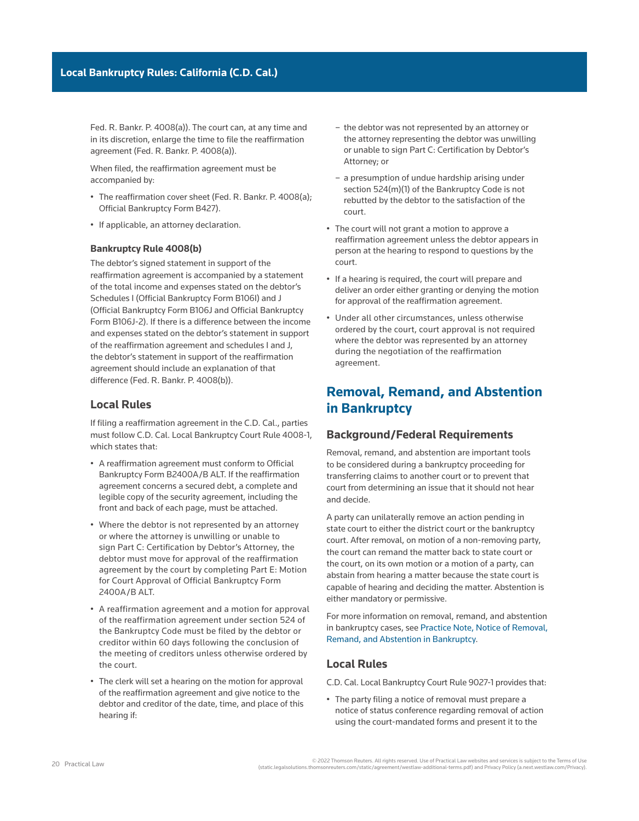Fed. R. Bankr. P. 4008(a)). The court can, at any time and in its discretion, enlarge the time to file the reaffirmation agreement (Fed. R. Bankr. P. 4008(a)).

When filed, the reaffirmation agreement must be accompanied by:

- The reaffirmation cover sheet (Fed. R. Bankr. P. 4008(a); [Official Bankruptcy Form B427](http://www.westlaw.com/Link/Document/FullText?findType=L&pubNum=1000612&cite=USFRBPOFFICIALFMB427&originatingDoc=Ia2a72f779c9311e79bef99c0ee06c731&refType=GA&originationContext=document&vr=3.0&rs=cblt1.0&transitionType=PLDocumentLink&billingHash=6841F0FBA16B8DF4DD80F275333BCFA33ED92631033E0D1712F56358125E4D84&contextData=(sc.Search))).
- If applicable, an attorney declaration.

### **Bankruptcy Rule 4008(b)**

The debtor's signed statement in support of the reaffirmation agreement is accompanied by a statement of the total income and expenses stated on the debtor's Schedules I ([Official Bankruptcy Form B106I\)](http://www.westlaw.com/Link/Document/FullText?findType=L&pubNum=1000612&cite=USFRBPOFFICIALFMB106I&originatingDoc=Ia2a72f779c9311e79bef99c0ee06c731&refType=GA&originationContext=document&vr=3.0&rs=cblt1.0&transitionType=PLDocumentLink&billingHash=71037129D1E8050BB0D3CE44F552AC3DF622EFE64AB956D51DD825A277FD7478&contextData=(sc.Search)) and J ([Official Bankruptcy Form B106J](http://www.westlaw.com/Link/Document/FullText?findType=L&pubNum=1000612&cite=USFRBPOFFICIALFMB106J&originatingDoc=Ia2a72f779c9311e79bef99c0ee06c731&refType=GA&originationContext=document&vr=3.0&rs=cblt1.0&transitionType=PLDocumentLink&billingHash=15B17611C37FE6D6B96A07320671DF2948C254F405CFBAD984F594BA6328D3A8&contextData=(sc.Search)) and [Official Bankruptcy](http://www.westlaw.com/Link/Document/FullText?findType=L&pubNum=1000612&cite=USFRBPOFFICIALFMB106J-2&originatingDoc=Ia2a72f779c9311e79bef99c0ee06c731&refType=GA&originationContext=document&vr=3.0&rs=cblt1.0&transitionType=PLDocumentLink&billingHash=D31B84734A52F99B770015EB524603895994E1D693C6F3185881BEC978901013&contextData=(sc.Search))  [Form B106J-2](http://www.westlaw.com/Link/Document/FullText?findType=L&pubNum=1000612&cite=USFRBPOFFICIALFMB106J-2&originatingDoc=Ia2a72f779c9311e79bef99c0ee06c731&refType=GA&originationContext=document&vr=3.0&rs=cblt1.0&transitionType=PLDocumentLink&billingHash=D31B84734A52F99B770015EB524603895994E1D693C6F3185881BEC978901013&contextData=(sc.Search))). If there is a difference between the income and expenses stated on the debtor's statement in support of the reaffirmation agreement and schedules I and J, the debtor's statement in support of the reaffirmation agreement should include an explanation of that difference (Fed. R. Bankr. P. 4008(b)).

## **Local Rules**

If filing a reaffirmation agreement in the C.D. Cal., parties must follow [C.D. Cal. Local Bankruptcy Court Rule 4008-1](http://www.westlaw.com/Link/Document/FullText?findType=L&pubNum=1004206&cite=CARUSBCLBR.4008-1&originatingDoc=Ia2a72f779c9311e79bef99c0ee06c731&refType=GA&originationContext=document&vr=3.0&rs=cblt1.0&transitionType=PLDocumentLink&billingHash=090C79AB43EE738F629F8736DF301056D2BF5561CD6205036CFFE1C40A858E8E&contextData=(sc.Search)), which states that:

- A reaffirmation agreement must conform to [Official](http://www.westlaw.com/Link/Document/FullText?findType=L&pubNum=1101192&cite=USFRPBDFMB2400A%2fBALT&originatingDoc=Ia2a72f779c9311e79bef99c0ee06c731&refType=GA&originationContext=document&vr=3.0&rs=cblt1.0&transitionType=PLDocumentLink&billingHash=C6879B5E8DDE732698072B1FB87CF5065010F98137C761D1A66DDAAE818D22A7&contextData=(sc.Search))  [Bankruptcy Form B2400A/B ALT.](http://www.westlaw.com/Link/Document/FullText?findType=L&pubNum=1101192&cite=USFRPBDFMB2400A%2fBALT&originatingDoc=Ia2a72f779c9311e79bef99c0ee06c731&refType=GA&originationContext=document&vr=3.0&rs=cblt1.0&transitionType=PLDocumentLink&billingHash=C6879B5E8DDE732698072B1FB87CF5065010F98137C761D1A66DDAAE818D22A7&contextData=(sc.Search)) If the reaffirmation agreement concerns a secured debt, a complete and legible copy of the [security agreement,](http://www.westlaw.com/Document/I0f9fe76eef0811e28578f7ccc38dcbee/View/FullText.html?originationContext=document&vr=3.0&rs=cblt1.0&transitionType=DocumentItem&contextData=(sc.Search)) including the front and back of each page, must be attached.
- Where the debtor is not represented by an attorney or where the attorney is unwilling or unable to sign Part C: Certification by Debtor's Attorney, the debtor must move for approval of the reaffirmation agreement by the court by completing Part E: Motion for Court Approval of Official Bankruptcy Form 2400A/B ALT.
- A reaffirmation agreement and a motion for approval of the reaffirmation agreement under [section 524 of](http://www.westlaw.com/Link/Document/FullText?findType=L&pubNum=1000611&cite=11USCAS524&originatingDoc=Ia2a72f779c9311e79bef99c0ee06c731&refType=LQ&originationContext=document&vr=3.0&rs=cblt1.0&transitionType=PLDocumentLink&billingHash=B0E4C452A5835ADA6958CFD4032F2C028F2507FC68E913170DB4480EFCC9CE83&contextData=(sc.Search))  [the Bankruptcy Code](http://www.westlaw.com/Link/Document/FullText?findType=L&pubNum=1000611&cite=11USCAS524&originatingDoc=Ia2a72f779c9311e79bef99c0ee06c731&refType=LQ&originationContext=document&vr=3.0&rs=cblt1.0&transitionType=PLDocumentLink&billingHash=B0E4C452A5835ADA6958CFD4032F2C028F2507FC68E913170DB4480EFCC9CE83&contextData=(sc.Search)) must be filed by the debtor or creditor within 60 days following the conclusion of the meeting of creditors unless otherwise ordered by the court.
- The clerk will set a hearing on the motion for approval of the reaffirmation agreement and give notice to the debtor and creditor of the date, time, and place of this hearing if:
- the debtor was not represented by an attorney or the attorney representing the debtor was unwilling or unable to sign Part C: Certification by Debtor's Attorney; or
- a presumption of undue hardship arising under section 524(m)(1) of the Bankruptcy Code is not rebutted by the debtor to the satisfaction of the court.
- The court will not grant a motion to approve a reaffirmation agreement unless the debtor appears in person at the hearing to respond to questions by the court.
- If a hearing is required, the court will prepare and deliver an order either granting or denying the motion for approval of the reaffirmation agreement.
- Under all other circumstances, unless otherwise ordered by the court, court approval is not required where the debtor was represented by an attorney during the negotiation of the reaffirmation agreement.

# **Removal, Remand, and Abstention in Bankruptcy**

## **Background/Federal Requirements**

[Removal,](http://www.westlaw.com/Document/I0f9fbfebef0811e28578f7ccc38dcbee/View/FullText.html?originationContext=document&vr=3.0&rs=cblt1.0&transitionType=DocumentItem&contextData=(sc.Search)) remand, and [abstention](http://www.westlaw.com/Document/I4cf84626ef2a11e28578f7ccc38dcbee/View/FullText.html?originationContext=document&vr=3.0&rs=cblt1.0&transitionType=DocumentItem&contextData=(sc.Search)) are important tools to be considered during a bankruptcy proceeding for transferring claims to another court or to prevent that court from determining an issue that it should not hear and decide.

A party can unilaterally remove an action pending in state court to either the district court or the bankruptcy court. After removal, on motion of a non-removing party, the court can remand the matter back to state court or the court, on its own motion or a motion of a party, can abstain from hearing a matter because the state court is capable of hearing and deciding the matter. Abstention is either mandatory or permissive.

For more information on removal, remand, and abstention in bankruptcy cases, see [Practice Note, Notice of Removal,](http://us.practicallaw.tr.com/W-000-7148)  [Remand, and Abstention in Bankruptcy](http://us.practicallaw.tr.com/W-000-7148).

## **Local Rules**

[C.D. Cal. Local Bankruptcy Court Rule 9027-1](http://www.westlaw.com/Link/Document/FullText?findType=L&pubNum=1004206&cite=CARUSBCLBR.9027-1&originatingDoc=Ia2a72f779c9311e79bef99c0ee06c731&refType=GA&originationContext=document&vr=3.0&rs=cblt1.0&transitionType=PLDocumentLink&billingHash=16B7B5473C6B05B3A0CC77A5504B4E5B7F465CA180740E2F1EA5B80858021402&contextData=(sc.Search)) provides that:

• The party filing a notice of removal must prepare a notice of status conference regarding removal of action using the court-mandated forms and present it to the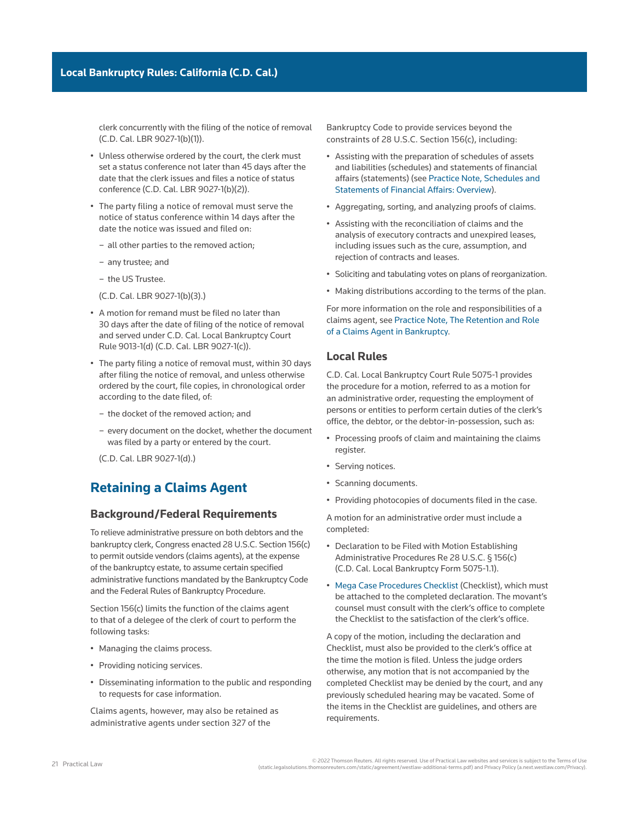clerk concurrently with the filing of the notice of removal [\(C.D. Cal. LBR 9027-1\(b\)\(1\)](http://www.westlaw.com/Link/Document/FullText?findType=L&pubNum=1004206&cite=CARUSBCLBR.9027-1&originatingDoc=Ia2a72f779c9311e79bef99c0ee06c731&refType=GA&originationContext=document&vr=3.0&rs=cblt1.0&transitionType=PLDocumentLink&billingHash=16B7B5473C6B05B3A0CC77A5504B4E5B7F465CA180740E2F1EA5B80858021402&contextData=(sc.Search))).

- Unless otherwise ordered by the court, the clerk must set a status conference not later than 45 days after the date that the clerk issues and files a notice of status conference [\(C.D. Cal. LBR 9027-1\(b\)\(2\)\)](http://www.westlaw.com/Link/Document/FullText?findType=L&pubNum=1004206&cite=CARUSBCLBR.9027-1&originatingDoc=Ia2a72f779c9311e79bef99c0ee06c731&refType=GA&originationContext=document&vr=3.0&rs=cblt1.0&transitionType=PLDocumentLink&billingHash=16B7B5473C6B05B3A0CC77A5504B4E5B7F465CA180740E2F1EA5B80858021402&contextData=(sc.Search)).
- The party filing a notice of removal must serve the notice of status conference within 14 days after the date the notice was issued and filed on:
	- all other parties to the removed action;
	- any [trustee;](http://www.westlaw.com/Document/Ibb0a37a1ef0511e28578f7ccc38dcbee/View/FullText.html?originationContext=document&vr=3.0&rs=cblt1.0&transitionType=DocumentItem&contextData=(sc.Search)) and
	- the [US Trustee.](http://www.westlaw.com/Document/Ibb09e9afef0511e28578f7ccc38dcbee/View/FullText.html?originationContext=document&vr=3.0&rs=cblt1.0&transitionType=DocumentItem&contextData=(sc.Search))

[\(C.D. Cal. LBR 9027-1\(b\)\(3\).](http://www.westlaw.com/Link/Document/FullText?findType=L&pubNum=1004206&cite=CARUSBCLBR.9027-1&originatingDoc=Ia2a72f779c9311e79bef99c0ee06c731&refType=GA&originationContext=document&vr=3.0&rs=cblt1.0&transitionType=PLDocumentLink&billingHash=16B7B5473C6B05B3A0CC77A5504B4E5B7F465CA180740E2F1EA5B80858021402&contextData=(sc.Search)))

- A motion for remand must be filed no later than 30 days after the date of filing of the notice of removal and served under [C.D. Cal. Local Bankruptcy Court](http://www.westlaw.com/Link/Document/FullText?findType=L&pubNum=1004206&cite=CARUSBCLBR.9013-1&originatingDoc=Ia2a72f779c9311e79bef99c0ee06c731&refType=GA&originationContext=document&vr=3.0&rs=cblt1.0&transitionType=PLDocumentLink&billingHash=D27C10DE618AE981AFE33FF81CF165382816D5D118F4405B70D53508DBED4A6D&contextData=(sc.Search))  [Rule 9013-1\(d\)](http://www.westlaw.com/Link/Document/FullText?findType=L&pubNum=1004206&cite=CARUSBCLBR.9013-1&originatingDoc=Ia2a72f779c9311e79bef99c0ee06c731&refType=GA&originationContext=document&vr=3.0&rs=cblt1.0&transitionType=PLDocumentLink&billingHash=D27C10DE618AE981AFE33FF81CF165382816D5D118F4405B70D53508DBED4A6D&contextData=(sc.Search)) ([C.D. Cal. LBR 9027-1\(c\)](http://www.westlaw.com/Link/Document/FullText?findType=L&pubNum=1004206&cite=CARUSBCLBR.9027-1&originatingDoc=Ia2a72f779c9311e79bef99c0ee06c731&refType=GA&originationContext=document&vr=3.0&rs=cblt1.0&transitionType=PLDocumentLink&billingHash=16B7B5473C6B05B3A0CC77A5504B4E5B7F465CA180740E2F1EA5B80858021402&contextData=(sc.Search))).
- The party filing a notice of removal must, within 30 days after filing the notice of removal, and unless otherwise ordered by the court, file copies, in chronological order according to the date filed, of:
	- the docket of the removed action; and
	- every document on the docket, whether the document was filed by a party or entered by the court.

[\(C.D. Cal. LBR 9027-1\(d\).](http://www.westlaw.com/Link/Document/FullText?findType=L&pubNum=1004206&cite=CARUSBCLBR.9027-1&originatingDoc=Ia2a72f779c9311e79bef99c0ee06c731&refType=GA&originationContext=document&vr=3.0&rs=cblt1.0&transitionType=PLDocumentLink&billingHash=16B7B5473C6B05B3A0CC77A5504B4E5B7F465CA180740E2F1EA5B80858021402&contextData=(sc.Search)))

# **Retaining a Claims Agent**

## **Background/Federal Requirements**

To relieve administrative pressure on both debtors and the bankruptcy clerk, Congress enacted 28 U.S.C. Section 156(c) to permit outside vendors (claims agents), at the expense of the [bankruptcy estate,](http://www.westlaw.com/Document/Ibb09e99fef0511e28578f7ccc38dcbee/View/FullText.html?originationContext=document&vr=3.0&rs=cblt1.0&transitionType=DocumentItem&contextData=(sc.Search)) to assume certain specified administrative functions mandated by the Bankruptcy Code and the Federal Rules of Bankruptcy Procedure.

Section 156(c) limits the function of the claims agent to that of a delegee of the clerk of court to perform the following tasks:

- Managing the [claims](http://www.westlaw.com/Document/Ibb09e944ef0511e28578f7ccc38dcbee/View/FullText.html?originationContext=document&vr=3.0&rs=cblt1.0&transitionType=DocumentItem&contextData=(sc.Search)) process.
- Providing noticing services.
- Disseminating information to the public and responding to requests for case information.

Claims agents, however, may also be retained as administrative agents under [section 327 of the](http://www.westlaw.com/Link/Document/FullText?findType=L&pubNum=1000611&cite=11USCAS327&originatingDoc=Ia2a72f779c9311e79bef99c0ee06c731&refType=LQ&originationContext=document&vr=3.0&rs=cblt1.0&transitionType=PLDocumentLink&billingHash=E6C44D3372331C6ED8B07022094B49469B6B6A145F0CBD15F92E12F2DA7DF922&contextData=(sc.Search)) 

[Bankruptcy Code](http://www.westlaw.com/Link/Document/FullText?findType=L&pubNum=1000611&cite=11USCAS327&originatingDoc=Ia2a72f779c9311e79bef99c0ee06c731&refType=LQ&originationContext=document&vr=3.0&rs=cblt1.0&transitionType=PLDocumentLink&billingHash=E6C44D3372331C6ED8B07022094B49469B6B6A145F0CBD15F92E12F2DA7DF922&contextData=(sc.Search)) to provide services beyond the constraints of 28 U.S.C. Section 156(c), including:

- Assisting with the preparation of schedules of assets and liabilities (schedules) and statements of financial affairs (statements) (see [Practice Note, Schedules and](http://us.practicallaw.tr.com/W-000-9982)  [Statements of Financial Affairs: Overview](http://us.practicallaw.tr.com/W-000-9982)).
- Aggregating, sorting, and analyzing [proofs of claims.](http://www.westlaw.com/Document/I210504f8ef0811e28578f7ccc38dcbee/View/FullText.html?originationContext=document&vr=3.0&rs=cblt1.0&transitionType=DocumentItem&contextData=(sc.Search))
- Assisting with the reconciliation of claims and the analysis of [executory contracts](http://www.westlaw.com/Document/I2104e24cef0811e28578f7ccc38dcbee/View/FullText.html?originationContext=document&vr=3.0&rs=cblt1.0&transitionType=DocumentItem&contextData=(sc.Search)) and unexpired leases, including issues such as the cure, assumption, and rejection of contracts and leases.
- Soliciting and tabulating votes on [plans of reorganization.](http://www.westlaw.com/Document/I03f4db03eee311e28578f7ccc38dcbee/View/FullText.html?originationContext=document&vr=3.0&rs=cblt1.0&transitionType=DocumentItem&contextData=(sc.Search))
- Making distributions according to the terms of the plan.

For more information on the role and responsibilities of a claims agent, see [Practice Note, The Retention and Role](http://us.practicallaw.tr.com/W-001-1117)  [of a Claims Agent in Bankruptcy](http://us.practicallaw.tr.com/W-001-1117).

## **Local Rules**

[C.D. Cal. Local Bankruptcy Court Rule 5075-1](http://www.westlaw.com/Link/Document/FullText?findType=L&pubNum=1004206&cite=CARUSBCLBR.5075-1&originatingDoc=Ia2a72f779c9311e79bef99c0ee06c731&refType=GA&originationContext=document&vr=3.0&rs=cblt1.0&transitionType=PLDocumentLink&billingHash=9E7BDE6F7CF93782A2EF022C84F03C084F7665DBE8BD1B08741BBE2FBAF36226&contextData=(sc.Search)) provides the procedure for a motion, referred to as a motion for an administrative order, requesting the employment of persons or entities to perform certain duties of the clerk's office, the debtor, or the debtor-in-possession, such as:

- Processing proofs of claim and maintaining the claims register.
- Serving notices.
- Scanning documents.
- Providing photocopies of documents filed in the case.

A motion for an administrative order must include a completed:

- Declaration to be Filed with Motion Establishing Administrative Procedures Re 28 U.S.C. § 156(c) ([C.D. Cal. Local Bankruptcy Form 5075-1.1](http://www.westlaw.com/Link/Document/FullText?findType=L&pubNum=1004206&cite=CARUSBCF5075-1.1&originatingDoc=Ia2a72f779c9311e79bef99c0ee06c731&refType=GA&originationContext=document&vr=3.0&rs=cblt1.0&transitionType=PLDocumentLink&billingHash=3815644DFA1A8A05B3045C77CD81E7BA5DDFFE2D706EC8CBED5A54776C21225D&contextData=(sc.Search))).
- [Mega Case Procedures Checklist](https://www.cacb.uscourts.gov/sites/cacb/files/documents/forms/Mega%20Case%20Checklist.pdf) (Checklist), which must be attached to the completed declaration. The movant's counsel must consult with the clerk's office to complete the Checklist to the satisfaction of the clerk's office.

A copy of the motion, including the declaration and Checklist, must also be provided to the clerk's office at the time the motion is filed. Unless the judge orders otherwise, any motion that is not accompanied by the completed Checklist may be denied by the court, and any previously scheduled hearing may be vacated. Some of the items in the Checklist are guidelines, and others are requirements.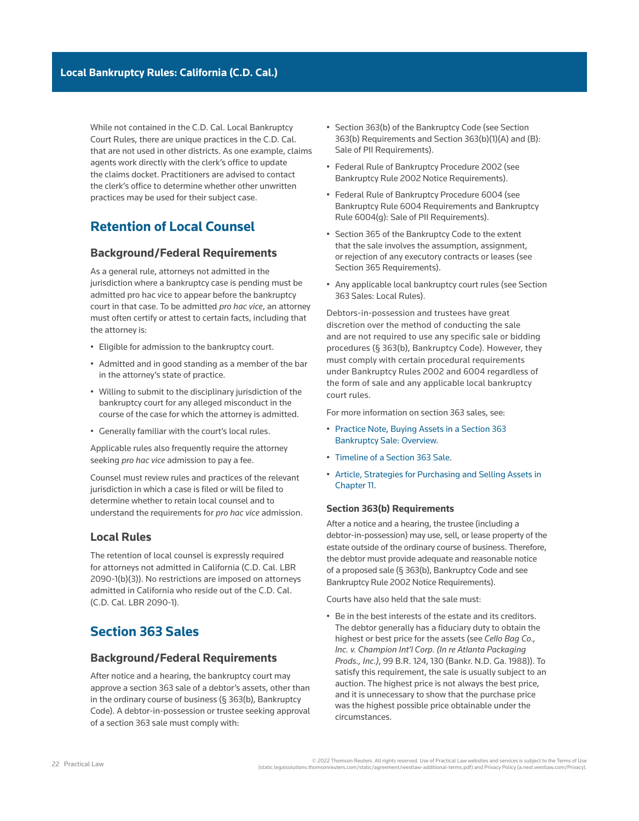While not contained in the C.D. Cal. Local Bankruptcy Court Rules, there are unique practices in the C.D. Cal. that are not used in other districts. As one example, claims agents work directly with the clerk's office to update the claims docket. Practitioners are advised to contact the clerk's office to determine whether other unwritten practices may be used for their subject case.

# **Retention of Local Counsel**

## **Background/Federal Requirements**

As a general rule, attorneys not admitted in the jurisdiction where a bankruptcy case is pending must be admitted [pro hac vice](http://www.westlaw.com/Document/I0f9fc0bdef0811e28578f7ccc38dcbee/View/FullText.html?originationContext=document&vr=3.0&rs=cblt1.0&transitionType=DocumentItem&contextData=(sc.Search)) to appear before the bankruptcy court in that case. To be admitted *pro hac vice*, an attorney must often certify or attest to certain facts, including that the attorney is:

- Eligible for admission to the bankruptcy court.
- Admitted and in good standing as a member of the bar in the attorney's state of practice.
- Willing to submit to the disciplinary jurisdiction of the bankruptcy court for any alleged misconduct in the course of the case for which the attorney is admitted.
- Generally familiar with the court's local rules.

Applicable rules also frequently require the attorney seeking *pro hac vice* admission to pay a fee.

Counsel must review rules and practices of the relevant jurisdiction in which a case is filed or will be filed to determine whether to retain local counsel and to understand the requirements for *pro hac vice* admission.

## **Local Rules**

The retention of local counsel is expressly required for attorneys not admitted in California ([C.D. Cal. LBR](http://www.westlaw.com/Link/Document/FullText?findType=L&pubNum=1004206&cite=CARUSBCLBR.2090-1&originatingDoc=Ia2a72f779c9311e79bef99c0ee06c731&refType=GA&originationContext=document&vr=3.0&rs=cblt1.0&transitionType=PLDocumentLink&billingHash=6279D99A7246D340C5B8DA3DF52619A248CB182F4C4D5772D34B3EFDA32FB7FC&contextData=(sc.Search))  [2090-1\(b\)\(3\)](http://www.westlaw.com/Link/Document/FullText?findType=L&pubNum=1004206&cite=CARUSBCLBR.2090-1&originatingDoc=Ia2a72f779c9311e79bef99c0ee06c731&refType=GA&originationContext=document&vr=3.0&rs=cblt1.0&transitionType=PLDocumentLink&billingHash=6279D99A7246D340C5B8DA3DF52619A248CB182F4C4D5772D34B3EFDA32FB7FC&contextData=(sc.Search))). No restrictions are imposed on attorneys admitted in California who reside out of the C.D. Cal. ([C.D. Cal. LBR 2090-1\)](http://www.westlaw.com/Link/Document/FullText?findType=L&pubNum=1004206&cite=CARUSBCLBR.2090-1&originatingDoc=Ia2a72f779c9311e79bef99c0ee06c731&refType=GA&originationContext=document&vr=3.0&rs=cblt1.0&transitionType=PLDocumentLink&billingHash=6279D99A7246D340C5B8DA3DF52619A248CB182F4C4D5772D34B3EFDA32FB7FC&contextData=(sc.Search)).

# **Section 363 Sales**

## **Background/Federal Requirements**

After notice and a hearing, the bankruptcy court may approve a [section 363 sale](http://www.westlaw.com/Document/Ibb09e973ef0511e28578f7ccc38dcbee/View/FullText.html?originationContext=document&vr=3.0&rs=cblt1.0&transitionType=DocumentItem&contextData=(sc.Search)) of a debtor's assets, other than in the ordinary course of business (§ 363(b), Bankruptcy Code). A debtor-in-possession or trustee seeking approval of a section 363 sale must comply with:

- Section 363(b) of the Bankruptcy Code (see Section 363(b) Requirements and Section 363(b)(1)(A) and (B): Sale of PII Requirements).
- [Federal Rule of Bankruptcy Procedure 2002](http://www.westlaw.com/Link/Document/FullText?findType=L&pubNum=1000611&cite=USFRBPR2002&originatingDoc=Ia2a72f779c9311e79bef99c0ee06c731&refType=LQ&originationContext=document&vr=3.0&rs=cblt1.0&transitionType=PLDocumentLink&billingHash=34E1B68D67A089154FB4426334DD7A4FD54272A8FE8B1F4D60A8A11869BE68F4&contextData=(sc.Search)) (see Bankruptcy Rule 2002 Notice Requirements).
- [Federal Rule of Bankruptcy Procedure 6004](http://www.westlaw.com/Link/Document/FullText?findType=L&pubNum=1000611&cite=USFRBPR6004&originatingDoc=Ia2a72f779c9311e79bef99c0ee06c731&refType=LQ&originationContext=document&vr=3.0&rs=cblt1.0&transitionType=PLDocumentLink&billingHash=D82395E0A0701718A184AD6EE4C1FD86102E7E36CCDDAF16B94C3933D490B186&contextData=(sc.Search)) (see Bankruptcy Rule 6004 Requirements and Bankruptcy Rule 6004(g): Sale of PII Requirements).
- [Section 365 of the Bankruptcy Code](http://www.westlaw.com/Link/Document/FullText?findType=L&pubNum=1000611&cite=11USCAS365&originatingDoc=Ia2a72f779c9311e79bef99c0ee06c731&refType=LQ&originationContext=document&vr=3.0&rs=cblt1.0&transitionType=PLDocumentLink&billingHash=44D8C49CCE145E131C4EAA09DF0FE0408F55ED8A7B3A8CAF62016B58B83298CB&contextData=(sc.Search)) to the extent that the sale involves the assumption, assignment, or rejection of any [executory contracts](http://www.westlaw.com/Document/I2104e24cef0811e28578f7ccc38dcbee/View/FullText.html?originationContext=document&vr=3.0&rs=cblt1.0&transitionType=DocumentItem&contextData=(sc.Search)) or leases (see Section 365 Requirements).
- Any applicable local bankruptcy court rules (see Section 363 Sales: Local Rules).

Debtors-in-possession and trustees have great discretion over the method of conducting the sale and are not required to use any specific sale or bidding procedures (§ 363(b), Bankruptcy Code). However, they must comply with certain procedural requirements under Bankruptcy Rules 2002 and 6004 regardless of the form of sale and any applicable local bankruptcy court rules.

For more information on section 363 sales, see:

- [Practice Note, Buying Assets in a Section 363](http://us.practicallaw.tr.com/1-385-0115)  [Bankruptcy Sale: Overview.](http://us.practicallaw.tr.com/1-385-0115)
- [Timeline of a Section 363 Sale.](http://us.practicallaw.tr.com/3-385-0751)
- [Article, Strategies for Purchasing and Selling Assets in](http://us.practicallaw.tr.com/3-385-0751)  [Chapter 11](http://us.practicallaw.tr.com/3-385-0751).

#### **Section 363(b) Requirements**

After a notice and a hearing, the trustee (including a debtor-in-possession) may use, sell, or lease [property of the](http://www.westlaw.com/Document/Icf49604cef0a11e28578f7ccc38dcbee/View/FullText.html?originationContext=document&vr=3.0&rs=cblt1.0&transitionType=DocumentItem&contextData=(sc.Search))  [estate](http://www.westlaw.com/Document/Icf49604cef0a11e28578f7ccc38dcbee/View/FullText.html?originationContext=document&vr=3.0&rs=cblt1.0&transitionType=DocumentItem&contextData=(sc.Search)) outside of the ordinary course of business. Therefore, the debtor must provide adequate and reasonable notice of a proposed sale (§ 363(b), Bankruptcy Code and see Bankruptcy Rule 2002 Notice Requirements).

Courts have also held that the sale must:

• Be in the best interests of the [estate](http://www.westlaw.com/Document/Ibb09e99fef0511e28578f7ccc38dcbee/View/FullText.html?originationContext=document&vr=3.0&rs=cblt1.0&transitionType=DocumentItem&contextData=(sc.Search)) and its creditors. The debtor generally has a [fiduciary duty](http://www.westlaw.com/Document/Ibb0a107fef0511e28578f7ccc38dcbee/View/FullText.html?originationContext=document&vr=3.0&rs=cblt1.0&transitionType=DocumentItem&contextData=(sc.Search)) to obtain the highest or best price for the assets (see *Cello Bag Co., Inc. v. Champion Int'l Corp. (In re Atlanta Packaging Prods., Inc.)*, 99 B.R. 124, 130 (Bankr. N.D. Ga. 1988)). To satisfy this requirement, the sale is usually subject to an auction. The highest price is not always the best price, and it is unnecessary to show that the purchase price was the highest possible price obtainable under the circumstances.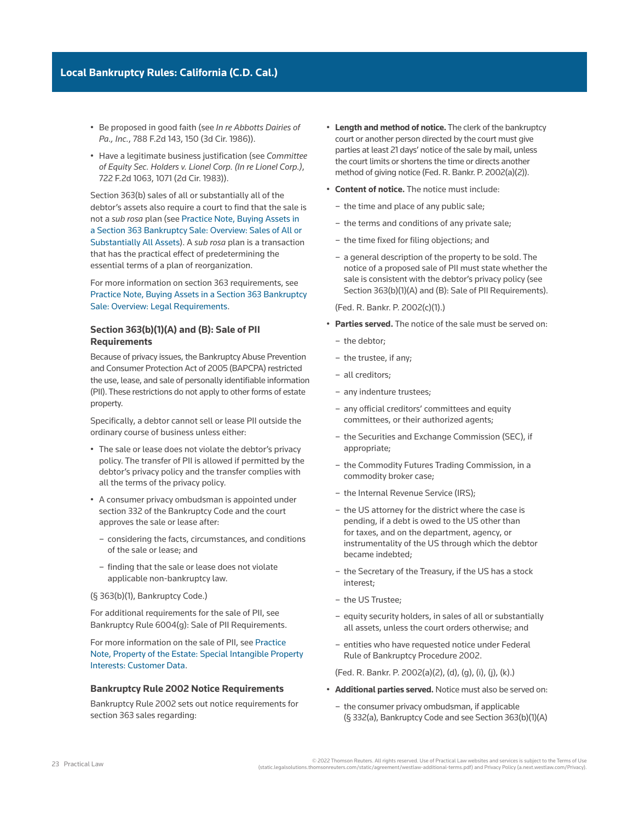- Be proposed in good faith (see *In re Abbotts Dairies of Pa., Inc.*, 788 F.2d 143, 150 (3d Cir. 1986)).
- Have a legitimate business justification (see *Committee of Equity Sec. Holders v. Lionel Corp. (In re Lionel Corp.)*, 722 F.2d 1063, 1071 (2d Cir. 1983)).

Section 363(b) sales of all or substantially all of the debtor's assets also require a court to find that the sale is not a *sub rosa* plan (see [Practice Note, Buying Assets in](http://us.practicallaw.tr.com/1-385-0115)  [a Section 363 Bankruptcy Sale: Overview: Sales of All or](http://us.practicallaw.tr.com/1-385-0115)  [Substantially All Assets](http://us.practicallaw.tr.com/1-385-0115)). A *sub rosa* plan is a transaction that has the practical effect of predetermining the essential terms of a [plan of reorganization.](http://www.westlaw.com/Document/I03f4db03eee311e28578f7ccc38dcbee/View/FullText.html?originationContext=document&vr=3.0&rs=cblt1.0&transitionType=DocumentItem&contextData=(sc.Search))

For more information on section 363 requirements, see [Practice Note, Buying Assets in a Section 363 Bankruptcy](http://us.practicallaw.tr.com/1-385-0115)  [Sale: Overview: Legal Requirements](http://us.practicallaw.tr.com/1-385-0115).

### **Section 363(b)(1)(A) and (B): Sale of PII Requirements**

Because of privacy issues, the [Bankruptcy Abuse Prevention](http://www.westlaw.com/Document/I3a99e7edef1211e28578f7ccc38dcbee/View/FullText.html?originationContext=document&vr=3.0&rs=cblt1.0&transitionType=DocumentItem&contextData=(sc.Search))  [and Consumer Protection Act of 2005](http://www.westlaw.com/Document/I3a99e7edef1211e28578f7ccc38dcbee/View/FullText.html?originationContext=document&vr=3.0&rs=cblt1.0&transitionType=DocumentItem&contextData=(sc.Search)) (BAPCPA) restricted the use, lease, and sale of [personally identifiable information](http://www.westlaw.com/Document/I03f4d9aaeee311e28578f7ccc38dcbee/View/FullText.html?originationContext=document&vr=3.0&rs=cblt1.0&transitionType=DocumentItem&contextData=(sc.Search)) (PII). These restrictions do not apply to other forms of estate property.

Specifically, a debtor cannot sell or lease PII outside the ordinary course of business unless either:

- The sale or lease does not violate the debtor's privacy policy. The transfer of PII is allowed if permitted by the debtor's privacy policy and the transfer complies with all the terms of the privacy policy.
- A [consumer privacy ombudsman](http://www.westlaw.com/Document/I90cffd167b9611e8a5b3e3d9e23d7429/View/FullText.html?originationContext=document&vr=3.0&rs=cblt1.0&transitionType=DocumentItem&contextData=(sc.Search)) is appointed under [section 332 of the Bankruptcy Code](http://www.westlaw.com/Link/Document/FullText?findType=L&pubNum=1000611&cite=11USCAS332&originatingDoc=Ia2a72f779c9311e79bef99c0ee06c731&refType=LQ&originationContext=document&vr=3.0&rs=cblt1.0&transitionType=PLDocumentLink&billingHash=D1A8BDED4AE346C0D2D453CE9DD7AFF889609FBD598DB05F2444FF845E48A4AC&contextData=(sc.Search)) and the court approves the sale or lease after:
	- considering the facts, circumstances, and conditions of the sale or lease; and
	- finding that the sale or lease does not violate applicable non-bankruptcy law.
- (§ 363(b)(1), Bankruptcy Code.)

For additional requirements for the sale of PII, see Bankruptcy Rule 6004(g): Sale of PII Requirements.

For more information on the sale of PII, see [Practice](http://us.practicallaw.tr.com/3-616-3701)  [Note, Property of the Estate: Special Intangible Property](http://us.practicallaw.tr.com/3-616-3701)  [Interests: Customer Data](http://us.practicallaw.tr.com/3-616-3701).

#### **Bankruptcy Rule 2002 Notice Requirements**

Bankruptcy Rule 2002 sets out notice requirements for section 363 sales regarding:

- **Length and method of notice.** The clerk of the bankruptcy court or another person directed by the court must give parties at least 21 days' notice of the sale by mail, unless the court limits or shortens the time or directs another method of giving notice (Fed. R. Bankr. P. 2002(a)(2)).
- **Content of notice.** The notice must include:
	- the time and place of any public sale;
	- the terms and conditions of any private sale;
	- the time fixed for filing objections; and
	- a general description of the property to be sold. The notice of a proposed sale of PII must state whether the sale is consistent with the debtor's privacy policy (see Section 363(b)(1)(A) and (B): Sale of PII Requirements).
	- (Fed. R. Bankr. P. 2002(c)(1).)
- **Parties served.** The notice of the sale must be served on:
	- the debtor;
	- the trustee, if any;
	- all creditors;
	- any [indenture trustees](http://www.westlaw.com/Document/Ibb0a37a1ef0511e28578f7ccc38dcbee/View/FullText.html?originationContext=document&vr=3.0&rs=cblt1.0&transitionType=DocumentItem&contextData=(sc.Search));
	- any official [creditors' committees](http://www.westlaw.com/Document/Ibb09e96def0511e28578f7ccc38dcbee/View/FullText.html?originationContext=document&vr=3.0&rs=cblt1.0&transitionType=DocumentItem&contextData=(sc.Search)) and [equity](http://www.westlaw.com/Document/Ida6634e85e1a11e598dc8b09b4f043e0/View/FullText.html?originationContext=document&vr=3.0&rs=cblt1.0&transitionType=DocumentItem&contextData=(sc.Search))  [committees,](http://www.westlaw.com/Document/Ida6634e85e1a11e598dc8b09b4f043e0/View/FullText.html?originationContext=document&vr=3.0&rs=cblt1.0&transitionType=DocumentItem&contextData=(sc.Search)) or their authorized agents;
	- the [Securities and Exchange Commission](http://www.westlaw.com/Document/I03f4da84eee311e28578f7ccc38dcbee/View/FullText.html?originationContext=document&vr=3.0&rs=cblt1.0&transitionType=DocumentItem&contextData=(sc.Search)) (SEC), if appropriate;
	- the [Commodity Futures Trading Commission](http://www.westlaw.com/Document/I2104b8e2ef0811e28578f7ccc38dcbee/View/FullText.html?originationContext=document&vr=3.0&rs=cblt1.0&transitionType=DocumentItem&contextData=(sc.Search)), in a [commodity](http://www.westlaw.com/Document/Id4cf18d5f3ad11e28578f7ccc38dcbee/View/FullText.html?originationContext=document&vr=3.0&rs=cblt1.0&transitionType=DocumentItem&contextData=(sc.Search)) broker case;
	- the [Internal Revenue Service](http://www.westlaw.com/Document/Ibb0a11beef0511e28578f7ccc38dcbee/View/FullText.html?originationContext=document&vr=3.0&rs=cblt1.0&transitionType=DocumentItem&contextData=(sc.Search)) (IRS);
	- the US attorney for the district where the case is pending, if a debt is owed to the US other than for taxes, and on the department, agency, or instrumentality of the US through which the debtor became indebted;
	- the Secretary of the Treasury, if the US has a stock interest;
	- the [US Trustee](http://www.westlaw.com/Document/Ibb09e9afef0511e28578f7ccc38dcbee/View/FullText.html?originationContext=document&vr=3.0&rs=cblt1.0&transitionType=DocumentItem&contextData=(sc.Search));
	- [equity security holders,](http://www.westlaw.com/Document/Ic2be3e65378611e598dc8b09b4f043e0/View/FullText.html?originationContext=document&vr=3.0&rs=cblt1.0&transitionType=DocumentItem&contextData=(sc.Search)) in sales of all or substantially all assets, unless the court orders otherwise; and
	- entities who have requested notice under [Federal](http://www.westlaw.com/Link/Document/FullText?findType=L&pubNum=1000611&cite=USFRBPR2002&originatingDoc=Ia2a72f779c9311e79bef99c0ee06c731&refType=LQ&originationContext=document&vr=3.0&rs=cblt1.0&transitionType=PLDocumentLink&billingHash=34E1B68D67A089154FB4426334DD7A4FD54272A8FE8B1F4D60A8A11869BE68F4&contextData=(sc.Search))  [Rule of Bankruptcy Procedure 2002](http://www.westlaw.com/Link/Document/FullText?findType=L&pubNum=1000611&cite=USFRBPR2002&originatingDoc=Ia2a72f779c9311e79bef99c0ee06c731&refType=LQ&originationContext=document&vr=3.0&rs=cblt1.0&transitionType=PLDocumentLink&billingHash=34E1B68D67A089154FB4426334DD7A4FD54272A8FE8B1F4D60A8A11869BE68F4&contextData=(sc.Search)).

(Fed. R. Bankr. P. 2002(a)(2), (d), (g), (i), (j), (k).)

- **Additional parties served.** Notice must also be served on:
	- the consumer privacy ombudsman, if applicable (§ 332(a), Bankruptcy Code and see Section 363(b)(1)(A)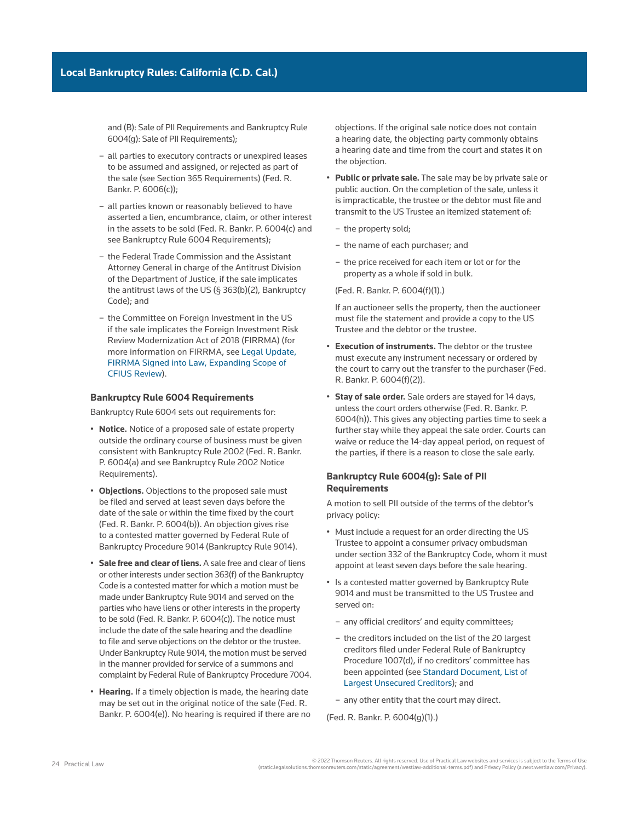and (B): Sale of PII Requirements and Bankruptcy Rule 6004(g): Sale of PII Requirements);

- all parties to executory contracts or unexpired leases to be assumed and assigned, or rejected as part of the sale (see Section 365 Requirements) (Fed. R. Bankr. P. 6006(c));
- all parties known or reasonably believed to have asserted a lien, encumbrance, claim, or other interest in the assets to be sold (Fed. R. Bankr. P. 6004(c) and see Bankruptcy Rule 6004 Requirements);
- the [Federal Trade Commission](http://www.westlaw.com/Document/I1559f7aceef211e28578f7ccc38dcbee/View/FullText.html?originationContext=document&vr=3.0&rs=cblt1.0&transitionType=DocumentItem&contextData=(sc.Search)) and the Assistant Attorney General in charge of the Antitrust Division of the Department of Justice, if the sale implicates the antitrust laws of the US (§ 363(b)(2), Bankruptcy Code); and
- the Committee on Foreign Investment in the US if the sale implicates the Foreign Investment Risk Review Modernization Act of 2018 (FIRRMA) (for more information on FIRRMA, see [Legal Update,](http://us.practicallaw.tr.com/W-016-2587)  [FIRRMA Signed into Law, Expanding Scope of](http://us.practicallaw.tr.com/W-016-2587)  [CFIUS Review](http://us.practicallaw.tr.com/W-016-2587)).

#### **Bankruptcy Rule 6004 Requirements**

Bankruptcy Rule 6004 sets out requirements for:

- **Notice.** Notice of a proposed sale of estate property outside the ordinary course of business must be given consistent with Bankruptcy Rule 2002 (Fed. R. Bankr. P. 6004(a) and see Bankruptcy Rule 2002 Notice Requirements).
- **Objections.** Objections to the proposed sale must be filed and served at least seven days before the date of the sale or within the time fixed by the court (Fed. R. Bankr. P. 6004(b)). An objection gives rise to a [contested matter](http://www.westlaw.com/Document/I272f76c5622d11e598dc8b09b4f043e0/View/FullText.html?originationContext=document&vr=3.0&rs=cblt1.0&transitionType=DocumentItem&contextData=(sc.Search)) governed by [Federal Rule of](http://www.westlaw.com/Link/Document/FullText?findType=L&pubNum=1000611&cite=USFRBPR9014&originatingDoc=Ia2a72f779c9311e79bef99c0ee06c731&refType=LQ&originationContext=document&vr=3.0&rs=cblt1.0&transitionType=PLDocumentLink&billingHash=6896155770C96FB9E96E13E4298AF35ABB652DAFDB3A2DE147E88EA13AAFB3D7&contextData=(sc.Search))  [Bankruptcy Procedure 9014](http://www.westlaw.com/Link/Document/FullText?findType=L&pubNum=1000611&cite=USFRBPR9014&originatingDoc=Ia2a72f779c9311e79bef99c0ee06c731&refType=LQ&originationContext=document&vr=3.0&rs=cblt1.0&transitionType=PLDocumentLink&billingHash=6896155770C96FB9E96E13E4298AF35ABB652DAFDB3A2DE147E88EA13AAFB3D7&contextData=(sc.Search)) (Bankruptcy Rule 9014).
- **Sale free and clear of liens.** A sale free and clear of liens or other interests under section 363(f) of the Bankruptcy Code is a contested matter for which a motion must be made under Bankruptcy Rule 9014 and served on the parties who have liens or other interests in the property to be sold (Fed. R. Bankr. P. 6004(c)). The notice must include the date of the sale hearing and the deadline to file and serve objections on the debtor or the trustee. Under Bankruptcy Rule 9014, the motion must be served in the manner provided for service of a summons and complaint by [Federal Rule of Bankruptcy Procedure 7004.](http://www.westlaw.com/Link/Document/FullText?findType=L&pubNum=1000611&cite=USFRBPR7004&originatingDoc=Ia2a72f779c9311e79bef99c0ee06c731&refType=LQ&originationContext=document&vr=3.0&rs=cblt1.0&transitionType=PLDocumentLink&billingHash=8A88494AC3D7BF559C2B2A462F451B7FA817C55173E9F72D5E419B680E36408A&contextData=(sc.Search))
- **Hearing.** If a timely objection is made, the hearing date may be set out in the original notice of the sale (Fed. R. Bankr. P. 6004(e)). No hearing is required if there are no

objections. If the original sale notice does not contain a hearing date, the objecting party commonly obtains a hearing date and time from the court and states it on the objection.

- **Public or private sale.** The sale may be by private sale or public auction. On the completion of the sale, unless it is impracticable, the trustee or the debtor must file and transmit to the US Trustee an itemized statement of:
	- the property sold;
	- the name of each purchaser; and
	- the price received for each item or lot or for the property as a whole if sold in bulk.

#### (Fed. R. Bankr. P. 6004(f)(1).)

If an auctioneer sells the property, then the auctioneer must file the statement and provide a copy to the US Trustee and the debtor or the trustee.

- **Execution of instruments.** The debtor or the trustee must execute any instrument necessary or ordered by the court to carry out the transfer to the purchaser (Fed. R. Bankr. P. 6004(f)(2)).
- **Stay of sale order.** Sale orders are stayed for 14 days, unless the court orders otherwise (Fed. R. Bankr. P. 6004(h)). This gives any objecting parties time to seek a further stay while they appeal the sale order. Courts can waive or reduce the 14-day appeal period, on request of the parties, if there is a reason to close the sale early.

## **Bankruptcy Rule 6004(g): Sale of PII Requirements**

A motion to sell PII outside of the terms of the debtor's privacy policy:

- Must include a request for an order directing the US Trustee to appoint a consumer privacy ombudsman under [section 332 of the Bankruptcy Code](http://www.westlaw.com/Link/Document/FullText?findType=L&pubNum=1000611&cite=11USCAS332&originatingDoc=Ia2a72f779c9311e79bef99c0ee06c731&refType=LQ&originationContext=document&vr=3.0&rs=cblt1.0&transitionType=PLDocumentLink&billingHash=D1A8BDED4AE346C0D2D453CE9DD7AFF889609FBD598DB05F2444FF845E48A4AC&contextData=(sc.Search)), whom it must appoint at least seven days before the sale hearing.
- Is a contested matter governed by Bankruptcy Rule 9014 and must be transmitted to the US Trustee and served on:
	- any official creditors' and equity committees;
	- the creditors included on the list of the 20 largest creditors filed under Federal Rule of Bankruptcy Procedure 1007(d), if no creditors' committee has been appointed (see [Standard Document, List of](http://us.practicallaw.tr.com/3-610-4108)  [Largest Unsecured Creditors](http://us.practicallaw.tr.com/3-610-4108)); and
	- any other entity that the court may direct.

(Fed. R. Bankr. P. 6004(g)(1).)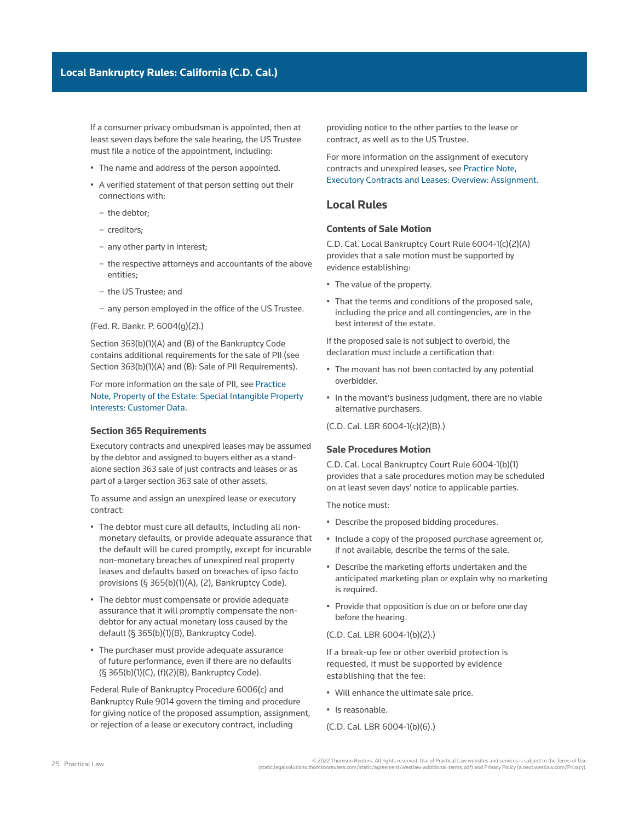If a consumer privacy ombudsman is appointed, then at least seven days before the sale hearing, the US Trustee must file a notice of the appointment, including:

- The name and address of the person appointed.
- A verified statement of that person setting out their connections with:
	- the debtor;
	- creditors;
	- any other [party in interest;](http://www.westlaw.com/Document/Ibb0a3b03ef0511e28578f7ccc38dcbee/View/FullText.html?originationContext=document&vr=3.0&rs=cblt1.0&transitionType=DocumentItem&contextData=(sc.Search))
	- the respective attorneys and accountants of the above entities;
	- the US Trustee; and
	- any person employed in the office of the US Trustee.

(Fed. R. Bankr. P. 6004(g)(2).)

Section 363(b)(1)(A) and (B) of the Bankruptcy Code contains additional requirements for the sale of PII (see Section 363(b)(1)(A) and (B): Sale of PII Requirements).

For more information on the sale of PII, see [Practice](http://us.practicallaw.tr.com/3-616-3701)  [Note, Property of the Estate: Special Intangible Property](http://us.practicallaw.tr.com/3-616-3701)  [Interests: Customer Data](http://us.practicallaw.tr.com/3-616-3701).

#### **Section 365 Requirements**

Executory contracts and unexpired leases may be assumed by the debtor and assigned to buyers either as a standalone section 363 sale of just contracts and leases or as part of a larger section 363 sale of other assets.

To assume and assign an unexpired lease or executory contract:

- The debtor must cure all defaults, including all nonmonetary defaults, or provide adequate assurance that the default will be cured promptly, except for incurable non-monetary breaches of unexpired real property leases and defaults based on breaches of [ipso facto](http://www.westlaw.com/Document/Ibb0a110fef0511e28578f7ccc38dcbee/View/FullText.html?originationContext=document&vr=3.0&rs=cblt1.0&transitionType=DocumentItem&contextData=(sc.Search))  provisions (§ 365(b)(1)(A), (2), Bankruptcy Code).
- The debtor must compensate or provide adequate assurance that it will promptly compensate the nondebtor for any actual monetary loss caused by the default (§ 365(b)(1)(B), Bankruptcy Code).
- The purchaser must provide adequate assurance of future performance, even if there are no defaults (§ 365(b)(1)(C), (f)(2)(B), Bankruptcy Code).

Federal Rule of Bankruptcy Procedure 6006(c) and Bankruptcy Rule 9014 govern the timing and procedure for giving notice of the proposed assumption, assignment, or rejection of a lease or executory contract, including

providing notice to the other parties to the lease or contract, as well as to the US Trustee.

For more information on the assignment of executory contracts and unexpired leases, see [Practice Note,](http://us.practicallaw.tr.com/8-381-2672)  [Executory Contracts and Leases: Overview: Assignment](http://us.practicallaw.tr.com/8-381-2672).

## **Local Rules**

#### **Contents of Sale Motion**

[C.D. Cal. Local Bankruptcy Court Rule 6004-1\(c\)\(2\)\(A\)](http://www.westlaw.com/Link/Document/FullText?findType=L&pubNum=1004206&cite=CARUSBCLBR.6004-1&originatingDoc=Ia2a72f779c9311e79bef99c0ee06c731&refType=GA&originationContext=document&vr=3.0&rs=cblt1.0&transitionType=PLDocumentLink&billingHash=7FB557ABE99305694AA1C861AB1886870FAD61F707587448F2C60CC3769483D6&contextData=(sc.Search)) provides that a sale motion must be supported by evidence establishing:

- The value of the property.
- That the terms and conditions of the proposed sale, including the price and all contingencies, are in the best interest of the estate.

If the proposed sale is not subject to overbid, the declaration must include a certification that:

- The movant has not been contacted by any potential overbidder.
- In the movant's business judgment, there are no viable alternative purchasers.

[\(C.D. Cal. LBR 6004-1\(c\)\(2\)\(B\).](http://www.westlaw.com/Link/Document/FullText?findType=L&pubNum=1004206&cite=CARUSBCLBR.6004-1&originatingDoc=Ia2a72f779c9311e79bef99c0ee06c731&refType=GA&originationContext=document&vr=3.0&rs=cblt1.0&transitionType=PLDocumentLink&billingHash=7FB557ABE99305694AA1C861AB1886870FAD61F707587448F2C60CC3769483D6&contextData=(sc.Search)))

#### **Sale Procedures Motion**

[C.D. Cal. Local Bankruptcy Court Rule 6004-1\(b\)\(1\)](http://www.westlaw.com/Link/Document/FullText?findType=L&pubNum=1004206&cite=CARUSBCLBR.6004-1&originatingDoc=Ia2a72f779c9311e79bef99c0ee06c731&refType=GA&originationContext=document&vr=3.0&rs=cblt1.0&transitionType=PLDocumentLink&billingHash=7FB557ABE99305694AA1C861AB1886870FAD61F707587448F2C60CC3769483D6&contextData=(sc.Search))  provides that a sale procedures motion may be scheduled on at least seven days' notice to applicable parties.

The notice must:

- Describe the proposed bidding procedures.
- Include a copy of the proposed purchase agreement or, if not available, describe the terms of the sale.
- Describe the marketing efforts undertaken and the anticipated marketing plan or explain why no marketing is required.
- Provide that opposition is due on or before one day before the hearing.

#### [\(C.D. Cal. LBR 6004-1\(b\)\(2\).](http://www.westlaw.com/Link/Document/FullText?findType=L&pubNum=1004206&cite=CARUSBCLBR.6004-1&originatingDoc=Ia2a72f779c9311e79bef99c0ee06c731&refType=GA&originationContext=document&vr=3.0&rs=cblt1.0&transitionType=PLDocumentLink&billingHash=7FB557ABE99305694AA1C861AB1886870FAD61F707587448F2C60CC3769483D6&contextData=(sc.Search)))

If a [break-up fee](http://www.westlaw.com/Document/I03f4d933eee311e28578f7ccc38dcbee/View/FullText.html?originationContext=document&vr=3.0&rs=cblt1.0&transitionType=DocumentItem&contextData=(sc.Search)) or other overbid protection is requested, it must be supported by evidence establishing that the fee:

- Will enhance the ultimate sale price.
- Is reasonable.

[\(C.D. Cal. LBR 6004-1\(b\)\(6\).](http://www.westlaw.com/Link/Document/FullText?findType=L&pubNum=1004206&cite=CARUSBCLBR.6004-1&originatingDoc=Ia2a72f779c9311e79bef99c0ee06c731&refType=GA&originationContext=document&vr=3.0&rs=cblt1.0&transitionType=PLDocumentLink&billingHash=7FB557ABE99305694AA1C861AB1886870FAD61F707587448F2C60CC3769483D6&contextData=(sc.Search)))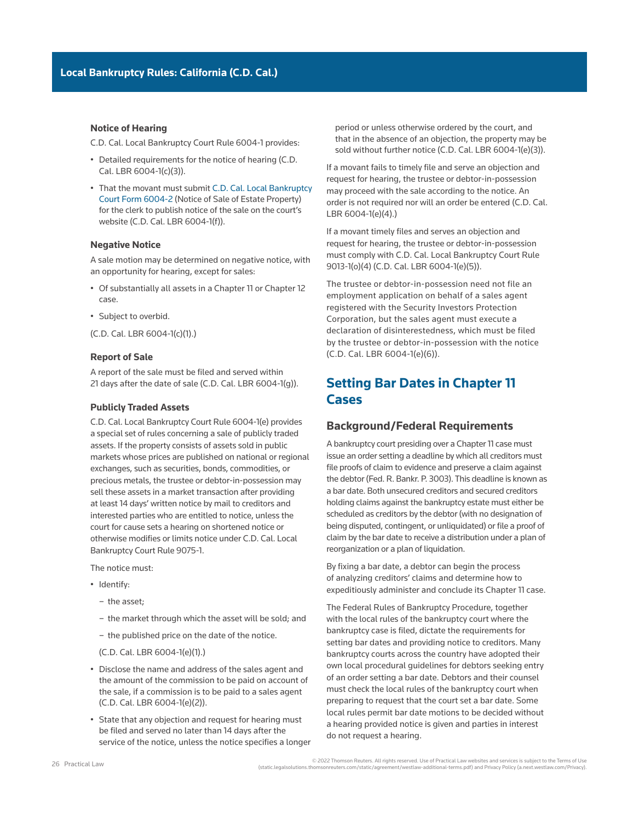#### **Notice of Hearing**

[C.D. Cal. Local Bankruptcy Court Rule 6004-1](http://www.westlaw.com/Link/Document/FullText?findType=L&pubNum=1004206&cite=CARUSBCLBR.6004-1&originatingDoc=Ia2a72f779c9311e79bef99c0ee06c731&refType=GA&originationContext=document&vr=3.0&rs=cblt1.0&transitionType=PLDocumentLink&billingHash=7FB557ABE99305694AA1C861AB1886870FAD61F707587448F2C60CC3769483D6&contextData=(sc.Search)) provides:

- Detailed requirements for the notice of hearing [\(C.D.](http://www.westlaw.com/Link/Document/FullText?findType=L&pubNum=1004206&cite=CARUSBCLBR.6004-1&originatingDoc=Ia2a72f779c9311e79bef99c0ee06c731&refType=GA&originationContext=document&vr=3.0&rs=cblt1.0&transitionType=PLDocumentLink&billingHash=7FB557ABE99305694AA1C861AB1886870FAD61F707587448F2C60CC3769483D6&contextData=(sc.Search))  [Cal. LBR 6004-1\(c\)\(3\)](http://www.westlaw.com/Link/Document/FullText?findType=L&pubNum=1004206&cite=CARUSBCLBR.6004-1&originatingDoc=Ia2a72f779c9311e79bef99c0ee06c731&refType=GA&originationContext=document&vr=3.0&rs=cblt1.0&transitionType=PLDocumentLink&billingHash=7FB557ABE99305694AA1C861AB1886870FAD61F707587448F2C60CC3769483D6&contextData=(sc.Search))).
- That the movant must submit [C.D. Cal. Local Bankruptcy](http://www.cacb.uscourts.gov/sites/cacb/files/documents/forms/F6004-2.NOTICESALE.pdf) [Court Form 6004-2](http://www.cacb.uscourts.gov/sites/cacb/files/documents/forms/F6004-2.NOTICESALE.pdf) (Notice of Sale of Estate Property) for the clerk to publish notice of the sale on the court's website [\(C.D. Cal. LBR 6004-1\(f\)](http://www.westlaw.com/Link/Document/FullText?findType=L&pubNum=1004206&cite=CARUSBCLBR.6004-1&originatingDoc=Ia2a72f779c9311e79bef99c0ee06c731&refType=GA&originationContext=document&vr=3.0&rs=cblt1.0&transitionType=PLDocumentLink&billingHash=7FB557ABE99305694AA1C861AB1886870FAD61F707587448F2C60CC3769483D6&contextData=(sc.Search))).

### **Negative Notice**

A sale motion may be determined on negative notice, with an opportunity for hearing, except for sales:

- Of substantially all assets in a [Chapter 11](http://www.westlaw.com/Document/Ibb09e934ef0511e28578f7ccc38dcbee/View/FullText.html?originationContext=document&vr=3.0&rs=cblt1.0&transitionType=DocumentItem&contextData=(sc.Search)) or [Chapter 12](http://www.westlaw.com/Document/Iff97b0b58dec11e9adfea82903531a62/View/FullText.html?originationContext=document&vr=3.0&rs=cblt1.0&transitionType=DocumentItem&contextData=(sc.Search))  case.
- Subject to overbid.

([C.D. Cal. LBR 6004-1\(c\)\(1\).](http://www.westlaw.com/Link/Document/FullText?findType=L&pubNum=1004206&cite=CARUSBCLBR.6004-1&originatingDoc=Ia2a72f779c9311e79bef99c0ee06c731&refType=GA&originationContext=document&vr=3.0&rs=cblt1.0&transitionType=PLDocumentLink&billingHash=7FB557ABE99305694AA1C861AB1886870FAD61F707587448F2C60CC3769483D6&contextData=(sc.Search)))

#### **Report of Sale**

A report of the sale must be filed and served within 21 days after the date of sale ([C.D. Cal. LBR 6004-1\(g\)](http://www.westlaw.com/Link/Document/FullText?findType=L&pubNum=1004206&cite=CARUSBCLBR.6004-1&originatingDoc=Ia2a72f779c9311e79bef99c0ee06c731&refType=GA&originationContext=document&vr=3.0&rs=cblt1.0&transitionType=PLDocumentLink&billingHash=7FB557ABE99305694AA1C861AB1886870FAD61F707587448F2C60CC3769483D6&contextData=(sc.Search))).

#### **Publicly Traded Assets**

[C.D. Cal. Local Bankruptcy Court Rule 6004-1\(e\)](http://www.westlaw.com/Link/Document/FullText?findType=L&pubNum=1004206&cite=CARUSBCLBR.6004-1&originatingDoc=Ia2a72f779c9311e79bef99c0ee06c731&refType=GA&originationContext=document&vr=3.0&rs=cblt1.0&transitionType=PLDocumentLink&billingHash=7FB557ABE99305694AA1C861AB1886870FAD61F707587448F2C60CC3769483D6&contextData=(sc.Search)) provides a special set of rules concerning a sale of publicly traded assets. If the property consists of assets sold in public markets whose prices are published on national or regional exchanges, such as securities, bonds, commodities, or precious metals, the trustee or debtor-in-possession may sell these assets in a market transaction after providing at least 14 days' written notice by mail to creditors and interested parties who are entitled to notice, unless the court for cause sets a hearing on shortened notice or otherwise modifies or limits notice under [C.D. Cal. Local](http://www.westlaw.com/Link/Document/FullText?findType=L&pubNum=1004206&cite=CARUSBCLBR.9075-1&originatingDoc=Ia2a72f779c9311e79bef99c0ee06c731&refType=GA&originationContext=document&vr=3.0&rs=cblt1.0&transitionType=PLDocumentLink&billingHash=0C9BDB2BC9943594A5B1E3721F8A4F22A5A5FF830E95C209C9A8896A948CB6A7&contextData=(sc.Search))  [Bankruptcy Court Rule 9075-1.](http://www.westlaw.com/Link/Document/FullText?findType=L&pubNum=1004206&cite=CARUSBCLBR.9075-1&originatingDoc=Ia2a72f779c9311e79bef99c0ee06c731&refType=GA&originationContext=document&vr=3.0&rs=cblt1.0&transitionType=PLDocumentLink&billingHash=0C9BDB2BC9943594A5B1E3721F8A4F22A5A5FF830E95C209C9A8896A948CB6A7&contextData=(sc.Search))

The notice must:

- Identify:
	- the asset;
	- the market through which the asset will be sold; and
	- the published price on the date of the notice.

[\(C.D. Cal. LBR 6004-1\(e\)\(1\)](http://www.westlaw.com/Link/Document/FullText?findType=L&pubNum=1004206&cite=CARUSBCLBR.6004-1&originatingDoc=Ia2a72f779c9311e79bef99c0ee06c731&refType=GA&originationContext=document&vr=3.0&rs=cblt1.0&transitionType=PLDocumentLink&billingHash=7FB557ABE99305694AA1C861AB1886870FAD61F707587448F2C60CC3769483D6&contextData=(sc.Search)).)

- Disclose the name and address of the sales agent and the amount of the commission to be paid on account of the sale, if a commission is to be paid to a sales agent [\(C.D. Cal. LBR 6004-1\(e\)\(2\)](http://www.westlaw.com/Link/Document/FullText?findType=L&pubNum=1004206&cite=CARUSBCLBR.6004-1&originatingDoc=Ia2a72f779c9311e79bef99c0ee06c731&refType=GA&originationContext=document&vr=3.0&rs=cblt1.0&transitionType=PLDocumentLink&billingHash=7FB557ABE99305694AA1C861AB1886870FAD61F707587448F2C60CC3769483D6&contextData=(sc.Search))).
- State that any objection and request for hearing must be filed and served no later than 14 days after the service of the notice, unless the notice specifies a longer

period or unless otherwise ordered by the court, and that in the absence of an objection, the property may be sold without further notice ([C.D. Cal. LBR 6004-1\(e\)\(3\)](http://www.westlaw.com/Link/Document/FullText?findType=L&pubNum=1004206&cite=CARUSBCLBR.6004-1&originatingDoc=Ia2a72f779c9311e79bef99c0ee06c731&refType=GA&originationContext=document&vr=3.0&rs=cblt1.0&transitionType=PLDocumentLink&billingHash=7FB557ABE99305694AA1C861AB1886870FAD61F707587448F2C60CC3769483D6&contextData=(sc.Search))).

If a movant fails to timely file and serve an objection and request for hearing, the trustee or debtor-in-possession may proceed with the sale according to the notice. An order is not required nor will an order be entered [\(C.D. Cal.](http://www.westlaw.com/Link/Document/FullText?findType=L&pubNum=1004206&cite=CARUSBCLBR.6004-1&originatingDoc=Ia2a72f779c9311e79bef99c0ee06c731&refType=GA&originationContext=document&vr=3.0&rs=cblt1.0&transitionType=PLDocumentLink&billingHash=7FB557ABE99305694AA1C861AB1886870FAD61F707587448F2C60CC3769483D6&contextData=(sc.Search))  [LBR 6004-1\(e\)\(4\)](http://www.westlaw.com/Link/Document/FullText?findType=L&pubNum=1004206&cite=CARUSBCLBR.6004-1&originatingDoc=Ia2a72f779c9311e79bef99c0ee06c731&refType=GA&originationContext=document&vr=3.0&rs=cblt1.0&transitionType=PLDocumentLink&billingHash=7FB557ABE99305694AA1C861AB1886870FAD61F707587448F2C60CC3769483D6&contextData=(sc.Search)).)

If a movant timely files and serves an objection and request for hearing, the trustee or debtor-in-possession must comply with [C.D. Cal. Local Bankruptcy Court Rule](http://www.westlaw.com/Link/Document/FullText?findType=L&pubNum=1004206&cite=CARUSBCLBR.9013-1&originatingDoc=Ia2a72f779c9311e79bef99c0ee06c731&refType=GA&originationContext=document&vr=3.0&rs=cblt1.0&transitionType=PLDocumentLink&billingHash=D27C10DE618AE981AFE33FF81CF165382816D5D118F4405B70D53508DBED4A6D&contextData=(sc.Search))  [9013-1\(o\)\(4\)](http://www.westlaw.com/Link/Document/FullText?findType=L&pubNum=1004206&cite=CARUSBCLBR.9013-1&originatingDoc=Ia2a72f779c9311e79bef99c0ee06c731&refType=GA&originationContext=document&vr=3.0&rs=cblt1.0&transitionType=PLDocumentLink&billingHash=D27C10DE618AE981AFE33FF81CF165382816D5D118F4405B70D53508DBED4A6D&contextData=(sc.Search)) [\(C.D. Cal. LBR 6004-1\(e\)\(5\)\)](http://www.westlaw.com/Link/Document/FullText?findType=L&pubNum=1004206&cite=CARUSBCLBR.6004-1&originatingDoc=Ia2a72f779c9311e79bef99c0ee06c731&refType=GA&originationContext=document&vr=3.0&rs=cblt1.0&transitionType=PLDocumentLink&billingHash=7FB557ABE99305694AA1C861AB1886870FAD61F707587448F2C60CC3769483D6&contextData=(sc.Search)).

The trustee or debtor-in-possession need not file an employment application on behalf of a sales agent registered with the Security Investors Protection Corporation, but the sales agent must execute a declaration of disinterestedness, which must be filed by the trustee or debtor-in-possession with the notice [\(C.D. Cal. LBR 6004-1\(e\)\(6\)](http://www.westlaw.com/Link/Document/FullText?findType=L&pubNum=1004206&cite=CARUSBCLBR.6004-1&originatingDoc=Ia2a72f779c9311e79bef99c0ee06c731&refType=GA&originationContext=document&vr=3.0&rs=cblt1.0&transitionType=PLDocumentLink&billingHash=7FB557ABE99305694AA1C861AB1886870FAD61F707587448F2C60CC3769483D6&contextData=(sc.Search))).

# **Setting Bar Dates in Chapter 11 Cases**

## **Background/Federal Requirements**

A bankruptcy court presiding over a Chapter 11 case must issue an order setting a deadline by which all creditors must file [proofs of claim](http://www.westlaw.com/Document/I210504f8ef0811e28578f7ccc38dcbee/View/FullText.html?originationContext=document&vr=3.0&rs=cblt1.0&transitionType=DocumentItem&contextData=(sc.Search)) to evidence and preserve a [claim](http://www.westlaw.com/Document/Ibb09e944ef0511e28578f7ccc38dcbee/View/FullText.html?originationContext=document&vr=3.0&rs=cblt1.0&transitionType=DocumentItem&contextData=(sc.Search)) against the debtor [\(Fed. R. Bankr. P. 3003\)](http://www.westlaw.com/Link/Document/FullText?findType=L&pubNum=1000611&cite=USFRBPR3003&originatingDoc=Ia2a72f779c9311e79bef99c0ee06c731&refType=LQ&originationContext=document&vr=3.0&rs=cblt1.0&transitionType=PLDocumentLink&billingHash=E3826686A999DECC0D5326F830F1723AD4AE8706DF484536671A43618A2DC506&contextData=(sc.Search)). This deadline is known as a [bar date.](http://www.westlaw.com/Document/I8abc64d71c9a11e38578f7ccc38dcbee/View/FullText.html?originationContext=document&vr=3.0&rs=cblt1.0&transitionType=DocumentItem&contextData=(sc.Search)) Both unsecured creditors and secured creditors holding claims against the [bankruptcy estate](http://www.westlaw.com/Document/Ibb09e99fef0511e28578f7ccc38dcbee/View/FullText.html?originationContext=document&vr=3.0&rs=cblt1.0&transitionType=DocumentItem&contextData=(sc.Search)) must either be scheduled as creditors by the debtor (with no designation of being disputed, [contingent,](http://www.westlaw.com/Document/I188aad20f92311e498db8b09b4f043e0/View/FullText.html?originationContext=document&vr=3.0&rs=cblt1.0&transitionType=DocumentItem&contextData=(sc.Search)) or [unliquidated](http://www.westlaw.com/Document/I1c633950ef2811e28578f7ccc38dcbee/View/FullText.html?originationContext=document&vr=3.0&rs=cblt1.0&transitionType=DocumentItem&contextData=(sc.Search))) or file a proof of claim by the bar date to receive a distribution under a [plan of](http://www.westlaw.com/Document/I03f4db03eee311e28578f7ccc38dcbee/View/FullText.html?originationContext=document&vr=3.0&rs=cblt1.0&transitionType=DocumentItem&contextData=(sc.Search))  [reorganization](http://www.westlaw.com/Document/I03f4db03eee311e28578f7ccc38dcbee/View/FullText.html?originationContext=document&vr=3.0&rs=cblt1.0&transitionType=DocumentItem&contextData=(sc.Search)) or a plan of [liquidation.](http://www.westlaw.com/Document/Ibb09e9b1ef0511e28578f7ccc38dcbee/View/FullText.html?originationContext=document&vr=3.0&rs=cblt1.0&transitionType=DocumentItem&contextData=(sc.Search))

By fixing a bar date, a debtor can begin the process of analyzing creditors' claims and determine how to expeditiously administer and conclude its Chapter 11 case.

The Federal Rules of Bankruptcy Procedure, together with the local rules of the bankruptcy court where the bankruptcy case is filed, dictate the requirements for setting bar dates and providing notice to creditors. Many bankruptcy courts across the country have adopted their own local procedural guidelines for debtors seeking entry of an order setting a bar date. Debtors and their counsel must check the local rules of the bankruptcy court when preparing to request that the court set a bar date. Some local rules permit bar date motions to be decided without a hearing provided notice is given and parties in interest do not request a hearing.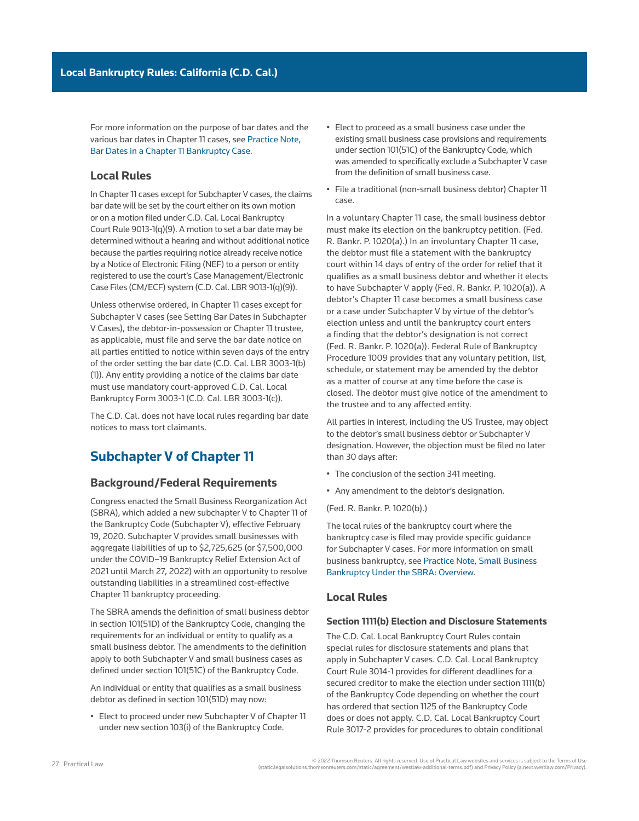For more information on the purpose of bar dates and the various bar dates in Chapter 11 cases, see [Practice Note,](http://us.practicallaw.tr.com/0-617-4008)  [Bar Dates in a Chapter 11 Bankruptcy Case](http://us.practicallaw.tr.com/0-617-4008).

## **Local Rules**

In Chapter 11 cases except for Subchapter V cases, the claims bar date will be set by the court either on its own motion or on a motion filed under [C.D. Cal. Local Bankruptcy](http://www.westlaw.com/Link/Document/FullText?findType=L&pubNum=1004206&cite=CARUSBCLBR.9013-1&originatingDoc=Ia2a72f779c9311e79bef99c0ee06c731&refType=GA&originationContext=document&vr=3.0&rs=cblt1.0&transitionType=PLDocumentLink&billingHash=D27C10DE618AE981AFE33FF81CF165382816D5D118F4405B70D53508DBED4A6D&contextData=(sc.Search))  [Court Rule 9013-1\(q\)\(9\).](http://www.westlaw.com/Link/Document/FullText?findType=L&pubNum=1004206&cite=CARUSBCLBR.9013-1&originatingDoc=Ia2a72f779c9311e79bef99c0ee06c731&refType=GA&originationContext=document&vr=3.0&rs=cblt1.0&transitionType=PLDocumentLink&billingHash=D27C10DE618AE981AFE33FF81CF165382816D5D118F4405B70D53508DBED4A6D&contextData=(sc.Search)) A motion to set a bar date may be determined without a hearing and without additional notice because the parties requiring notice already receive notice by a Notice of Electronic Filing (NEF) to a person or entity registered to use the court's [Case Management/Electronic](http://www.westlaw.com/Document/I0f9fc0a7ef0811e28578f7ccc38dcbee/View/FullText.html?originationContext=document&vr=3.0&rs=cblt1.0&transitionType=DocumentItem&contextData=(sc.Search))  [Case Files](http://www.westlaw.com/Document/I0f9fc0a7ef0811e28578f7ccc38dcbee/View/FullText.html?originationContext=document&vr=3.0&rs=cblt1.0&transitionType=DocumentItem&contextData=(sc.Search)) (CM/ECF) system ([C.D. Cal. LBR 9013-1\(q\)\(9\)](http://www.westlaw.com/Link/Document/FullText?findType=L&pubNum=1004206&cite=CARUSBCLBR.9013-1&originatingDoc=Ia2a72f779c9311e79bef99c0ee06c731&refType=GA&originationContext=document&vr=3.0&rs=cblt1.0&transitionType=PLDocumentLink&billingHash=D27C10DE618AE981AFE33FF81CF165382816D5D118F4405B70D53508DBED4A6D&contextData=(sc.Search))).

Unless otherwise ordered, in Chapter 11 cases except for Subchapter V cases (see Setting Bar Dates in Subchapter V Cases), the debtor-in-possession or Chapter 11 trustee, as applicable, must file and serve the bar date notice on all parties entitled to notice within seven days of the entry of the order setting the bar date ([C.D. Cal. LBR 3003-1\(b\)](http://www.westlaw.com/Link/Document/FullText?findType=L&pubNum=1004206&cite=CARUSBCLBR.3003-1&originatingDoc=Ia2a72f779c9311e79bef99c0ee06c731&refType=GA&originationContext=document&vr=3.0&rs=cblt1.0&transitionType=PLDocumentLink&billingHash=EA333DC53BA4AED3349ABF969D748D61FA84D9B72442F0A15714116AF6C5E838&contextData=(sc.Search)) [\(1\)\)](http://www.westlaw.com/Link/Document/FullText?findType=L&pubNum=1004206&cite=CARUSBCLBR.3003-1&originatingDoc=Ia2a72f779c9311e79bef99c0ee06c731&refType=GA&originationContext=document&vr=3.0&rs=cblt1.0&transitionType=PLDocumentLink&billingHash=EA333DC53BA4AED3349ABF969D748D61FA84D9B72442F0A15714116AF6C5E838&contextData=(sc.Search)). Any entity providing a notice of the claims bar date must use mandatory court-approved [C.D. Cal. Local](http://www.westlaw.com/Link/Document/FullText?findType=L&pubNum=1004206&cite=CARUSBCF3003-1.NOTICE.BARDATE&originatingDoc=Ia2a72f779c9311e79bef99c0ee06c731&refType=GA&originationContext=document&vr=3.0&rs=cblt1.0&transitionType=PLDocumentLink&billingHash=08A947234B28B6E3803E343E34C2AD1C1967AD599F2B5E386E60D311DA318548&contextData=(sc.Search))  [Bankruptcy Form 3003-1](http://www.westlaw.com/Link/Document/FullText?findType=L&pubNum=1004206&cite=CARUSBCF3003-1.NOTICE.BARDATE&originatingDoc=Ia2a72f779c9311e79bef99c0ee06c731&refType=GA&originationContext=document&vr=3.0&rs=cblt1.0&transitionType=PLDocumentLink&billingHash=08A947234B28B6E3803E343E34C2AD1C1967AD599F2B5E386E60D311DA318548&contextData=(sc.Search)) [\(C.D. Cal. LBR 3003-1\(c\)\)](http://www.westlaw.com/Link/Document/FullText?findType=L&pubNum=1004206&cite=CARUSBCLBR.3003-1&originatingDoc=Ia2a72f779c9311e79bef99c0ee06c731&refType=GA&originationContext=document&vr=3.0&rs=cblt1.0&transitionType=PLDocumentLink&billingHash=EA333DC53BA4AED3349ABF969D748D61FA84D9B72442F0A15714116AF6C5E838&contextData=(sc.Search)).

The C.D. Cal. does not have local rules regarding bar date notices to mass tort claimants.

# **Subchapter V of Chapter 11**

## **Background/Federal Requirements**

Congress enacted the Small Business Reorganization Act (SBRA), which added a new subchapter V to Chapter 11 of the Bankruptcy Code (Subchapter V), effective February 19, 2020. Subchapter V provides small businesses with aggregate liabilities of up to \$2,725,625 (or \$7,500,000 under the COVID–19 Bankruptcy Relief Extension Act of 2021 until March 27, 2022) with an opportunity to resolve outstanding liabilities in a streamlined cost-effective Chapter 11 bankruptcy proceeding.

The SBRA amends the definition of small business debtor in section 101(51D) of the Bankruptcy Code, changing the requirements for an individual or entity to qualify as a small business debtor. The amendments to the definition apply to both Subchapter V and small business cases as defined under section 101(51C) of the Bankruptcy Code.

An individual or entity that qualifies as a small business debtor as defined in section 101(51D) may now:

• Elect to proceed under new Subchapter V of Chapter 11 under new section 103(i) of the Bankruptcy Code.

- Elect to proceed as a small business case under the existing small business case provisions and requirements under section 101(51C) of the Bankruptcy Code, which was amended to specifically exclude a Subchapter V case from the definition of small business case.
- File a traditional (non-small business debtor) Chapter 11 case.

In a voluntary Chapter 11 case, the small business debtor must make its election on the bankruptcy petition. (Fed. R. Bankr. P. 1020(a).) In an involuntary Chapter 11 case, the debtor must file a statement with the bankruptcy court within 14 days of entry of the [order for relief](http://www.westlaw.com/Document/I3a99e80def1211e28578f7ccc38dcbee/View/FullText.html?originationContext=document&vr=3.0&rs=cblt1.0&transitionType=DocumentItem&contextData=(sc.Search)) that it qualifies as a small business debtor and whether it elects to have Subchapter V apply (Fed. R. Bankr. P. 1020(a)). A debtor's Chapter 11 case becomes a small business case or a case under Subchapter V by virtue of the debtor's election unless and until the bankruptcy court enters a finding that the debtor's designation is not correct (Fed. R. Bankr. P. 1020(a)). [Federal Rule of Bankruptcy](http://www.westlaw.com/Link/Document/FullText?findType=L&pubNum=1000611&cite=USFRBPR1009&originatingDoc=Ia2a72f779c9311e79bef99c0ee06c731&refType=LQ&originationContext=document&vr=3.0&rs=cblt1.0&transitionType=PLDocumentLink&billingHash=CB90453685D6D6C3D9E81E69FC70E1B1466C6A9C413BC6BF81E478FAFF900050&contextData=(sc.Search))  [Procedure 1009](http://www.westlaw.com/Link/Document/FullText?findType=L&pubNum=1000611&cite=USFRBPR1009&originatingDoc=Ia2a72f779c9311e79bef99c0ee06c731&refType=LQ&originationContext=document&vr=3.0&rs=cblt1.0&transitionType=PLDocumentLink&billingHash=CB90453685D6D6C3D9E81E69FC70E1B1466C6A9C413BC6BF81E478FAFF900050&contextData=(sc.Search)) provides that any voluntary petition, list, schedule, or statement may be amended by the debtor as a matter of course at any time before the case is closed. The debtor must give notice of the amendment to the trustee and to any affected entity.

All [parties in interest](http://www.westlaw.com/Document/Ibb0a3b03ef0511e28578f7ccc38dcbee/View/FullText.html?originationContext=document&vr=3.0&rs=cblt1.0&transitionType=DocumentItem&contextData=(sc.Search)), including the [US Trustee,](http://www.westlaw.com/Document/Ibb09e9afef0511e28578f7ccc38dcbee/View/FullText.html?originationContext=document&vr=3.0&rs=cblt1.0&transitionType=DocumentItem&contextData=(sc.Search)) may object to the debtor's small business debtor or Subchapter V designation. However, the objection must be filed no later than 30 days after:

- The conclusion of the [section 341 meeting](http://www.westlaw.com/Document/Id4cf1894f3ad11e28578f7ccc38dcbee/View/FullText.html?originationContext=document&vr=3.0&rs=cblt1.0&transitionType=DocumentItem&contextData=(sc.Search)).
- Any amendment to the debtor's designation.

(Fed. R. Bankr. P. 1020(b).)

The local rules of the bankruptcy court where the bankruptcy case is filed may provide specific guidance for Subchapter V cases. For more information on small business bankruptcy, see [Practice Note, Small Business](http://us.practicallaw.tr.com/W-023-8889)  [Bankruptcy Under the SBRA: Overview](http://us.practicallaw.tr.com/W-023-8889).

## **Local Rules**

#### **Section 1111(b) Election and Disclosure Statements**

The C.D. Cal. Local Bankruptcy Court Rules contain special rules for [disclosure statements](http://www.westlaw.com/Document/Ibb09e9b4ef0511e28578f7ccc38dcbee/View/FullText.html?originationContext=document&vr=3.0&rs=cblt1.0&transitionType=DocumentItem&contextData=(sc.Search)) and [plans](http://www.westlaw.com/Document/I03f4db03eee311e28578f7ccc38dcbee/View/FullText.html?originationContext=document&vr=3.0&rs=cblt1.0&transitionType=DocumentItem&contextData=(sc.Search)) that apply in Subchapter V cases. [C.D. Cal. Local Bankruptcy](http://www.westlaw.com/Link/Document/FullText?findType=L&pubNum=1004206&cite=CARUSBCLBR.3014-1&originatingDoc=Ia2a72f779c9311e79bef99c0ee06c731&refType=GA&originationContext=document&vr=3.0&rs=cblt1.0&transitionType=PLDocumentLink&billingHash=8820CE1F9839F9D2E175A4F1DB376C14ACC36B9F6F9FF9E32A419FF58FC0524A&contextData=(sc.Search))  [Court Rule 3014-1](http://www.westlaw.com/Link/Document/FullText?findType=L&pubNum=1004206&cite=CARUSBCLBR.3014-1&originatingDoc=Ia2a72f779c9311e79bef99c0ee06c731&refType=GA&originationContext=document&vr=3.0&rs=cblt1.0&transitionType=PLDocumentLink&billingHash=8820CE1F9839F9D2E175A4F1DB376C14ACC36B9F6F9FF9E32A419FF58FC0524A&contextData=(sc.Search)) provides for different deadlines for a [secured creditor](http://www.westlaw.com/Document/Ibb09e941ef0511e28578f7ccc38dcbee/View/FullText.html?originationContext=document&vr=3.0&rs=cblt1.0&transitionType=DocumentItem&contextData=(sc.Search)) to make the election under section 1111(b) of the Bankruptcy Code depending on whether the court has ordered that [section 1125 of the Bankruptcy Code](http://www.westlaw.com/Link/Document/FullText?findType=L&pubNum=1000611&cite=11USCAS1125&originatingDoc=Ia2a72f779c9311e79bef99c0ee06c731&refType=LQ&originationContext=document&vr=3.0&rs=cblt1.0&transitionType=PLDocumentLink&billingHash=EF8BE24F229DA03643DF097544E9974CDC9DF48EC202C80496D3E2C1CE3FBF36&contextData=(sc.Search)) does or does not apply. [C.D. Cal. Local Bankruptcy Court](http://www.westlaw.com/Link/Document/FullText?findType=L&pubNum=1004206&cite=CARUSBCLBR.3017-2&originatingDoc=Ia2a72f779c9311e79bef99c0ee06c731&refType=GA&originationContext=document&vr=3.0&rs=cblt1.0&transitionType=PLDocumentLink&billingHash=D1428459AD67BBBA3D8E33EB3964228DA40AED7861472185E7405DCCE2B3A09C&contextData=(sc.Search))  [Rule 3017-2](http://www.westlaw.com/Link/Document/FullText?findType=L&pubNum=1004206&cite=CARUSBCLBR.3017-2&originatingDoc=Ia2a72f779c9311e79bef99c0ee06c731&refType=GA&originationContext=document&vr=3.0&rs=cblt1.0&transitionType=PLDocumentLink&billingHash=D1428459AD67BBBA3D8E33EB3964228DA40AED7861472185E7405DCCE2B3A09C&contextData=(sc.Search)) provides for procedures to obtain conditional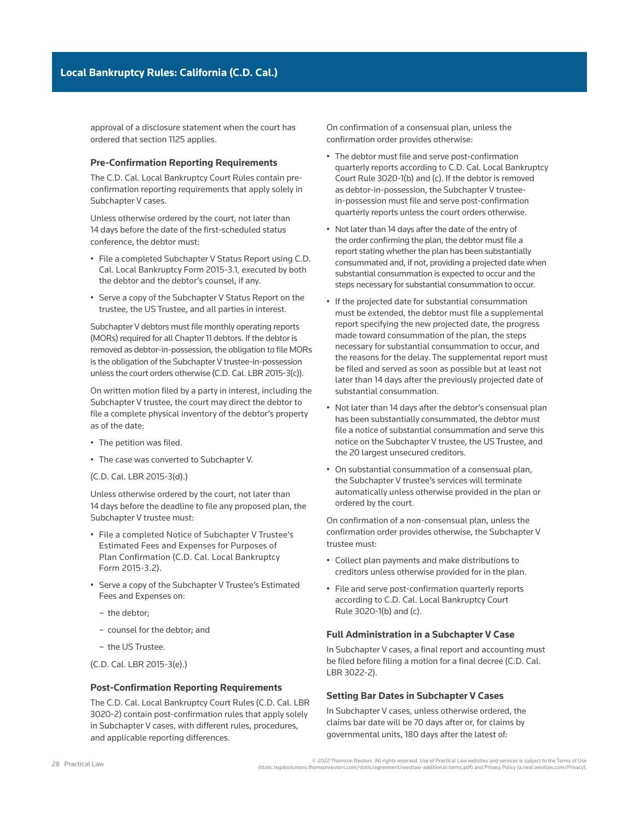approval of a disclosure statement when the court has ordered that section 1125 applies.

#### **Pre-Confirmation Reporting Requirements**

The C.D. Cal. Local Bankruptcy Court Rules contain pre[confirmation](http://www.westlaw.com/Document/Ibb09e97def0511e28578f7ccc38dcbee/View/FullText.html?originationContext=document&vr=3.0&rs=cblt1.0&transitionType=DocumentItem&contextData=(sc.Search)) reporting requirements that apply solely in Subchapter V cases.

Unless otherwise ordered by the court, not later than 14 days before the date of the first-scheduled status conference, the debtor must:

- File a completed Subchapter V Status Report using [C.D.](http://www.westlaw.com/Link/Document/FullText?findType=L&pubNum=1004206&cite=CARUSBCF2015-3.1&originatingDoc=Ia2a72f779c9311e79bef99c0ee06c731&refType=GA&originationContext=document&vr=3.0&rs=cblt1.0&transitionType=PLDocumentLink&billingHash=5154922571079B32EBDCE2959588C2E72A664FC6C7408E559CEF31246D773BA9&contextData=(sc.Search))  [Cal. Local Bankruptcy Form 2015-3.1,](http://www.westlaw.com/Link/Document/FullText?findType=L&pubNum=1004206&cite=CARUSBCF2015-3.1&originatingDoc=Ia2a72f779c9311e79bef99c0ee06c731&refType=GA&originationContext=document&vr=3.0&rs=cblt1.0&transitionType=PLDocumentLink&billingHash=5154922571079B32EBDCE2959588C2E72A664FC6C7408E559CEF31246D773BA9&contextData=(sc.Search)) executed by both the debtor and the debtor's counsel, if any.
- Serve a copy of the Subchapter V Status Report on the [trustee,](http://www.westlaw.com/Document/Ibb0a37a1ef0511e28578f7ccc38dcbee/View/FullText.html?originationContext=document&vr=3.0&rs=cblt1.0&transitionType=DocumentItem&contextData=(sc.Search)) the [US Trustee,](http://www.westlaw.com/Document/Ibb09e9afef0511e28578f7ccc38dcbee/View/FullText.html?originationContext=document&vr=3.0&rs=cblt1.0&transitionType=DocumentItem&contextData=(sc.Search)) and all [parties in interest](http://www.westlaw.com/Document/Ibb0a3b03ef0511e28578f7ccc38dcbee/View/FullText.html?originationContext=document&vr=3.0&rs=cblt1.0&transitionType=DocumentItem&contextData=(sc.Search)).

Subchapter V debtors must file monthly operating reports (MORs) required for all Chapter 11 debtors. If the debtor is removed as [debtor-in-possession,](http://www.westlaw.com/Document/I2104b7fbef0811e28578f7ccc38dcbee/View/FullText.html?originationContext=document&vr=3.0&rs=cblt1.0&transitionType=DocumentItem&contextData=(sc.Search)) the obligation to file MORs is the obligation of the Subchapter V trustee-in-possession unless the court orders otherwise [\(C.D. Cal. LBR 2015-3\(c\)\)](http://www.westlaw.com/Link/Document/FullText?findType=L&pubNum=1004206&cite=CARUSBCLBR.2015-3&originatingDoc=Ia2a72f779c9311e79bef99c0ee06c731&refType=GA&originationContext=document&vr=3.0&rs=cblt1.0&transitionType=PLDocumentLink&billingHash=C9C4CAB8E42DB09A1DE16DFB0D96F6B1BB8B0F9EBCCCCC6DEA7A562CF0269E4D&contextData=(sc.Search)).

On written motion filed by a party in interest, including the Subchapter V trustee, the court may direct the debtor to file a complete physical inventory of the debtor's property as of the date:

- The petition was filed.
- The case was [converted](http://www.westlaw.com/Document/I54eaa0c31c9a11e38578f7ccc38dcbee/View/FullText.html?originationContext=document&vr=3.0&rs=cblt1.0&transitionType=DocumentItem&contextData=(sc.Search)) to Subchapter V.
- ([C.D. Cal. LBR 2015-3\(d\)](http://www.westlaw.com/Link/Document/FullText?findType=L&pubNum=1004206&cite=CARUSBCLBR.2015-3&originatingDoc=Ia2a72f779c9311e79bef99c0ee06c731&refType=GA&originationContext=document&vr=3.0&rs=cblt1.0&transitionType=PLDocumentLink&billingHash=C9C4CAB8E42DB09A1DE16DFB0D96F6B1BB8B0F9EBCCCCC6DEA7A562CF0269E4D&contextData=(sc.Search)).)

Unless otherwise ordered by the court, not later than 14 days before the deadline to file any proposed plan, the Subchapter V trustee must:

- File a completed Notice of Subchapter V Trustee's Estimated Fees and Expenses for Purposes of Plan Confirmation (C.D. Cal. Local Bankruptcy Form 2015-3.2).
- Serve a copy of the Subchapter V Trustee's Estimated Fees and Expenses on:
	- the debtor;
	- counsel for the debtor; and
	- the US Trustee.
- (C.D. Cal. LBR 2015-3(e).)

#### **Post-Confirmation Reporting Requirements**

The C.D. Cal. Local Bankruptcy Court Rules ([C.D. Cal. LBR](http://www.westlaw.com/Link/Document/FullText?findType=L&pubNum=1004206&cite=CARUSBCLBR.3020-2&originatingDoc=Ia2a72f779c9311e79bef99c0ee06c731&refType=GA&originationContext=document&vr=3.0&rs=cblt1.0&transitionType=PLDocumentLink&billingHash=34A9A0AD1D6D8C0175E14BDDC7039DB07992F7883EC091DB277DD9216567C651&contextData=(sc.Search))  [3020-2](http://www.westlaw.com/Link/Document/FullText?findType=L&pubNum=1004206&cite=CARUSBCLBR.3020-2&originatingDoc=Ia2a72f779c9311e79bef99c0ee06c731&refType=GA&originationContext=document&vr=3.0&rs=cblt1.0&transitionType=PLDocumentLink&billingHash=34A9A0AD1D6D8C0175E14BDDC7039DB07992F7883EC091DB277DD9216567C651&contextData=(sc.Search))) contain post-confirmation rules that apply solely in Subchapter V cases, with different rules, procedures, and applicable reporting differences.

On confirmation of a consensual plan, unless the confirmation order provides otherwise:

- The debtor must file and serve post-confirmation quarterly reports according to [C.D. Cal. Local Bankruptcy](http://www.westlaw.com/Link/Document/FullText?findType=L&pubNum=1004206&cite=CARUSBCLBR.3020-1&originatingDoc=Ia2a72f779c9311e79bef99c0ee06c731&refType=GA&originationContext=document&vr=3.0&rs=cblt1.0&transitionType=PLDocumentLink&billingHash=7CE58480B467F01520C67883054C451684CE31201ACF971DE53E65996B722D19&contextData=(sc.Search))  [Court Rule 3020-1\(b\) and \(c\).](http://www.westlaw.com/Link/Document/FullText?findType=L&pubNum=1004206&cite=CARUSBCLBR.3020-1&originatingDoc=Ia2a72f779c9311e79bef99c0ee06c731&refType=GA&originationContext=document&vr=3.0&rs=cblt1.0&transitionType=PLDocumentLink&billingHash=7CE58480B467F01520C67883054C451684CE31201ACF971DE53E65996B722D19&contextData=(sc.Search)) If the debtor is removed as debtor-in-possession, the Subchapter V trusteein-possession must file and serve post-confirmation quarterly reports unless the court orders otherwise.
- Not later than 14 days after the date of the entry of the order confirming the plan, the debtor must file a report stating whether the plan has been substantially consummated and, if not, providing a projected date when substantial consummation is expected to occur and the steps necessary for substantial consummation to occur.
- If the projected date for substantial consummation must be extended, the debtor must file a supplemental report specifying the new projected date, the progress made toward consummation of the plan, the steps necessary for substantial consummation to occur, and the reasons for the delay. The supplemental report must be filed and served as soon as possible but at least not later than 14 days after the previously projected date of substantial consummation.
- Not later than 14 days after the debtor's consensual plan has been substantially consummated, the debtor must file a notice of substantial consummation and serve this notice on the Subchapter V trustee, the US Trustee, and the 20 largest [unsecured creditors.](http://www.westlaw.com/Document/Ibb09e92def0511e28578f7ccc38dcbee/View/FullText.html?originationContext=document&vr=3.0&rs=cblt1.0&transitionType=DocumentItem&contextData=(sc.Search))
- On substantial consummation of a consensual plan, the Subchapter V trustee's services will terminate automatically unless otherwise provided in the plan or ordered by the court.

On confirmation of a non-consensual plan, unless the confirmation order provides otherwise, the Subchapter V trustee must:

- Collect plan payments and make distributions to creditors unless otherwise provided for in the plan.
- File and serve post-confirmation quarterly reports according to [C.D. Cal. Local Bankruptcy Court](http://www.westlaw.com/Link/Document/FullText?findType=L&pubNum=1004206&cite=CARUSBCLBR.3020-1&originatingDoc=Ia2a72f779c9311e79bef99c0ee06c731&refType=GA&originationContext=document&vr=3.0&rs=cblt1.0&transitionType=PLDocumentLink&billingHash=7CE58480B467F01520C67883054C451684CE31201ACF971DE53E65996B722D19&contextData=(sc.Search))  [Rule 3020-1\(b\) and \(c\)](http://www.westlaw.com/Link/Document/FullText?findType=L&pubNum=1004206&cite=CARUSBCLBR.3020-1&originatingDoc=Ia2a72f779c9311e79bef99c0ee06c731&refType=GA&originationContext=document&vr=3.0&rs=cblt1.0&transitionType=PLDocumentLink&billingHash=7CE58480B467F01520C67883054C451684CE31201ACF971DE53E65996B722D19&contextData=(sc.Search)).

#### **Full Administration in a Subchapter V Case**

In Subchapter V cases, a final report and accounting must be filed before filing a motion for a final decree [\(C.D. Cal.](http://www.westlaw.com/Link/Document/FullText?findType=L&pubNum=1004206&cite=CARUSBCLBR.3022-2&originatingDoc=Ia2a72f779c9311e79bef99c0ee06c731&refType=GA&originationContext=document&vr=3.0&rs=cblt1.0&transitionType=PLDocumentLink&billingHash=FB191A5C5DB4510590694064AA8743F6E10896A553663030F4491B89DA627D2F&contextData=(sc.Search))  [LBR 3022-2\)](http://www.westlaw.com/Link/Document/FullText?findType=L&pubNum=1004206&cite=CARUSBCLBR.3022-2&originatingDoc=Ia2a72f779c9311e79bef99c0ee06c731&refType=GA&originationContext=document&vr=3.0&rs=cblt1.0&transitionType=PLDocumentLink&billingHash=FB191A5C5DB4510590694064AA8743F6E10896A553663030F4491B89DA627D2F&contextData=(sc.Search)).

#### **Setting Bar Dates in Subchapter V Cases**

In Subchapter V cases, unless otherwise ordered, the claims [bar date](http://www.westlaw.com/Document/I8abc64d71c9a11e38578f7ccc38dcbee/View/FullText.html?originationContext=document&vr=3.0&rs=cblt1.0&transitionType=DocumentItem&contextData=(sc.Search)) will be 70 days after or, for claims by governmental units, 180 days after the latest of:

<sup>2022</sup> Thomson Reuters. All rights reserved. Use of Practical Law websites and services is subject to the Terms of Use<br>(static.legalsolutions.thomsonreuters.com/static/agreement/westlaw-additional-terms.pdf) and Privacy Poli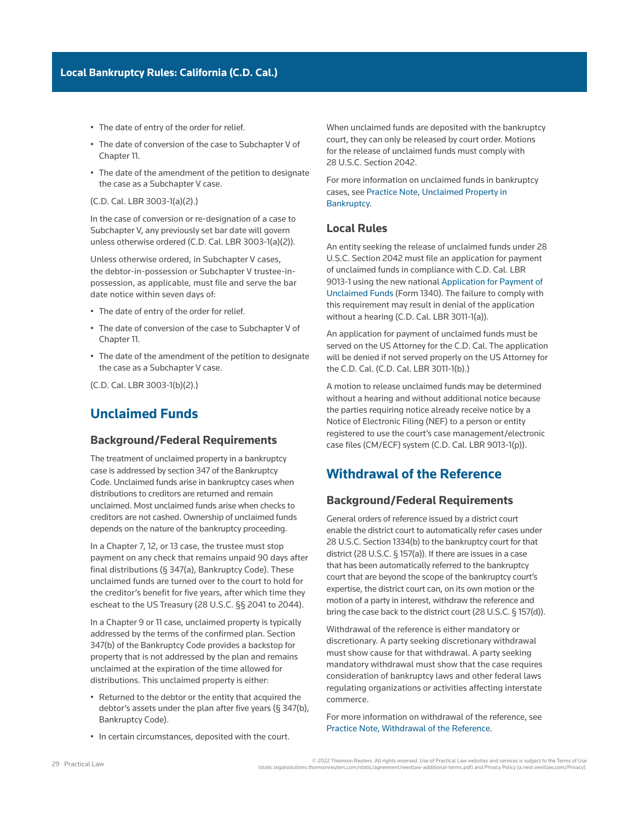- The date of entry of the [order for relief](http://www.westlaw.com/Document/I3a99e80def1211e28578f7ccc38dcbee/View/FullText.html?originationContext=document&vr=3.0&rs=cblt1.0&transitionType=DocumentItem&contextData=(sc.Search)).
- The date of conversion of the case to Subchapter V of Chapter 11.
- The date of the amendment of the petition to designate the case as a Subchapter V case.

([C.D. Cal. LBR 3003-1\(a\)\(2\)](http://www.westlaw.com/Link/Document/FullText?findType=L&pubNum=1004206&cite=CARUSBCLBR.3003-1&originatingDoc=Ia2a72f779c9311e79bef99c0ee06c731&refType=GA&originationContext=document&vr=3.0&rs=cblt1.0&transitionType=PLDocumentLink&billingHash=EA333DC53BA4AED3349ABF969D748D61FA84D9B72442F0A15714116AF6C5E838&contextData=(sc.Search)).)

In the case of conversion or re-designation of a case to Subchapter V, any previously set bar date will govern unless otherwise ordered [\(C.D. Cal. LBR 3003-1\(a\)\(2\)](http://www.westlaw.com/Link/Document/FullText?findType=L&pubNum=1004206&cite=CARUSBCLBR.3003-1&originatingDoc=Ia2a72f779c9311e79bef99c0ee06c731&refType=GA&originationContext=document&vr=3.0&rs=cblt1.0&transitionType=PLDocumentLink&billingHash=EA333DC53BA4AED3349ABF969D748D61FA84D9B72442F0A15714116AF6C5E838&contextData=(sc.Search))).

Unless otherwise ordered, in Subchapter V cases, the debtor-in-possession or Subchapter V trustee-inpossession, as applicable, must file and serve the bar date notice within seven days of:

- The date of entry of the order for relief.
- The date of conversion of the case to Subchapter V of Chapter 11.
- The date of the amendment of the petition to designate the case as a Subchapter V case.

([C.D. Cal. LBR 3003-1\(b\)\(2\)](http://www.westlaw.com/Link/Document/FullText?findType=L&pubNum=1004206&cite=CARUSBCLBR.3003-1&originatingDoc=Ia2a72f779c9311e79bef99c0ee06c731&refType=GA&originationContext=document&vr=3.0&rs=cblt1.0&transitionType=PLDocumentLink&billingHash=EA333DC53BA4AED3349ABF969D748D61FA84D9B72442F0A15714116AF6C5E838&contextData=(sc.Search)).)

## **Unclaimed Funds**

#### **Background/Federal Requirements**

The treatment of unclaimed property in a bankruptcy case is addressed by [section 347 of the Bankruptcy](http://www.westlaw.com/Link/Document/FullText?findType=L&pubNum=1000611&cite=11USCAS347&originatingDoc=Ia2a72f779c9311e79bef99c0ee06c731&refType=LQ&originationContext=document&vr=3.0&rs=cblt1.0&transitionType=PLDocumentLink&billingHash=8C1A78FAD5ECDDA2AC8051B405574F57277AF2D53981BC3C089032AD435BAF58&contextData=(sc.Search))  [Code.](http://www.westlaw.com/Link/Document/FullText?findType=L&pubNum=1000611&cite=11USCAS347&originatingDoc=Ia2a72f779c9311e79bef99c0ee06c731&refType=LQ&originationContext=document&vr=3.0&rs=cblt1.0&transitionType=PLDocumentLink&billingHash=8C1A78FAD5ECDDA2AC8051B405574F57277AF2D53981BC3C089032AD435BAF58&contextData=(sc.Search)) Unclaimed funds arise in bankruptcy cases when distributions to creditors are returned and remain unclaimed. Most unclaimed funds arise when checks to creditors are not cashed. Ownership of unclaimed funds depends on the nature of the bankruptcy proceeding.

In a [Chapter 7](http://www.westlaw.com/Document/I210505b1ef0811e28578f7ccc38dcbee/View/FullText.html?originationContext=document&vr=3.0&rs=cblt1.0&transitionType=DocumentItem&contextData=(sc.Search)), [12,](http://www.westlaw.com/Document/Iff97b0b58dec11e9adfea82903531a62/View/FullText.html?originationContext=document&vr=3.0&rs=cblt1.0&transitionType=DocumentItem&contextData=(sc.Search)) or [13](http://www.westlaw.com/Document/I3a9a0b8aef1211e28578f7ccc38dcbee/View/FullText.html?originationContext=document&vr=3.0&rs=cblt1.0&transitionType=DocumentItem&contextData=(sc.Search)) case, the trustee must stop payment on any check that remains unpaid 90 days after final distributions (§ 347(a), Bankruptcy Code). These unclaimed funds are turned over to the court to hold for the creditor's benefit for five years, after which time they escheat to the US Treasury ([28 U.S.C. §§ 2041](http://www.westlaw.com/Link/Document/FullText?findType=L&pubNum=1000546&cite=28USCAS2041&originatingDoc=Ia2a72f779c9311e79bef99c0ee06c731&refType=LQ&originationContext=document&vr=3.0&rs=cblt1.0&transitionType=PLDocumentLink&billingHash=5673F30A05320D4B1BD9A0DD057647E74520BFCE7D1476D3DE3DD7D833F8E7CC&contextData=(sc.Search)) to [2044](http://www.westlaw.com/Link/Document/FullText?findType=L&pubNum=1000546&cite=28USCAS2044&originatingDoc=Ia2a72f779c9311e79bef99c0ee06c731&refType=LQ&originationContext=document&vr=3.0&rs=cblt1.0&transitionType=PLDocumentLink&billingHash=5317EABC5962E4C13FF3B3C2D92E90EA2013B559639369CD5946AD8E42DEE34C&contextData=(sc.Search))).

In a [Chapter 9](http://www.westlaw.com/Document/I417f1ec36cfe11e598dc8b09b4f043e0/View/FullText.html?originationContext=document&vr=3.0&rs=cblt1.0&transitionType=DocumentItem&contextData=(sc.Search)) or 11 case, unclaimed property is typically addressed by the terms of the [confirmed](http://www.westlaw.com/Document/Ibb09e97def0511e28578f7ccc38dcbee/View/FullText.html?originationContext=document&vr=3.0&rs=cblt1.0&transitionType=DocumentItem&contextData=(sc.Search)) [plan.](http://www.westlaw.com/Document/I03f4db03eee311e28578f7ccc38dcbee/View/FullText.html?originationContext=document&vr=3.0&rs=cblt1.0&transitionType=DocumentItem&contextData=(sc.Search)) Section 347(b) of the Bankruptcy Code provides a backstop for property that is not addressed by the plan and remains unclaimed at the expiration of the time allowed for distributions. This unclaimed property is either:

- Returned to the debtor or the entity that acquired the debtor's assets under the plan after five years (§ 347(b), Bankruptcy Code).
- In certain circumstances, deposited with the court.

When unclaimed funds are deposited with the bankruptcy court, they can only be released by court order. Motions for the release of unclaimed funds must comply with [28 U.S.C. Section 2042.](http://www.westlaw.com/Link/Document/FullText?findType=L&pubNum=1000546&cite=28USCAS2042&originatingDoc=Ia2a72f779c9311e79bef99c0ee06c731&refType=LQ&originationContext=document&vr=3.0&rs=cblt1.0&transitionType=PLDocumentLink&billingHash=98CCDCADCE166C66044130FE3F17946955AD45FB3C573514CF6CAB9166BD44E3&contextData=(sc.Search))

For more information on unclaimed funds in bankruptcy cases, see [Practice Note, Unclaimed Property in](http://us.practicallaw.tr.com/W-017-5896)  [Bankruptcy.](http://us.practicallaw.tr.com/W-017-5896)

## **Local Rules**

An entity seeking the release of unclaimed funds under [28](http://www.westlaw.com/Link/Document/FullText?findType=L&pubNum=1000546&cite=28USCAS2042&originatingDoc=Ia2a72f779c9311e79bef99c0ee06c731&refType=LQ&originationContext=document&vr=3.0&rs=cblt1.0&transitionType=PLDocumentLink&billingHash=98CCDCADCE166C66044130FE3F17946955AD45FB3C573514CF6CAB9166BD44E3&contextData=(sc.Search))  [U.S.C. Section 2042](http://www.westlaw.com/Link/Document/FullText?findType=L&pubNum=1000546&cite=28USCAS2042&originatingDoc=Ia2a72f779c9311e79bef99c0ee06c731&refType=LQ&originationContext=document&vr=3.0&rs=cblt1.0&transitionType=PLDocumentLink&billingHash=98CCDCADCE166C66044130FE3F17946955AD45FB3C573514CF6CAB9166BD44E3&contextData=(sc.Search)) must file an application for payment of unclaimed funds in compliance with [C.D. Cal. LBR](http://www.westlaw.com/Link/Document/FullText?findType=L&pubNum=1004206&cite=CARUSBCLBR.9013-1&originatingDoc=Ia2a72f779c9311e79bef99c0ee06c731&refType=GA&originationContext=document&vr=3.0&rs=cblt1.0&transitionType=PLDocumentLink&billingHash=D27C10DE618AE981AFE33FF81CF165382816D5D118F4405B70D53508DBED4A6D&contextData=(sc.Search))  [9013-1](http://www.westlaw.com/Link/Document/FullText?findType=L&pubNum=1004206&cite=CARUSBCLBR.9013-1&originatingDoc=Ia2a72f779c9311e79bef99c0ee06c731&refType=GA&originationContext=document&vr=3.0&rs=cblt1.0&transitionType=PLDocumentLink&billingHash=D27C10DE618AE981AFE33FF81CF165382816D5D118F4405B70D53508DBED4A6D&contextData=(sc.Search)) using the new national [Application for Payment of](https://www.cacb.uscourts.gov/sites/cacb/files/documents/forms/form_1340_application_unclaimed_funds.pdf)  [Unclaimed Funds](https://www.cacb.uscourts.gov/sites/cacb/files/documents/forms/form_1340_application_unclaimed_funds.pdf) (Form 1340). The failure to comply with this requirement may result in denial of the application without a hearing [\(C.D. Cal. LBR 3011-1\(a\)\)](http://www.westlaw.com/Link/Document/FullText?findType=L&pubNum=1004206&cite=CARUSBCLBR.3011-1&originatingDoc=Ia2a72f779c9311e79bef99c0ee06c731&refType=GA&originationContext=document&vr=3.0&rs=cblt1.0&transitionType=PLDocumentLink&billingHash=6869246F3C0E0C7A31DCD5537105B233EB3BEF5C485454CFB9BC12E50EBAA4A0&contextData=(sc.Search)).

An application for payment of unclaimed funds must be served on the US Attorney for the C.D. Cal. The application will be denied if not served properly on the US Attorney for the C.D. Cal. ([C.D. Cal. LBR 3011-1\(b\).](http://www.westlaw.com/Link/Document/FullText?findType=L&pubNum=1004206&cite=CARUSBCLBR.3011-1&originatingDoc=Ia2a72f779c9311e79bef99c0ee06c731&refType=GA&originationContext=document&vr=3.0&rs=cblt1.0&transitionType=PLDocumentLink&billingHash=6869246F3C0E0C7A31DCD5537105B233EB3BEF5C485454CFB9BC12E50EBAA4A0&contextData=(sc.Search)))

A motion to release unclaimed funds may be determined without a hearing and without additional notice because the parties requiring notice already receive notice by a Notice of Electronic Filing (NEF) to a person or entity registered to use the court's [case management/electronic](http://www.westlaw.com/Document/I0f9fc0a7ef0811e28578f7ccc38dcbee/View/FullText.html?originationContext=document&vr=3.0&rs=cblt1.0&transitionType=DocumentItem&contextData=(sc.Search))  [case files](http://www.westlaw.com/Document/I0f9fc0a7ef0811e28578f7ccc38dcbee/View/FullText.html?originationContext=document&vr=3.0&rs=cblt1.0&transitionType=DocumentItem&contextData=(sc.Search)) (CM/ECF) system ([C.D. Cal. LBR 9013-1\(p\)](http://www.westlaw.com/Link/Document/FullText?findType=L&pubNum=1004206&cite=CARUSBCLBR.9013-1&originatingDoc=Ia2a72f779c9311e79bef99c0ee06c731&refType=GA&originationContext=document&vr=3.0&rs=cblt1.0&transitionType=PLDocumentLink&billingHash=D27C10DE618AE981AFE33FF81CF165382816D5D118F4405B70D53508DBED4A6D&contextData=(sc.Search))).

# **Withdrawal of the Reference**

## **Background/Federal Requirements**

General orders of reference issued by a district court enable the district court to automatically refer cases under 28 U.S.C. Section 1334(b) to the bankruptcy court for that district (28 U.S.C. § 157(a)). If there are issues in a case that has been automatically referred to the bankruptcy court that are beyond the scope of the bankruptcy court's expertise, the district court can, on its own motion or the motion of a party in interest, [withdraw the reference](http://www.westlaw.com/Document/I1a9816ec7b4611e698dc8b09b4f043e0/View/FullText.html?originationContext=document&vr=3.0&rs=cblt1.0&transitionType=DocumentItem&contextData=(sc.Search)) and bring the case back to the district court (28 U.S.C. § 157(d)).

Withdrawal of the reference is either mandatory or discretionary. A party seeking discretionary withdrawal must show cause for that withdrawal. A party seeking mandatory withdrawal must show that the case requires consideration of bankruptcy laws and other federal laws regulating organizations or activities affecting interstate commerce.

For more information on withdrawal of the reference, see [Practice Note, Withdrawal of the Reference.](http://us.practicallaw.tr.com/W-000-9965)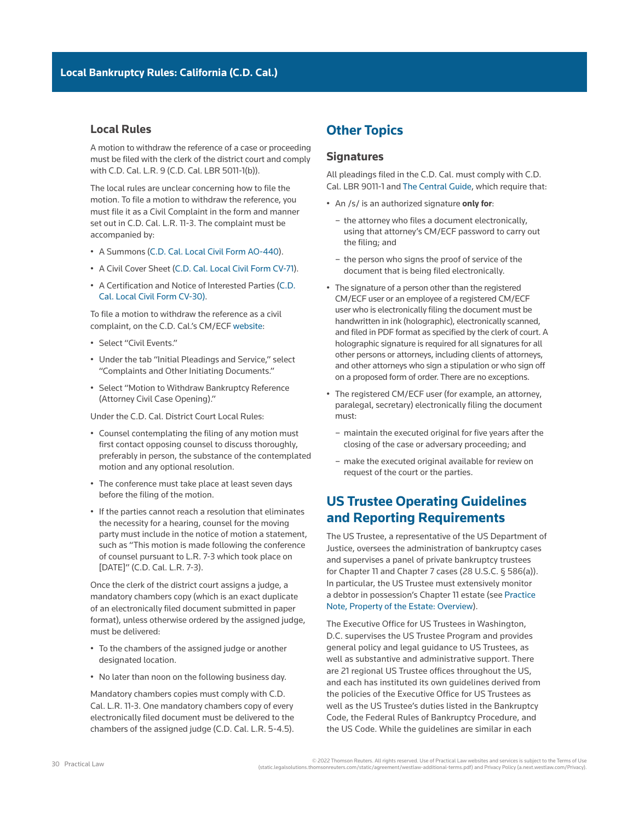## **Local Rules**

A motion to withdraw the reference of a case or proceeding must be filed with the clerk of the district court and comply with [C.D. Cal. L.R. 9](http://www.westlaw.com/Link/Document/FullText?findType=L&pubNum=1004258&cite=CARUSCCIVR9&originatingDoc=Ia2a72f779c9311e79bef99c0ee06c731&refType=GA&originationContext=document&vr=3.0&rs=cblt1.0&transitionType=PLDocumentLink&billingHash=5C7CFAF64BAEB432A49A3435A7F933821B59CFDC7FFEDBBFE808B36EE2F3DDD3&contextData=(sc.Search)) [\(C.D. Cal. LBR 5011-1\(b\)](http://www.westlaw.com/Link/Document/FullText?findType=L&pubNum=1004206&cite=CARUSBCLBR.5011-1&originatingDoc=Ia2a72f779c9311e79bef99c0ee06c731&refType=GA&originationContext=document&vr=3.0&rs=cblt1.0&transitionType=PLDocumentLink&billingHash=7E0A21E21B92D5D3685DA46321D52116E1D949211FD3CD3A0CE6DADFF80AF7DA&contextData=(sc.Search))).

The local rules are unclear concerning how to file the motion. To file a motion to withdraw the reference, you must file it as a Civil Complaint in the form and manner set out in [C.D. Cal. L.R. 11-3.](http://www.westlaw.com/Link/Document/FullText?findType=L&pubNum=1004258&cite=CARUSCCIVR11-3&originatingDoc=Ia2a72f779c9311e79bef99c0ee06c731&refType=GA&originationContext=document&vr=3.0&rs=cblt1.0&transitionType=PLDocumentLink&billingHash=D5887EF1754DF3C838B1E979878578BFAF2F4D07E9355DE9E10BB234C82CFFF8&contextData=(sc.Search)) The complaint must be accompanied by:

- A Summons ([C.D. Cal. Local Civil Form AO-440\)](http://www.uscourts.gov/sites/default/files/ao440.pdf).
- A Civil Cover Sheet [\(C.D. Cal. Local Civil Form CV-71](https://www.cacd.uscourts.gov/sites/default/files/forms/CV-071/CV-71.pdf)).
- A Certification and Notice of Interested Parties [\(C.D.](http://www.cacd.uscourts.gov/sites/default/files/forms/CV-030/CV-30.pdf)  [Cal. Local Civil Form CV-30\).](http://www.cacd.uscourts.gov/sites/default/files/forms/CV-030/CV-30.pdf)

To file a motion to withdraw the reference as a civil complaint, on the C.D. Cal.'s CM/ECF [website:](https://ecf.cacd.uscourts.gov/cgi-bin/ShowIndex.pl)

- Select "Civil Events."
- Under the tab "Initial Pleadings and Service," select "Complaints and Other Initiating Documents."
- Select "Motion to Withdraw Bankruptcy Reference (Attorney Civil Case Opening)."

Under the C.D. Cal. District Court Local Rules:

- Counsel contemplating the filing of any motion must first contact opposing counsel to discuss thoroughly, preferably in person, the substance of the contemplated motion and any optional resolution.
- The conference must take place at least seven days before the filing of the motion.
- If the parties cannot reach a resolution that eliminates the necessity for a hearing, counsel for the moving party must include in the notice of motion a statement, such as "This motion is made following the conference of counsel pursuant to L.R. 7-3 which took place on [DATE]" [\(C.D. Cal. L.R. 7-3](http://www.westlaw.com/Link/Document/FullText?findType=L&pubNum=1004258&cite=CARUSCCIVR7-3&originatingDoc=Ia2a72f779c9311e79bef99c0ee06c731&refType=GA&originationContext=document&vr=3.0&rs=cblt1.0&transitionType=PLDocumentLink&billingHash=1D26CCD6B1D70412E086590DAC7330D01DA5F29D4008FD1F2C5A1E957A8610DC&contextData=(sc.Search))).

Once the clerk of the district court assigns a judge, a mandatory chambers copy (which is an exact duplicate of an electronically filed document submitted in paper format), unless otherwise ordered by the assigned judge, must be delivered:

- To the chambers of the assigned judge or another designated location.
- No later than noon on the following business day.

Mandatory chambers copies must comply with [C.D.](http://www.westlaw.com/Link/Document/FullText?findType=L&pubNum=1004258&cite=CARUSCCIVR11-3&originatingDoc=Ia2a72f779c9311e79bef99c0ee06c731&refType=GA&originationContext=document&vr=3.0&rs=cblt1.0&transitionType=PLDocumentLink&billingHash=D5887EF1754DF3C838B1E979878578BFAF2F4D07E9355DE9E10BB234C82CFFF8&contextData=(sc.Search))  [Cal. L.R. 11-3.](http://www.westlaw.com/Link/Document/FullText?findType=L&pubNum=1004258&cite=CARUSCCIVR11-3&originatingDoc=Ia2a72f779c9311e79bef99c0ee06c731&refType=GA&originationContext=document&vr=3.0&rs=cblt1.0&transitionType=PLDocumentLink&billingHash=D5887EF1754DF3C838B1E979878578BFAF2F4D07E9355DE9E10BB234C82CFFF8&contextData=(sc.Search)) One mandatory chambers copy of every electronically filed document must be delivered to the chambers of the assigned judge ([C.D. Cal. L.R. 5-4.5\)](http://www.westlaw.com/Link/Document/FullText?findType=L&pubNum=1004258&cite=CARUSCCIVR5-4&originatingDoc=Ia2a72f779c9311e79bef99c0ee06c731&refType=GA&originationContext=document&vr=3.0&rs=cblt1.0&transitionType=PLDocumentLink&billingHash=623742F6BCBC09F665ADB12853BF46A11F90B655860072789F2460559068C89B&contextData=(sc.Search)).

# **Other Topics**

## **Signatures**

All pleadings filed in the C.D. Cal. must comply with [C.D.](http://www.westlaw.com/Link/Document/FullText?findType=L&pubNum=1004206&cite=CARUSBCLBR.9011-1&originatingDoc=Ia2a72f779c9311e79bef99c0ee06c731&refType=GA&originationContext=document&vr=3.0&rs=cblt1.0&transitionType=PLDocumentLink&billingHash=2229F054363D37CF2FD5C269DB070F82C170CAAD11308DB7C0E315D169E93843&contextData=(sc.Search))  [Cal. LBR 9011-1](http://www.westlaw.com/Link/Document/FullText?findType=L&pubNum=1004206&cite=CARUSBCLBR.9011-1&originatingDoc=Ia2a72f779c9311e79bef99c0ee06c731&refType=GA&originationContext=document&vr=3.0&rs=cblt1.0&transitionType=PLDocumentLink&billingHash=2229F054363D37CF2FD5C269DB070F82C170CAAD11308DB7C0E315D169E93843&contextData=(sc.Search)) and [The Central Guide](https://www.cacb.uscourts.gov/the-central-guide%20), which require that:

- An /s/ is an authorized signature **only for**:
	- the attorney who files a document electronically, using that attorney's [CM/ECF](http://www.westlaw.com/Document/I0f9fc0a7ef0811e28578f7ccc38dcbee/View/FullText.html?originationContext=document&vr=3.0&rs=cblt1.0&transitionType=DocumentItem&contextData=(sc.Search)) password to carry out the filing; and
	- the person who signs the proof of service of the document that is being filed electronically.
- The signature of a person other than the registered CM/ECF user or an employee of a registered CM/ECF user who is electronically filing the document must be handwritten in ink (holographic), electronically scanned, and filed in PDF format as specified by the clerk of court. A holographic signature is required for all signatures for all other persons or attorneys, including clients of attorneys, and other attorneys who sign a stipulation or who sign off on a proposed form of order. There are no exceptions.
- The registered CM/ECF user (for example, an attorney, paralegal, secretary) electronically filing the document must:
	- maintain the executed original for five years after the closing of the case or [adversary proceeding;](http://www.westlaw.com/Document/Ibb0a110def0511e28578f7ccc38dcbee/View/FullText.html?originationContext=document&vr=3.0&rs=cblt1.0&transitionType=DocumentItem&contextData=(sc.Search)) and
	- make the executed original available for review on request of the court or the parties.

# **US Trustee Operating Guidelines and Reporting Requirements**

The [US Trustee,](http://www.westlaw.com/Document/Ibb09e9afef0511e28578f7ccc38dcbee/View/FullText.html?originationContext=document&vr=3.0&rs=cblt1.0&transitionType=DocumentItem&contextData=(sc.Search)) a representative of the [US Department of](http://www.westlaw.com/Document/I1559f7aeeef211e28578f7ccc38dcbee/View/FullText.html?originationContext=document&vr=3.0&rs=cblt1.0&transitionType=DocumentItem&contextData=(sc.Search))  [Justice](http://www.westlaw.com/Document/I1559f7aeeef211e28578f7ccc38dcbee/View/FullText.html?originationContext=document&vr=3.0&rs=cblt1.0&transitionType=DocumentItem&contextData=(sc.Search)), oversees the administration of bankruptcy cases and supervises a panel of private bankruptcy [trustees](http://www.westlaw.com/Document/Ibb0a37a1ef0511e28578f7ccc38dcbee/View/FullText.html?originationContext=document&vr=3.0&rs=cblt1.0&transitionType=DocumentItem&contextData=(sc.Search))  for Chapter 11 and [Chapter 7](http://www.westlaw.com/Document/I210505b1ef0811e28578f7ccc38dcbee/View/FullText.html?originationContext=document&vr=3.0&rs=cblt1.0&transitionType=DocumentItem&contextData=(sc.Search)) cases (28 U.S.C. § 586(a)). In particular, the US Trustee must extensively monitor a debtor in possession's Chapter 11 [estate](http://www.westlaw.com/Document/Ibb09e99fef0511e28578f7ccc38dcbee/View/FullText.html?originationContext=document&vr=3.0&rs=cblt1.0&transitionType=DocumentItem&contextData=(sc.Search)) (see [Practice](http://us.practicallaw.tr.com/5-613-8145)  [Note, Property of the Estate: Overview\)](http://us.practicallaw.tr.com/5-613-8145).

The Executive Office for US Trustees in Washington, D.C. supervises the US Trustee Program and provides general policy and legal guidance to US Trustees, as well as substantive and administrative support. There are 21 regional US Trustee offices throughout the US, and each has instituted its own guidelines derived from the policies of the Executive Office for US Trustees as well as the US Trustee's duties listed in the Bankruptcy Code, the Federal Rules of Bankruptcy Procedure, and the [US Code](http://www.westlaw.com/Document/I3a9a0da4ef1211e28578f7ccc38dcbee/View/FullText.html?originationContext=document&vr=3.0&rs=cblt1.0&transitionType=DocumentItem&contextData=(sc.Search)). While the guidelines are similar in each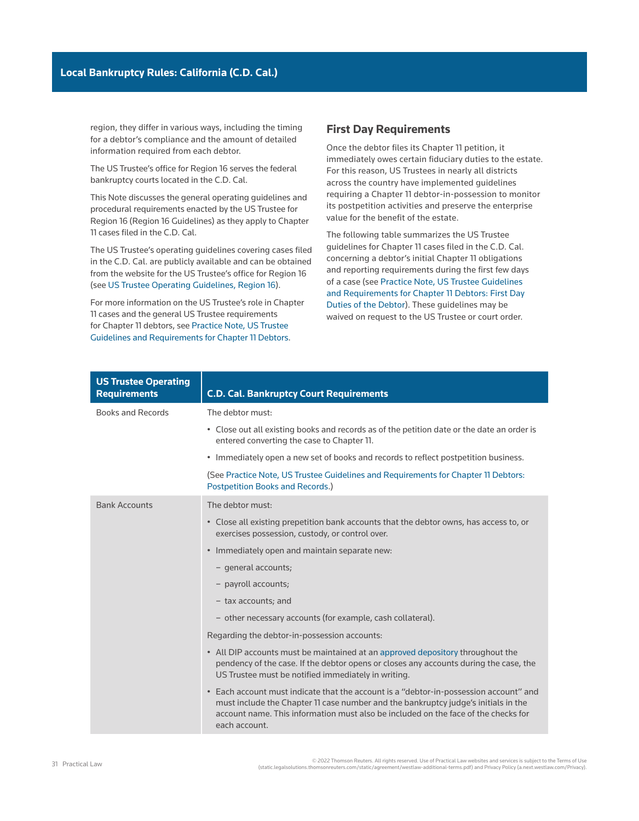region, they differ in various ways, including the timing for a debtor's compliance and the amount of detailed information required from each debtor.

The US Trustee's office for Region 16 serves the federal bankruptcy courts located in the C.D. Cal.

This Note discusses the general operating guidelines and procedural requirements enacted by the US Trustee for Region 16 (Region 16 Guidelines) as they apply to Chapter 11 cases filed in the C.D. Cal.

The US Trustee's operating guidelines covering cases filed in the C.D. Cal. are publicly available and can be obtained from the website for the US Trustee's office for Region 16 (see [US Trustee Operating Guidelines, Region 16](https://www.justice.gov/ust-regions-r16/file/ch11_debtors_possession.pdf/download)).

For more information on the US Trustee's role in Chapter 11 cases and the general US Trustee requirements for Chapter 11 debtors, see [Practice Note, US Trustee](http://us.practicallaw.tr.com/W-000-5977)  [Guidelines and Requirements for Chapter 11 Debtors](http://us.practicallaw.tr.com/W-000-5977).

## **First Day Requirements**

Once the debtor files its Chapter 11 petition, it immediately owes certain [fiduciary duties](http://www.westlaw.com/Document/Ibb0a107fef0511e28578f7ccc38dcbee/View/FullText.html?originationContext=document&vr=3.0&rs=cblt1.0&transitionType=DocumentItem&contextData=(sc.Search)) to the estate. For this reason, US Trustees in nearly all districts across the country have implemented guidelines requiring a Chapter 11 debtor-in-possession to monitor its [postpetition](http://www.westlaw.com/Document/Ibb09e95bef0511e28578f7ccc38dcbee/View/FullText.html?originationContext=document&vr=3.0&rs=cblt1.0&transitionType=DocumentItem&contextData=(sc.Search)) activities and preserve the [enterprise](http://www.westlaw.com/Document/Id1691a98ef2911e28578f7ccc38dcbee/View/FullText.html?originationContext=document&vr=3.0&rs=cblt1.0&transitionType=DocumentItem&contextData=(sc.Search))  [value](http://www.westlaw.com/Document/Id1691a98ef2911e28578f7ccc38dcbee/View/FullText.html?originationContext=document&vr=3.0&rs=cblt1.0&transitionType=DocumentItem&contextData=(sc.Search)) for the benefit of the estate.

The following table summarizes the US Trustee guidelines for Chapter 11 cases filed in the C.D. Cal. concerning a debtor's initial Chapter 11 obligations and reporting requirements during the first few days of a case (see [Practice Note, US Trustee Guidelines](http://us.practicallaw.tr.com/W-000-5977)  [and Requirements for Chapter 11 Debtors: First Day](http://us.practicallaw.tr.com/W-000-5977)  [Duties of the Debtor](http://us.practicallaw.tr.com/W-000-5977)). These guidelines may be waived on request to the US Trustee or court order.

| <b>US Trustee Operating</b><br><b>Requirements</b> | <b>C.D. Cal. Bankruptcy Court Requirements</b>                                                                                                                                                                                                                                     |
|----------------------------------------------------|------------------------------------------------------------------------------------------------------------------------------------------------------------------------------------------------------------------------------------------------------------------------------------|
| Books and Records                                  | The debtor must:                                                                                                                                                                                                                                                                   |
|                                                    | • Close out all existing books and records as of the petition date or the date an order is<br>entered converting the case to Chapter 11.                                                                                                                                           |
|                                                    | • Immediately open a new set of books and records to reflect postpetition business.                                                                                                                                                                                                |
|                                                    | (See Practice Note, US Trustee Guidelines and Requirements for Chapter 11 Debtors:<br>Postpetition Books and Records.)                                                                                                                                                             |
| <b>Bank Accounts</b>                               | The debtor must:                                                                                                                                                                                                                                                                   |
|                                                    | • Close all existing prepetition bank accounts that the debtor owns, has access to, or<br>exercises possession, custody, or control over.                                                                                                                                          |
|                                                    | • Immediately open and maintain separate new:                                                                                                                                                                                                                                      |
|                                                    | - general accounts;                                                                                                                                                                                                                                                                |
|                                                    | - payroll accounts;                                                                                                                                                                                                                                                                |
|                                                    | - tax accounts; and                                                                                                                                                                                                                                                                |
|                                                    | - other necessary accounts (for example, cash collateral).                                                                                                                                                                                                                         |
|                                                    | Regarding the debtor-in-possession accounts:                                                                                                                                                                                                                                       |
|                                                    | • All DIP accounts must be maintained at an approved depository throughout the<br>pendency of the case. If the debtor opens or closes any accounts during the case, the<br>US Trustee must be notified immediately in writing.                                                     |
|                                                    | • Each account must indicate that the account is a "debtor-in-possession account" and<br>must include the Chapter 11 case number and the bankruptcy judge's initials in the<br>account name. This information must also be included on the face of the checks for<br>each account. |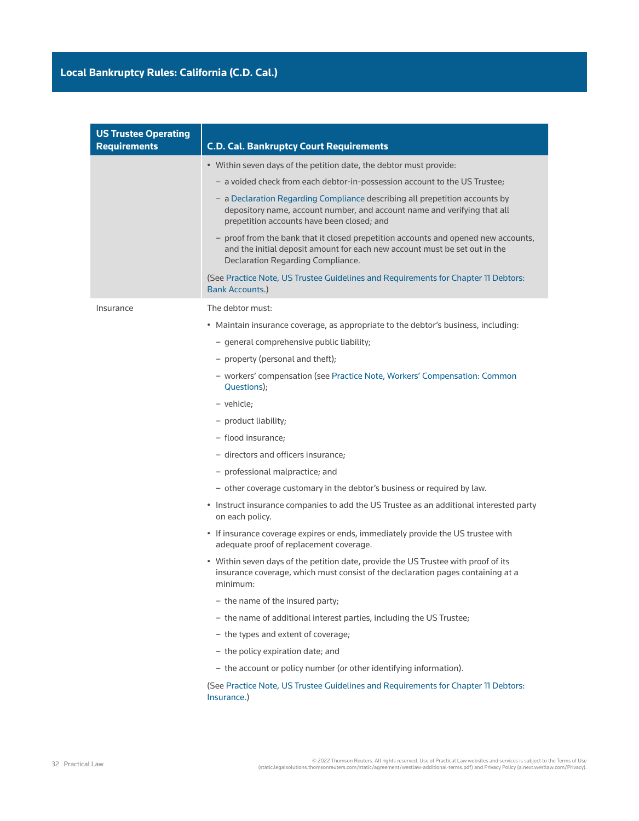| <b>US Trustee Operating</b><br><b>Requirements</b> | <b>C.D. Cal. Bankruptcy Court Requirements</b>                                                                                                                                                        |
|----------------------------------------------------|-------------------------------------------------------------------------------------------------------------------------------------------------------------------------------------------------------|
|                                                    | • Within seven days of the petition date, the debtor must provide:                                                                                                                                    |
|                                                    | - a voided check from each debtor-in-possession account to the US Trustee;                                                                                                                            |
|                                                    | - a Declaration Regarding Compliance describing all prepetition accounts by<br>depository name, account number, and account name and verifying that all<br>prepetition accounts have been closed; and |
|                                                    | - proof from the bank that it closed prepetition accounts and opened new accounts,<br>and the initial deposit amount for each new account must be set out in the<br>Declaration Regarding Compliance. |
|                                                    | (See Practice Note, US Trustee Guidelines and Requirements for Chapter 11 Debtors:<br><b>Bank Accounts.)</b>                                                                                          |
| Insurance                                          | The debtor must:                                                                                                                                                                                      |
|                                                    | • Maintain insurance coverage, as appropriate to the debtor's business, including:                                                                                                                    |
|                                                    | - general comprehensive public liability;                                                                                                                                                             |
|                                                    | - property (personal and theft);                                                                                                                                                                      |
|                                                    | - workers' compensation (see Practice Note, Workers' Compensation: Common<br>Questions);                                                                                                              |
|                                                    | - vehicle;                                                                                                                                                                                            |
|                                                    | - product liability;                                                                                                                                                                                  |
|                                                    | - flood insurance;                                                                                                                                                                                    |
|                                                    | - directors and officers insurance;                                                                                                                                                                   |
|                                                    | - professional malpractice; and                                                                                                                                                                       |
|                                                    | - other coverage customary in the debtor's business or required by law.                                                                                                                               |
|                                                    | • Instruct insurance companies to add the US Trustee as an additional interested party<br>on each policy.                                                                                             |
|                                                    | • If insurance coverage expires or ends, immediately provide the US trustee with<br>adequate proof of replacement coverage.                                                                           |
|                                                    | . Within seven days of the petition date, provide the US Trustee with proof of its<br>insurance coverage, which must consist of the declaration pages containing at a<br>minimum:                     |
|                                                    | - the name of the insured party;                                                                                                                                                                      |
|                                                    | - the name of additional interest parties, including the US Trustee;                                                                                                                                  |
|                                                    | - the types and extent of coverage;                                                                                                                                                                   |
|                                                    | - the policy expiration date; and                                                                                                                                                                     |
|                                                    | - the account or policy number (or other identifying information).                                                                                                                                    |
|                                                    | (See Practice Note, US Trustee Guidelines and Requirements for Chapter 11 Debtors:<br>Insurance.)                                                                                                     |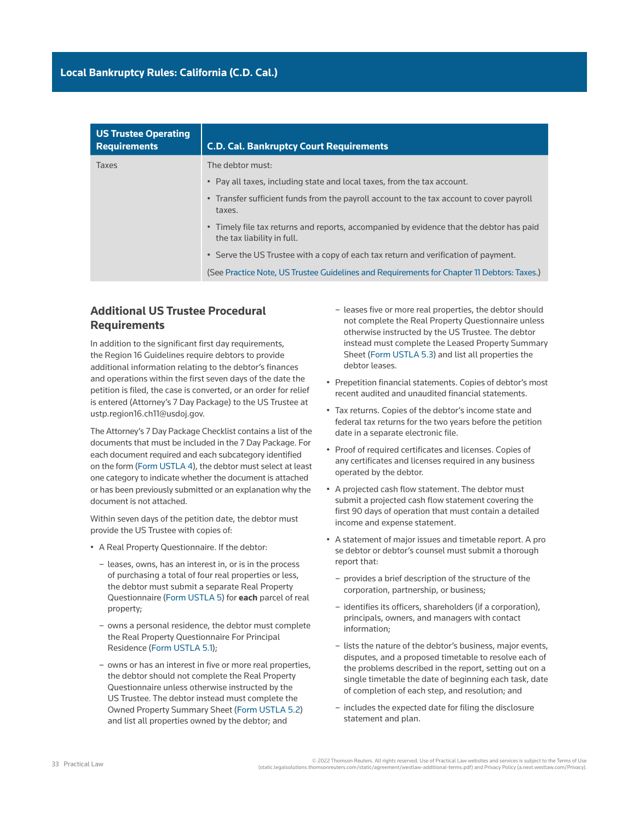| <b>US Trustee Operating</b><br><b>Requirements</b> | <b>C.D. Cal. Bankruptcy Court Requirements</b>                                                                        |
|----------------------------------------------------|-----------------------------------------------------------------------------------------------------------------------|
| Taxes                                              | The debtor must:                                                                                                      |
|                                                    | • Pay all taxes, including state and local taxes, from the tax account.                                               |
|                                                    | • Transfer sufficient funds from the payroll account to the tax account to cover payroll<br>taxes.                    |
|                                                    | • Timely file tax returns and reports, accompanied by evidence that the debtor has paid<br>the tax liability in full. |
|                                                    | • Serve the US Trustee with a copy of each tax return and verification of payment.                                    |
|                                                    | (See Practice Note, US Trustee Guidelines and Requirements for Chapter 11 Debtors: Taxes.)                            |
|                                                    |                                                                                                                       |

## **Additional US Trustee Procedural Requirements**

In addition to the significant first day requirements, the Region 16 Guidelines require debtors to provide additional information relating to the debtor's finances and operations within the first seven days of the date the petition is filed, the case is converted, or an [order for relief](http://www.westlaw.com/Document/I3a99e80def1211e28578f7ccc38dcbee/View/FullText.html?originationContext=document&vr=3.0&rs=cblt1.0&transitionType=DocumentItem&contextData=(sc.Search))  is entered (Attorney's 7 Day Package) to the US Trustee at ustp.region16.ch11@usdoj.gov.

The Attorney's 7 Day Package Checklist contains a list of the documents that must be included in the 7 Day Package. For each document required and each subcategory identified on the form ([Form USTLA 4\)](https://www.justice.gov/sites/default/files/ust-regions/legacy/2013/02/25/USTLA_4.pdf), the debtor must select at least one category to indicate whether the document is attached or has been previously submitted or an explanation why the document is not attached.

Within seven days of the petition date, the debtor must provide the US Trustee with copies of:

- A Real Property Questionnaire. If the debtor:
	- leases, owns, has an interest in, or is in the process of purchasing a total of four real properties or less, the debtor must submit a separate Real Property Questionnaire [\(Form USTLA 5](https://www.justice.gov/sites/default/files/ust-regions/legacy/2013/02/25/USTLA_5.pdf)) for **each** parcel of real property;
	- owns a personal residence, the debtor must complete the Real Property Questionnaire For Principal Residence [\(Form USTLA 5.1](https://www.justice.gov/sites/default/files/ust-regions/legacy/2015/03/13/USTLA_5_1.pdf));
	- owns or has an interest in five or more real properties, the debtor should not complete the Real Property Questionnaire unless otherwise instructed by the US Trustee. The debtor instead must complete the Owned Property Summary Sheet [\(Form USTLA 5.2\)](https://www.justice.gov/sites/default/files/ust-regions/legacy/2013/02/25/USTLA_5_2_FF.pdf) and list all properties owned by the debtor; and
- leases five or more real properties, the debtor should not complete the Real Property Questionnaire unless otherwise instructed by the US Trustee. The debtor instead must complete the Leased Property Summary Sheet ([Form USTLA 5.3\)](https://www.justice.gov/sites/default/files/ust-regions/legacy/2013/02/25/USTLA_5_3_FF.pdf) and list all properties the debtor leases.
- Prepetition financial statements. Copies of debtor's most recent audited and unaudited financial statements.
- Tax returns. Copies of the debtor's income state and federal tax returns for the two years before the petition date in a separate electronic file.
- Proof of required certificates and licenses. Copies of any certificates and licenses required in any business operated by the debtor.
- A projected cash flow statement. The debtor must submit a projected cash flow statement covering the first 90 days of operation that must contain a detailed income and expense statement.
- A statement of major issues and timetable report. A [pro](http://www.westlaw.com/Document/I0f9fc050ef0811e28578f7ccc38dcbee/View/FullText.html?originationContext=document&vr=3.0&rs=cblt1.0&transitionType=DocumentItem&contextData=(sc.Search))  [se](http://www.westlaw.com/Document/I0f9fc050ef0811e28578f7ccc38dcbee/View/FullText.html?originationContext=document&vr=3.0&rs=cblt1.0&transitionType=DocumentItem&contextData=(sc.Search)) debtor or debtor's counsel must submit a thorough report that:
	- provides a brief description of the structure of the corporation, partnership, or business;
	- identifies its officers, shareholders (if a corporation), principals, owners, and managers with contact information;
	- lists the nature of the debtor's business, major events, disputes, and a proposed timetable to resolve each of the problems described in the report, setting out on a single timetable the date of beginning each task, date of completion of each step, and resolution; and
	- includes the expected date for filing the [disclosure](http://www.westlaw.com/Document/Ibb09e9b4ef0511e28578f7ccc38dcbee/View/FullText.html?originationContext=document&vr=3.0&rs=cblt1.0&transitionType=DocumentItem&contextData=(sc.Search))  [statement](http://www.westlaw.com/Document/Ibb09e9b4ef0511e28578f7ccc38dcbee/View/FullText.html?originationContext=document&vr=3.0&rs=cblt1.0&transitionType=DocumentItem&contextData=(sc.Search)) and [plan](http://www.westlaw.com/Document/I03f4db03eee311e28578f7ccc38dcbee/View/FullText.html?originationContext=document&vr=3.0&rs=cblt1.0&transitionType=DocumentItem&contextData=(sc.Search)).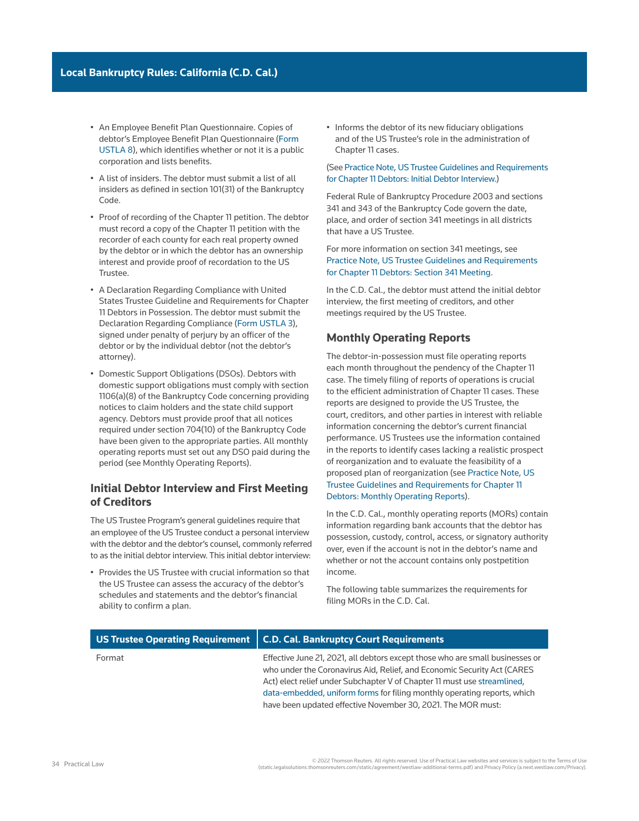- An Employee Benefit Plan Questionnaire. Copies of debtor's Employee Benefit Plan Questionnaire ([Form](https://www.justice.gov/ust-regions-r16/file/ustla_8_ff_employee_benefit_questionnaire.pdf/download)  [USTLA 8\)](https://www.justice.gov/ust-regions-r16/file/ustla_8_ff_employee_benefit_questionnaire.pdf/download), which identifies whether or not it is a public corporation and lists benefits.
- A list of [insiders.](http://www.westlaw.com/Document/I2105057eef0811e28578f7ccc38dcbee/View/FullText.html?originationContext=document&vr=3.0&rs=cblt1.0&transitionType=DocumentItem&contextData=(sc.Search)) The debtor must submit a list of all insiders as defined in section 101(31) of the Bankruptcy Code.
- Proof of recording of the Chapter 11 petition. The debtor must record a copy of the Chapter 11 petition with the recorder of each county for each real property owned by the debtor or in which the debtor has an ownership interest and provide proof of recordation to the US Trustee.
- A Declaration Regarding Compliance with United States Trustee Guideline and Requirements for Chapter 11 Debtors in Possession. The debtor must submit the Declaration Regarding Compliance ([Form USTLA 3](https://www.justice.gov/ust-regions-r16/file/ustla_3_declaration.pdf/download)), signed under penalty of perjury by an officer of the debtor or by the individual debtor (not the debtor's attorney).
- Domestic Support Obligations (DSOs). Debtors with domestic support obligations must comply with section 1106(a)(8) of the Bankruptcy Code concerning providing notices to claim holders and the state child support agency. Debtors must provide proof that all notices required under [section 704\(10\) of the Bankruptcy Code](http://www.westlaw.com/Link/Document/FullText?findType=L&pubNum=1000611&cite=11USCAS704&originatingDoc=Ia2a72f779c9311e79bef99c0ee06c731&refType=LQ&originationContext=document&vr=3.0&rs=cblt1.0&transitionType=PLDocumentLink&billingHash=0A7A5D3EC92D9E2AF222B20689FE5867883F4D555E8E65CD2CC5652C06955D83&contextData=(sc.Search)) have been given to the appropriate parties. All monthly operating reports must set out any DSO paid during the period (see Monthly Operating Reports).

## **Initial Debtor Interview and First Meeting of Creditors**

The US Trustee Program's general guidelines require that an employee of the US Trustee conduct a personal interview with the debtor and the debtor's counsel, commonly referred to as the initial debtor interview. This initial debtor interview:

• Provides the US Trustee with crucial information so that the US Trustee can assess the accuracy of the debtor's schedules and statements and the debtor's financial ability to [confirm](http://www.westlaw.com/Document/Ibb09e97def0511e28578f7ccc38dcbee/View/FullText.html?originationContext=document&vr=3.0&rs=cblt1.0&transitionType=DocumentItem&contextData=(sc.Search)) a [plan](http://www.westlaw.com/Document/I03f4db03eee311e28578f7ccc38dcbee/View/FullText.html?originationContext=document&vr=3.0&rs=cblt1.0&transitionType=DocumentItem&contextData=(sc.Search)).

• Informs the debtor of its new fiduciary obligations and of the US Trustee's role in the administration of Chapter 11 cases.

#### (See [Practice Note, US Trustee Guidelines and Requirements](http://us.practicallaw.tr.com/W-000-5977)  [for Chapter 11 Debtors: Initial Debtor Interview.](http://us.practicallaw.tr.com/W-000-5977))

[Federal Rule of Bankruptcy Procedure 2003](http://www.westlaw.com/Link/Document/FullText?findType=L&pubNum=1000611&cite=USFRBPR2003&originatingDoc=Ia2a72f779c9311e79bef99c0ee06c731&refType=LQ&originationContext=document&vr=3.0&rs=cblt1.0&transitionType=PLDocumentLink&billingHash=9FCFD68E2E1A4650D3B16FDD03F65014D8E2420AAF29DF3574A77C6CE387BEE8&contextData=(sc.Search)) and [sections](http://www.westlaw.com/Link/Document/FullText?findType=L&pubNum=1000611&cite=11USCAS341&originatingDoc=Ia2a72f779c9311e79bef99c0ee06c731&refType=LQ&originationContext=document&vr=3.0&rs=cblt1.0&transitionType=PLDocumentLink&billingHash=0B88D61850ADB4C90428C26366CEF51C0BAD6F159420F16E91B020639161955A&contextData=(sc.Search))  [341](http://www.westlaw.com/Link/Document/FullText?findType=L&pubNum=1000611&cite=11USCAS341&originatingDoc=Ia2a72f779c9311e79bef99c0ee06c731&refType=LQ&originationContext=document&vr=3.0&rs=cblt1.0&transitionType=PLDocumentLink&billingHash=0B88D61850ADB4C90428C26366CEF51C0BAD6F159420F16E91B020639161955A&contextData=(sc.Search)) and [343 of the Bankruptcy Code](http://www.westlaw.com/Link/Document/FullText?findType=L&pubNum=1000611&cite=11USCAS343&originatingDoc=Ia2a72f779c9311e79bef99c0ee06c731&refType=LQ&originationContext=document&vr=3.0&rs=cblt1.0&transitionType=PLDocumentLink&billingHash=8D0F777B001BCC4CA8816BC849EA417B6AC5926BA000BCFA8B9F1C1FCE71704A&contextData=(sc.Search)) govern the date, place, and order of [section 341 meetings](http://www.westlaw.com/Document/Id4cf1894f3ad11e28578f7ccc38dcbee/View/FullText.html?originationContext=document&vr=3.0&rs=cblt1.0&transitionType=DocumentItem&contextData=(sc.Search)) in all districts that have a US Trustee.

For more information on section 341 meetings, see [Practice Note, US Trustee Guidelines and Requirements](http://us.practicallaw.tr.com/W-000-5977)  [for Chapter 11 Debtors: Section 341 Meeting](http://us.practicallaw.tr.com/W-000-5977).

In the C.D. Cal., the debtor must attend the initial debtor interview, the first meeting of creditors, and other meetings required by the US Trustee.

## **Monthly Operating Reports**

The debtor-in-possession must file operating reports each month throughout the pendency of the Chapter 11 case. The timely filing of reports of operations is crucial to the efficient administration of Chapter 11 cases. These reports are designed to provide the US Trustee, the court, creditors, and other parties in interest with reliable information concerning the debtor's current financial performance. US Trustees use the information contained in the reports to identify cases lacking a realistic prospect of reorganization and to evaluate the [feasibility](http://www.westlaw.com/Document/I2104df10ef0811e28578f7ccc38dcbee/View/FullText.html?originationContext=document&vr=3.0&rs=cblt1.0&transitionType=DocumentItem&contextData=(sc.Search)) of a proposed plan of reorganization (see [Practice Note, US](http://us.practicallaw.tr.com/W-000-5977)  [Trustee Guidelines and Requirements for Chapter 11](http://us.practicallaw.tr.com/W-000-5977)  [Debtors: Monthly Operating Reports\)](http://us.practicallaw.tr.com/W-000-5977).

In the C.D. Cal., monthly operating reports (MORs) contain information regarding bank accounts that the debtor has possession, custody, control, access, or signatory authority over, even if the account is not in the debtor's name and whether or not the account contains only postpetition income.

The following table summarizes the requirements for filing MORs in the C.D. Cal.

|        | US Trustee Operating Requirement   C.D. Cal. Bankruptcy Court Requirements                                                                                                                                                                                                                                                                                                       |
|--------|----------------------------------------------------------------------------------------------------------------------------------------------------------------------------------------------------------------------------------------------------------------------------------------------------------------------------------------------------------------------------------|
| Format | Effective June 21, 2021, all debtors except those who are small businesses or<br>who under the Coronavirus Aid, Relief, and Economic Security Act (CARES<br>Act) elect relief under Subchapter V of Chapter 11 must use streamlined,<br>data-embedded, uniform forms for filing monthly operating reports, which<br>have been updated effective November 30, 2021. The MOR must: |

2022 Thomson Reuters. All rights reserved. Use of Practical Law websites and services is subject to the Terms of Use<br>(static.legalsolutions.thomsonreuters.com/static/agreement/westlaw-additional-terms.pdf) and Privacy Poli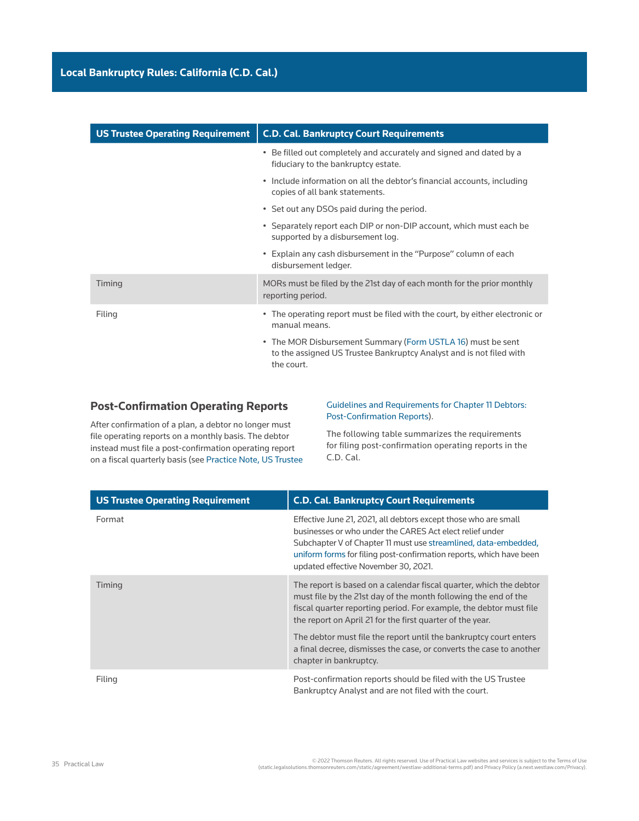| <b>US Trustee Operating Requirement</b> | <b>C.D. Cal. Bankruptcy Court Requirements</b>                                                                                                   |
|-----------------------------------------|--------------------------------------------------------------------------------------------------------------------------------------------------|
|                                         | • Be filled out completely and accurately and signed and dated by a<br>fiduciary to the bankruptcy estate.                                       |
|                                         | • Include information on all the debtor's financial accounts, including<br>copies of all bank statements.                                        |
|                                         | • Set out any DSOs paid during the period.                                                                                                       |
|                                         | • Separately report each DIP or non-DIP account, which must each be<br>supported by a disbursement log.                                          |
|                                         | • Explain any cash disbursement in the "Purpose" column of each<br>disbursement ledger.                                                          |
| Timing                                  | MORs must be filed by the 21st day of each month for the prior monthly<br>reporting period.                                                      |
| Filing                                  | • The operating report must be filed with the court, by either electronic or<br>manual means.                                                    |
|                                         | • The MOR Disbursement Summary (Form USTLA 16) must be sent<br>to the assigned US Trustee Bankruptcy Analyst and is not filed with<br>the court. |

## **Post-Confirmation Operating Reports**

After confirmation of a plan, a debtor no longer must file operating reports on a monthly basis. The debtor instead must file a post-confirmation operating report on a [fiscal quarterly](http://www.westlaw.com/Document/I1c633a2eef2811e28578f7ccc38dcbee/View/FullText.html?originationContext=document&vr=3.0&rs=cblt1.0&transitionType=DocumentItem&contextData=(sc.Search)) basis (see [Practice Note, US Trustee](http://us.practicallaw.tr.com/W-000-5977)  [Guidelines and Requirements for Chapter 11 Debtors:](http://us.practicallaw.tr.com/W-000-5977)  [Post-Confirmation Reports](http://us.practicallaw.tr.com/W-000-5977)).

The following table summarizes the requirements for filing post-confirmation operating reports in the C.D. Cal.

| <b>US Trustee Operating Requirement</b> | <b>C.D. Cal. Bankruptcy Court Requirements</b>                                                                                                                                                                                                                                                                |
|-----------------------------------------|---------------------------------------------------------------------------------------------------------------------------------------------------------------------------------------------------------------------------------------------------------------------------------------------------------------|
| Format                                  | Effective June 21, 2021, all debtors except those who are small<br>businesses or who under the CARES Act elect relief under<br>Subchapter V of Chapter 11 must use streamlined, data-embedded,<br>uniform forms for filing post-confirmation reports, which have been<br>updated effective November 30, 2021. |
| Timing                                  | The report is based on a calendar fiscal quarter, which the debtor<br>must file by the 21st day of the month following the end of the<br>fiscal quarter reporting period. For example, the debtor must file<br>the report on April 21 for the first quarter of the year.                                      |
|                                         | The debtor must file the report until the bankruptcy court enters<br>a final decree, dismisses the case, or converts the case to another<br>chapter in bankruptcy.                                                                                                                                            |
| Filing                                  | Post-confirmation reports should be filed with the US Trustee<br>Bankruptcy Analyst and are not filed with the court.                                                                                                                                                                                         |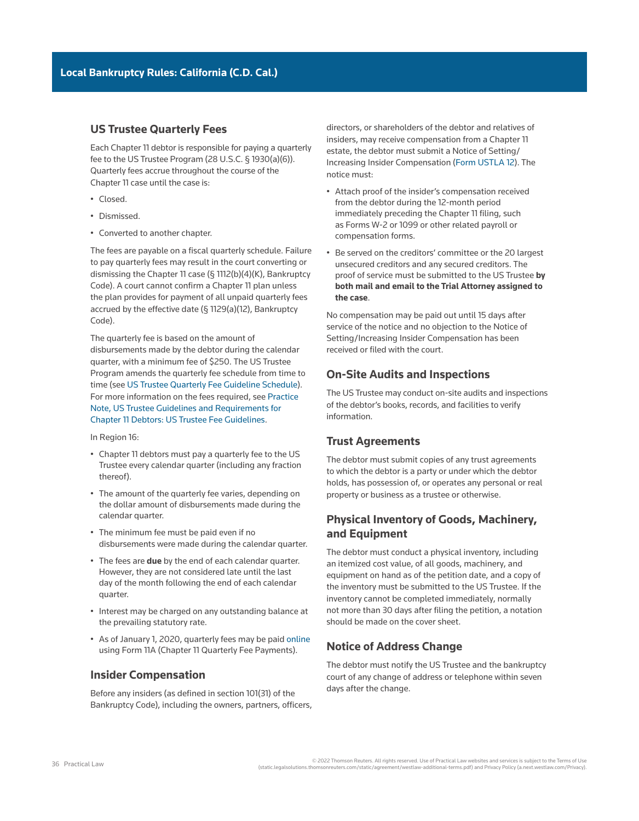## **US Trustee Quarterly Fees**

Each Chapter 11 debtor is responsible for paying a quarterly fee to the US Trustee Program (28 U.S.C. § 1930(a)(6)). Quarterly fees accrue throughout the course of the Chapter 11 case until the case is:

- Closed.
- Dismissed.
- Converted to another chapter.

The fees are payable on a fiscal quarterly schedule. Failure to pay quarterly fees may result in the court converting or dismissing the Chapter 11 case (§ 1112(b)(4)(K), Bankruptcy Code). A court cannot confirm a Chapter 11 plan unless the plan provides for payment of all unpaid quarterly fees accrued by the [effective date](http://www.westlaw.com/Document/Ibb0a142aef0511e28578f7ccc38dcbee/View/FullText.html?originationContext=document&vr=3.0&rs=cblt1.0&transitionType=DocumentItem&contextData=(sc.Search)) (§ 1129(a)(12), Bankruptcy Code).

The quarterly fee is based on the amount of disbursements made by the debtor during the calendar quarter, with a minimum fee of \$250. The US Trustee Program amends the quarterly fee schedule from time to time (see [US Trustee Quarterly Fee Guideline Schedule](https://www.justice.gov/ust/chapter-11-quarterly-fees)). For more information on the fees required, see [Practice](http://us.practicallaw.tr.com/W-000-5977)  [Note, US Trustee Guidelines and Requirements for](http://us.practicallaw.tr.com/W-000-5977)  [Chapter 11 Debtors: US Trustee Fee Guidelines.](http://us.practicallaw.tr.com/W-000-5977)

In Region 16:

- Chapter 11 debtors must pay a quarterly fee to the US Trustee every calendar quarter (including any fraction thereof).
- The amount of the quarterly fee varies, depending on the dollar amount of disbursements made during the calendar quarter.
- The minimum fee must be paid even if no disbursements were made during the calendar quarter.
- The fees are **due** by the end of each calendar quarter. However, they are not considered late until the last day of the month following the end of each calendar quarter.
- Interest may be charged on any outstanding balance at the prevailing statutory rate.
- As of January 1, 2020, quarterly fees may be paid [online](https://www.pay.gov/public/form/start/672415208) using Form 11A (Chapter 11 Quarterly Fee Payments).

### **Insider Compensation**

Before any insiders (as defined in section 101(31) of the Bankruptcy Code), including the owners, partners, officers, directors, or shareholders of the debtor and relatives of insiders, may receive compensation from a Chapter 11 estate, the debtor must submit a Notice of Setting/ Increasing Insider Compensation ([Form USTLA 12\)](https://www.justice.gov/ust-regions-r16/file/ustla_12_insider_compensation.pdf/download). The notice must:

- Attach proof of the insider's compensation received from the debtor during the 12-month period immediately preceding the Chapter 11 filing, such as Forms W-2 or 1099 or other related payroll or compensation forms.
- Be served on the [creditors' committee](http://www.westlaw.com/Document/Ibb09e96def0511e28578f7ccc38dcbee/View/FullText.html?originationContext=document&vr=3.0&rs=cblt1.0&transitionType=DocumentItem&contextData=(sc.Search)) or the 20 largest [unsecured creditors](http://www.westlaw.com/Document/Ibb09e92def0511e28578f7ccc38dcbee/View/FullText.html?originationContext=document&vr=3.0&rs=cblt1.0&transitionType=DocumentItem&contextData=(sc.Search)) and any [secured creditors](http://www.westlaw.com/Document/Ibb09e941ef0511e28578f7ccc38dcbee/View/FullText.html?originationContext=document&vr=3.0&rs=cblt1.0&transitionType=DocumentItem&contextData=(sc.Search)). The proof of service must be submitted to the US Trustee **by both mail and email to the Trial Attorney assigned to the case**.

No compensation may be paid out until 15 days after service of the notice and no objection to the Notice of Setting/Increasing Insider Compensation has been received or filed with the court.

## **On-Site Audits and Inspections**

The US Trustee may conduct on-site audits and inspections of the debtor's books, records, and facilities to verify information.

## **Trust Agreements**

The debtor must submit copies of any trust agreements to which the debtor is a party or under which the debtor holds, has possession of, or operates any personal or real property or business as a trustee or otherwise.

## **Physical Inventory of Goods, Machinery, and Equipment**

The debtor must conduct a physical inventory, including an itemized cost value, of all goods, machinery, and equipment on hand as of the petition date, and a copy of the inventory must be submitted to the US Trustee. If the inventory cannot be completed immediately, normally not more than 30 days after filing the petition, a notation should be made on the cover sheet.

## **Notice of Address Change**

The debtor must notify the US Trustee and the bankruptcy court of any change of address or telephone within seven days after the change.